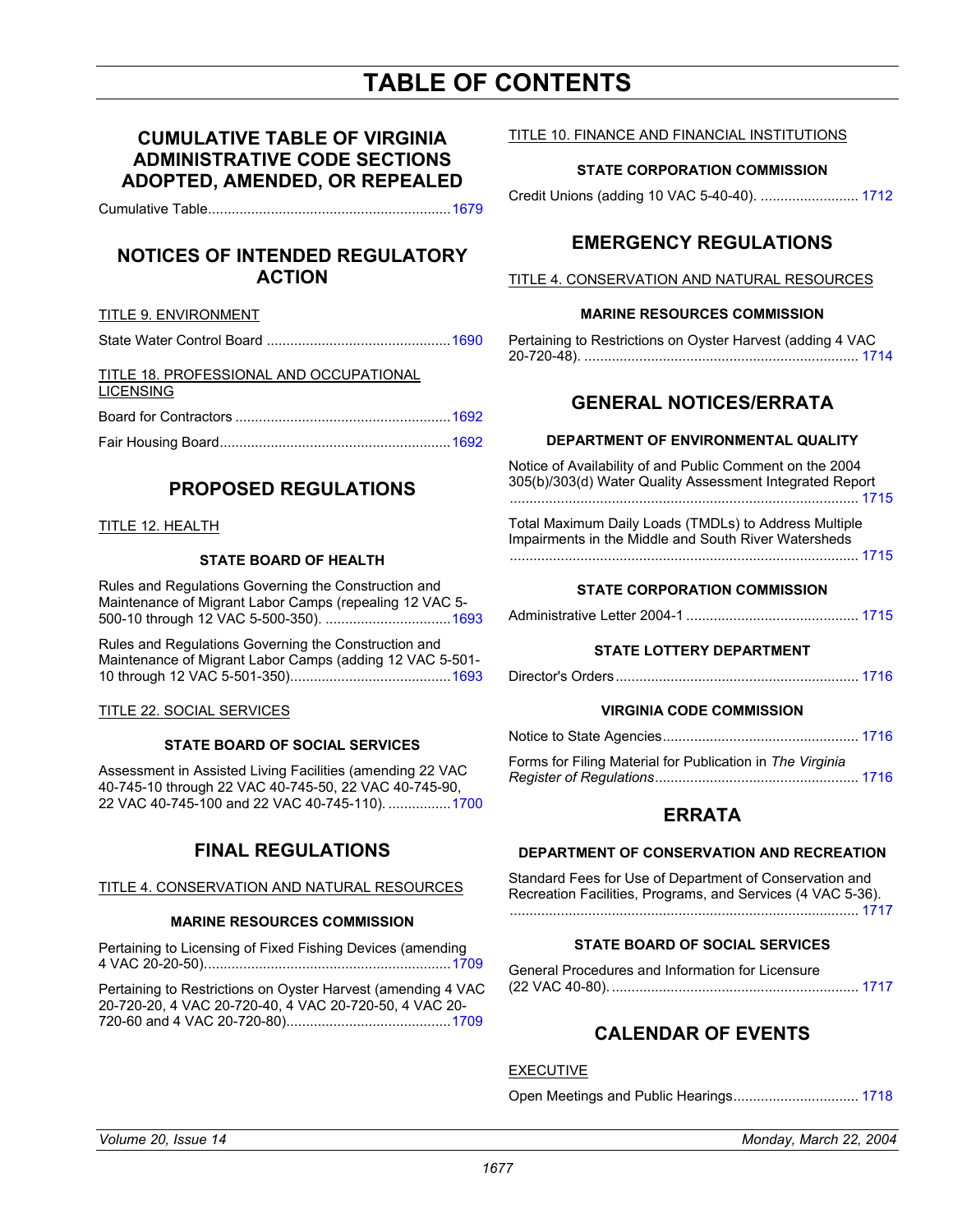# **TABLE OF CONTENTS**

## **CUMULATIVE TABLE OF VIRGINIA ADMINISTRATIVE CODE SECTIONS ADOPTED, AMENDED, OR REPEALED**

Cumulative Table.............................................................[.1679](#page-2-0)

### **NOTICES OF INTENDED REGULATORY ACTION**

#### TITLE 9. ENVIRONMENT

| TITLE 18. PROFESSIONAL AND OCCUPATIONAL |  |
|-----------------------------------------|--|
| <b>LICENSING</b>                        |  |
|                                         |  |

|--|--|--|--|

## **PROPOSED REGULATIONS**

#### TITLE 12. HEALTH

### **STATE BOARD OF HEALTH**

Rules and Regulations Governing the Construction and Maintenance of Migrant Labor Camps (repealing 12 VAC 5- 500-10 through 12 VAC 5-500-350). .............................[...1693](#page-16-0)

Rules and Regulations Governing the Construction and Maintenance of Migrant Labor Camps (adding 12 VAC 5-501- 10 through 12 VAC 5-501-350).........................................1693

#### TITLE 22. SOCIAL SERVICES

#### **STATE BOARD OF SOCIAL SERVICES**

Assessment in Assisted Living Facilities (amending 22 VAC 40-745-10 through 22 VAC 40-745-50, 22 VAC 40-745-90, 22 VAC 40-745-100 and 22 VAC 40-745-110). ...............[.1700](#page-23-0)

## **FINAL REGULATIONS**

#### TITLE 4. CONSERVATION AND NATURAL RESOURCES

#### **MARINE RESOURCES COMMISSION**

Pertaining to Licensing of Fixed Fishing Devices (amending 4 VAC 20-20-50)...............................................................1709

Pertaining to Restrictions on Oyster Harvest (amending [4 VAC](#page-32-0)  20-720-20, 4 VAC 20-720-40, 4 VAC 20-720-50, 4 VAC 20- 720-60 and 4 VAC 20-720-80)..........................................1709

#### TITLE 10. FINANCE AND FINANCIAL INSTITUTIONS

#### **STATE CORPORATION COMMISSION**

Credit Unions (adding 10 VAC 5-40-40). ......................... [1712](#page-35-0)

## **EMERGENCY REGULATIONS**

#### TITLE 4. CONSERVATION AND NATURAL RESOURCES

#### **MARINE RESOURCES COMMISSION**

Pertaining to Restrictions on Oyster Harvest (adding 4 VAC 20-720-48). ...................................................................... [1714](#page-37-0)

### **GENERAL NOTICES/ERRATA**

#### **DEPARTMENT OF ENVIRONMENTAL QUALITY**

Notice of Availability of and Public Comment on the 2004 305(b)/303(d) Water Quality Assessment Integrated Report ......................................................................................... [1715](#page-38-0)

Total Maximum Daily Loads (TMDLs) to Address Multiple Impairments in the Middle and South River Watersheds ......................................................................................... 1715

#### **STATE CORPORATION COMMISSION**

|--|--|--|

#### **STATE LOTTERY DEPARTMENT**

|--|--|--|--|--|

#### **VIRGINIA CODE COMMISSION**

| Ferres fer Filipe Meterial fer Dublication in The <i>Virginia</i> |  |
|-------------------------------------------------------------------|--|

| Fullis for Filling Material for Fublication in The Virginia |  |
|-------------------------------------------------------------|--|
|                                                             |  |

### **ERRATA**

#### **DEPARTMENT OF CONSERVATION AND RECREATION**

Standard Fees for Use of Department of Conservation and Recreation Facilities, Programs, and Services (4 VAC 5-36). ......................................................................................... [1717](#page-40-0)

#### **STATE BOARD OF SOCIAL SERVICES**

| General Procedures and Information for Licensure |  |
|--------------------------------------------------|--|
|                                                  |  |

## **CALENDAR OF EVENTS**

#### EXECUTIVE

Open Meetings and Public Hearings................................ [1718](#page-41-0)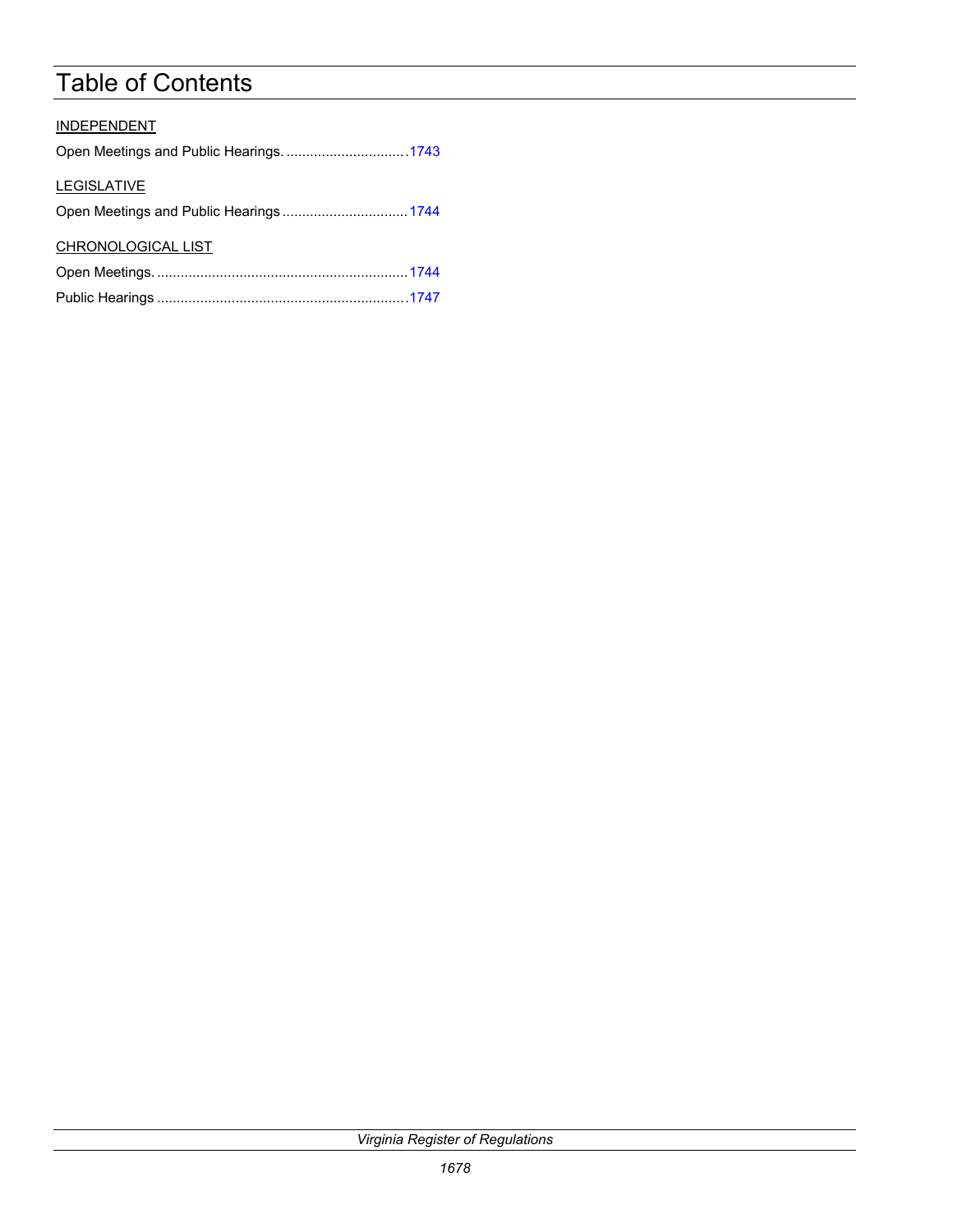# Table of Contents

| <b>INDEPENDENT</b> |
|--------------------|
|                    |
| <b>LEGISLATIVE</b> |
|                    |
| CHRONOLOGICAL LIST |
|                    |
|                    |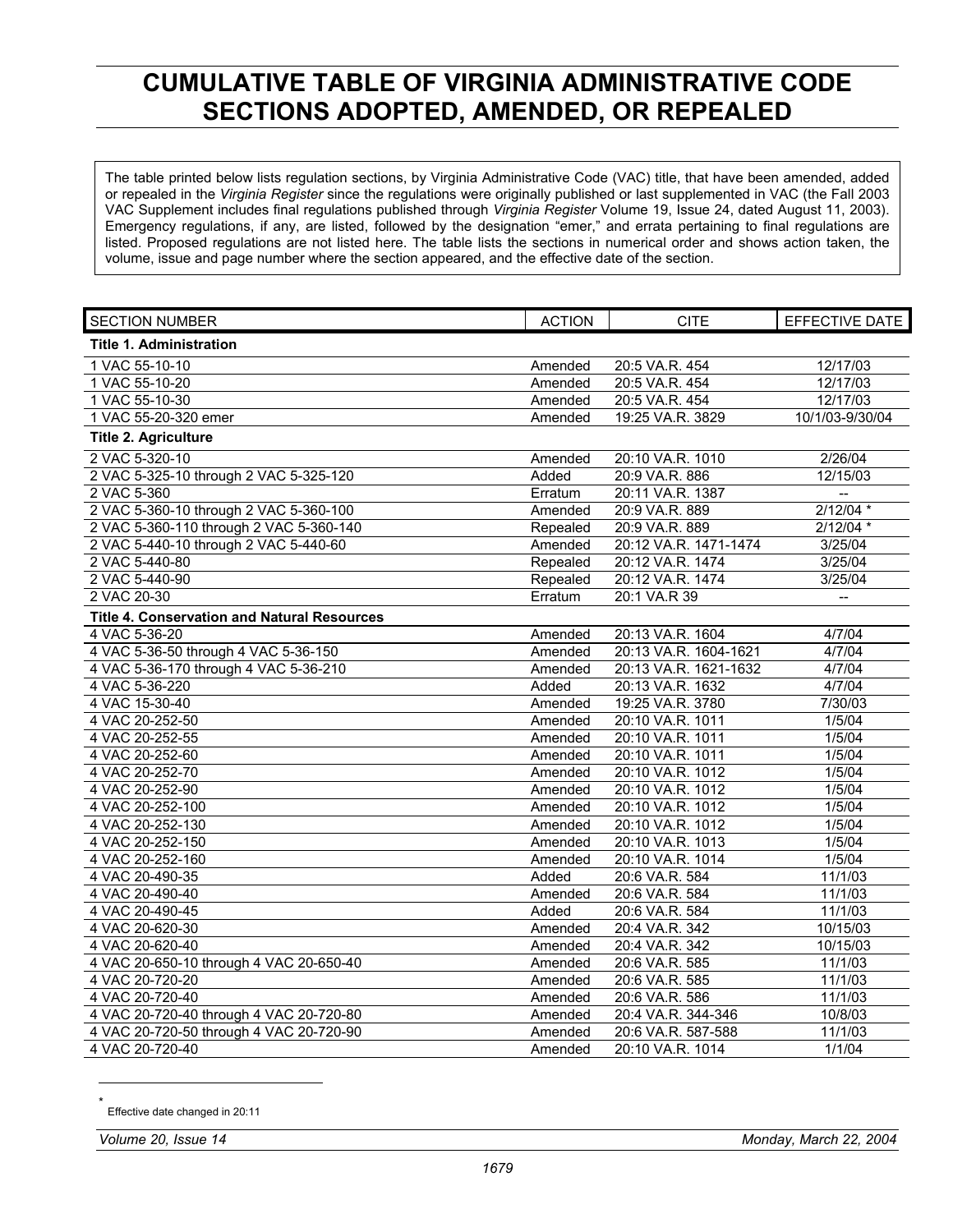# <span id="page-2-0"></span>**CUMULATIVE TABLE OF VIRGINIA ADMINISTRATIVE CODE SECTIONS ADOPTED, AMENDED, OR REPEALED**

The table printed below lists regulation sections, by Virginia Administrative Code (VAC) title, that have been amended, added or repealed in the *Virginia Register* since the regulations were originally published or last supplemented in VAC (the Fall 2003 VAC Supplement includes final regulations published through *Virginia Register* Volume 19, Issue 24, dated August 11, 2003). Emergency regulations, if any, are listed, followed by the designation "emer," and errata pertaining to final regulations are listed. Proposed regulations are not listed here. The table lists the sections in numerical order and shows action taken, the volume, issue and page number where the section appeared, and the effective date of the section.

| <b>SECTION NUMBER</b>                       | <b>ACTION</b> | <b>CITE</b>           | EFFECTIVE DATE           |
|---------------------------------------------|---------------|-----------------------|--------------------------|
| <b>Title 1. Administration</b>              |               |                       |                          |
| 1 VAC 55-10-10                              | Amended       | 20:5 VA.R. 454        | 12/17/03                 |
| 1 VAC 55-10-20                              | Amended       | 20:5 VA.R. 454        | 12/17/03                 |
| 1 VAC 55-10-30                              | Amended       | 20:5 VA.R. 454        | 12/17/03                 |
| 1 VAC 55-20-320 emer                        | Amended       | 19:25 VA.R. 3829      | 10/1/03-9/30/04          |
| <b>Title 2. Agriculture</b>                 |               |                       |                          |
| 2 VAC 5-320-10                              | Amended       | 20:10 VA.R. 1010      | 2/26/04                  |
| 2 VAC 5-325-10 through 2 VAC 5-325-120      | Added         | 20:9 VA.R. 886        | 12/15/03                 |
| 2 VAC 5-360                                 | Erratum       | 20:11 VA.R. 1387      |                          |
| 2 VAC 5-360-10 through 2 VAC 5-360-100      | Amended       | 20:9 VA.R. 889        | $2/12/04$ *              |
| 2 VAC 5-360-110 through 2 VAC 5-360-140     | Repealed      | 20:9 VA.R. 889        | $2/12/04$ *              |
| 2 VAC 5-440-10 through 2 VAC 5-440-60       | Amended       | 20:12 VA.R. 1471-1474 | 3/25/04                  |
| 2 VAC 5-440-80                              | Repealed      | 20:12 VA.R. 1474      | 3/25/04                  |
| 2 VAC 5-440-90                              | Repealed      | 20:12 VA.R. 1474      | 3/25/04                  |
| 2 VAC 20-30                                 | Erratum       | 20:1 VA.R 39          | $\overline{\phantom{a}}$ |
| Title 4. Conservation and Natural Resources |               |                       |                          |
| 4 VAC 5-36-20                               | Amended       | 20:13 VA.R. 1604      | 4/7/04                   |
| 4 VAC 5-36-50 through 4 VAC 5-36-150        | Amended       | 20:13 VA.R. 1604-1621 | 4/7/04                   |
| 4 VAC 5-36-170 through 4 VAC 5-36-210       | Amended       | 20:13 VA.R. 1621-1632 | 4/7/04                   |
| 4 VAC 5-36-220                              | Added         | 20:13 VA.R. 1632      | 4/7/04                   |
| 4 VAC 15-30-40                              | Amended       | 19:25 VA.R. 3780      | 7/30/03                  |
| 4 VAC 20-252-50                             | Amended       | 20:10 VA.R. 1011      | 1/5/04                   |
| 4 VAC 20-252-55                             | Amended       | 20:10 VA.R. 1011      | 1/5/04                   |
| 4 VAC 20-252-60                             | Amended       | 20:10 VA.R. 1011      | 1/5/04                   |
| 4 VAC 20-252-70                             | Amended       | 20:10 VA.R. 1012      | 1/5/04                   |
| 4 VAC 20-252-90                             | Amended       | 20:10 VA.R. 1012      | 1/5/04                   |
| 4 VAC 20-252-100                            | Amended       | 20:10 VA.R. 1012      | 1/5/04                   |
| 4 VAC 20-252-130                            | Amended       | 20:10 VA.R. 1012      | 1/5/04                   |
| 4 VAC 20-252-150                            | Amended       | 20:10 VA.R. 1013      | 1/5/04                   |
| 4 VAC 20-252-160                            | Amended       | 20:10 VA.R. 1014      | 1/5/04                   |
| 4 VAC 20-490-35                             | Added         | 20:6 VA.R. 584        | 11/1/03                  |
| 4 VAC 20-490-40                             | Amended       | 20:6 VA.R. 584        | 11/1/03                  |
| 4 VAC 20-490-45                             | Added         | 20:6 VA.R. 584        | 11/1/03                  |
| 4 VAC 20-620-30                             | Amended       | 20:4 VA.R. 342        | 10/15/03                 |
| 4 VAC 20-620-40                             | Amended       | 20:4 VA.R. 342        | 10/15/03                 |
| 4 VAC 20-650-10 through 4 VAC 20-650-40     | Amended       | 20:6 VA.R. 585        | 11/1/03                  |
| 4 VAC 20-720-20                             | Amended       | 20:6 VA.R. 585        | 11/1/03                  |
| 4 VAC 20-720-40                             | Amended       | 20:6 VA.R. 586        | 11/1/03                  |
| 4 VAC 20-720-40 through 4 VAC 20-720-80     | Amended       | 20:4 VA.R. 344-346    | 10/8/03                  |
| 4 VAC 20-720-50 through 4 VAC 20-720-90     | Amended       | 20:6 VA.R. 587-588    | 11/1/03                  |
| 4 VAC 20-720-40                             | Amended       | 20:10 VA.R. 1014      | 1/1/04                   |

Effective date changed in 20:11

 $\overline{a}$ 

*Volume 20, Issue 14 Monday, March 22, 2004*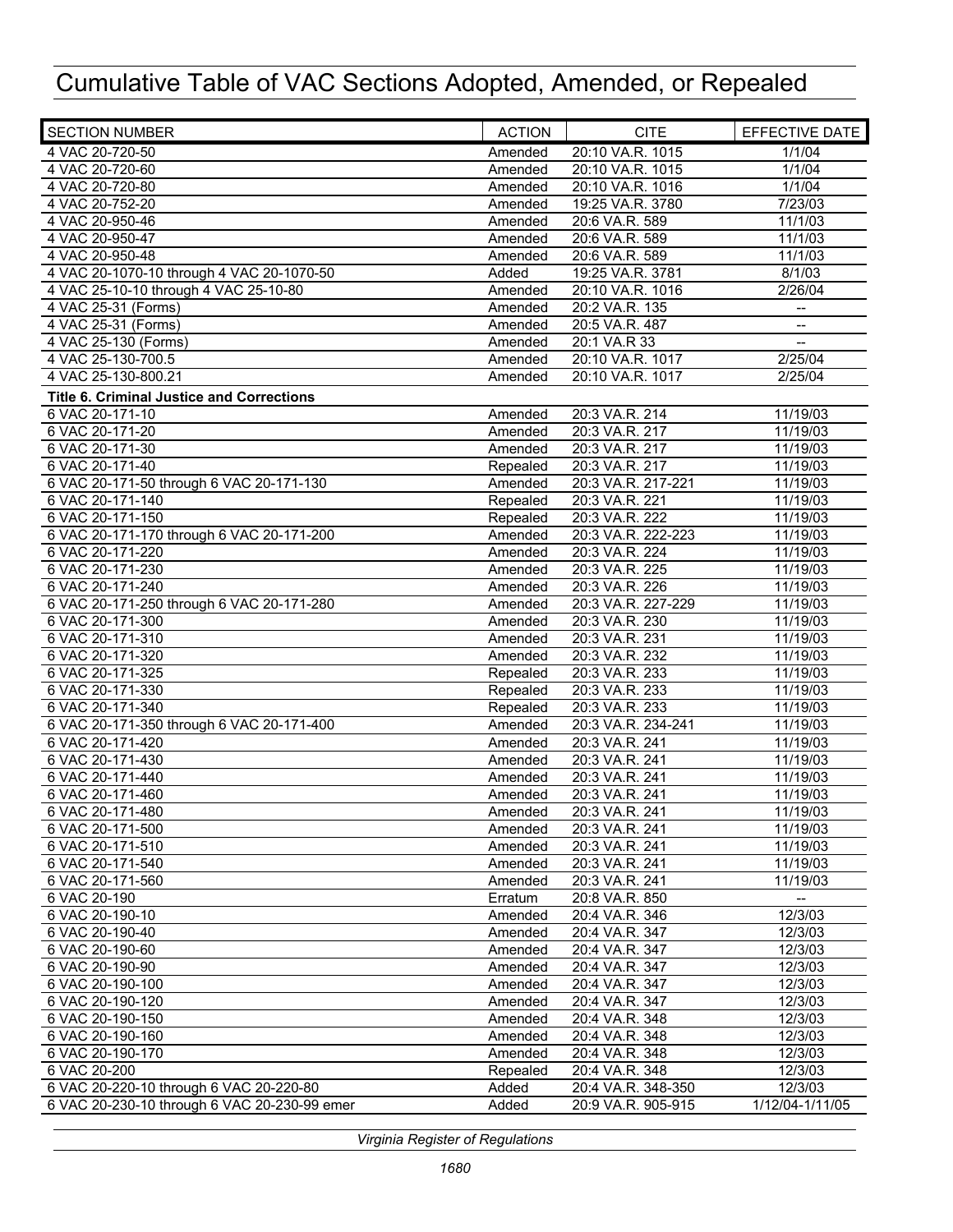| <b>SECTION NUMBER</b>                            | <b>ACTION</b> | <b>CITE</b>        | EFFECTIVE DATE                                      |
|--------------------------------------------------|---------------|--------------------|-----------------------------------------------------|
| 4 VAC 20-720-50                                  | Amended       | 20:10 VA.R. 1015   | 1/1/04                                              |
| 4 VAC 20-720-60                                  | Amended       | 20:10 VA.R. 1015   | 1/1/04                                              |
| 4 VAC 20-720-80                                  | Amended       | 20:10 VA.R. 1016   | 1/1/04                                              |
| 4 VAC 20-752-20                                  | Amended       | 19:25 VA.R. 3780   | 7/23/03                                             |
| 4 VAC 20-950-46                                  | Amended       | 20:6 VA.R. 589     | 11/1/03                                             |
| 4 VAC 20-950-47                                  | Amended       | 20:6 VA.R. 589     | 11/1/03                                             |
| 4 VAC 20-950-48                                  | Amended       | 20:6 VA.R. 589     | 11/1/03                                             |
| 4 VAC 20-1070-10 through 4 VAC 20-1070-50        | Added         | 19:25 VA.R. 3781   | 8/1/03                                              |
| 4 VAC 25-10-10 through 4 VAC 25-10-80            | Amended       | 20:10 VA.R. 1016   | 2/26/04                                             |
| 4 VAC 25-31 (Forms)                              | Amended       | 20:2 VA.R. 135     | $\overline{a}$                                      |
| 4 VAC 25-31 (Forms)                              | Amended       | 20:5 VA.R. 487     | $\hspace{0.05cm} -\hspace{0.05cm} -\hspace{0.05cm}$ |
| 4 VAC 25-130 (Forms)                             | Amended       | 20:1 VA.R 33       | $\overline{\phantom{a}}$                            |
| 4 VAC 25-130-700.5                               | Amended       | 20:10 VA.R. 1017   | 2/25/04                                             |
| 4 VAC 25-130-800.21                              | Amended       | 20:10 VA.R. 1017   | 2/25/04                                             |
| <b>Title 6. Criminal Justice and Corrections</b> |               |                    |                                                     |
| 6 VAC 20-171-10                                  | Amended       | 20:3 VA.R. 214     | 11/19/03                                            |
| 6 VAC 20-171-20                                  | Amended       | 20:3 VA.R. 217     | 11/19/03                                            |
| 6 VAC 20-171-30                                  | Amended       | 20:3 VA.R. 217     | 11/19/03                                            |
| 6 VAC 20-171-40                                  | Repealed      | 20:3 VA.R. 217     | 11/19/03                                            |
| 6 VAC 20-171-50 through 6 VAC 20-171-130         | Amended       | 20:3 VA.R. 217-221 | 11/19/03                                            |
| 6 VAC 20-171-140                                 | Repealed      | 20:3 VA.R. 221     | 11/19/03                                            |
| 6 VAC 20-171-150                                 | Repealed      | 20:3 VA.R. 222     | 11/19/03                                            |
| 6 VAC 20-171-170 through 6 VAC 20-171-200        | Amended       | 20:3 VA.R. 222-223 | 11/19/03                                            |
| 6 VAC 20-171-220                                 | Amended       | 20:3 VA.R. 224     | 11/19/03                                            |
| 6 VAC 20-171-230                                 | Amended       | 20:3 VA.R. 225     | 11/19/03                                            |
| 6 VAC 20-171-240                                 | Amended       | 20:3 VA.R. 226     | 11/19/03                                            |
| 6 VAC 20-171-250 through 6 VAC 20-171-280        | Amended       | 20:3 VA.R. 227-229 | 11/19/03                                            |
| 6 VAC 20-171-300                                 | Amended       | 20:3 VA.R. 230     | 11/19/03                                            |
| 6 VAC 20-171-310                                 | Amended       | 20:3 VA.R. 231     | 11/19/03                                            |
| 6 VAC 20-171-320                                 | Amended       | 20:3 VA.R. 232     | 11/19/03                                            |
| 6 VAC 20-171-325                                 | Repealed      | 20:3 VA.R. 233     | 11/19/03                                            |
| 6 VAC 20-171-330                                 | Repealed      | 20:3 VA.R. 233     | 11/19/03                                            |
| 6 VAC 20-171-340                                 | Repealed      | 20:3 VA.R. 233     | 11/19/03                                            |
| 6 VAC 20-171-350 through 6 VAC 20-171-400        | Amended       | 20:3 VA.R. 234-241 | 11/19/03                                            |
| 6 VAC 20-171-420                                 | Amended       | 20:3 VA.R. 241     | 11/19/03                                            |
| 6 VAC 20-171-430                                 | Amended       | 20:3 VA.R. 241     | 11/19/03                                            |
| 6 VAC 20-171-440                                 | Amended       | 20:3 VA.R. 241     | 11/19/03                                            |
| 6 VAC 20-171-460                                 | Amended       | 20:3 VA.R. 241     | 11/19/03                                            |
| 6 VAC 20-171-480                                 | Amended       | 20:3 VA.R. 241     | 11/19/03                                            |
| 6 VAC 20-171-500                                 | Amended       | 20:3 VA.R. 241     | 11/19/03                                            |
| 6 VAC 20-171-510                                 | Amended       | 20:3 VA.R. 241     | 11/19/03                                            |
| 6 VAC 20-171-540                                 | Amended       | 20:3 VA.R. 241     | 11/19/03                                            |
| 6 VAC 20-171-560                                 |               |                    | 11/19/03                                            |
| 6 VAC 20-190                                     | Amended       | 20:3 VA.R. 241     |                                                     |
| 6 VAC 20-190-10                                  | Erratum       | 20:8 VA.R. 850     | 12/3/03                                             |
| 6 VAC 20-190-40                                  | Amended       | 20:4 VA.R. 346     | 12/3/03                                             |
|                                                  | Amended       | 20:4 VA.R. 347     | 12/3/03                                             |
| 6 VAC 20-190-60                                  | Amended       | 20:4 VA.R. 347     |                                                     |
| 6 VAC 20-190-90                                  | Amended       | 20:4 VA.R. 347     | 12/3/03                                             |
| 6 VAC 20-190-100                                 | Amended       | 20:4 VA.R. 347     | 12/3/03                                             |
| 6 VAC 20-190-120                                 | Amended       | 20:4 VA.R. 347     | 12/3/03                                             |
| 6 VAC 20-190-150                                 | Amended       | 20:4 VA.R. 348     | 12/3/03                                             |
| 6 VAC 20-190-160                                 | Amended       | 20:4 VA.R. 348     | 12/3/03                                             |
| 6 VAC 20-190-170                                 | Amended       | 20:4 VA.R. 348     | 12/3/03                                             |
| 6 VAC 20-200                                     | Repealed      | 20:4 VA.R. 348     | 12/3/03                                             |
| 6 VAC 20-220-10 through 6 VAC 20-220-80          | Added         | 20:4 VA.R. 348-350 | 12/3/03                                             |
| 6 VAC 20-230-10 through 6 VAC 20-230-99 emer     | Added         | 20:9 VA.R. 905-915 | 1/12/04-1/11/05                                     |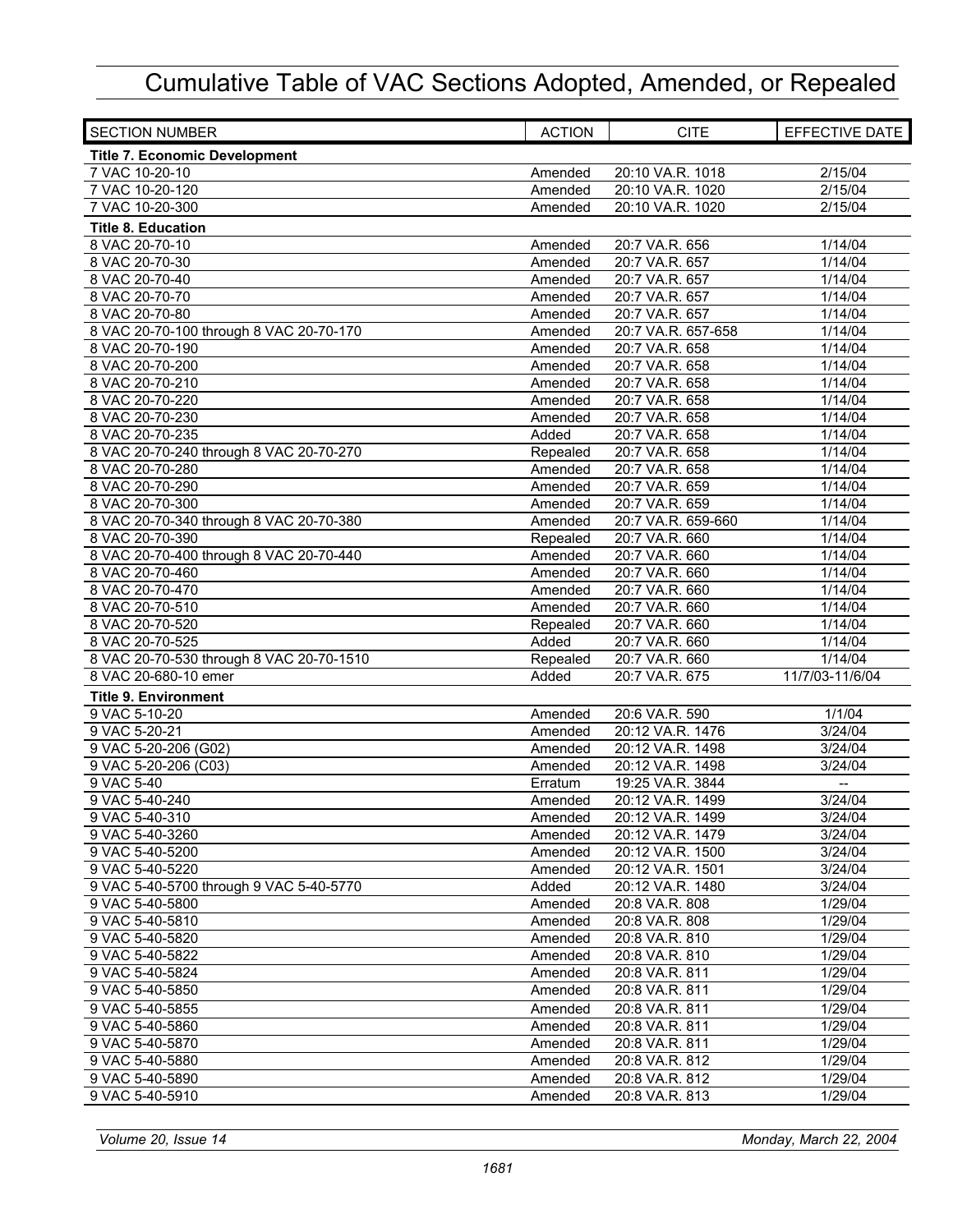| <b>SECTION NUMBER</b>                    | <b>ACTION</b> | <b>CITE</b>        | EFFECTIVE DATE           |
|------------------------------------------|---------------|--------------------|--------------------------|
| <b>Title 7. Economic Development</b>     |               |                    |                          |
| 7 VAC 10-20-10                           | Amended       | 20:10 VA.R. 1018   | 2/15/04                  |
| 7 VAC 10-20-120                          | Amended       | 20:10 VA.R. 1020   | 2/15/04                  |
| 7 VAC 10-20-300                          | Amended       | 20:10 VA.R. 1020   | 2/15/04                  |
| <b>Title 8. Education</b>                |               |                    |                          |
| 8 VAC 20-70-10                           | Amended       | 20:7 VA.R. 656     | 1/14/04                  |
| 8 VAC 20-70-30                           | Amended       | 20:7 VA.R. 657     | 1/14/04                  |
| 8 VAC 20-70-40                           | Amended       | 20:7 VA.R. 657     | 1/14/04                  |
| 8 VAC 20-70-70                           | Amended       | 20:7 VA.R. 657     | 1/14/04                  |
| 8 VAC 20-70-80                           | Amended       | 20:7 VA.R. 657     | 1/14/04                  |
| 8 VAC 20-70-100 through 8 VAC 20-70-170  | Amended       | 20:7 VA.R. 657-658 | 1/14/04                  |
| 8 VAC 20-70-190                          | Amended       | 20:7 VA.R. 658     | 1/14/04                  |
| 8 VAC 20-70-200                          | Amended       | 20:7 VA.R. 658     | 1/14/04                  |
| 8 VAC 20-70-210                          | Amended       | 20:7 VA.R. 658     | 1/14/04                  |
| 8 VAC 20-70-220                          | Amended       | 20:7 VA.R. 658     | 1/14/04                  |
| 8 VAC 20-70-230                          | Amended       | 20:7 VA.R. 658     | 1/14/04                  |
| 8 VAC 20-70-235                          | Added         | 20:7 VA.R. 658     | 1/14/04                  |
| 8 VAC 20-70-240 through 8 VAC 20-70-270  | Repealed      | 20:7 VA.R. 658     | 1/14/04                  |
| 8 VAC 20-70-280                          | Amended       | 20:7 VA.R. 658     | 1/14/04                  |
| 8 VAC 20-70-290                          | Amended       | 20:7 VA.R. 659     | 1/14/04                  |
| 8 VAC 20-70-300                          | Amended       | 20:7 VA.R. 659     | 1/14/04                  |
| 8 VAC 20-70-340 through 8 VAC 20-70-380  | Amended       | 20:7 VA.R. 659-660 | 1/14/04                  |
| 8 VAC 20-70-390                          | Repealed      | 20:7 VA.R. 660     | 1/14/04                  |
| 8 VAC 20-70-400 through 8 VAC 20-70-440  | Amended       | 20:7 VA.R. 660     | 1/14/04                  |
| 8 VAC 20-70-460                          | Amended       | 20:7 VA.R. 660     | 1/14/04                  |
| 8 VAC 20-70-470                          | Amended       | 20:7 VA.R. 660     | 1/14/04                  |
| 8 VAC 20-70-510                          | Amended       | 20:7 VA.R. 660     | 1/14/04                  |
| 8 VAC 20-70-520                          | Repealed      | 20:7 VA.R. 660     | 1/14/04                  |
| 8 VAC 20-70-525                          | Added         | 20:7 VA.R. 660     | 1/14/04                  |
| 8 VAC 20-70-530 through 8 VAC 20-70-1510 | Repealed      | 20:7 VA.R. 660     | 1/14/04                  |
| 8 VAC 20-680-10 emer                     | Added         | 20:7 VA.R. 675     | 11/7/03-11/6/04          |
| <b>Title 9. Environment</b>              |               |                    |                          |
| 9 VAC 5-10-20                            | Amended       | 20:6 VA.R. 590     | 1/1/04                   |
| 9 VAC 5-20-21                            | Amended       | 20:12 VA.R. 1476   | 3/24/04                  |
| 9 VAC 5-20-206 (G02)                     | Amended       | 20:12 VA.R. 1498   | 3/24/04                  |
| 9 VAC 5-20-206 (C03)                     | Amended       | 20:12 VA.R. 1498   | 3/24/04                  |
| 9 VAC 5-40                               | Erratum       | 19:25 VA.R. 3844   | $\overline{\phantom{a}}$ |
| 9 VAC 5-40-240                           | Amended       | 20:12 VA.R. 1499   | 3/24/04                  |
| 9 VAC 5-40-310                           | Amended       | 20:12 VA.R. 1499   | 3/24/04                  |
| 9 VAC 5-40-3260                          | Amended       | 20:12 VA.R. 1479   | 3/24/04                  |
| 9 VAC 5-40-5200                          | Amended       | 20:12 VA.R. 1500   | 3/24/04                  |
| 9 VAC 5-40-5220                          | Amended       | 20:12 VA.R. 1501   | 3/24/04                  |
| 9 VAC 5-40-5700 through 9 VAC 5-40-5770  | Added         | 20:12 VA.R. 1480   | 3/24/04                  |
| 9 VAC 5-40-5800                          | Amended       | 20:8 VA.R. 808     | 1/29/04                  |
| 9 VAC 5-40-5810                          | Amended       | 20:8 VA.R. 808     | 1/29/04                  |
| 9 VAC 5-40-5820                          | Amended       | 20:8 VA.R. 810     | 1/29/04                  |
| 9 VAC 5-40-5822                          | Amended       | 20:8 VA.R. 810     | 1/29/04                  |
| 9 VAC 5-40-5824                          | Amended       | 20:8 VA.R. 811     | 1/29/04                  |
| 9 VAC 5-40-5850                          | Amended       | 20:8 VA.R. 811     | 1/29/04                  |
| 9 VAC 5-40-5855                          | Amended       | 20:8 VA.R. 811     | 1/29/04                  |
| 9 VAC 5-40-5860                          | Amended       | 20:8 VA.R. 811     | 1/29/04                  |
| 9 VAC 5-40-5870                          | Amended       | 20:8 VA.R. 811     | 1/29/04                  |
| 9 VAC 5-40-5880                          | Amended       | 20:8 VA.R. 812     | 1/29/04                  |
| 9 VAC 5-40-5890                          | Amended       | 20:8 VA.R. 812     | 1/29/04                  |
| 9 VAC 5-40-5910                          | Amended       | 20:8 VA.R. 813     | 1/29/04                  |

*Volume 20, Issue 14 Monday, March 22, 2004*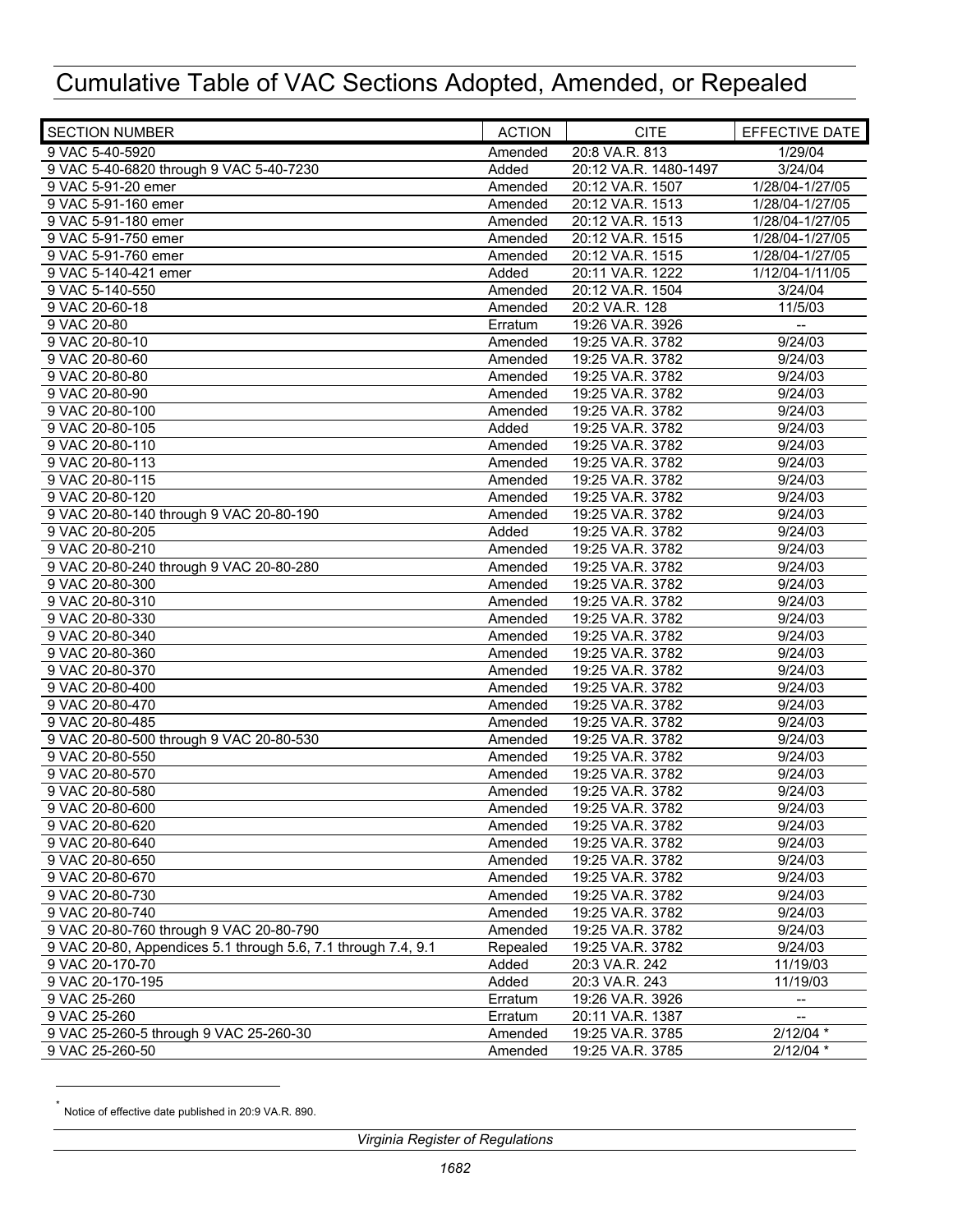| <b>SECTION NUMBER</b>                                         | <b>ACTION</b> | <b>CITE</b>                          | EFFECTIVE DATE           |
|---------------------------------------------------------------|---------------|--------------------------------------|--------------------------|
| 9 VAC 5-40-5920                                               | Amended       | 20:8 VA.R. 813                       | 1/29/04                  |
| 9 VAC 5-40-6820 through 9 VAC 5-40-7230                       | Added         | 20:12 VA.R. 1480-1497                | 3/24/04                  |
| 9 VAC 5-91-20 emer                                            | Amended       | 20:12 VA.R. 1507                     | 1/28/04-1/27/05          |
| 9 VAC 5-91-160 emer                                           | Amended       | 20:12 VA.R. 1513                     | 1/28/04-1/27/05          |
| 9 VAC 5-91-180 emer                                           | Amended       | 20:12 VA.R. 1513                     | 1/28/04-1/27/05          |
| 9 VAC 5-91-750 emer                                           | Amended       | 20:12 VA.R. 1515                     | 1/28/04-1/27/05          |
| 9 VAC 5-91-760 emer                                           | Amended       | 20:12 VA.R. 1515                     | 1/28/04-1/27/05          |
| 9 VAC 5-140-421 emer                                          | Added         | 20:11 VA.R. 1222                     | 1/12/04-1/11/05          |
| 9 VAC 5-140-550                                               | Amended       | 20:12 VA.R. 1504                     | 3/24/04                  |
| 9 VAC 20-60-18                                                | Amended       | 20:2 VA.R. 128                       | 11/5/03                  |
| 9 VAC 20-80                                                   | Erratum       | 19:26 VA.R. 3926                     | $\overline{\phantom{a}}$ |
| 9 VAC 20-80-10                                                | Amended       | 19:25 VA.R. 3782                     | 9/24/03                  |
| 9 VAC 20-80-60                                                | Amended       | 19:25 VA.R. 3782                     | 9/24/03                  |
| 9 VAC 20-80-80                                                | Amended       | 19:25 VA.R. 3782                     | 9/24/03                  |
| 9 VAC 20-80-90                                                | Amended       | 19:25 VA.R. 3782                     | 9/24/03                  |
| 9 VAC 20-80-100                                               | Amended       | 19:25 VA.R. 3782                     | 9/24/03                  |
| 9 VAC 20-80-105                                               | Added         | 19:25 VA.R. 3782                     | 9/24/03                  |
| 9 VAC 20-80-110                                               | Amended       | 19:25 VA.R. 3782                     | 9/24/03                  |
| 9 VAC 20-80-113                                               | Amended       | 19:25 VA.R. 3782                     | 9/24/03                  |
| 9 VAC 20-80-115                                               | Amended       | 19:25 VA.R. 3782                     | 9/24/03                  |
| 9 VAC 20-80-120                                               | Amended       | 19:25 VA.R. 3782                     | 9/24/03                  |
| 9 VAC 20-80-140 through 9 VAC 20-80-190                       | Amended       | 19:25 VA.R. 3782                     | 9/24/03                  |
| 9 VAC 20-80-205                                               | Added         | 19:25 VA.R. 3782                     | 9/24/03                  |
| 9 VAC 20-80-210                                               | Amended       | 19:25 VA.R. 3782                     | 9/24/03                  |
| 9 VAC 20-80-240 through 9 VAC 20-80-280                       | Amended       | 19:25 VA.R. 3782                     | $\frac{1}{9/24/03}$      |
| 9 VAC 20-80-300                                               | Amended       | 19:25 VA.R. 3782                     | 9/24/03                  |
| 9 VAC 20-80-310                                               | Amended       | 19:25 VA.R. 3782                     | 9/24/03                  |
| 9 VAC 20-80-330                                               | Amended       | 19:25 VA.R. 3782                     | 9/24/03                  |
| 9 VAC 20-80-340                                               | Amended       | 19:25 VA.R. 3782                     | 9/24/03                  |
| 9 VAC 20-80-360                                               | Amended       | 19:25 VA.R. 3782                     | 9/24/03                  |
| 9 VAC 20-80-370                                               | Amended       | 19:25 VA.R. 3782                     | 9/24/03                  |
| 9 VAC 20-80-400                                               | Amended       | 19:25 VA.R. 3782                     | 9/24/03                  |
| 9 VAC 20-80-470                                               | Amended       | 19:25 VA.R. 3782                     | 9/24/03                  |
| 9 VAC 20-80-485                                               | Amended       | 19:25 VA.R. 3782                     | 9/24/03                  |
| 9 VAC 20-80-500 through 9 VAC 20-80-530                       | Amended       | 19:25 VA.R. 3782                     | 9/24/03                  |
| 9 VAC 20-80-550                                               | Amended       | 19:25 VA.R. 3782                     | 9/24/03                  |
| 9 VAC 20-80-570                                               | Amended       | 19:25 VA.R. 3782                     | 9/24/03                  |
| 9 VAC 20-80-580                                               | Amended       | 19:25 VA.R. 3782                     | 9/24/03                  |
| 9 VAC 20-80-600                                               | Amended       | 19:25 VA.R. 3782                     | 9/24/03                  |
| 9 VAC 20-80-620                                               | Amended       |                                      |                          |
| 9 VAC 20-80-640                                               | Amended       | 19:25 VA.R. 3782<br>19:25 VA.R. 3782 | 9/24/03<br>9/24/03       |
|                                                               |               | 19:25 VA.R. 3782                     | 9/24/03                  |
| 9 VAC 20-80-650<br>9 VAC 20-80-670                            | Amended       |                                      | 9/24/03                  |
|                                                               | Amended       | 19:25 VA.R. 3782<br>19:25 VA.R. 3782 |                          |
| 9 VAC 20-80-730<br>9 VAC 20-80-740                            | Amended       |                                      | 9/24/03<br>9/24/03       |
| 9 VAC 20-80-760 through 9 VAC 20-80-790                       | Amended       | 19:25 VA.R. 3782                     |                          |
|                                                               | Amended       | 19:25 VA.R. 3782                     | 9/24/03                  |
| 9 VAC 20-80, Appendices 5.1 through 5.6, 7.1 through 7.4, 9.1 | Repealed      | 19:25 VA.R. 3782                     | 9/24/03                  |
| 9 VAC 20-170-70                                               | Added         | 20:3 VA.R. 242                       | 11/19/03                 |
| 9 VAC 20-170-195                                              | Added         | 20:3 VA.R. 243                       | 11/19/03                 |
| 9 VAC 25-260                                                  | Erratum       | 19:26 VA.R. 3926                     |                          |
| 9 VAC 25-260                                                  | Erratum       | 20:11 VA.R. 1387                     | $\overline{\phantom{a}}$ |
| 9 VAC 25-260-5 through 9 VAC 25-260-30                        | Amended       | 19:25 VA.R. 3785                     | $2/12/04$ *              |
| 9 VAC 25-260-50                                               | Amended       | 19:25 VA.R. 3785                     | $2/12/04$ *              |

Notice of effective date published in 20:9 VA.R. 890.

 $\overline{a}$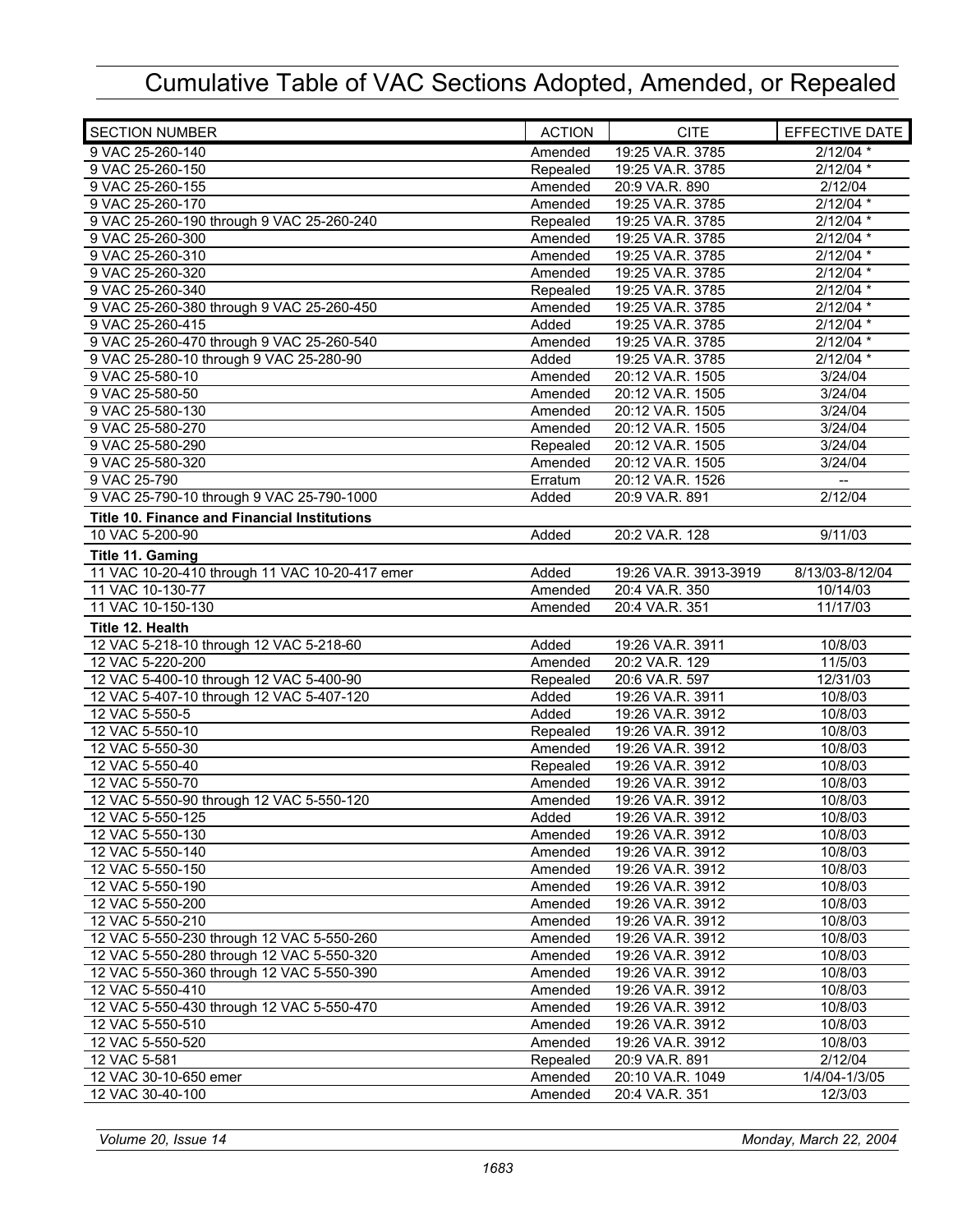| <b>SECTION NUMBER</b>                               | <b>ACTION</b> | <b>CITE</b>           | EFFECTIVE DATE           |
|-----------------------------------------------------|---------------|-----------------------|--------------------------|
| 9 VAC 25-260-140                                    | Amended       | 19:25 VA.R. 3785      | $2/12/04$ *              |
| 9 VAC 25-260-150                                    | Repealed      | 19:25 VA.R. 3785      | 2/12/04 *                |
| 9 VAC 25-260-155                                    | Amended       | 20:9 VA.R. 890        | 2/12/04                  |
| 9 VAC 25-260-170                                    | Amended       | 19:25 VA.R. 3785      | $2/12/04$ *              |
| 9 VAC 25-260-190 through 9 VAC 25-260-240           | Repealed      | 19:25 VA.R. 3785      | 2/12/04 *                |
| 9 VAC 25-260-300                                    | Amended       | 19:25 VA.R. 3785      | $2/12/04$ *              |
| 9 VAC 25-260-310                                    | Amended       | 19:25 VA.R. 3785      | 2/12/04 *                |
| 9 VAC 25-260-320                                    | Amended       | 19:25 VA.R. 3785      | $2/12/04$ *              |
| 9 VAC 25-260-340                                    | Repealed      | 19:25 VA.R. 3785      | $2/12/04$ *              |
| 9 VAC 25-260-380 through 9 VAC 25-260-450           | Amended       | 19:25 VA.R. 3785      | $2/12/04$ *              |
| 9 VAC 25-260-415                                    | Added         | 19:25 VA.R. 3785      | $2/12/04$ *              |
| 9 VAC 25-260-470 through 9 VAC 25-260-540           | Amended       | 19:25 VA.R. 3785      | 2/12/04 *                |
| 9 VAC 25-280-10 through 9 VAC 25-280-90             | Added         | 19:25 VA.R. 3785      | 2/12/04 *                |
| 9 VAC 25-580-10                                     | Amended       | 20:12 VA.R. 1505      | 3/24/04                  |
| 9 VAC 25-580-50                                     | Amended       | 20:12 VA.R. 1505      | 3/24/04                  |
| 9 VAC 25-580-130                                    | Amended       | 20:12 VA.R. 1505      | 3/24/04                  |
| 9 VAC 25-580-270                                    | Amended       | 20:12 VA.R. 1505      | 3/24/04                  |
| 9 VAC 25-580-290                                    | Repealed      | 20:12 VA.R. 1505      | 3/24/04                  |
| 9 VAC 25-580-320                                    | Amended       | 20:12 VA.R. 1505      | 3/24/04                  |
| 9 VAC 25-790                                        | Erratum       | 20:12 VA.R. 1526      | $\overline{\phantom{a}}$ |
| 9 VAC 25-790-10 through 9 VAC 25-790-1000           | Added         | 20:9 VA.R. 891        | 2/12/04                  |
| <b>Title 10. Finance and Financial Institutions</b> |               |                       |                          |
| 10 VAC 5-200-90                                     | Added         | 20:2 VA.R. 128        | 9/11/03                  |
| Title 11. Gaming                                    |               |                       |                          |
| 11 VAC 10-20-410 through 11 VAC 10-20-417 emer      | Added         | 19:26 VA.R. 3913-3919 | 8/13/03-8/12/04          |
| 11 VAC 10-130-77                                    | Amended       | 20:4 VA.R. 350        | 10/14/03                 |
| 11 VAC 10-150-130                                   | Amended       | 20:4 VA.R. 351        | 11/17/03                 |
| Title 12. Health                                    |               |                       |                          |
| 12 VAC 5-218-10 through 12 VAC 5-218-60             | Added         | 19:26 VA.R. 3911      | 10/8/03                  |
| 12 VAC 5-220-200                                    | Amended       | 20:2 VA.R. 129        | 11/5/03                  |
| 12 VAC 5-400-10 through 12 VAC 5-400-90             | Repealed      | 20:6 VA.R. 597        | 12/31/03                 |
| 12 VAC 5-407-10 through 12 VAC 5-407-120            | Added         | 19:26 VA.R. 3911      | 10/8/03                  |
| 12 VAC 5-550-5                                      | Added         | 19:26 VA.R. 3912      | 10/8/03                  |
| 12 VAC 5-550-10                                     | Repealed      | 19:26 VA.R. 3912      | 10/8/03                  |
| 12 VAC 5-550-30                                     | Amended       | 19:26 VA.R. 3912      | 10/8/03                  |
| 12 VAC 5-550-40                                     | Repealed      | 19:26 VA.R. 3912      | 10/8/03                  |
| 12 VAC 5-550-70                                     | Amended       | 19:26 VA.R. 3912      | 10/8/03                  |
| 12 VAC 5-550-90 through 12 VAC 5-550-120            | Amended       | 19:26 VA.R. 3912      | 10/8/03                  |
| 12 VAC 5-550-125                                    | Added         | 19:26 VA.R. 3912      | 10/8/03                  |
| 12 VAC 5-550-130                                    | Amended       | 19:26 VA.R. 3912      | 10/8/03                  |
| 12 VAC 5-550-140                                    | Amended       | 19:26 VA.R. 3912      | 10/8/03                  |
| 12 VAC 5-550-150                                    | Amended       | 19:26 VA.R. 3912      | 10/8/03                  |
| 12 VAC 5-550-190                                    | Amended       | 19:26 VA.R. 3912      | 10/8/03                  |
| 12 VAC 5-550-200                                    | Amended       | 19:26 VA.R. 3912      | 10/8/03                  |
| 12 VAC 5-550-210                                    | Amended       | 19:26 VA.R. 3912      | 10/8/03                  |
| 12 VAC 5-550-230 through 12 VAC 5-550-260           | Amended       | 19:26 VA.R. 3912      | 10/8/03                  |
| 12 VAC 5-550-280 through 12 VAC 5-550-320           | Amended       | 19:26 VA.R. 3912      | 10/8/03                  |
| 12 VAC 5-550-360 through 12 VAC 5-550-390           | Amended       | 19:26 VA.R. 3912      | 10/8/03                  |
| 12 VAC 5-550-410                                    | Amended       | 19:26 VA.R. 3912      | 10/8/03                  |
| 12 VAC 5-550-430 through 12 VAC 5-550-470           | Amended       | 19:26 VA.R. 3912      | 10/8/03                  |
| 12 VAC 5-550-510                                    | Amended       | 19:26 VA.R. 3912      | 10/8/03                  |
| 12 VAC 5-550-520                                    | Amended       | 19:26 VA.R. 3912      | 10/8/03                  |
| 12 VAC 5-581                                        | Repealed      | 20:9 VA.R. 891        | 2/12/04                  |
| 12 VAC 30-10-650 emer                               | Amended       | 20:10 VA.R. 1049      | 1/4/04-1/3/05            |
| 12 VAC 30-40-100                                    | Amended       | 20:4 VA.R. 351        | 12/3/03                  |

*Volume 20, Issue 14 Monday, March 22, 2004*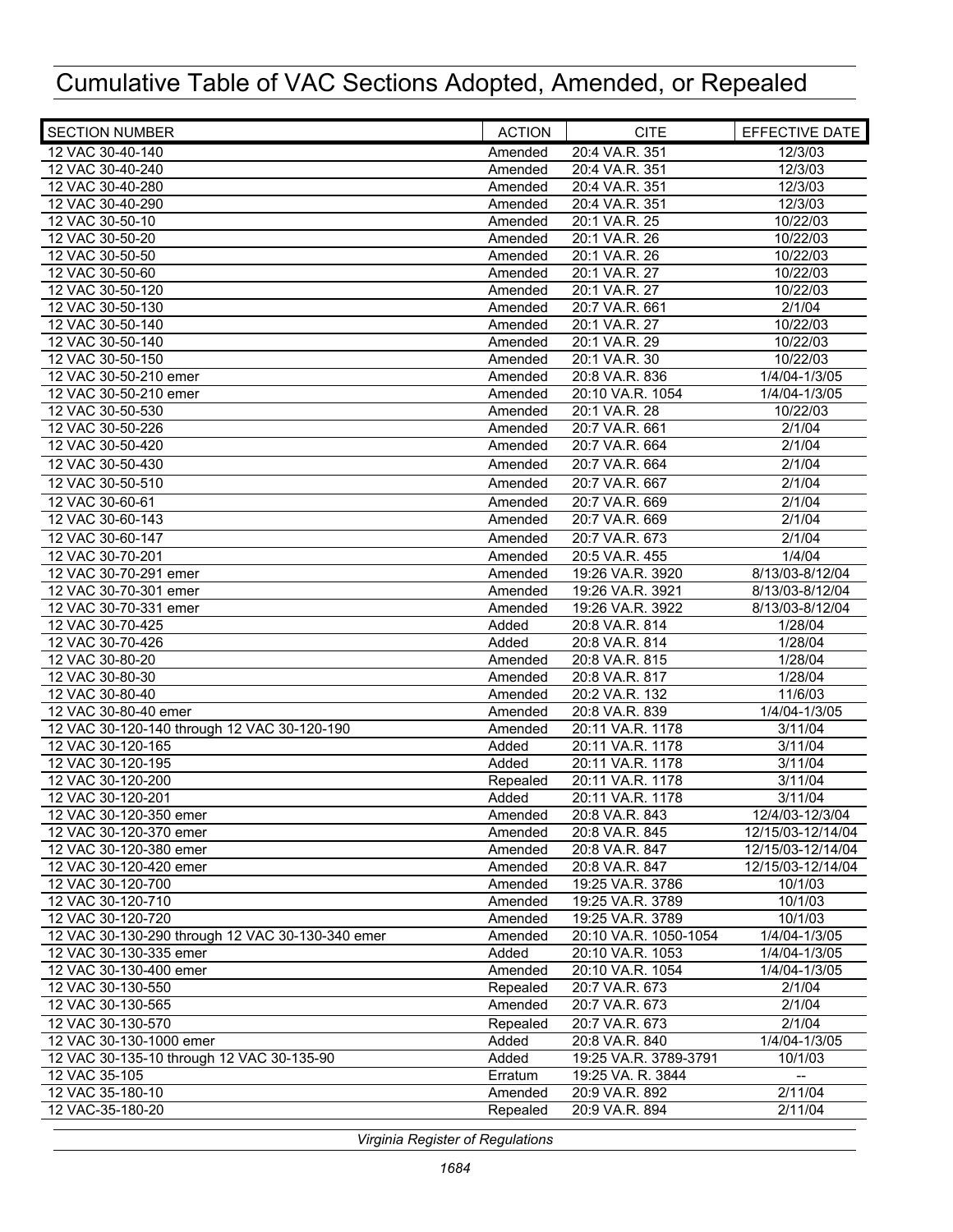| <b>SECTION NUMBER</b>                            | <b>ACTION</b> | <b>CITE</b>           | EFFECTIVE DATE           |
|--------------------------------------------------|---------------|-----------------------|--------------------------|
| 12 VAC 30-40-140                                 | Amended       | 20:4 VA.R. 351        | 12/3/03                  |
| 12 VAC 30-40-240                                 | Amended       | 20:4 VA.R. 351        | 12/3/03                  |
| 12 VAC 30-40-280                                 | Amended       | 20:4 VA.R. 351        | 12/3/03                  |
| 12 VAC 30-40-290                                 | Amended       | 20:4 VA.R. 351        | 12/3/03                  |
| 12 VAC 30-50-10                                  | Amended       | 20:1 VA.R. 25         | 10/22/03                 |
| 12 VAC 30-50-20                                  | Amended       | 20:1 VA.R. 26         | 10/22/03                 |
| 12 VAC 30-50-50                                  | Amended       | 20:1 VA.R. 26         | 10/22/03                 |
| 12 VAC 30-50-60                                  | Amended       | 20:1 VA.R. 27         | 10/22/03                 |
| 12 VAC 30-50-120                                 | Amended       | 20:1 VA.R. 27         | 10/22/03                 |
| 12 VAC 30-50-130                                 | Amended       | 20:7 VA.R. 661        | 2/1/04                   |
| 12 VAC 30-50-140                                 | Amended       | 20:1 VA.R. 27         | 10/22/03                 |
| 12 VAC 30-50-140                                 | Amended       | 20:1 VA.R. 29         | 10/22/03                 |
| 12 VAC 30-50-150                                 | Amended       | 20:1 VA.R. 30         | 10/22/03                 |
| 12 VAC 30-50-210 emer                            | Amended       | 20:8 VA.R. 836        | 1/4/04-1/3/05            |
| 12 VAC 30-50-210 emer                            | Amended       | 20:10 VA.R. 1054      | 1/4/04-1/3/05            |
| 12 VAC 30-50-530                                 | Amended       | 20:1 VA.R. 28         | 10/22/03                 |
| 12 VAC 30-50-226                                 | Amended       | 20:7 VA.R. 661        | 2/1/04                   |
| 12 VAC 30-50-420                                 | Amended       | 20:7 VA.R. 664        | 2/1/04                   |
| 12 VAC 30-50-430                                 | Amended       | 20:7 VA.R. 664        | 2/1/04                   |
| 12 VAC 30-50-510                                 | Amended       | 20:7 VA.R. 667        | 2/1/04                   |
| 12 VAC 30-60-61                                  | Amended       | 20:7 VA.R. 669        | 2/1/04                   |
| 12 VAC 30-60-143                                 | Amended       | 20:7 VA.R. 669        | 2/1/04                   |
| 12 VAC 30-60-147                                 | Amended       | 20:7 VA.R. 673        | 2/1/04                   |
| 12 VAC 30-70-201                                 | Amended       | 20:5 VA.R. 455        | 1/4/04                   |
| 12 VAC 30-70-291 emer                            | Amended       | 19:26 VA.R. 3920      | 8/13/03-8/12/04          |
| 12 VAC 30-70-301 emer                            | Amended       | 19:26 VA.R. 3921      | 8/13/03-8/12/04          |
| 12 VAC 30-70-331 emer                            | Amended       | 19:26 VA.R. 3922      | 8/13/03-8/12/04          |
| 12 VAC 30-70-425                                 | Added         | 20:8 VA.R. 814        | 1/28/04                  |
| 12 VAC 30-70-426                                 | Added         | 20:8 VA.R. 814        | 1/28/04                  |
| 12 VAC 30-80-20                                  | Amended       | 20:8 VA.R. 815        | 1/28/04                  |
| 12 VAC 30-80-30                                  | Amended       | 20:8 VA.R. 817        | 1/28/04                  |
| 12 VAC 30-80-40                                  | Amended       | 20:2 VA.R. 132        | 11/6/03                  |
| 12 VAC 30-80-40 emer                             | Amended       | 20:8 VA.R. 839        | 1/4/04-1/3/05            |
| 12 VAC 30-120-140 through 12 VAC 30-120-190      | Amended       | 20:11 VA.R. 1178      | 3/11/04                  |
| 12 VAC 30-120-165                                | Added         | 20:11 VA.R. 1178      | 3/11/04                  |
| 12 VAC 30-120-195                                | Added         | 20:11 VA.R. 1178      | 3/11/04                  |
| 12 VAC 30-120-200                                | Repealed      | 20:11 VA.R. 1178      | 3/11/04                  |
| 12 VAC 30-120-201                                | Added         | 20:11 VA.R. 1178      | $\overline{3}/11/04$     |
| 12 VAC 30-120-350 emer                           | Amended       | 20:8 VA.R. 843        | 12/4/03-12/3/04          |
| 12 VAC 30-120-370 emer                           | Amended       | 20:8 VA.R. 845        | 12/15/03-12/14/04        |
| 12 VAC 30-120-380 emer                           | Amended       | 20:8 VA.R. 847        | 12/15/03-12/14/04        |
| 12 VAC 30-120-420 emer                           | Amended       | 20:8 VA.R. 847        | 12/15/03-12/14/04        |
| 12 VAC 30-120-700                                | Amended       | 19:25 VA.R. 3786      | 10/1/03                  |
| 12 VAC 30-120-710                                | Amended       | 19:25 VA.R. 3789      | 10/1/03                  |
| 12 VAC 30-120-720                                | Amended       | 19:25 VA.R. 3789      | 10/1/03                  |
| 12 VAC 30-130-290 through 12 VAC 30-130-340 emer | Amended       | 20:10 VA.R. 1050-1054 | 1/4/04-1/3/05            |
| 12 VAC 30-130-335 emer                           | Added         | 20:10 VA.R. 1053      | 1/4/04-1/3/05            |
| 12 VAC 30-130-400 emer                           | Amended       | 20:10 VA.R. 1054      | 1/4/04-1/3/05            |
| 12 VAC 30-130-550                                | Repealed      | 20:7 VA.R. 673        | 2/1/04                   |
| 12 VAC 30-130-565                                | Amended       | 20:7 VA.R. 673        | 2/1/04                   |
| 12 VAC 30-130-570                                | Repealed      | 20:7 VA.R. 673        | 2/1/04                   |
| 12 VAC 30-130-1000 emer                          | Added         | 20:8 VA.R. 840        | 1/4/04-1/3/05            |
| 12 VAC 30-135-10 through 12 VAC 30-135-90        | Added         | 19:25 VA.R. 3789-3791 | 10/1/03                  |
| 12 VAC 35-105                                    | Erratum       | 19:25 VA. R. 3844     | $\overline{\phantom{a}}$ |
| 12 VAC 35-180-10                                 | Amended       | 20:9 VA.R. 892        | 2/11/04                  |
| 12 VAC-35-180-20                                 | Repealed      | 20:9 VA.R. 894        | 2/11/04                  |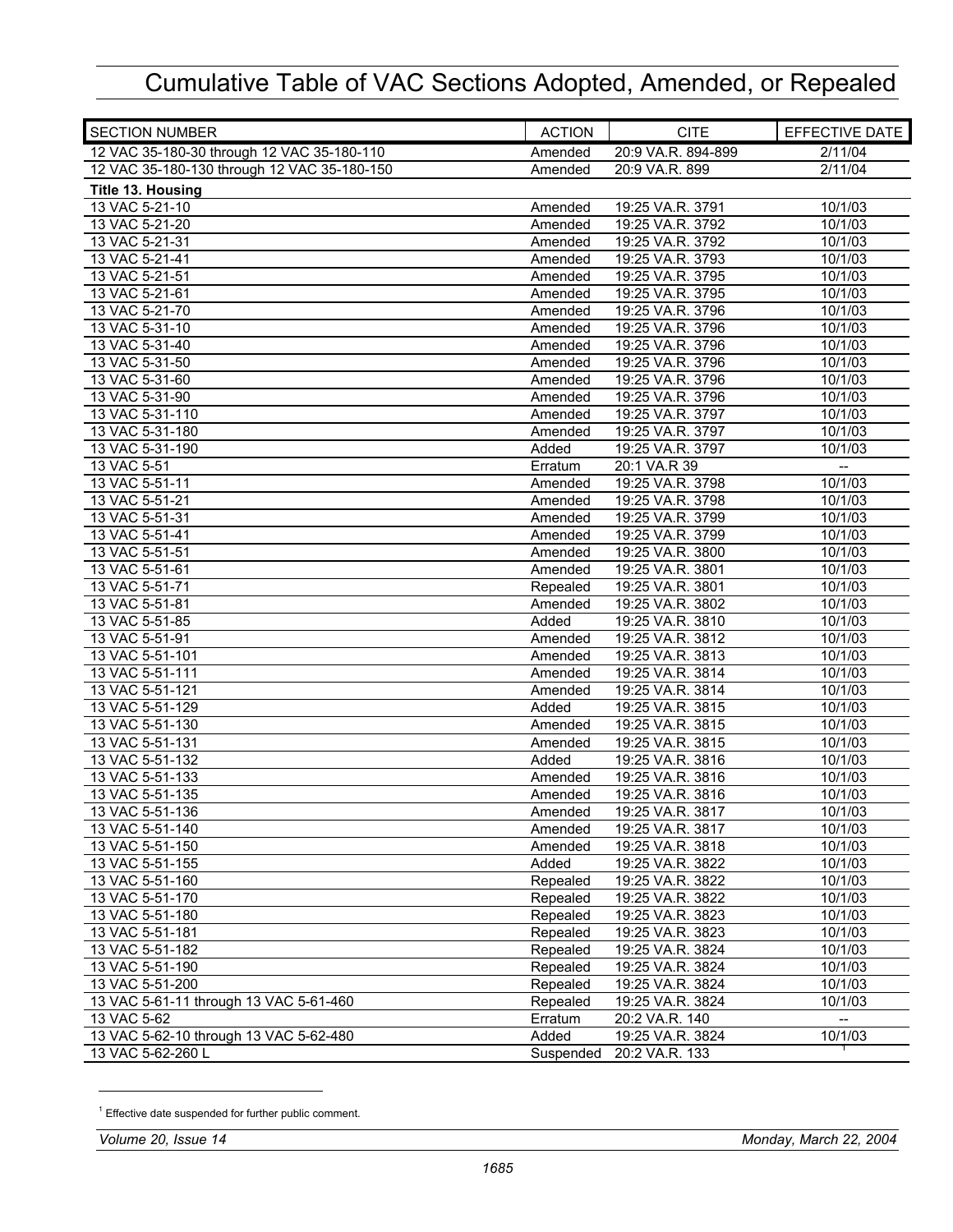| <b>SECTION NUMBER</b>                       | <b>ACTION</b> | <b>CITE</b>        | EFFECTIVE DATE |
|---------------------------------------------|---------------|--------------------|----------------|
| 12 VAC 35-180-30 through 12 VAC 35-180-110  | Amended       | 20:9 VA.R. 894-899 | 2/11/04        |
| 12 VAC 35-180-130 through 12 VAC 35-180-150 | Amended       | 20:9 VA.R. 899     | 2/11/04        |
| Title 13. Housing                           |               |                    |                |
| 13 VAC 5-21-10                              | Amended       | 19:25 VA.R. 3791   | 10/1/03        |
| 13 VAC 5-21-20                              | Amended       | 19:25 VA.R. 3792   | 10/1/03        |
| 13 VAC 5-21-31                              | Amended       | 19:25 VA.R. 3792   | 10/1/03        |
| 13 VAC 5-21-41                              | Amended       | 19:25 VA.R. 3793   | 10/1/03        |
| 13 VAC 5-21-51                              | Amended       | 19:25 VA.R. 3795   | 10/1/03        |
| 13 VAC 5-21-61                              | Amended       | 19:25 VA.R. 3795   | 10/1/03        |
| 13 VAC 5-21-70                              | Amended       | 19:25 VA.R. 3796   | 10/1/03        |
| 13 VAC 5-31-10                              | Amended       | 19:25 VA.R. 3796   | 10/1/03        |
| 13 VAC 5-31-40                              | Amended       | 19:25 VA.R. 3796   | 10/1/03        |
| 13 VAC 5-31-50                              | Amended       | 19:25 VA.R. 3796   | 10/1/03        |
| 13 VAC 5-31-60                              | Amended       | 19:25 VA.R. 3796   | 10/1/03        |
| 13 VAC 5-31-90                              | Amended       | 19:25 VA.R. 3796   | 10/1/03        |
| 13 VAC 5-31-110                             | Amended       | 19:25 VA.R. 3797   | 10/1/03        |
| 13 VAC 5-31-180                             | Amended       | 19:25 VA.R. 3797   | 10/1/03        |
| 13 VAC 5-31-190                             | Added         | 19:25 VA.R. 3797   | 10/1/03        |
| 13 VAC 5-51                                 | Erratum       | 20:1 VA.R 39       |                |
| 13 VAC 5-51-11                              | Amended       | 19:25 VA.R. 3798   | 10/1/03        |
| 13 VAC 5-51-21                              | Amended       | 19:25 VA.R. 3798   | 10/1/03        |
| 13 VAC 5-51-31                              | Amended       | 19:25 VA.R. 3799   | 10/1/03        |
| 13 VAC 5-51-41                              | Amended       | 19:25 VA.R. 3799   | 10/1/03        |
| 13 VAC 5-51-51                              | Amended       | 19:25 VA.R. 3800   | 10/1/03        |
| 13 VAC 5-51-61                              | Amended       | 19:25 VA.R. 3801   | 10/1/03        |
| 13 VAC 5-51-71                              | Repealed      | 19:25 VA.R. 3801   | 10/1/03        |
| 13 VAC 5-51-81                              | Amended       | 19:25 VA.R. 3802   | 10/1/03        |
| 13 VAC 5-51-85                              | Added         | 19:25 VA.R. 3810   | 10/1/03        |
| 13 VAC 5-51-91                              | Amended       | 19:25 VA.R. 3812   | 10/1/03        |
| 13 VAC 5-51-101                             | Amended       | 19:25 VA.R. 3813   | 10/1/03        |
| 13 VAC 5-51-111                             | Amended       | 19:25 VA.R. 3814   | 10/1/03        |
| 13 VAC 5-51-121                             | Amended       | 19:25 VA.R. 3814   | 10/1/03        |
| 13 VAC 5-51-129                             | Added         | 19:25 VA.R. 3815   | 10/1/03        |
| 13 VAC 5-51-130                             | Amended       | 19:25 VA.R. 3815   | 10/1/03        |
| 13 VAC 5-51-131                             | Amended       | 19:25 VA.R. 3815   | 10/1/03        |
| 13 VAC 5-51-132                             | Added         | 19:25 VA.R. 3816   | 10/1/03        |
| 13 VAC 5-51-133                             | Amended       | 19:25 VA.R. 3816   | 10/1/03        |
| 13 VAC 5-51-135                             | Amended       | 19:25 VA.R. 3816   | 10/1/03        |
| 13 VAC 5-51-136                             | Amended       | 19:25 VA.R. 3817   | 10/1/03        |
| 13 VAC 5-51-140                             | Amended       | 19:25 VA.R. 3817   | 10/1/03        |
| 13 VAC 5-51-150                             | Amended       | 19:25 VA.R. 3818   | 10/1/03        |
| 13 VAC 5-51-155                             | Added         | 19:25 VA.R. 3822   | 10/1/03        |
| 13 VAC 5-51-160                             | Repealed      | 19:25 VA.R. 3822   | 10/1/03        |
| 13 VAC 5-51-170                             | Repealed      | 19:25 VA.R. 3822   | 10/1/03        |
| 13 VAC 5-51-180                             | Repealed      | 19:25 VA.R. 3823   | 10/1/03        |
| 13 VAC 5-51-181                             | Repealed      | 19:25 VA.R. 3823   | 10/1/03        |
| 13 VAC 5-51-182                             | Repealed      | 19:25 VA.R. 3824   | 10/1/03        |
| 13 VAC 5-51-190                             | Repealed      | 19:25 VA.R. 3824   | 10/1/03        |
| 13 VAC 5-51-200                             | Repealed      | 19:25 VA.R. 3824   | 10/1/03        |
| 13 VAC 5-61-11 through 13 VAC 5-61-460      | Repealed      | 19:25 VA.R. 3824   | 10/1/03        |
| 13 VAC 5-62                                 | Erratum       | 20:2 VA.R. 140     |                |
| 13 VAC 5-62-10 through 13 VAC 5-62-480      | Added         | 19:25 VA.R. 3824   | 10/1/03        |
| 13 VAC 5-62-260 L                           | Suspended     | 20:2 VA.R. 133     |                |
|                                             |               |                    |                |

<sup>&</sup>lt;sup>1</sup> Effective date suspended for further public comment.

-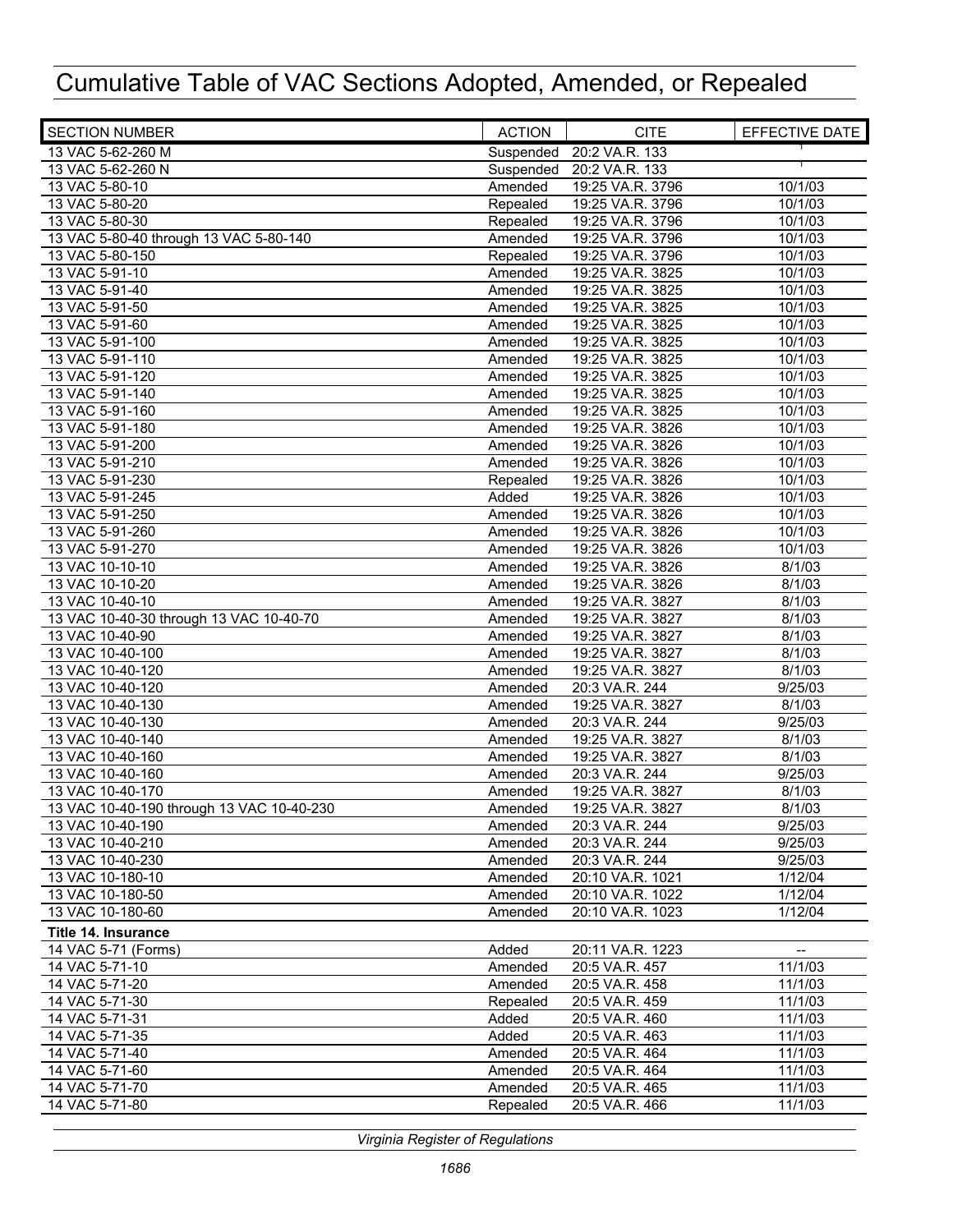| <b>SECTION NUMBER</b>                     | <b>ACTION</b> | <b>CITE</b>      | EFFECTIVE DATE |
|-------------------------------------------|---------------|------------------|----------------|
| 13 VAC 5-62-260 M                         | Suspended     | 20:2 VA.R. 133   |                |
| 13 VAC 5-62-260 N                         | Suspended     | 20:2 VA.R. 133   |                |
| 13 VAC 5-80-10                            | Amended       | 19:25 VA.R. 3796 | 10/1/03        |
| 13 VAC 5-80-20                            | Repealed      | 19:25 VA.R. 3796 | 10/1/03        |
| 13 VAC 5-80-30                            | Repealed      | 19:25 VA.R. 3796 | 10/1/03        |
| 13 VAC 5-80-40 through 13 VAC 5-80-140    | Amended       | 19:25 VA.R. 3796 | 10/1/03        |
| 13 VAC 5-80-150                           | Repealed      | 19:25 VA.R. 3796 | 10/1/03        |
| 13 VAC 5-91-10                            | Amended       | 19:25 VA.R. 3825 | 10/1/03        |
| 13 VAC 5-91-40                            | Amended       | 19:25 VA.R. 3825 | 10/1/03        |
| 13 VAC 5-91-50                            | Amended       | 19:25 VA.R. 3825 | 10/1/03        |
| 13 VAC 5-91-60                            | Amended       | 19:25 VA.R. 3825 | 10/1/03        |
| 13 VAC 5-91-100                           | Amended       | 19:25 VA.R. 3825 | 10/1/03        |
| 13 VAC 5-91-110                           | Amended       | 19:25 VA.R. 3825 | 10/1/03        |
| 13 VAC 5-91-120                           | Amended       | 19:25 VA.R. 3825 | 10/1/03        |
| 13 VAC 5-91-140                           | Amended       | 19:25 VA.R. 3825 | 10/1/03        |
| 13 VAC 5-91-160                           | Amended       | 19:25 VA.R. 3825 | 10/1/03        |
| 13 VAC 5-91-180                           | Amended       | 19:25 VA.R. 3826 | 10/1/03        |
| 13 VAC 5-91-200                           | Amended       | 19:25 VA.R. 3826 | 10/1/03        |
| 13 VAC 5-91-210                           | Amended       | 19:25 VA.R. 3826 | 10/1/03        |
| 13 VAC 5-91-230                           | Repealed      | 19:25 VA.R. 3826 | 10/1/03        |
| 13 VAC 5-91-245                           | Added         | 19:25 VA.R. 3826 | 10/1/03        |
| 13 VAC 5-91-250                           | Amended       | 19:25 VA.R. 3826 | 10/1/03        |
| 13 VAC 5-91-260                           | Amended       | 19:25 VA.R. 3826 | 10/1/03        |
| 13 VAC 5-91-270                           | Amended       | 19:25 VA.R. 3826 | 10/1/03        |
| 13 VAC 10-10-10                           | Amended       | 19:25 VA.R. 3826 | 8/1/03         |
| 13 VAC 10-10-20                           | Amended       | 19:25 VA.R. 3826 | 8/1/03         |
| 13 VAC 10-40-10                           | Amended       | 19:25 VA.R. 3827 | 8/1/03         |
| 13 VAC 10-40-30 through 13 VAC 10-40-70   | Amended       | 19:25 VA.R. 3827 | 8/1/03         |
| 13 VAC 10-40-90                           | Amended       | 19:25 VA.R. 3827 | 8/1/03         |
| 13 VAC 10-40-100                          | Amended       | 19:25 VA.R. 3827 | 8/1/03         |
| 13 VAC 10-40-120                          | Amended       | 19:25 VA.R. 3827 | 8/1/03         |
| 13 VAC 10-40-120                          | Amended       | 20:3 VA.R. 244   | 9/25/03        |
| 13 VAC 10-40-130                          | Amended       | 19:25 VA.R. 3827 | 8/1/03         |
| 13 VAC 10-40-130                          | Amended       | 20:3 VA.R. 244   | 9/25/03        |
| 13 VAC 10-40-140                          | Amended       | 19:25 VA.R. 3827 | 8/1/03         |
| 13 VAC 10-40-160                          | Amended       | 19:25 VA.R. 3827 | 8/1/03         |
| 13 VAC 10-40-160                          | Amended       | 20:3 VA.R. 244   | 9/25/03        |
| 13 VAC 10-40-170                          | Amended       | 19:25 VA.R. 3827 | 8/1/03         |
| 13 VAC 10-40-190 through 13 VAC 10-40-230 | Amended       | 19:25 VA.R. 3827 | 8/1/03         |
| 13 VAC 10-40-190                          | Amended       | 20:3 VA.R. 244   | 9/25/03        |
| 13 VAC 10-40-210                          | Amended       | 20:3 VA.R. 244   | 9/25/03        |
| 13 VAC 10-40-230                          | Amended       | 20:3 VA.R. 244   | 9/25/03        |
| 13 VAC 10-180-10                          | Amended       | 20:10 VA.R. 1021 | 1/12/04        |
| 13 VAC 10-180-50                          | Amended       | 20:10 VA.R. 1022 | 1/12/04        |
| 13 VAC 10-180-60                          | Amended       | 20:10 VA.R. 1023 | 1/12/04        |
| Title 14. Insurance                       |               |                  |                |
| 14 VAC 5-71 (Forms)                       | Added         | 20:11 VA.R. 1223 | --             |
| 14 VAC 5-71-10                            | Amended       | 20:5 VA.R. 457   | 11/1/03        |
| 14 VAC 5-71-20                            | Amended       | 20:5 VA.R. 458   | 11/1/03        |
| 14 VAC 5-71-30                            | Repealed      | 20:5 VA.R. 459   | 11/1/03        |
| 14 VAC 5-71-31                            | Added         | 20:5 VA.R. 460   | 11/1/03        |
| 14 VAC 5-71-35                            | Added         | 20:5 VA.R. 463   | 11/1/03        |
| 14 VAC 5-71-40                            | Amended       | 20:5 VA.R. 464   | 11/1/03        |
| 14 VAC 5-71-60                            | Amended       | 20:5 VA.R. 464   | 11/1/03        |
| 14 VAC 5-71-70                            | Amended       | 20:5 VA.R. 465   | 11/1/03        |
| 14 VAC 5-71-80                            | Repealed      | 20:5 VA.R. 466   | 11/1/03        |
|                                           |               |                  |                |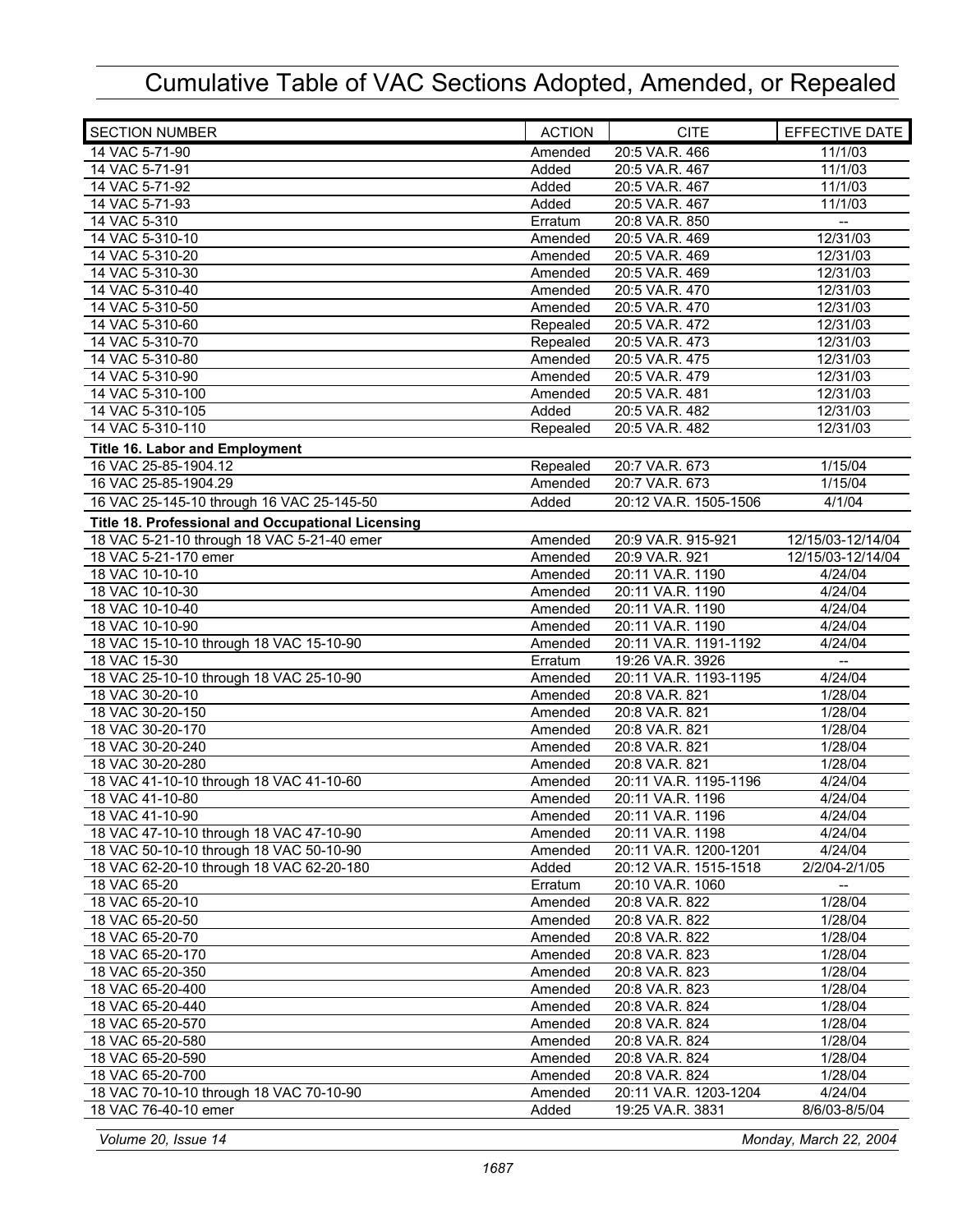| <b>SECTION NUMBER</b>                                   | <b>ACTION</b>      | <b>CITE</b>                               | EFFECTIVE DATE                    |
|---------------------------------------------------------|--------------------|-------------------------------------------|-----------------------------------|
| 14 VAC 5-71-90                                          | Amended            | 20:5 VA.R. 466                            | 11/1/03                           |
| 14 VAC 5-71-91                                          | Added              | 20:5 VA.R. 467                            | 11/1/03                           |
| 14 VAC 5-71-92                                          | Added              | 20:5 VA.R. 467                            | 11/1/03                           |
| 14 VAC 5-71-93                                          | Added              | 20:5 VA.R. 467                            | 11/1/03                           |
| 14 VAC 5-310                                            | Erratum            | 20:8 VA.R. 850                            | $\overline{\phantom{a}}$          |
| 14 VAC 5-310-10                                         | Amended            | 20:5 VA.R. 469                            | 12/31/03                          |
| 14 VAC 5-310-20                                         | Amended            | 20:5 VA.R. 469                            | 12/31/03                          |
| 14 VAC 5-310-30                                         | Amended            | 20:5 VA.R. 469                            | 12/31/03                          |
| 14 VAC 5-310-40                                         | Amended            | 20:5 VA.R. 470                            | 12/31/03                          |
| 14 VAC 5-310-50                                         | Amended            | 20:5 VA.R. 470                            | 12/31/03                          |
| 14 VAC 5-310-60                                         | Repealed           | 20:5 VA.R. 472                            | 12/31/03                          |
| 14 VAC 5-310-70                                         | Repealed           | 20:5 VA.R. 473                            | 12/31/03                          |
| 14 VAC 5-310-80                                         | Amended            | 20:5 VA.R. 475                            | 12/31/03                          |
| 14 VAC 5-310-90                                         | Amended            | 20:5 VA.R. 479                            | 12/31/03                          |
| 14 VAC 5-310-100                                        | Amended            | 20:5 VA.R. 481                            | 12/31/03                          |
| 14 VAC 5-310-105                                        | Added              | 20:5 VA.R. 482                            | 12/31/03                          |
| 14 VAC 5-310-110                                        | Repealed           | 20:5 VA.R. 482                            | 12/31/03                          |
| <b>Title 16. Labor and Employment</b>                   |                    |                                           |                                   |
| 16 VAC 25-85-1904.12                                    | Repealed           | 20:7 VA.R. 673                            | 1/15/04                           |
| 16 VAC 25-85-1904.29                                    | Amended            | 20:7 VA.R. 673                            | 1/15/04                           |
| 16 VAC 25-145-10 through 16 VAC 25-145-50               | Added              | 20:12 VA.R. 1505-1506                     | 4/1/04                            |
| Title 18. Professional and Occupational Licensing       |                    |                                           |                                   |
| 18 VAC 5-21-10 through 18 VAC 5-21-40 emer              | Amended            | 20:9 VA.R. 915-921                        | 12/15/03-12/14/04                 |
| 18 VAC 5-21-170 emer                                    | Amended            | 20:9 VA.R. 921                            | 12/15/03-12/14/04                 |
| 18 VAC 10-10-10                                         | Amended            | 20:11 VA.R. 1190                          | 4/24/04                           |
| 18 VAC 10-10-30                                         | Amended            | 20:11 VA.R. 1190                          | 4/24/04                           |
| 18 VAC 10-10-40                                         | Amended            | 20:11 VA.R. 1190                          | 4/24/04                           |
| 18 VAC 10-10-90                                         | Amended            | 20:11 VA.R. 1190                          | 4/24/04                           |
| 18 VAC 15-10-10 through 18 VAC 15-10-90<br>18 VAC 15-30 | Amended<br>Erratum | 20:11 VA.R. 1191-1192<br>19:26 VA.R. 3926 | 4/24/04<br>$\qquad \qquad \cdots$ |
| 18 VAC 25-10-10 through 18 VAC 25-10-90                 | Amended            | 20:11 VA.R. 1193-1195                     | 4/24/04                           |
| 18 VAC 30-20-10                                         | Amended            | 20:8 VA.R. 821                            | 1/28/04                           |
| 18 VAC 30-20-150                                        | Amended            | 20:8 VA.R. 821                            | 1/28/04                           |
| 18 VAC 30-20-170                                        | Amended            | 20:8 VA.R. 821                            | 1/28/04                           |
| 18 VAC 30-20-240                                        | Amended            | 20:8 VA.R. 821                            | 1/28/04                           |
| 18 VAC 30-20-280                                        | Amended            | 20:8 VA.R. 821                            | 1/28/04                           |
| 18 VAC 41-10-10 through 18 VAC 41-10-60                 | Amended            | 20:11 VA.R. 1195-1196                     | 4/24/04                           |
| 18 VAC 41-10-80                                         | Amended            | 20:11 VA.R. 1196                          | 4/24/04                           |
| 18 VAC 41-10-90                                         | Amended            | 20:11 VA.R. 1196                          | 4/24/04                           |
| 18 VAC 47-10-10 through 18 VAC 47-10-90                 | Amended            | 20:11 VA.R. 1198                          | 4/24/04                           |
| 18 VAC 50-10-10 through 18 VAC 50-10-90                 | Amended            | 20:11 VA.R. 1200-1201                     | 4/24/04                           |
| 18 VAC 62-20-10 through 18 VAC 62-20-180                | Added              | 20:12 VA.R. 1515-1518                     | 2/2/04-2/1/05                     |
| 18 VAC 65-20                                            | Erratum            | 20:10 VA.R. 1060                          |                                   |
| 18 VAC 65-20-10                                         | Amended            | 20:8 VA.R. 822                            | 1/28/04                           |
| 18 VAC 65-20-50                                         | Amended            | 20:8 VA.R. 822                            | 1/28/04                           |
| 18 VAC 65-20-70                                         | Amended            | 20:8 VA.R. 822                            | 1/28/04                           |
| 18 VAC 65-20-170                                        | Amended            | 20:8 VA.R. 823                            | 1/28/04                           |
| 18 VAC 65-20-350                                        | Amended            | 20:8 VA.R. 823                            | 1/28/04                           |
| 18 VAC 65-20-400                                        | Amended            | 20:8 VA.R. 823                            | 1/28/04                           |
| 18 VAC 65-20-440                                        | Amended            | 20:8 VA.R. 824                            | 1/28/04                           |
| 18 VAC 65-20-570                                        | Amended            | 20:8 VA.R. 824                            | 1/28/04                           |
| 18 VAC 65-20-580                                        | Amended            | 20:8 VA.R. 824                            | 1/28/04                           |
| 18 VAC 65-20-590                                        | Amended            | 20:8 VA.R. 824                            | 1/28/04                           |
| 18 VAC 65-20-700                                        | Amended            | 20:8 VA.R. 824                            | 1/28/04                           |
| 18 VAC 70-10-10 through 18 VAC 70-10-90                 | Amended            | 20:11 VA.R. 1203-1204                     | 4/24/04                           |
| 18 VAC 76-40-10 emer                                    | Added              | 19:25 VA.R. 3831                          | 8/6/03-8/5/04                     |

*Volume 20, Issue 14 Monday, March 22, 2004*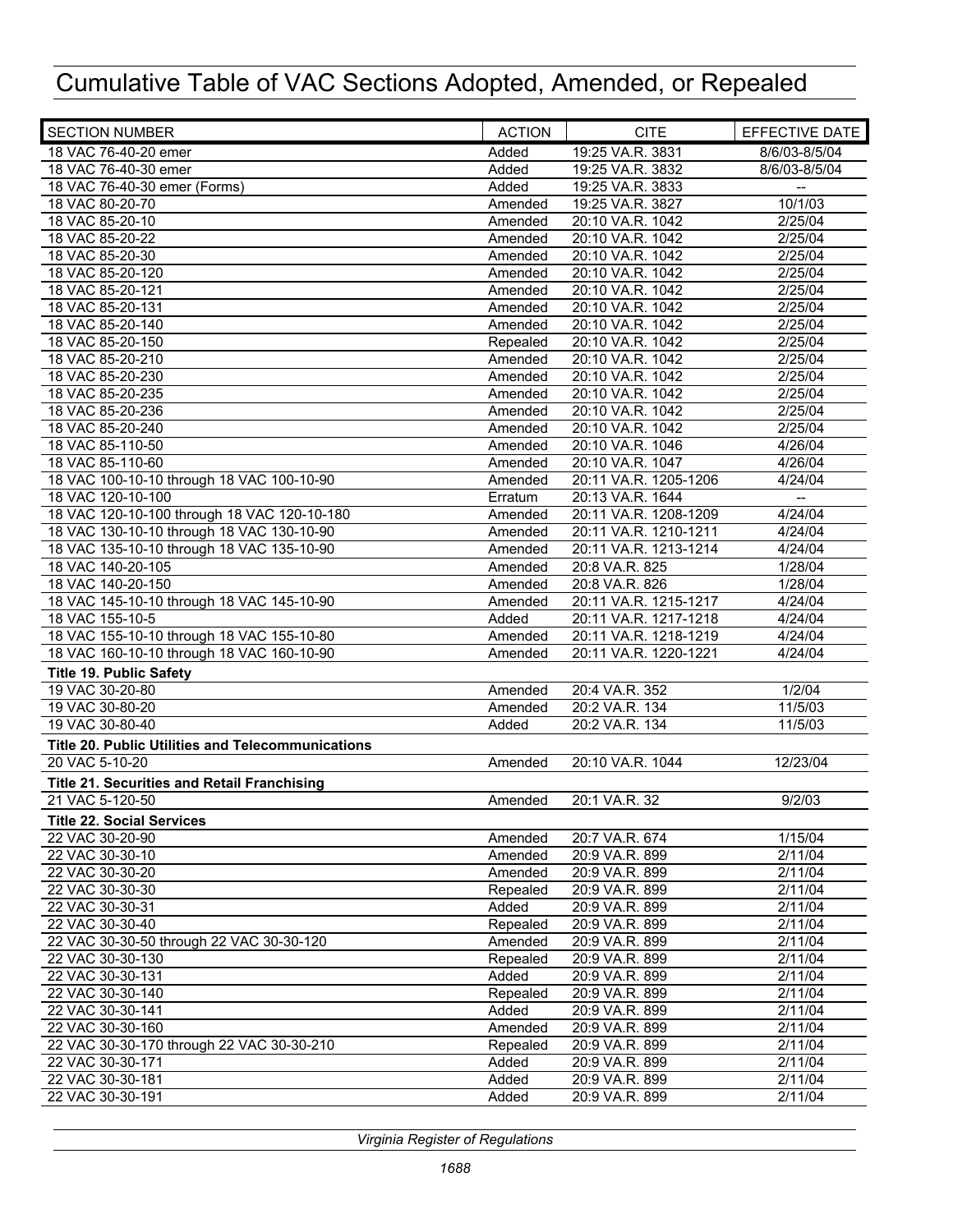| <b>SECTION NUMBER</b>                             | <b>ACTION</b> | <b>CITE</b>           | EFFECTIVE DATE           |
|---------------------------------------------------|---------------|-----------------------|--------------------------|
| 18 VAC 76-40-20 emer                              | Added         | 19:25 VA.R. 3831      | 8/6/03-8/5/04            |
| 18 VAC 76-40-30 emer                              | Added         | 19:25 VA.R. 3832      | 8/6/03-8/5/04            |
| 18 VAC 76-40-30 emer (Forms)                      | Added         | 19:25 VA.R. 3833      |                          |
| 18 VAC 80-20-70                                   | Amended       | 19:25 VA.R. 3827      | 10/1/03                  |
| 18 VAC 85-20-10                                   | Amended       | 20:10 VA.R. 1042      | 2/25/04                  |
| 18 VAC 85-20-22                                   | Amended       | 20:10 VA.R. 1042      | 2/25/04                  |
| 18 VAC 85-20-30                                   | Amended       | 20:10 VA.R. 1042      | 2/25/04                  |
| 18 VAC 85-20-120                                  | Amended       | 20:10 VA.R. 1042      | 2/25/04                  |
| 18 VAC 85-20-121                                  | Amended       | 20:10 VA.R. 1042      | 2/25/04                  |
| 18 VAC 85-20-131                                  | Amended       | 20:10 VA.R. 1042      | 2/25/04                  |
| 18 VAC 85-20-140                                  | Amended       | 20:10 VA.R. 1042      | 2/25/04                  |
| 18 VAC 85-20-150                                  | Repealed      | 20:10 VA.R. 1042      | 2/25/04                  |
| 18 VAC 85-20-210                                  | Amended       | 20:10 VA.R. 1042      | 2/25/04                  |
| 18 VAC 85-20-230                                  | Amended       | 20:10 VA.R. 1042      | 2/25/04                  |
| 18 VAC 85-20-235                                  | Amended       | 20:10 VA.R. 1042      | 2/25/04                  |
| 18 VAC 85-20-236                                  | Amended       | 20:10 VA.R. 1042      | 2/25/04                  |
| 18 VAC 85-20-240                                  | Amended       | 20:10 VA.R. 1042      | 2/25/04                  |
| 18 VAC 85-110-50                                  | Amended       | 20:10 VA.R. 1046      | 4/26/04                  |
| 18 VAC 85-110-60                                  | Amended       | 20:10 VA.R. 1047      | 4/26/04                  |
| 18 VAC 100-10-10 through 18 VAC 100-10-90         | Amended       | 20:11 VA.R. 1205-1206 | 4/24/04                  |
| 18 VAC 120-10-100                                 | Erratum       | 20:13 VA.R. 1644      | $\overline{\phantom{a}}$ |
| 18 VAC 120-10-100 through 18 VAC 120-10-180       | Amended       | 20:11 VA.R. 1208-1209 | 4/24/04                  |
| 18 VAC 130-10-10 through 18 VAC 130-10-90         | Amended       | 20:11 VA.R. 1210-1211 | 4/24/04                  |
| 18 VAC 135-10-10 through 18 VAC 135-10-90         | Amended       | 20:11 VA.R. 1213-1214 | 4/24/04                  |
| 18 VAC 140-20-105                                 | Amended       | 20:8 VA.R. 825        | 1/28/04                  |
| 18 VAC 140-20-150                                 | Amended       | 20:8 VA.R. 826        | 1/28/04                  |
| 18 VAC 145-10-10 through 18 VAC 145-10-90         | Amended       | 20:11 VA.R. 1215-1217 | 4/24/04                  |
| 18 VAC 155-10-5                                   | Added         | 20:11 VA.R. 1217-1218 | 4/24/04                  |
| 18 VAC 155-10-10 through 18 VAC 155-10-80         | Amended       | 20:11 VA.R. 1218-1219 | 4/24/04                  |
| 18 VAC 160-10-10 through 18 VAC 160-10-90         | Amended       | 20:11 VA.R. 1220-1221 | 4/24/04                  |
| <b>Title 19. Public Safety</b>                    |               |                       |                          |
| 19 VAC 30-20-80                                   | Amended       | 20:4 VA.R. 352        | 1/2/04                   |
| 19 VAC 30-80-20                                   | Amended       | 20:2 VA.R. 134        | 11/5/03                  |
| 19 VAC 30-80-40                                   | Added         | 20:2 VA.R. 134        | 11/5/03                  |
|                                                   |               |                       |                          |
| Title 20. Public Utilities and Telecommunications |               |                       |                          |
| 20 VAC 5-10-20                                    | Amended       | 20:10 VA.R. 1044      | 12/23/04                 |
| Title 21. Securities and Retail Franchising       |               |                       |                          |
| 21 VAC 5-120-50                                   | Amended       | 20:1 VA.R. 32         | 9/2/03                   |
| <b>Title 22. Social Services</b>                  |               |                       |                          |
| 22 VAC 30-20-90                                   | Amended       | 20:7 VA.R. 674        | 1/15/04                  |
| 22 VAC 30-30-10                                   | Amended       | 20:9 VA.R. 899        | 2/11/04                  |
| 22 VAC 30-30-20                                   | Amended       | 20:9 VA.R. 899        | 2/11/04                  |
| 22 VAC 30-30-30                                   | Repealed      | 20:9 VA.R. 899        | 2/11/04                  |
| 22 VAC 30-30-31                                   | Added         | 20:9 VA.R. 899        | 2/11/04                  |
| 22 VAC 30-30-40                                   | Repealed      | 20:9 VA.R. 899        | 2/11/04                  |
| 22 VAC 30-30-50 through 22 VAC 30-30-120          | Amended       | 20:9 VA.R. 899        | 2/11/04                  |
| 22 VAC 30-30-130                                  | Repealed      | 20:9 VA.R. 899        | 2/11/04                  |
| 22 VAC 30-30-131                                  | Added         | 20:9 VA.R. 899        | 2/11/04                  |
| 22 VAC 30-30-140                                  | Repealed      | 20:9 VA.R. 899        | 2/11/04                  |
| 22 VAC 30-30-141                                  | Added         | 20:9 VA.R. 899        | 2/11/04                  |
| 22 VAC 30-30-160                                  | Amended       | 20:9 VA.R. 899        | 2/11/04                  |
| 22 VAC 30-30-170 through 22 VAC 30-30-210         | Repealed      | 20:9 VA.R. 899        | 2/11/04                  |
| 22 VAC 30-30-171                                  | Added         | 20:9 VA.R. 899        | 2/11/04                  |
| 22 VAC 30-30-181                                  | Added         | 20:9 VA.R. 899        | 2/11/04                  |
| 22 VAC 30-30-191                                  | Added         | 20:9 VA.R. 899        | 2/11/04                  |
|                                                   |               |                       |                          |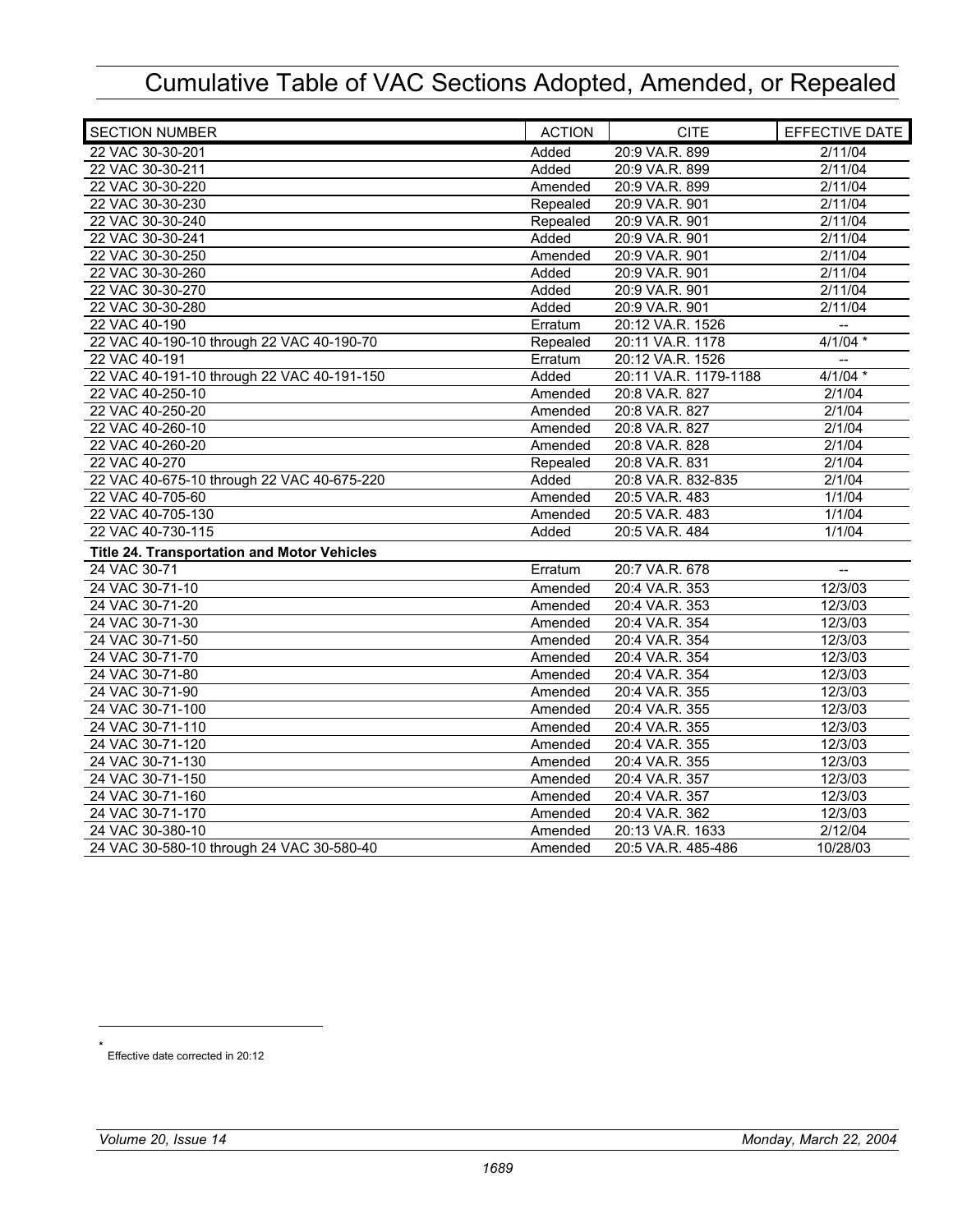| <b>SECTION NUMBER</b>                       | <b>ACTION</b> | <b>CITE</b>           | EFFECTIVE DATE           |
|---------------------------------------------|---------------|-----------------------|--------------------------|
| 22 VAC 30-30-201                            | Added         | 20:9 VA.R. 899        | 2/11/04                  |
| 22 VAC 30-30-211                            | Added         | 20:9 VA.R. 899        | 2/11/04                  |
| 22 VAC 30-30-220                            | Amended       | 20:9 VA.R. 899        | 2/11/04                  |
| 22 VAC 30-30-230                            | Repealed      | 20:9 VA.R. 901        | 2/11/04                  |
| 22 VAC 30-30-240                            | Repealed      | 20:9 VA.R. 901        | 2/11/04                  |
| 22 VAC 30-30-241                            | Added         | 20:9 VA.R. 901        | 2/11/04                  |
| 22 VAC 30-30-250                            | Amended       | 20:9 VA.R. 901        | 2/11/04                  |
| 22 VAC 30-30-260                            | Added         | 20:9 VA.R. 901        | 2/11/04                  |
| 22 VAC 30-30-270                            | Added         | 20:9 VA.R. 901        | 2/11/04                  |
| 22 VAC 30-30-280                            | Added         | 20:9 VA.R. 901        | 2/11/04                  |
| 22 VAC 40-190                               | Erratum       | 20:12 VA.R. 1526      | $\overline{a}$           |
| 22 VAC 40-190-10 through 22 VAC 40-190-70   | Repealed      | 20:11 VA.R. 1178      | $4/1/04$ *               |
| 22 VAC 40-191                               | Erratum       | 20:12 VA.R. 1526      | $\overline{\phantom{a}}$ |
| 22 VAC 40-191-10 through 22 VAC 40-191-150  | Added         | 20:11 VA.R. 1179-1188 | $4/1/04$ *               |
| 22 VAC 40-250-10                            | Amended       | 20:8 VA.R. 827        | 2/1/04                   |
| 22 VAC 40-250-20                            | Amended       | 20:8 VA.R. 827        | 2/1/04                   |
| 22 VAC 40-260-10                            | Amended       | 20:8 VA.R. 827        | 2/1/04                   |
| 22 VAC 40-260-20                            | Amended       | 20:8 VA.R. 828        | 2/1/04                   |
| 22 VAC 40-270                               | Repealed      | 20:8 VA.R. 831        | 2/1/04                   |
| 22 VAC 40-675-10 through 22 VAC 40-675-220  | Added         | 20:8 VA.R. 832-835    | 2/1/04                   |
| 22 VAC 40-705-60                            | Amended       | 20:5 VA.R. 483        | 1/1/04                   |
| 22 VAC 40-705-130                           | Amended       | 20:5 VA.R. 483        | 1/1/04                   |
| 22 VAC 40-730-115                           | Added         | 20:5 VA.R. 484        | 1/1/04                   |
| Title 24. Transportation and Motor Vehicles |               |                       |                          |
| 24 VAC 30-71                                | Erratum       | 20:7 VA.R. 678        | $\overline{\phantom{a}}$ |
| 24 VAC 30-71-10                             | Amended       | 20:4 VA.R. 353        | 12/3/03                  |
| 24 VAC 30-71-20                             | Amended       | 20:4 VA.R. 353        | 12/3/03                  |
| 24 VAC 30-71-30                             | Amended       | 20:4 VA.R. 354        | 12/3/03                  |
| 24 VAC 30-71-50                             | Amended       | 20:4 VA.R. 354        | 12/3/03                  |
| 24 VAC 30-71-70                             | Amended       | 20:4 VA.R. 354        | 12/3/03                  |
| 24 VAC 30-71-80                             | Amended       | 20:4 VA.R. 354        | 12/3/03                  |
| 24 VAC 30-71-90                             | Amended       | 20:4 VA.R. 355        | 12/3/03                  |
| 24 VAC 30-71-100                            | Amended       | 20:4 VA.R. 355        | 12/3/03                  |
| 24 VAC 30-71-110                            | Amended       | 20:4 VA.R. 355        | 12/3/03                  |
| 24 VAC 30-71-120                            | Amended       | 20:4 VA.R. 355        | 12/3/03                  |
| 24 VAC 30-71-130                            | Amended       | 20:4 VA.R. 355        | 12/3/03                  |
| 24 VAC 30-71-150                            | Amended       | 20:4 VA.R. 357        | 12/3/03                  |
| 24 VAC 30-71-160                            | Amended       | 20:4 VA.R. 357        | 12/3/03                  |
| 24 VAC 30-71-170                            | Amended       | 20:4 VA.R. 362        | 12/3/03                  |
| 24 VAC 30-380-10                            | Amended       | 20:13 VA.R. 1633      | 2/12/04                  |
| 24 VAC 30-580-10 through 24 VAC 30-580-40   | Amended       | 20:5 VA.R. 485-486    | 10/28/03                 |

 $\overline{a}$ 

Effective date corrected in 20:12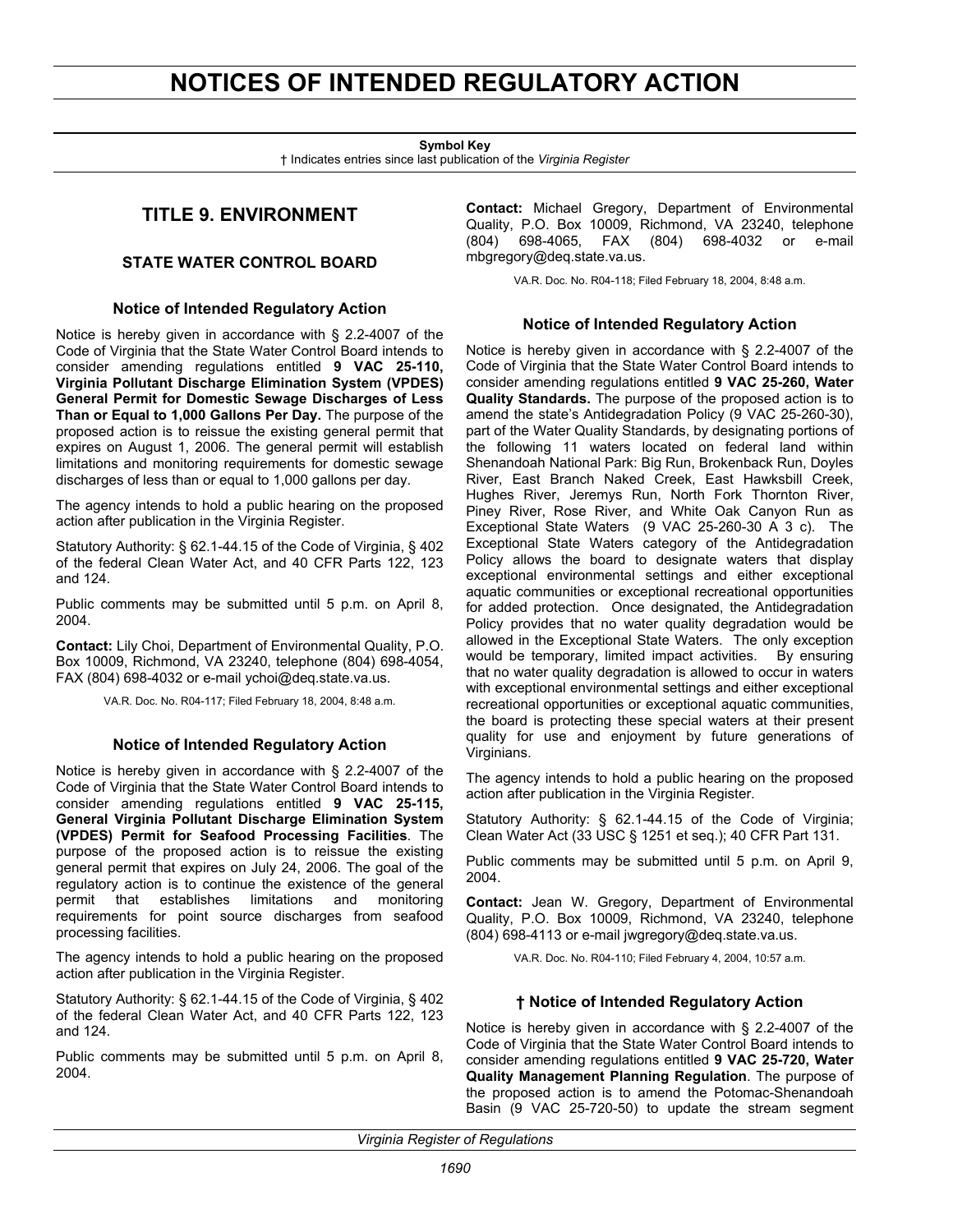# <span id="page-13-0"></span>**NOTICES OF INTENDED REGULATORY ACTION**

**Symbol Key** 

† Indicates entries since last publication of the *Virginia Register*

## **TITLE 9. ENVIRONMENT**

### **STATE WATER CONTROL BOARD**

#### **Notice of Intended Regulatory Action**

Notice is hereby given in accordance with § 2.2-4007 of the Code of Virginia that the State Water Control Board intends to consider amending regulations entitled **9 VAC 25-110, Virginia Pollutant Discharge Elimination System (VPDES) General Permit for Domestic Sewage Discharges of Less Than or Equal to 1,000 Gallons Per Day.** The purpose of the proposed action is to reissue the existing general permit that expires on August 1, 2006. The general permit will establish limitations and monitoring requirements for domestic sewage discharges of less than or equal to 1,000 gallons per day.

The agency intends to hold a public hearing on the proposed action after publication in the Virginia Register.

Statutory Authority: § 62.1-44.15 of the Code of Virginia, § 402 of the federal Clean Water Act, and 40 CFR Parts 122, 123 and 124.

Public comments may be submitted until 5 p.m. on April 8, 2004.

**Contact:** Lily Choi, Department of Environmental Quality, P.O. Box 10009, Richmond, VA 23240, telephone (804) 698-4054, FAX (804) 698-4032 or e-mail ychoi@deq.state.va.us.

VA.R. Doc. No. R04-117; Filed February 18, 2004, 8:48 a.m.

#### **Notice of Intended Regulatory Action**

Notice is hereby given in accordance with § 2.2-4007 of the Code of Virginia that the State Water Control Board intends to consider amending regulations entitled **9 VAC 25-115, General Virginia Pollutant Discharge Elimination System (VPDES) Permit for Seafood Processing Facilities**. The purpose of the proposed action is to reissue the existing general permit that expires on July 24, 2006. The goal of the regulatory action is to continue the existence of the general permit that establishes limitations and monitoring requirements for point source discharges from seafood processing facilities.

The agency intends to hold a public hearing on the proposed action after publication in the Virginia Register.

Statutory Authority: § 62.1-44.15 of the Code of Virginia, § 402 of the federal Clean Water Act, and 40 CFR Parts 122, 123 and 124.

Public comments may be submitted until 5 p.m. on April 8, 2004.

**Contact:** Michael Gregory, Department of Environmental Quality, P.O. Box 10009, Richmond, VA 23240, telephone (804) 698-4065, FAX (804) 698-4032 or e-mail mbgregory@deq.state.va.us.

VA.R. Doc. No. R04-118; Filed February 18, 2004, 8:48 a.m.

#### **Notice of Intended Regulatory Action**

Notice is hereby given in accordance with § 2.2-4007 of the Code of Virginia that the State Water Control Board intends to consider amending regulations entitled **9 VAC 25-260, Water Quality Standards.** The purpose of the proposed action is to amend the state's Antidegradation Policy (9 VAC 25-260-30), part of the Water Quality Standards, by designating portions of the following 11 waters located on federal land within Shenandoah National Park: Big Run, Brokenback Run, Doyles River, East Branch Naked Creek, East Hawksbill Creek, Hughes River, Jeremys Run, North Fork Thornton River, Piney River, Rose River, and White Oak Canyon Run as Exceptional State Waters (9 VAC 25-260-30 A 3 c). The Exceptional State Waters category of the Antidegradation Policy allows the board to designate waters that display exceptional environmental settings and either exceptional aquatic communities or exceptional recreational opportunities for added protection. Once designated, the Antidegradation Policy provides that no water quality degradation would be allowed in the Exceptional State Waters. The only exception would be temporary, limited impact activities. By ensuring that no water quality degradation is allowed to occur in waters with exceptional environmental settings and either exceptional recreational opportunities or exceptional aquatic communities, the board is protecting these special waters at their present quality for use and enjoyment by future generations of Virginians.

The agency intends to hold a public hearing on the proposed action after publication in the Virginia Register.

Statutory Authority: § 62.1-44.15 of the Code of Virginia; Clean Water Act (33 USC § 1251 et seq.); 40 CFR Part 131.

Public comments may be submitted until 5 p.m. on April 9, 2004.

**Contact:** Jean W. Gregory, Department of Environmental Quality, P.O. Box 10009, Richmond, VA 23240, telephone (804) 698-4113 or e-mail jwgregory@deq.state.va.us.

VA.R. Doc. No. R04-110; Filed February 4, 2004, 10:57 a.m.

#### **† Notice of Intended Regulatory Action**

Notice is hereby given in accordance with § 2.2-4007 of the Code of Virginia that the State Water Control Board intends to consider amending regulations entitled **9 VAC 25-720, Water Quality Management Planning Regulation**. The purpose of the proposed action is to amend the Potomac-Shenandoah Basin (9 VAC 25-720-50) to update the stream segment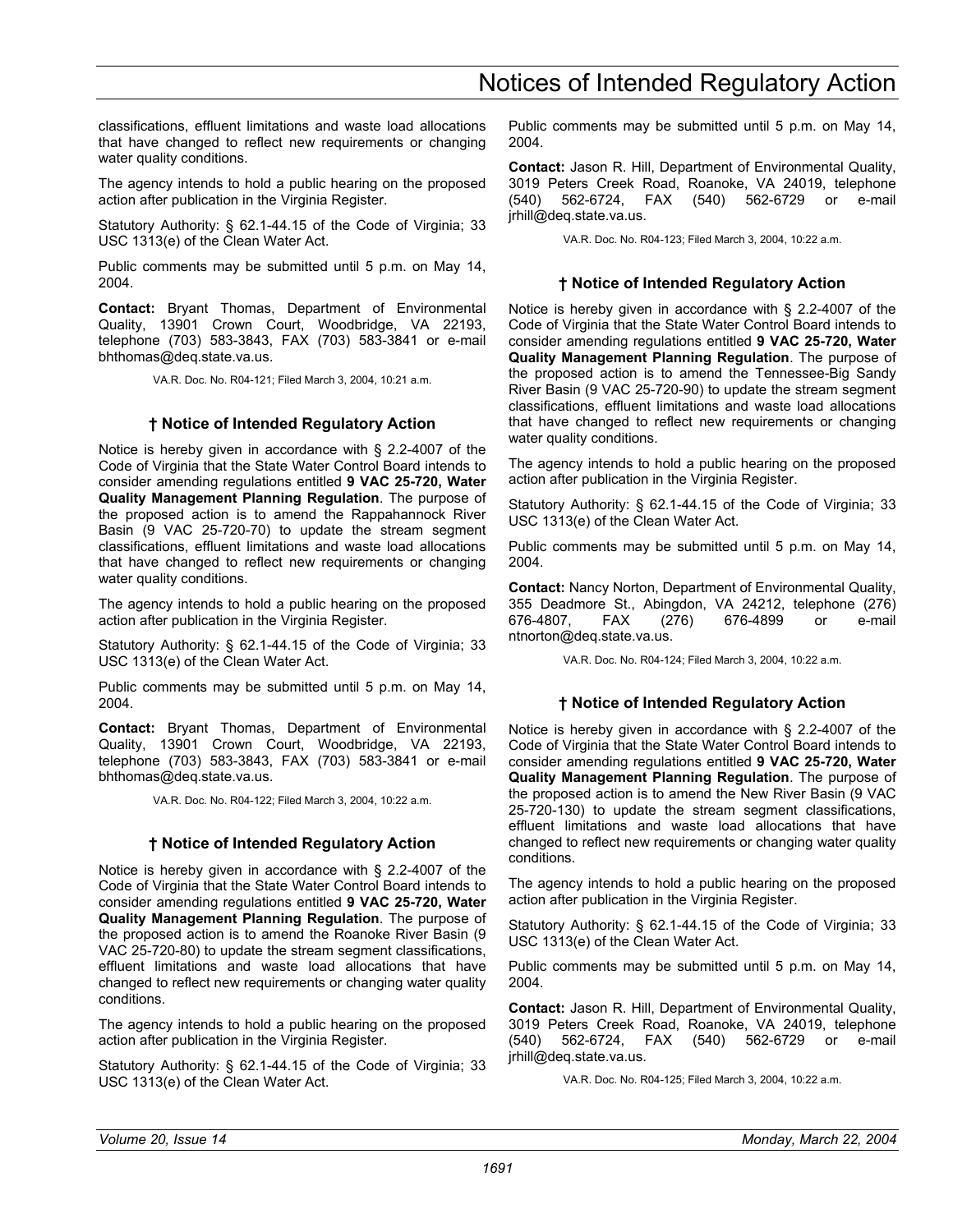# Notices of Intended Regulatory Action

classifications, effluent limitations and waste load allocations that have changed to reflect new requirements or changing water quality conditions.

The agency intends to hold a public hearing on the proposed action after publication in the Virginia Register.

Statutory Authority: § 62.1-44.15 of the Code of Virginia; 33 USC 1313(e) of the Clean Water Act.

Public comments may be submitted until 5 p.m. on May 14, 2004.

**Contact:** Bryant Thomas, Department of Environmental Quality, 13901 Crown Court, Woodbridge, VA 22193, telephone (703) 583-3843, FAX (703) 583-3841 or e-mail bhthomas@deq.state.va.us.

VA.R. Doc. No. R04-121; Filed March 3, 2004, 10:21 a.m.

### **† Notice of Intended Regulatory Action**

Notice is hereby given in accordance with § 2.2-4007 of the Code of Virginia that the State Water Control Board intends to consider amending regulations entitled **9 VAC 25-720, Water Quality Management Planning Regulation**. The purpose of the proposed action is to amend the Rappahannock River Basin (9 VAC 25-720-70) to update the stream segment classifications, effluent limitations and waste load allocations that have changed to reflect new requirements or changing water quality conditions.

The agency intends to hold a public hearing on the proposed action after publication in the Virginia Register.

Statutory Authority: § 62.1-44.15 of the Code of Virginia; 33 USC 1313(e) of the Clean Water Act.

Public comments may be submitted until 5 p.m. on May 14, 2004.

**Contact:** Bryant Thomas, Department of Environmental Quality, 13901 Crown Court, Woodbridge, VA 22193, telephone (703) 583-3843, FAX (703) 583-3841 or e-mail bhthomas@deq.state.va.us.

VA.R. Doc. No. R04-122; Filed March 3, 2004, 10:22 a.m.

### **† Notice of Intended Regulatory Action**

Notice is hereby given in accordance with § 2.2-4007 of the Code of Virginia that the State Water Control Board intends to consider amending regulations entitled **9 VAC 25-720, Water Quality Management Planning Regulation**. The purpose of the proposed action is to amend the Roanoke River Basin (9 VAC 25-720-80) to update the stream segment classifications, effluent limitations and waste load allocations that have changed to reflect new requirements or changing water quality conditions.

The agency intends to hold a public hearing on the proposed action after publication in the Virginia Register.

Statutory Authority: § 62.1-44.15 of the Code of Virginia; 33 USC 1313(e) of the Clean Water Act.

Public comments may be submitted until 5 p.m. on May 14, 2004.

**Contact:** Jason R. Hill, Department of Environmental Quality, 3019 Peters Creek Road, Roanoke, VA 24019, telephone (540) 562-6724, FAX (540) 562-6729 or e-mail jrhill@deq.state.va.us.

VA.R. Doc. No. R04-123; Filed March 3, 2004, 10:22 a.m.

### **† Notice of Intended Regulatory Action**

Notice is hereby given in accordance with § 2.2-4007 of the Code of Virginia that the State Water Control Board intends to consider amending regulations entitled **9 VAC 25-720, Water Quality Management Planning Regulation**. The purpose of the proposed action is to amend the Tennessee-Big Sandy River Basin (9 VAC 25-720-90) to update the stream segment classifications, effluent limitations and waste load allocations that have changed to reflect new requirements or changing water quality conditions.

The agency intends to hold a public hearing on the proposed action after publication in the Virginia Register.

Statutory Authority: § 62.1-44.15 of the Code of Virginia; 33 USC 1313(e) of the Clean Water Act.

Public comments may be submitted until 5 p.m. on May 14, 2004.

**Contact:** Nancy Norton, Department of Environmental Quality, 355 Deadmore St., Abingdon, VA 24212, telephone (276) 676-4807, FAX (276) 676-4899 or e-mail ntnorton@deq.state.va.us.

VA.R. Doc. No. R04-124; Filed March 3, 2004, 10:22 a.m.

## **† Notice of Intended Regulatory Action**

Notice is hereby given in accordance with § 2.2-4007 of the Code of Virginia that the State Water Control Board intends to consider amending regulations entitled **9 VAC 25-720, Water Quality Management Planning Regulation**. The purpose of the proposed action is to amend the New River Basin (9 VAC 25-720-130) to update the stream segment classifications, effluent limitations and waste load allocations that have changed to reflect new requirements or changing water quality conditions.

The agency intends to hold a public hearing on the proposed action after publication in the Virginia Register.

Statutory Authority: § 62.1-44.15 of the Code of Virginia; 33 USC 1313(e) of the Clean Water Act.

Public comments may be submitted until 5 p.m. on May 14, 2004.

**Contact:** Jason R. Hill, Department of Environmental Quality, 3019 Peters Creek Road, Roanoke, VA 24019, telephone (540) 562-6724, FAX (540) 562-6729 or e-mail jrhill@deq.state.va.us.

VA.R. Doc. No. R04-125; Filed March 3, 2004, 10:22 a.m.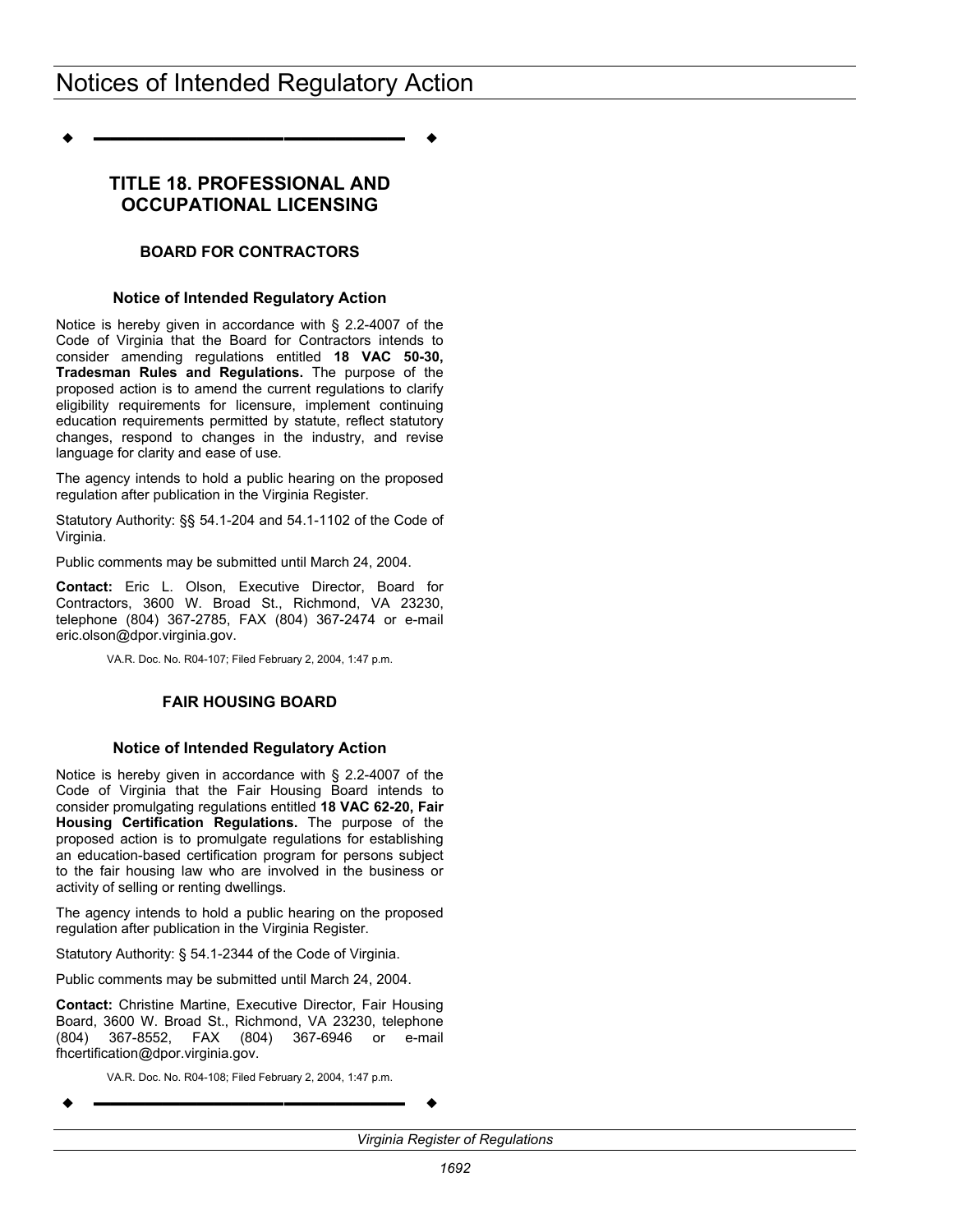<span id="page-15-0"></span>**––––––––––––––––––**

## **TITLE 18. PROFESSIONAL AND OCCUPATIONAL LICENSING**

### **BOARD FOR CONTRACTORS**

#### **Notice of Intended Regulatory Action**

Notice is hereby given in accordance with § 2.2-4007 of the Code of Virginia that the Board for Contractors intends to consider amending regulations entitled **18 VAC 50-30, Tradesman Rules and Regulations.** The purpose of the proposed action is to amend the current regulations to clarify eligibility requirements for licensure, implement continuing education requirements permitted by statute, reflect statutory changes, respond to changes in the industry, and revise language for clarity and ease of use.

The agency intends to hold a public hearing on the proposed regulation after publication in the Virginia Register.

Statutory Authority: §§ 54.1-204 and 54.1-1102 of the Code of Virginia.

Public comments may be submitted until March 24, 2004.

**Contact:** Eric L. Olson, Executive Director, Board for Contractors, 3600 W. Broad St., Richmond, VA 23230, telephone (804) 367-2785, FAX (804) 367-2474 or e-mail eric.olson@dpor.virginia.gov.

VA.R. Doc. No. R04-107; Filed February 2, 2004, 1:47 p.m.

#### **FAIR HOUSING BOARD**

#### **Notice of Intended Regulatory Action**

Notice is hereby given in accordance with § 2.2-4007 of the Code of Virginia that the Fair Housing Board intends to consider promulgating regulations entitled **18 VAC 62-20, Fair Housing Certification Regulations.** The purpose of the proposed action is to promulgate regulations for establishing an education-based certification program for persons subject to the fair housing law who are involved in the business or activity of selling or renting dwellings.

The agency intends to hold a public hearing on the proposed regulation after publication in the Virginia Register.

Statutory Authority: § 54.1-2344 of the Code of Virginia.

Public comments may be submitted until March 24, 2004.

**Contact:** Christine Martine, Executive Director, Fair Housing Board, 3600 W. Broad St., Richmond, VA 23230, telephone (804) 367-8552, FAX (804) 367-6946 or e-mail fhcertification@dpor.virginia.gov.

VA.R. Doc. No. R04-108; Filed February 2, 2004, 1:47 p.m.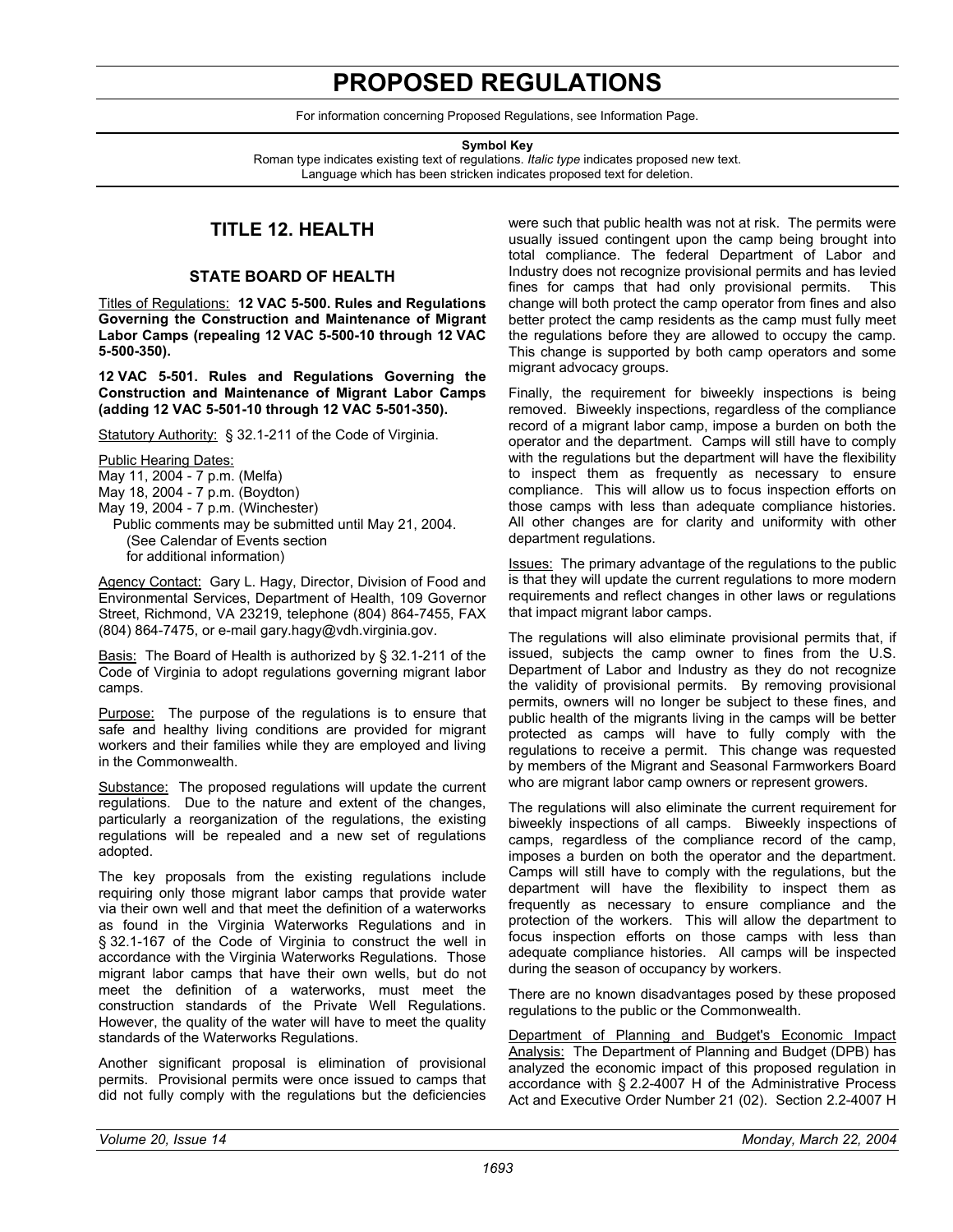# **PROPOSED REGULATIONS**

For information concerning Proposed Regulations, see Information Page.

**Symbol Key** 

<span id="page-16-0"></span>Roman type indicates existing text of regulations. *Italic type* indicates proposed new text. Language which has been stricken indicates proposed text for deletion.

## **TITLE 12. HEALTH**

#### **STATE BOARD OF HEALTH**

Titles of Regulations: **12 VAC 5-500. Rules and Regulations Governing the Construction and Maintenance of Migrant Labor Camps (repealing 12 VAC 5-500-10 through 12 VAC 5-500-350).** 

**12 VAC 5-501. Rules and Regulations Governing the Construction and Maintenance of Migrant Labor Camps (adding 12 VAC 5-501-10 through 12 VAC 5-501-350).** 

Statutory Authority: § 32.1-211 of the Code of Virginia.

Public Hearing Dates:

May 11, 2004 - 7 p.m. (Melfa)

May 18, 2004 - 7 p.m. (Boydton)

- May 19, 2004 7 p.m. (Winchester)
	- Public comments may be submitted until May 21, 2004. (See Calendar of Events section for additional information)

Agency Contact: Gary L. Hagy, Director, Division of Food and Environmental Services, Department of Health, 109 Governor Street, Richmond, VA 23219, telephone (804) 864-7455, FAX (804) 864-7475, or e-mail gary.hagy@vdh.virginia.gov.

Basis: The Board of Health is authorized by § 32.1-211 of the Code of Virginia to adopt regulations governing migrant labor camps.

Purpose: The purpose of the regulations is to ensure that safe and healthy living conditions are provided for migrant workers and their families while they are employed and living in the Commonwealth.

Substance: The proposed regulations will update the current regulations. Due to the nature and extent of the changes, particularly a reorganization of the regulations, the existing regulations will be repealed and a new set of regulations adopted.

The key proposals from the existing regulations include requiring only those migrant labor camps that provide water via their own well and that meet the definition of a waterworks as found in the Virginia Waterworks Regulations and in § 32.1-167 of the Code of Virginia to construct the well in accordance with the Virginia Waterworks Regulations. Those migrant labor camps that have their own wells, but do not meet the definition of a waterworks, must meet the construction standards of the Private Well Regulations. However, the quality of the water will have to meet the quality standards of the Waterworks Regulations.

Another significant proposal is elimination of provisional permits. Provisional permits were once issued to camps that did not fully comply with the regulations but the deficiencies

were such that public health was not at risk. The permits were usually issued contingent upon the camp being brought into total compliance. The federal Department of Labor and Industry does not recognize provisional permits and has levied fines for camps that had only provisional permits. This change will both protect the camp operator from fines and also better protect the camp residents as the camp must fully meet the regulations before they are allowed to occupy the camp. This change is supported by both camp operators and some migrant advocacy groups.

Finally, the requirement for biweekly inspections is being removed. Biweekly inspections, regardless of the compliance record of a migrant labor camp, impose a burden on both the operator and the department. Camps will still have to comply with the regulations but the department will have the flexibility to inspect them as frequently as necessary to ensure compliance. This will allow us to focus inspection efforts on those camps with less than adequate compliance histories. All other changes are for clarity and uniformity with other department regulations.

Issues: The primary advantage of the regulations to the public is that they will update the current regulations to more modern requirements and reflect changes in other laws or regulations that impact migrant labor camps.

The regulations will also eliminate provisional permits that, if issued, subjects the camp owner to fines from the U.S. Department of Labor and Industry as they do not recognize the validity of provisional permits. By removing provisional permits, owners will no longer be subject to these fines, and public health of the migrants living in the camps will be better protected as camps will have to fully comply with the regulations to receive a permit. This change was requested by members of the Migrant and Seasonal Farmworkers Board who are migrant labor camp owners or represent growers.

The regulations will also eliminate the current requirement for biweekly inspections of all camps. Biweekly inspections of camps, regardless of the compliance record of the camp, imposes a burden on both the operator and the department. Camps will still have to comply with the regulations, but the department will have the flexibility to inspect them as frequently as necessary to ensure compliance and the protection of the workers. This will allow the department to focus inspection efforts on those camps with less than adequate compliance histories. All camps will be inspected during the season of occupancy by workers.

There are no known disadvantages posed by these proposed regulations to the public or the Commonwealth.

Department of Planning and Budget's Economic Impact Analysis: The Department of Planning and Budget (DPB) has analyzed the economic impact of this proposed regulation in accordance with § 2.2-4007 H of the Administrative Process Act and Executive Order Number 21 (02). Section 2.2-4007 H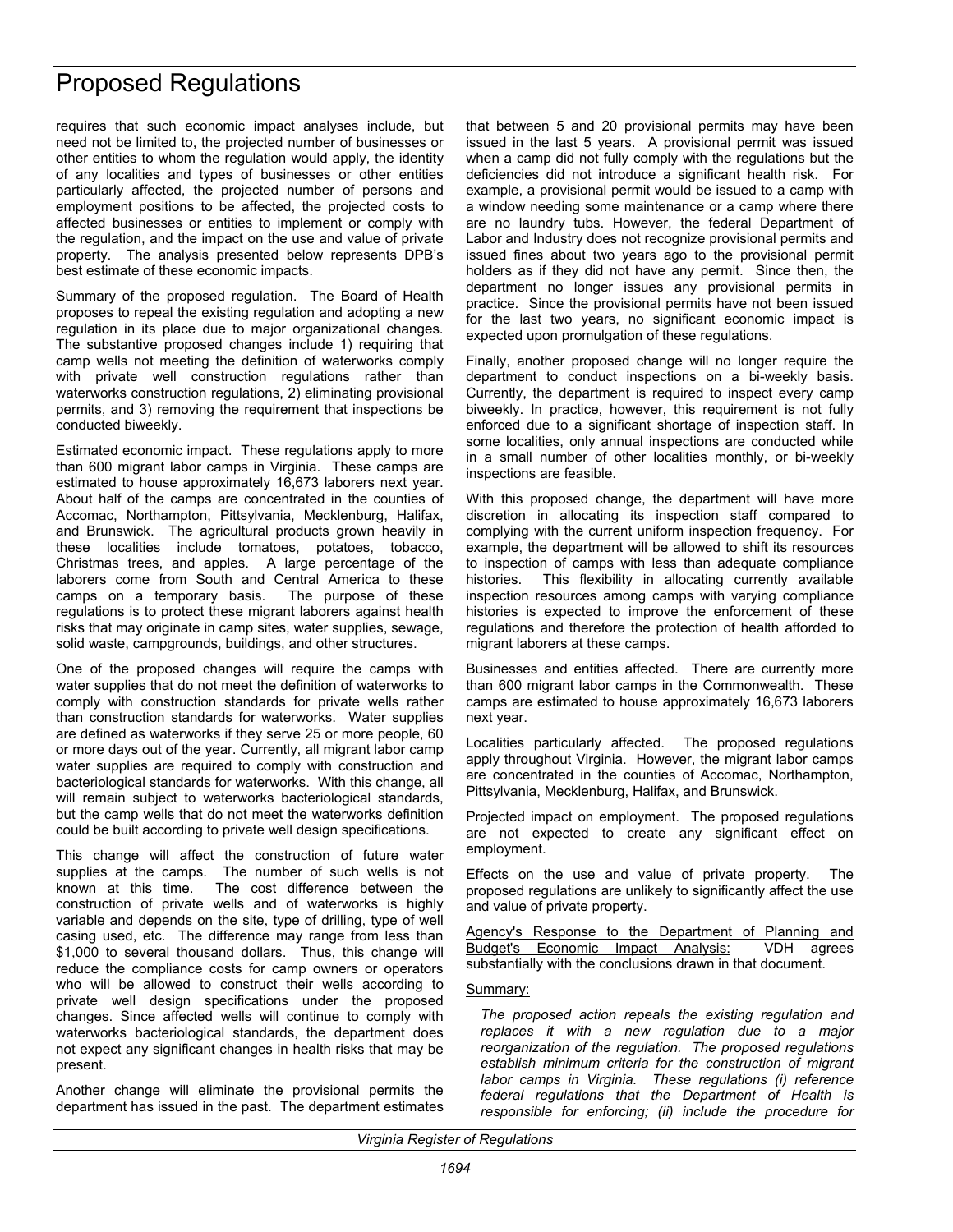requires that such economic impact analyses include, but need not be limited to, the projected number of businesses or other entities to whom the regulation would apply, the identity of any localities and types of businesses or other entities particularly affected, the projected number of persons and employment positions to be affected, the projected costs to affected businesses or entities to implement or comply with the regulation, and the impact on the use and value of private property. The analysis presented below represents DPB's best estimate of these economic impacts.

Summary of the proposed regulation. The Board of Health proposes to repeal the existing regulation and adopting a new regulation in its place due to major organizational changes. The substantive proposed changes include 1) requiring that camp wells not meeting the definition of waterworks comply with private well construction regulations rather than waterworks construction regulations, 2) eliminating provisional permits, and 3) removing the requirement that inspections be conducted biweekly.

Estimated economic impact. These regulations apply to more than 600 migrant labor camps in Virginia. These camps are estimated to house approximately 16,673 laborers next year. About half of the camps are concentrated in the counties of Accomac, Northampton, Pittsylvania, Mecklenburg, Halifax, and Brunswick. The agricultural products grown heavily in these localities include tomatoes, potatoes, tobacco, Christmas trees, and apples. A large percentage of the laborers come from South and Central America to these camps on a temporary basis. The purpose of these regulations is to protect these migrant laborers against health risks that may originate in camp sites, water supplies, sewage, solid waste, campgrounds, buildings, and other structures.

One of the proposed changes will require the camps with water supplies that do not meet the definition of waterworks to comply with construction standards for private wells rather than construction standards for waterworks. Water supplies are defined as waterworks if they serve 25 or more people, 60 or more days out of the year. Currently, all migrant labor camp water supplies are required to comply with construction and bacteriological standards for waterworks. With this change, all will remain subject to waterworks bacteriological standards, but the camp wells that do not meet the waterworks definition could be built according to private well design specifications.

This change will affect the construction of future water supplies at the camps. The number of such wells is not known at this time. The cost difference between the construction of private wells and of waterworks is highly variable and depends on the site, type of drilling, type of well casing used, etc. The difference may range from less than \$1,000 to several thousand dollars. Thus, this change will reduce the compliance costs for camp owners or operators who will be allowed to construct their wells according to private well design specifications under the proposed changes. Since affected wells will continue to comply with waterworks bacteriological standards, the department does not expect any significant changes in health risks that may be present.

Another change will eliminate the provisional permits the department has issued in the past. The department estimates that between 5 and 20 provisional permits may have been issued in the last 5 years. A provisional permit was issued when a camp did not fully comply with the regulations but the deficiencies did not introduce a significant health risk. For example, a provisional permit would be issued to a camp with a window needing some maintenance or a camp where there are no laundry tubs. However, the federal Department of Labor and Industry does not recognize provisional permits and issued fines about two years ago to the provisional permit holders as if they did not have any permit. Since then, the department no longer issues any provisional permits in practice. Since the provisional permits have not been issued for the last two years, no significant economic impact is expected upon promulgation of these regulations.

Finally, another proposed change will no longer require the department to conduct inspections on a bi-weekly basis. Currently, the department is required to inspect every camp biweekly. In practice, however, this requirement is not fully enforced due to a significant shortage of inspection staff. In some localities, only annual inspections are conducted while in a small number of other localities monthly, or bi-weekly inspections are feasible.

With this proposed change, the department will have more discretion in allocating its inspection staff compared to complying with the current uniform inspection frequency. For example, the department will be allowed to shift its resources to inspection of camps with less than adequate compliance histories. This flexibility in allocating currently available inspection resources among camps with varying compliance histories is expected to improve the enforcement of these regulations and therefore the protection of health afforded to migrant laborers at these camps.

Businesses and entities affected. There are currently more than 600 migrant labor camps in the Commonwealth. These camps are estimated to house approximately 16,673 laborers next year.

Localities particularly affected. The proposed regulations apply throughout Virginia. However, the migrant labor camps are concentrated in the counties of Accomac, Northampton, Pittsylvania, Mecklenburg, Halifax, and Brunswick.

Projected impact on employment. The proposed regulations are not expected to create any significant effect on employment.

Effects on the use and value of private property. The proposed regulations are unlikely to significantly affect the use and value of private property.

Agency's Response to the Department of Planning and Budget's Economic Impact Analysis: VDH agrees substantially with the conclusions drawn in that document.

#### Summary:

*The proposed action repeals the existing regulation and replaces it with a new regulation due to a major reorganization of the regulation. The proposed regulations establish minimum criteria for the construction of migrant labor camps in Virginia. These regulations (i) reference federal regulations that the Department of Health is responsible for enforcing; (ii) include the procedure for*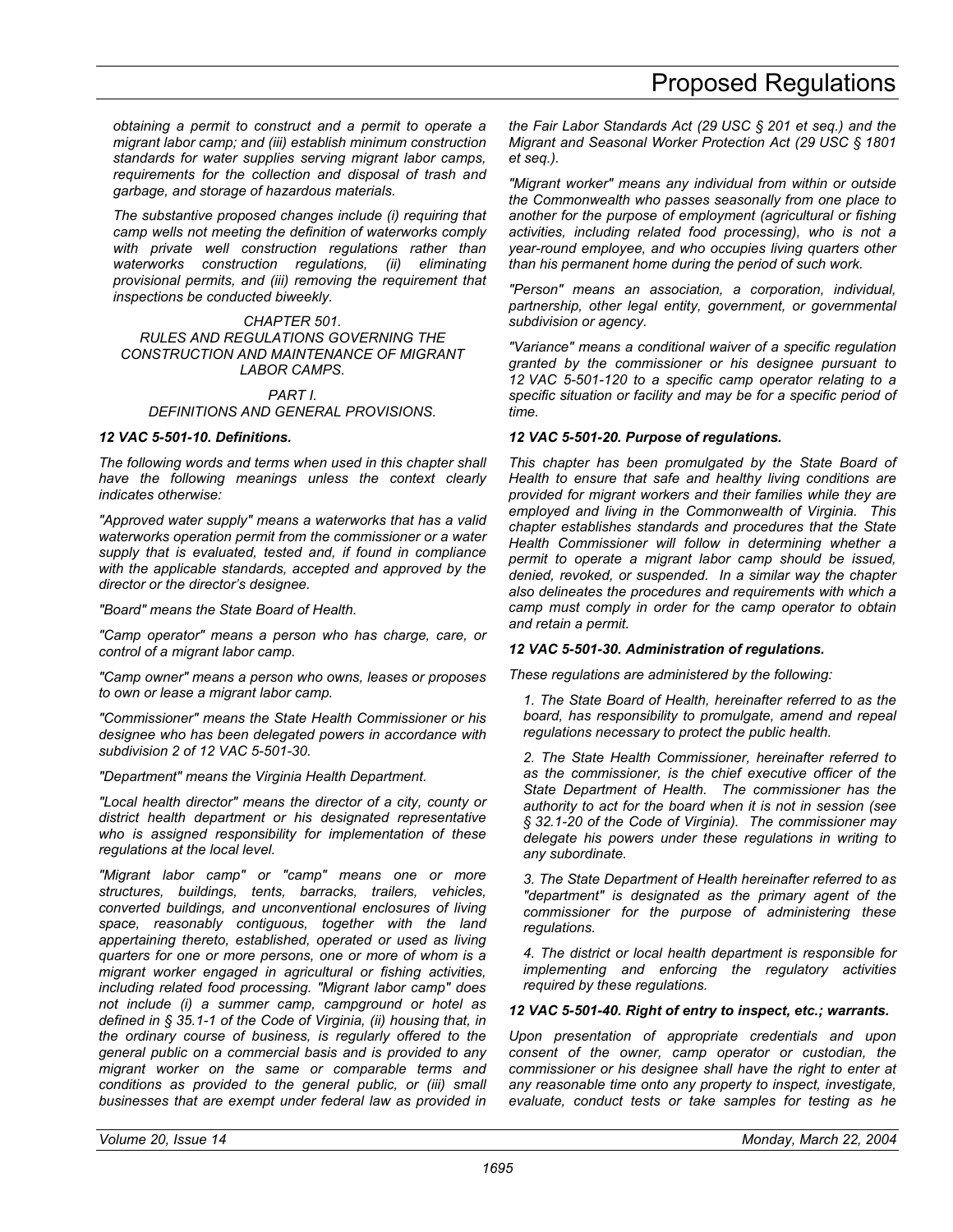*obtaining a permit to construct and a permit to operate a migrant labor camp; and (iii) establish minimum construction standards for water supplies serving migrant labor camps, requirements for the collection and disposal of trash and garbage, and storage of hazardous materials.* 

*The substantive proposed changes include (i) requiring that camp wells not meeting the definition of waterworks comply with private well construction regulations rather than waterworks construction regulations, (ii) eliminating provisional permits, and (iii) removing the requirement that inspections be conducted biweekly.* 

*CHAPTER 501. RULES AND REGULATIONS GOVERNING THE CONSTRUCTION AND MAINTENANCE OF MIGRANT LABOR CAMPS.*

#### *PART I. DEFINITIONS AND GENERAL PROVISIONS.*

#### *12 VAC 5-501-10. Definitions.*

*The following words and terms when used in this chapter shall have the following meanings unless the context clearly indicates otherwise:* 

*"Approved water supply" means a waterworks that has a valid waterworks operation permit from the commissioner or a water supply that is evaluated, tested and, if found in compliance with the applicable standards, accepted and approved by the director or the director's designee.* 

*"Board" means the State Board of Health.* 

*"Camp operator" means a person who has charge, care, or control of a migrant labor camp.* 

*"Camp owner" means a person who owns, leases or proposes to own or lease a migrant labor camp.* 

*"Commissioner" means the State Health Commissioner or his designee who has been delegated powers in accordance with subdivision 2 of 12 VAC 5-501-30.* 

*"Department" means the Virginia Health Department.* 

*"Local health director" means the director of a city, county or district health department or his designated representative who is assigned responsibility for implementation of these regulations at the local level.* 

*"Migrant labor camp" or "camp" means one or more structures, buildings, tents, barracks, trailers, vehicles, converted buildings, and unconventional enclosures of living space, reasonably contiguous, together with the land appertaining thereto, established, operated or used as living quarters for one or more persons, one or more of whom is a migrant worker engaged in agricultural or fishing activities, including related food processing. "Migrant labor camp" does not include (i) a summer camp, campground or hotel as defined in § 35.1-1 of the Code of Virginia, (ii) housing that, in the ordinary course of business, is regularly offered to the general public on a commercial basis and is provided to any migrant worker on the same or comparable terms and conditions as provided to the general public, or (iii) small businesses that are exempt under federal law as provided in* 

*the Fair Labor Standards Act (29 USC § 201 et seq.) and the Migrant and Seasonal Worker Protection Act (29 USC § 1801 et seq.).* 

*"Migrant worker" means any individual from within or outside the Commonwealth who passes seasonally from one place to another for the purpose of employment (agricultural or fishing activities, including related food processing), who is not a year-round employee, and who occupies living quarters other than his permanent home during the period of such work.* 

*"Person" means an association, a corporation, individual, partnership, other legal entity, government, or governmental subdivision or agency.* 

*"Variance" means a conditional waiver of a specific regulation granted by the commissioner or his designee pursuant to 12 VAC 5-501-120 to a specific camp operator relating to a specific situation or facility and may be for a specific period of time.*

#### *12 VAC 5-501-20. Purpose of regulations.*

*This chapter has been promulgated by the State Board of Health to ensure that safe and healthy living conditions are provided for migrant workers and their families while they are employed and living in the Commonwealth of Virginia. This chapter establishes standards and procedures that the State Health Commissioner will follow in determining whether a permit to operate a migrant labor camp should be issued, denied, revoked, or suspended. In a similar way the chapter also delineates the procedures and requirements with which a camp must comply in order for the camp operator to obtain and retain a permit.* 

#### *12 VAC 5-501-30. Administration of regulations.*

*These regulations are administered by the following:* 

*1. The State Board of Health, hereinafter referred to as the board, has responsibility to promulgate, amend and repeal regulations necessary to protect the public health.* 

*2. The State Health Commissioner, hereinafter referred to as the commissioner, is the chief executive officer of the State Department of Health. The commissioner has the authority to act for the board when it is not in session (see § 32.1-20 of the Code of Virginia). The commissioner may delegate his powers under these regulations in writing to any subordinate.* 

*3. The State Department of Health hereinafter referred to as "department" is designated as the primary agent of the commissioner for the purpose of administering these regulations.* 

*4. The district or local health department is responsible for implementing and enforcing the regulatory activities required by these regulations.* 

#### *12 VAC 5-501-40. Right of entry to inspect, etc.; warrants.*

*Upon presentation of appropriate credentials and upon consent of the owner, camp operator or custodian, the commissioner or his designee shall have the right to enter at any reasonable time onto any property to inspect, investigate, evaluate, conduct tests or take samples for testing as he*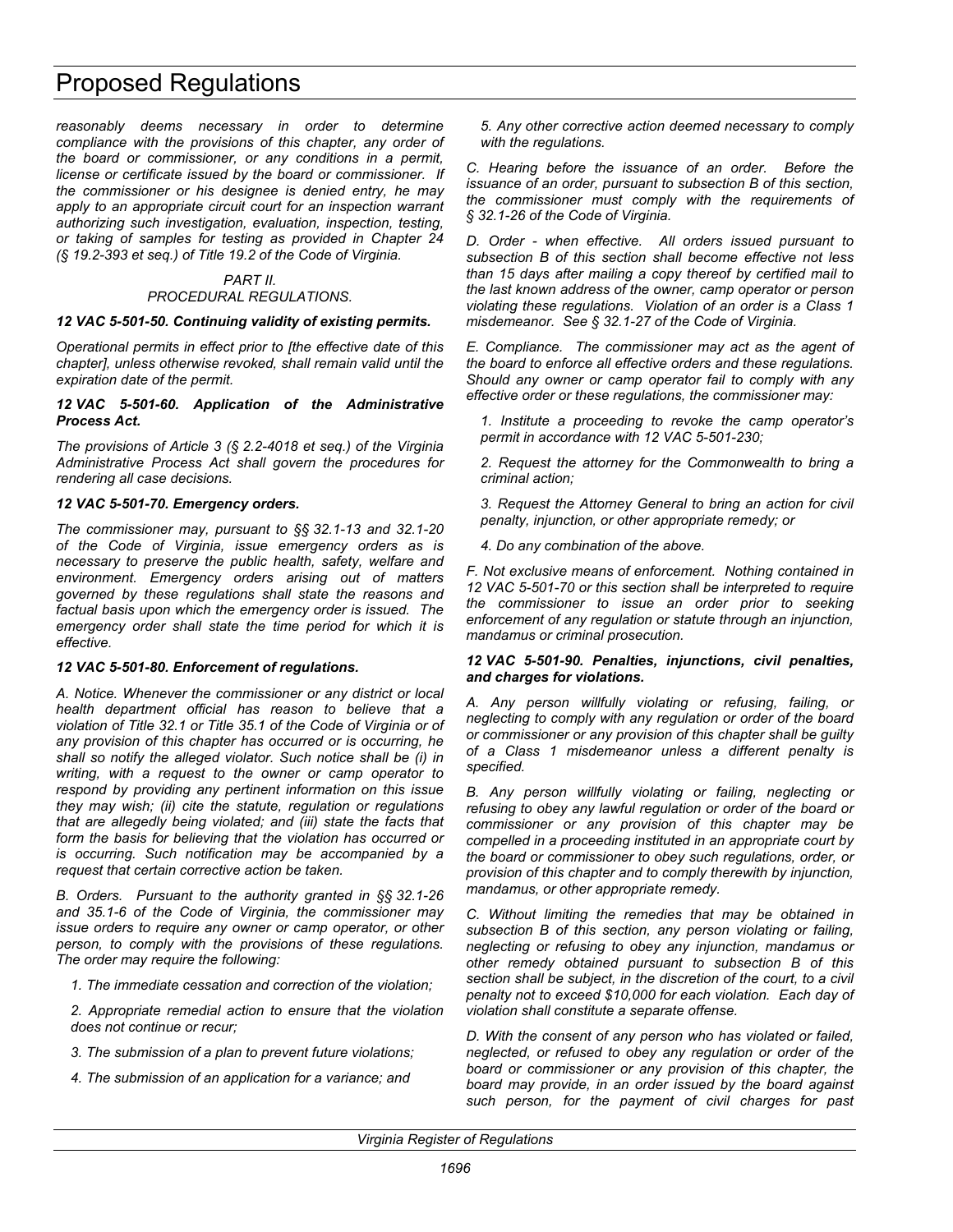*reasonably deems necessary in order to determine compliance with the provisions of this chapter, any order of the board or commissioner, or any conditions in a permit, license or certificate issued by the board or commissioner. If the commissioner or his designee is denied entry, he may apply to an appropriate circuit court for an inspection warrant authorizing such investigation, evaluation, inspection, testing, or taking of samples for testing as provided in Chapter 24 (§ 19.2-393 et seq.) of Title 19.2 of the Code of Virginia.* 

#### *PART II. PROCEDURAL REGULATIONS.*

#### *12 VAC 5-501-50. Continuing validity of existing permits.*

*Operational permits in effect prior to [the effective date of this chapter], unless otherwise revoked, shall remain valid until the expiration date of the permit.* 

#### *12 VAC 5-501-60. Application of the Administrative Process Act.*

*The provisions of Article 3 (§ 2.2-4018 et seq.) of the Virginia Administrative Process Act shall govern the procedures for rendering all case decisions.* 

#### *12 VAC 5-501-70. Emergency orders.*

*The commissioner may, pursuant to §§ 32.1-13 and 32.1-20 of the Code of Virginia, issue emergency orders as is necessary to preserve the public health, safety, welfare and environment. Emergency orders arising out of matters governed by these regulations shall state the reasons and factual basis upon which the emergency order is issued. The emergency order shall state the time period for which it is effective.* 

#### *12 VAC 5-501-80. Enforcement of regulations.*

*A. Notice. Whenever the commissioner or any district or local health department official has reason to believe that a violation of Title 32.1 or Title 35.1 of the Code of Virginia or of any provision of this chapter has occurred or is occurring, he shall so notify the alleged violator. Such notice shall be (i) in writing, with a request to the owner or camp operator to respond by providing any pertinent information on this issue they may wish; (ii) cite the statute, regulation or regulations that are allegedly being violated; and (iii) state the facts that form the basis for believing that the violation has occurred or is occurring. Such notification may be accompanied by a request that certain corrective action be taken.* 

*B. Orders. Pursuant to the authority granted in §§ 32.1-26 and 35.1-6 of the Code of Virginia, the commissioner may issue orders to require any owner or camp operator, or other person, to comply with the provisions of these regulations. The order may require the following:* 

*1. The immediate cessation and correction of the violation;* 

*2. Appropriate remedial action to ensure that the violation does not continue or recur;* 

*3. The submission of a plan to prevent future violations;* 

*4. The submission of an application for a variance; and* 

*5. Any other corrective action deemed necessary to comply with the regulations.* 

*C. Hearing before the issuance of an order. Before the issuance of an order, pursuant to subsection B of this section, the commissioner must comply with the requirements of § 32.1-26 of the Code of Virginia.* 

*D. Order - when effective. All orders issued pursuant to subsection B of this section shall become effective not less than 15 days after mailing a copy thereof by certified mail to the last known address of the owner, camp operator or person violating these regulations. Violation of an order is a Class 1 misdemeanor. See § 32.1-27 of the Code of Virginia.* 

*E. Compliance. The commissioner may act as the agent of the board to enforce all effective orders and these regulations. Should any owner or camp operator fail to comply with any effective order or these regulations, the commissioner may:* 

*1. Institute a proceeding to revoke the camp operator's permit in accordance with 12 VAC 5-501-230;* 

*2. Request the attorney for the Commonwealth to bring a criminal action;* 

*3. Request the Attorney General to bring an action for civil penalty, injunction, or other appropriate remedy; or* 

*4. Do any combination of the above.* 

*F. Not exclusive means of enforcement. Nothing contained in 12 VAC 5-501-70 or this section shall be interpreted to require the commissioner to issue an order prior to seeking enforcement of any regulation or statute through an injunction, mandamus or criminal prosecution.* 

#### *12 VAC 5-501-90. Penalties, injunctions, civil penalties, and charges for violations.*

*A. Any person willfully violating or refusing, failing, or neglecting to comply with any regulation or order of the board or commissioner or any provision of this chapter shall be guilty of a Class 1 misdemeanor unless a different penalty is specified.* 

*B. Any person willfully violating or failing, neglecting or refusing to obey any lawful regulation or order of the board or commissioner or any provision of this chapter may be compelled in a proceeding instituted in an appropriate court by the board or commissioner to obey such regulations, order, or provision of this chapter and to comply therewith by injunction, mandamus, or other appropriate remedy.* 

*C. Without limiting the remedies that may be obtained in subsection B of this section, any person violating or failing, neglecting or refusing to obey any injunction, mandamus or other remedy obtained pursuant to subsection B of this section shall be subject, in the discretion of the court, to a civil penalty not to exceed \$10,000 for each violation. Each day of violation shall constitute a separate offense.* 

*D. With the consent of any person who has violated or failed, neglected, or refused to obey any regulation or order of the board or commissioner or any provision of this chapter, the board may provide, in an order issued by the board against such person, for the payment of civil charges for past*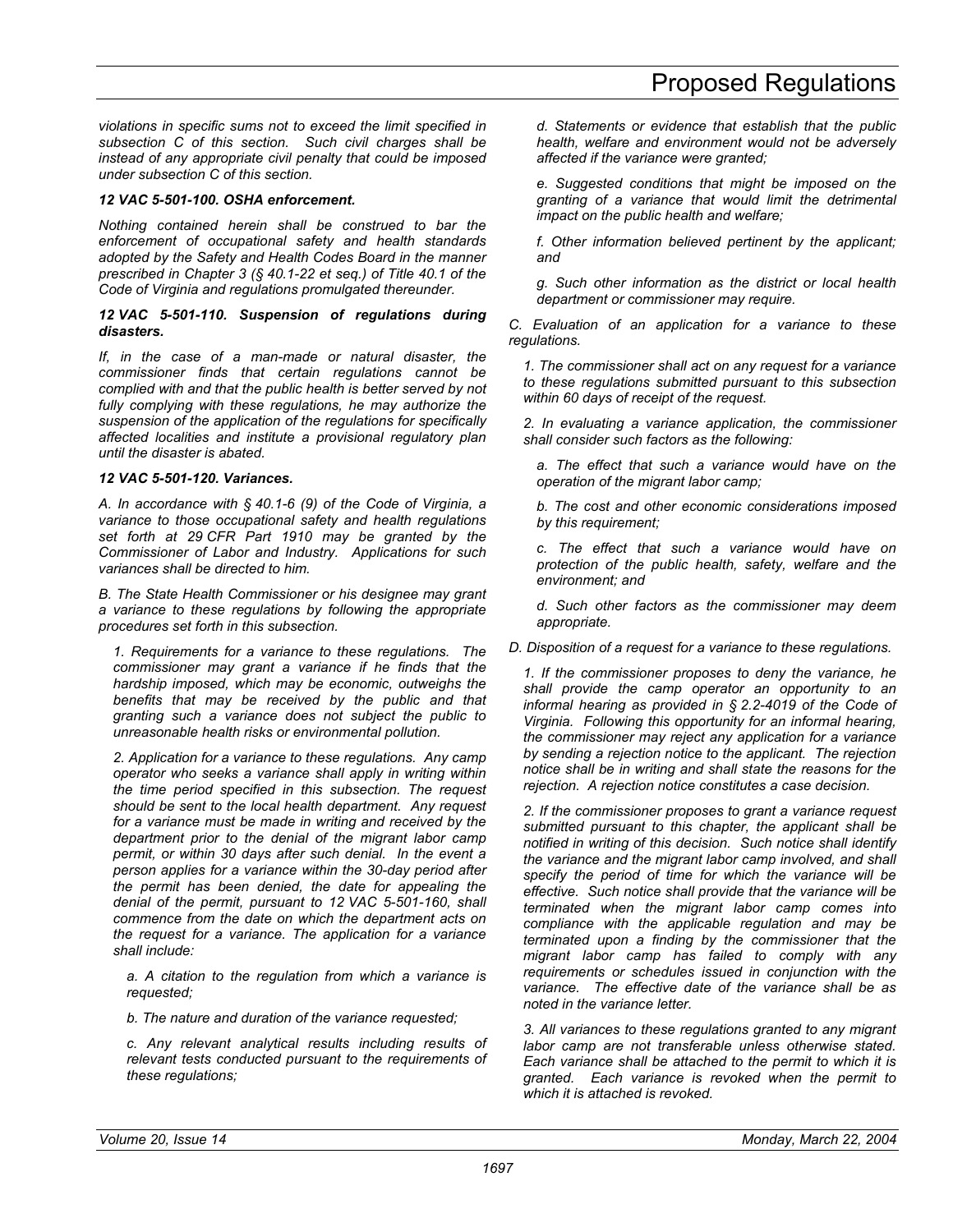*violations in specific sums not to exceed the limit specified in subsection C of this section. Such civil charges shall be instead of any appropriate civil penalty that could be imposed under subsection C of this section.* 

#### *12 VAC 5-501-100. OSHA enforcement.*

*Nothing contained herein shall be construed to bar the enforcement of occupational safety and health standards adopted by the Safety and Health Codes Board in the manner prescribed in Chapter 3 (§ 40.1-22 et seq.) of Title 40.1 of the Code of Virginia and regulations promulgated thereunder.* 

#### *12 VAC 5-501-110. Suspension of regulations during disasters.*

*If, in the case of a man-made or natural disaster, the commissioner finds that certain regulations cannot be complied with and that the public health is better served by not fully complying with these regulations, he may authorize the suspension of the application of the regulations for specifically affected localities and institute a provisional regulatory plan until the disaster is abated.* 

#### *12 VAC 5-501-120. Variances.*

*A. In accordance with § 40.1-6 (9) of the Code of Virginia, a variance to those occupational safety and health regulations set forth at 29 CFR Part 1910 may be granted by the Commissioner of Labor and Industry. Applications for such variances shall be directed to him.* 

*B. The State Health Commissioner or his designee may grant a variance to these regulations by following the appropriate procedures set forth in this subsection.* 

*1. Requirements for a variance to these regulations. The commissioner may grant a variance if he finds that the hardship imposed, which may be economic, outweighs the benefits that may be received by the public and that granting such a variance does not subject the public to unreasonable health risks or environmental pollution.* 

*2. Application for a variance to these regulations. Any camp operator who seeks a variance shall apply in writing within the time period specified in this subsection. The request should be sent to the local health department. Any request for a variance must be made in writing and received by the department prior to the denial of the migrant labor camp permit, or within 30 days after such denial. In the event a person applies for a variance within the 30-day period after the permit has been denied, the date for appealing the denial of the permit, pursuant to 12 VAC 5-501-160, shall commence from the date on which the department acts on the request for a variance. The application for a variance shall include:* 

*a. A citation to the regulation from which a variance is requested;* 

*b. The nature and duration of the variance requested;* 

*c. Any relevant analytical results including results of relevant tests conducted pursuant to the requirements of these regulations;* 

*d. Statements or evidence that establish that the public health, welfare and environment would not be adversely affected if the variance were granted;* 

*e. Suggested conditions that might be imposed on the granting of a variance that would limit the detrimental impact on the public health and welfare;* 

*f. Other information believed pertinent by the applicant; and* 

*g. Such other information as the district or local health department or commissioner may require.* 

*C. Evaluation of an application for a variance to these regulations.* 

*1. The commissioner shall act on any request for a variance to these regulations submitted pursuant to this subsection within 60 days of receipt of the request.* 

*2. In evaluating a variance application, the commissioner shall consider such factors as the following:* 

*a. The effect that such a variance would have on the operation of the migrant labor camp;* 

*b. The cost and other economic considerations imposed by this requirement;* 

*c. The effect that such a variance would have on protection of the public health, safety, welfare and the environment; and* 

*d. Such other factors as the commissioner may deem appropriate.* 

*D. Disposition of a request for a variance to these regulations.* 

*1. If the commissioner proposes to deny the variance, he shall provide the camp operator an opportunity to an informal hearing as provided in § 2.2-4019 of the Code of Virginia. Following this opportunity for an informal hearing, the commissioner may reject any application for a variance by sending a rejection notice to the applicant. The rejection notice shall be in writing and shall state the reasons for the rejection. A rejection notice constitutes a case decision.* 

*2. If the commissioner proposes to grant a variance request submitted pursuant to this chapter, the applicant shall be notified in writing of this decision. Such notice shall identify the variance and the migrant labor camp involved, and shall specify the period of time for which the variance will be effective. Such notice shall provide that the variance will be terminated when the migrant labor camp comes into compliance with the applicable regulation and may be terminated upon a finding by the commissioner that the migrant labor camp has failed to comply with any requirements or schedules issued in conjunction with the variance. The effective date of the variance shall be as noted in the variance letter.* 

*3. All variances to these regulations granted to any migrant labor camp are not transferable unless otherwise stated. Each variance shall be attached to the permit to which it is granted. Each variance is revoked when the permit to which it is attached is revoked.*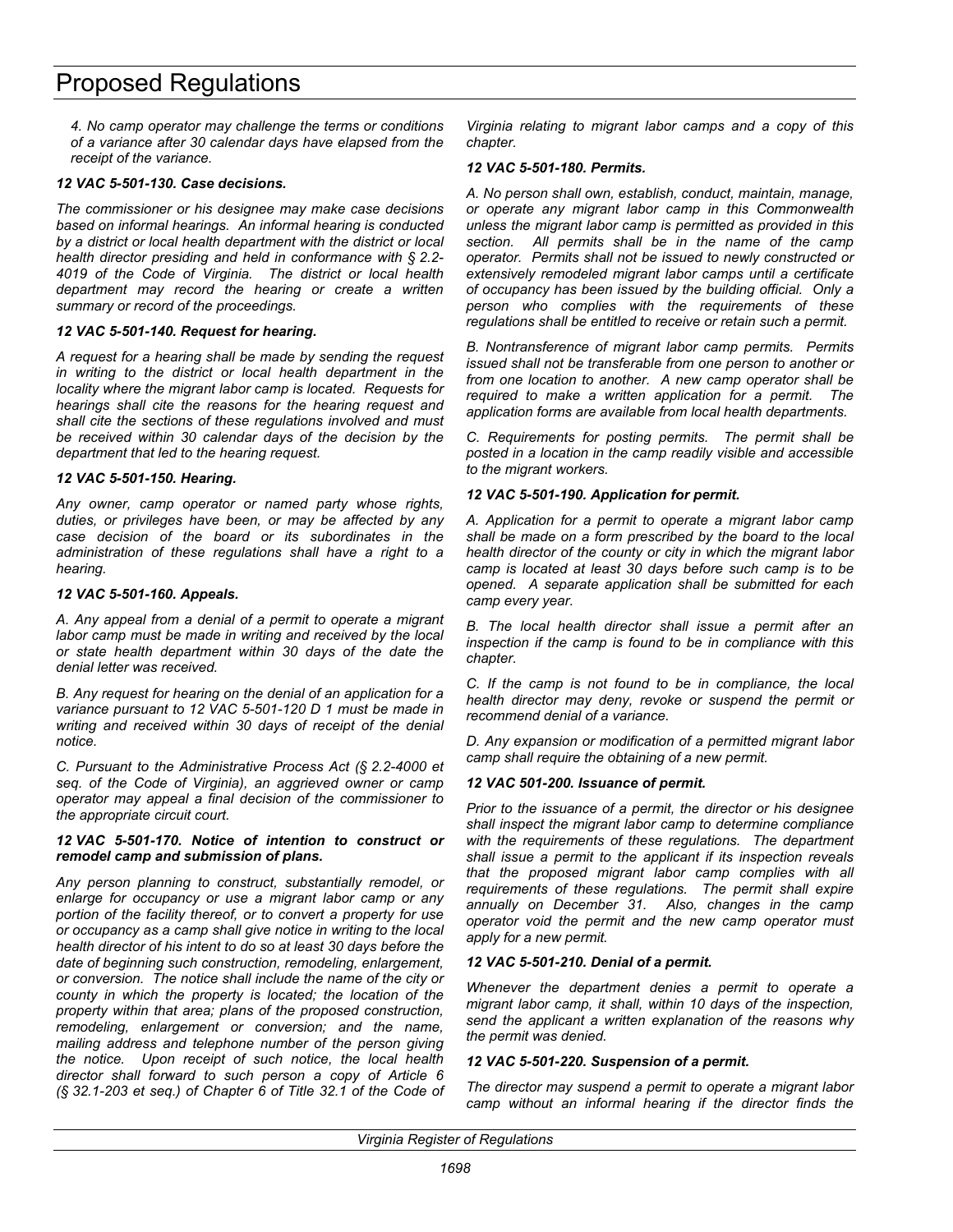*4. No camp operator may challenge the terms or conditions of a variance after 30 calendar days have elapsed from the receipt of the variance.* 

#### *12 VAC 5-501-130. Case decisions.*

*The commissioner or his designee may make case decisions based on informal hearings. An informal hearing is conducted by a district or local health department with the district or local health director presiding and held in conformance with § 2.2- 4019 of the Code of Virginia. The district or local health department may record the hearing or create a written summary or record of the proceedings.* 

#### *12 VAC 5-501-140. Request for hearing.*

*A request for a hearing shall be made by sending the request in writing to the district or local health department in the locality where the migrant labor camp is located. Requests for hearings shall cite the reasons for the hearing request and shall cite the sections of these regulations involved and must be received within 30 calendar days of the decision by the department that led to the hearing request.* 

#### *12 VAC 5-501-150. Hearing.*

*Any owner, camp operator or named party whose rights, duties, or privileges have been, or may be affected by any case decision of the board or its subordinates in the administration of these regulations shall have a right to a hearing.* 

#### *12 VAC 5-501-160. Appeals.*

*A. Any appeal from a denial of a permit to operate a migrant labor camp must be made in writing and received by the local or state health department within 30 days of the date the denial letter was received.* 

*B. Any request for hearing on the denial of an application for a variance pursuant to 12 VAC 5-501-120 D 1 must be made in writing and received within 30 days of receipt of the denial notice.* 

*C. Pursuant to the Administrative Process Act (§ 2.2-4000 et seq. of the Code of Virginia), an aggrieved owner or camp operator may appeal a final decision of the commissioner to the appropriate circuit court.* 

#### *12 VAC 5-501-170. Notice of intention to construct or remodel camp and submission of plans.*

*Any person planning to construct, substantially remodel, or enlarge for occupancy or use a migrant labor camp or any portion of the facility thereof, or to convert a property for use or occupancy as a camp shall give notice in writing to the local health director of his intent to do so at least 30 days before the date of beginning such construction, remodeling, enlargement, or conversion. The notice shall include the name of the city or county in which the property is located; the location of the property within that area; plans of the proposed construction, remodeling, enlargement or conversion; and the name, mailing address and telephone number of the person giving the notice. Upon receipt of such notice, the local health director shall forward to such person a copy of Article 6 (§ 32.1-203 et seq.) of Chapter 6 of Title 32.1 of the Code of* 

*Virginia relating to migrant labor camps and a copy of this chapter.* 

### *12 VAC 5-501-180. Permits.*

*A. No person shall own, establish, conduct, maintain, manage, or operate any migrant labor camp in this Commonwealth unless the migrant labor camp is permitted as provided in this section. All permits shall be in the name of the camp operator. Permits shall not be issued to newly constructed or extensively remodeled migrant labor camps until a certificate of occupancy has been issued by the building official. Only a person who complies with the requirements of these regulations shall be entitled to receive or retain such a permit.* 

*B. Nontransference of migrant labor camp permits. Permits issued shall not be transferable from one person to another or from one location to another. A new camp operator shall be required to make a written application for a permit. The application forms are available from local health departments.* 

*C. Requirements for posting permits. The permit shall be posted in a location in the camp readily visible and accessible to the migrant workers.* 

### *12 VAC 5-501-190. Application for permit.*

*A. Application for a permit to operate a migrant labor camp shall be made on a form prescribed by the board to the local health director of the county or city in which the migrant labor camp is located at least 30 days before such camp is to be opened. A separate application shall be submitted for each camp every year.* 

*B. The local health director shall issue a permit after an inspection if the camp is found to be in compliance with this chapter.* 

*C. If the camp is not found to be in compliance, the local health director may deny, revoke or suspend the permit or recommend denial of a variance.* 

*D. Any expansion or modification of a permitted migrant labor camp shall require the obtaining of a new permit.* 

### *12 VAC 501-200. Issuance of permit.*

*Prior to the issuance of a permit, the director or his designee shall inspect the migrant labor camp to determine compliance with the requirements of these regulations. The department shall issue a permit to the applicant if its inspection reveals that the proposed migrant labor camp complies with all requirements of these regulations. The permit shall expire annually on December 31. Also, changes in the camp operator void the permit and the new camp operator must apply for a new permit.* 

### *12 VAC 5-501-210. Denial of a permit.*

*Whenever the department denies a permit to operate a migrant labor camp, it shall, within 10 days of the inspection, send the applicant a written explanation of the reasons why the permit was denied.* 

### *12 VAC 5-501-220. Suspension of a permit.*

*The director may suspend a permit to operate a migrant labor camp without an informal hearing if the director finds the*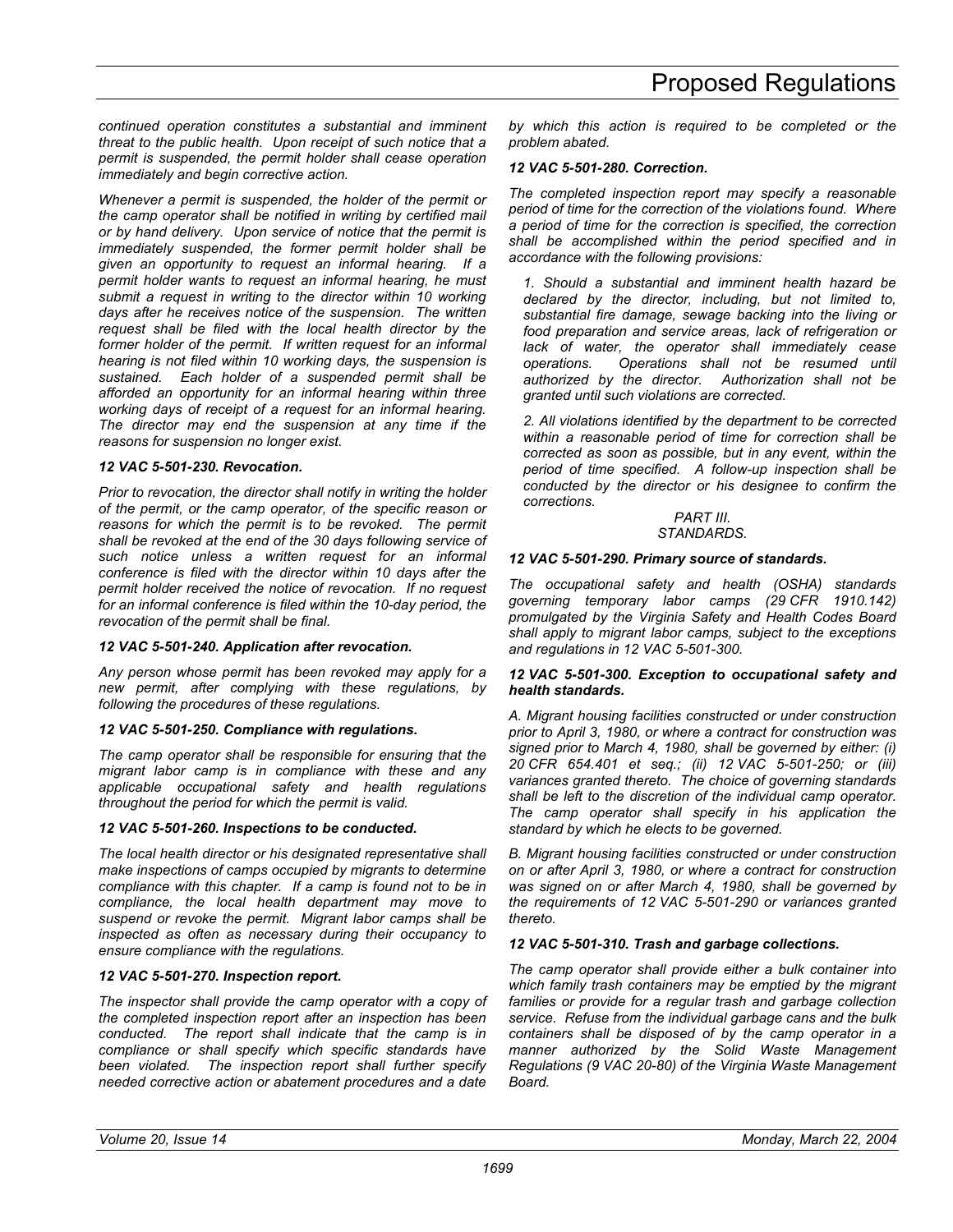*continued operation constitutes a substantial and imminent threat to the public health. Upon receipt of such notice that a permit is suspended, the permit holder shall cease operation immediately and begin corrective action.* 

*Whenever a permit is suspended, the holder of the permit or the camp operator shall be notified in writing by certified mail or by hand delivery. Upon service of notice that the permit is immediately suspended, the former permit holder shall be given an opportunity to request an informal hearing. If a permit holder wants to request an informal hearing, he must submit a request in writing to the director within 10 working days after he receives notice of the suspension. The written request shall be filed with the local health director by the former holder of the permit. If written request for an informal hearing is not filed within 10 working days, the suspension is sustained. Each holder of a suspended permit shall be afforded an opportunity for an informal hearing within three working days of receipt of a request for an informal hearing. The director may end the suspension at any time if the reasons for suspension no longer exist.* 

### *12 VAC 5-501-230. Revocation.*

*Prior to revocation, the director shall notify in writing the holder of the permit, or the camp operator, of the specific reason or*  reasons for which the permit is to be revoked. The permit *shall be revoked at the end of the 30 days following service of such notice unless a written request for an informal conference is filed with the director within 10 days after the permit holder received the notice of revocation. If no request for an informal conference is filed within the 10-day period, the revocation of the permit shall be final.* 

### *12 VAC 5-501-240. Application after revocation.*

*Any person whose permit has been revoked may apply for a new permit, after complying with these regulations, by following the procedures of these regulations.* 

### *12 VAC 5-501-250. Compliance with regulations.*

*The camp operator shall be responsible for ensuring that the migrant labor camp is in compliance with these and any applicable occupational safety and health regulations throughout the period for which the permit is valid.* 

### *12 VAC 5-501-260. Inspections to be conducted.*

*The local health director or his designated representative shall make inspections of camps occupied by migrants to determine compliance with this chapter. If a camp is found not to be in compliance, the local health department may move to suspend or revoke the permit. Migrant labor camps shall be inspected as often as necessary during their occupancy to ensure compliance with the regulations.* 

### *12 VAC 5-501-270. Inspection report.*

*The inspector shall provide the camp operator with a copy of the completed inspection report after an inspection has been conducted. The report shall indicate that the camp is in compliance or shall specify which specific standards have been violated. The inspection report shall further specify needed corrective action or abatement procedures and a date* 

*by which this action is required to be completed or the problem abated.* 

### *12 VAC 5-501-280. Correction.*

*The completed inspection report may specify a reasonable period of time for the correction of the violations found. Where a period of time for the correction is specified, the correction shall be accomplished within the period specified and in accordance with the following provisions:* 

*1. Should a substantial and imminent health hazard be declared by the director, including, but not limited to, substantial fire damage, sewage backing into the living or food preparation and service areas, lack of refrigeration or lack of water, the operator shall immediately cease operations. Operations shall not be resumed until authorized by the director. Authorization shall not be granted until such violations are corrected.* 

*2. All violations identified by the department to be corrected within a reasonable period of time for correction shall be corrected as soon as possible, but in any event, within the period of time specified. A follow-up inspection shall be conducted by the director or his designee to confirm the corrections.* 

#### *PART III. STANDARDS.*

### *12 VAC 5-501-290. Primary source of standards.*

*The occupational safety and health (OSHA) standards governing temporary labor camps (29 CFR 1910.142) promulgated by the Virginia Safety and Health Codes Board shall apply to migrant labor camps, subject to the exceptions and regulations in 12 VAC 5-501-300.* 

#### *12 VAC 5-501-300. Exception to occupational safety and health standards.*

*A. Migrant housing facilities constructed or under construction prior to April 3, 1980, or where a contract for construction was signed prior to March 4, 1980, shall be governed by either: (i) 20 CFR 654.401 et seq.; (ii) 12 VAC 5-501-250; or (iii) variances granted thereto. The choice of governing standards shall be left to the discretion of the individual camp operator. The camp operator shall specify in his application the standard by which he elects to be governed.* 

*B. Migrant housing facilities constructed or under construction on or after April 3, 1980, or where a contract for construction was signed on or after March 4, 1980, shall be governed by the requirements of 12 VAC 5-501-290 or variances granted thereto.* 

### *12 VAC 5-501-310. Trash and garbage collections.*

*The camp operator shall provide either a bulk container into which family trash containers may be emptied by the migrant families or provide for a regular trash and garbage collection service. Refuse from the individual garbage cans and the bulk containers shall be disposed of by the camp operator in a manner authorized by the Solid Waste Management Regulations (9 VAC 20-80) of the Virginia Waste Management Board.*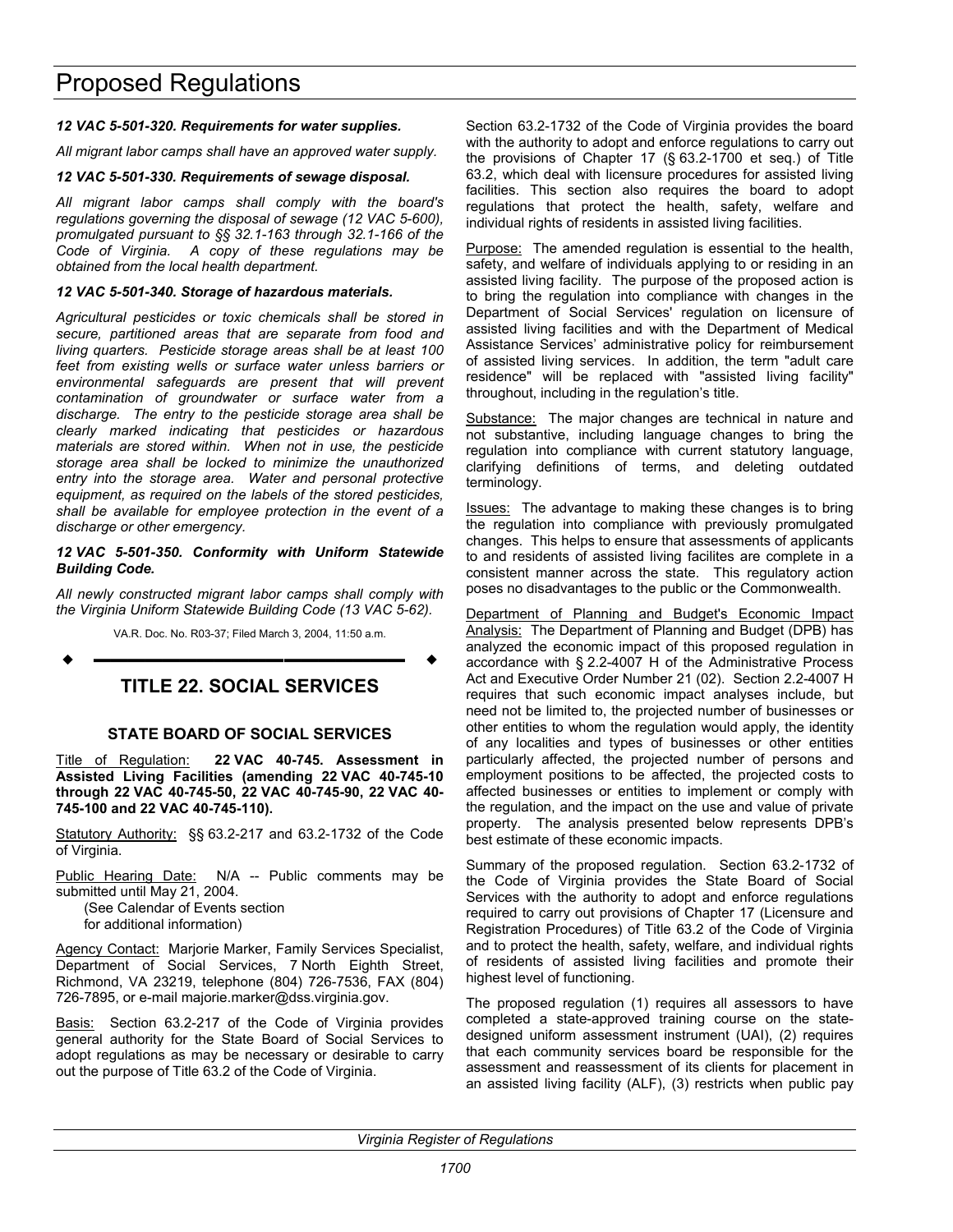#### <span id="page-23-0"></span>*12 VAC 5-501-320. Requirements for water supplies.*

*All migrant labor camps shall have an approved water supply.* 

#### *12 VAC 5-501-330. Requirements of sewage disposal.*

*All migrant labor camps shall comply with the board's regulations governing the disposal of sewage (12 VAC 5-600), promulgated pursuant to §§ 32.1-163 through 32.1-166 of the Code of Virginia. A copy of these regulations may be obtained from the local health department.* 

#### *12 VAC 5-501-340. Storage of hazardous materials.*

*Agricultural pesticides or toxic chemicals shall be stored in secure, partitioned areas that are separate from food and living quarters. Pesticide storage areas shall be at least 100 feet from existing wells or surface water unless barriers or environmental safeguards are present that will prevent contamination of groundwater or surface water from a discharge. The entry to the pesticide storage area shall be clearly marked indicating that pesticides or hazardous materials are stored within. When not in use, the pesticide storage area shall be locked to minimize the unauthorized entry into the storage area. Water and personal protective equipment, as required on the labels of the stored pesticides, shall be available for employee protection in the event of a discharge or other emergency.* 

#### *12 VAC 5-501-350. Conformity with Uniform Statewide Building Code.*

*All newly constructed migrant labor camps shall comply with the Virginia Uniform Statewide Building Code (13 VAC 5-62).* 

VA.R. Doc. No. R03-37; Filed March 3, 2004, 11:50 a.m.

# **–––––––––––––––––– TITLE 22. SOCIAL SERVICES**

#### **STATE BOARD OF SOCIAL SERVICES**

Title of Regulation: **22 VAC 40-745. Assessment in Assisted Living Facilities (amending 22 VAC 40-745-10 through 22 VAC 40-745-50, 22 VAC 40-745-90, 22 VAC 40- 745-100 and 22 VAC 40-745-110).** 

Statutory Authority: §§ 63.2-217 and 63.2-1732 of the Code of Virginia.

Public Hearing Date: N/A -- Public comments may be submitted until May 21, 2004.

(See Calendar of Events section for additional information)

Agency Contact: Marjorie Marker, Family Services Specialist, Department of Social Services, 7 North Eighth Street, Richmond, VA 23219, telephone (804) 726-7536, FAX (804) 726-7895, or e-mail majorie.marker@dss.virginia.gov.

Basis: Section 63.2-217 of the Code of Virginia provides general authority for the State Board of Social Services to adopt regulations as may be necessary or desirable to carry out the purpose of Title 63.2 of the Code of Virginia.

Section 63.2-1732 of the Code of Virginia provides the board with the authority to adopt and enforce regulations to carry out the provisions of Chapter 17 (§ 63.2-1700 et seq.) of Title 63.2, which deal with licensure procedures for assisted living facilities. This section also requires the board to adopt regulations that protect the health, safety, welfare and individual rights of residents in assisted living facilities.

Purpose: The amended regulation is essential to the health, safety, and welfare of individuals applying to or residing in an assisted living facility. The purpose of the proposed action is to bring the regulation into compliance with changes in the Department of Social Services' regulation on licensure of assisted living facilities and with the Department of Medical Assistance Services' administrative policy for reimbursement of assisted living services. In addition, the term "adult care residence" will be replaced with "assisted living facility" throughout, including in the regulation's title.

Substance: The major changes are technical in nature and not substantive, including language changes to bring the regulation into compliance with current statutory language, clarifying definitions of terms, and deleting outdated terminology.

Issues: The advantage to making these changes is to bring the regulation into compliance with previously promulgated changes. This helps to ensure that assessments of applicants to and residents of assisted living facilites are complete in a consistent manner across the state. This regulatory action poses no disadvantages to the public or the Commonwealth.

Department of Planning and Budget's Economic Impact Analysis: The Department of Planning and Budget (DPB) has analyzed the economic impact of this proposed regulation in accordance with § 2.2-4007 H of the Administrative Process Act and Executive Order Number 21 (02). Section 2.2-4007 H requires that such economic impact analyses include, but need not be limited to, the projected number of businesses or other entities to whom the regulation would apply, the identity of any localities and types of businesses or other entities particularly affected, the projected number of persons and employment positions to be affected, the projected costs to affected businesses or entities to implement or comply with the regulation, and the impact on the use and value of private property. The analysis presented below represents DPB's best estimate of these economic impacts.

Summary of the proposed regulation. Section 63.2-1732 of the Code of Virginia provides the State Board of Social Services with the authority to adopt and enforce regulations required to carry out provisions of Chapter 17 (Licensure and Registration Procedures) of Title 63.2 of the Code of Virginia and to protect the health, safety, welfare, and individual rights of residents of assisted living facilities and promote their highest level of functioning.

The proposed regulation (1) requires all assessors to have completed a state-approved training course on the statedesigned uniform assessment instrument (UAI), (2) requires that each community services board be responsible for the assessment and reassessment of its clients for placement in an assisted living facility (ALF), (3) restricts when public pay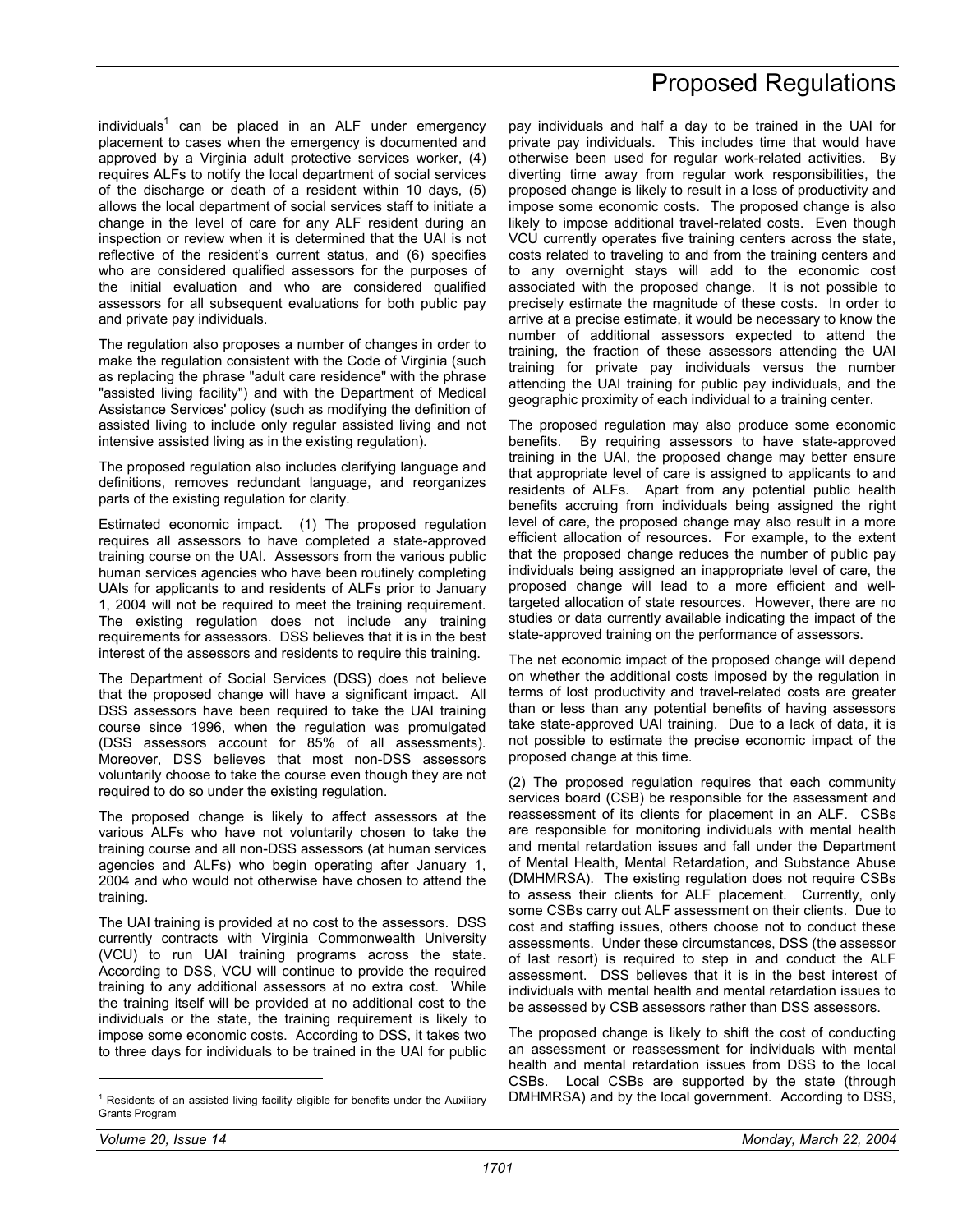individuals<sup>1</sup> can be placed in an ALF under emergency placement to cases when the emergency is documented and approved by a Virginia adult protective services worker, (4) requires ALFs to notify the local department of social services of the discharge or death of a resident within 10 days, (5) allows the local department of social services staff to initiate a change in the level of care for any ALF resident during an inspection or review when it is determined that the UAI is not reflective of the resident's current status, and (6) specifies who are considered qualified assessors for the purposes of the initial evaluation and who are considered qualified assessors for all subsequent evaluations for both public pay and private pay individuals.

The regulation also proposes a number of changes in order to make the regulation consistent with the Code of Virginia (such as replacing the phrase "adult care residence" with the phrase "assisted living facility") and with the Department of Medical Assistance Services' policy (such as modifying the definition of assisted living to include only regular assisted living and not intensive assisted living as in the existing regulation).

The proposed regulation also includes clarifying language and definitions, removes redundant language, and reorganizes parts of the existing regulation for clarity.

Estimated economic impact. (1) The proposed regulation requires all assessors to have completed a state-approved training course on the UAI. Assessors from the various public human services agencies who have been routinely completing UAIs for applicants to and residents of ALFs prior to January 1, 2004 will not be required to meet the training requirement. The existing regulation does not include any training requirements for assessors. DSS believes that it is in the best interest of the assessors and residents to require this training.

The Department of Social Services (DSS) does not believe that the proposed change will have a significant impact. All DSS assessors have been required to take the UAI training course since 1996, when the regulation was promulgated (DSS assessors account for 85% of all assessments). Moreover, DSS believes that most non-DSS assessors voluntarily choose to take the course even though they are not required to do so under the existing regulation.

The proposed change is likely to affect assessors at the various ALFs who have not voluntarily chosen to take the training course and all non-DSS assessors (at human services agencies and ALFs) who begin operating after January 1, 2004 and who would not otherwise have chosen to attend the training.

The UAI training is provided at no cost to the assessors. DSS currently contracts with Virginia Commonwealth University (VCU) to run UAI training programs across the state. According to DSS, VCU will continue to provide the required training to any additional assessors at no extra cost. While the training itself will be provided at no additional cost to the individuals or the state, the training requirement is likely to impose some economic costs. According to DSS, it takes two to three days for individuals to be trained in the UAI for public

pay individuals and half a day to be trained in the UAI for private pay individuals. This includes time that would have otherwise been used for regular work-related activities. By diverting time away from regular work responsibilities, the proposed change is likely to result in a loss of productivity and impose some economic costs. The proposed change is also likely to impose additional travel-related costs. Even though VCU currently operates five training centers across the state, costs related to traveling to and from the training centers and to any overnight stays will add to the economic cost associated with the proposed change. It is not possible to precisely estimate the magnitude of these costs. In order to arrive at a precise estimate, it would be necessary to know the number of additional assessors expected to attend the training, the fraction of these assessors attending the UAI training for private pay individuals versus the number attending the UAI training for public pay individuals, and the geographic proximity of each individual to a training center.

The proposed regulation may also produce some economic benefits. By requiring assessors to have state-approved training in the UAI, the proposed change may better ensure that appropriate level of care is assigned to applicants to and residents of ALFs. Apart from any potential public health benefits accruing from individuals being assigned the right level of care, the proposed change may also result in a more efficient allocation of resources. For example, to the extent that the proposed change reduces the number of public pay individuals being assigned an inappropriate level of care, the proposed change will lead to a more efficient and welltargeted allocation of state resources. However, there are no studies or data currently available indicating the impact of the state-approved training on the performance of assessors.

The net economic impact of the proposed change will depend on whether the additional costs imposed by the regulation in terms of lost productivity and travel-related costs are greater than or less than any potential benefits of having assessors take state-approved UAI training. Due to a lack of data, it is not possible to estimate the precise economic impact of the proposed change at this time.

(2) The proposed regulation requires that each community services board (CSB) be responsible for the assessment and reassessment of its clients for placement in an ALF. CSBs are responsible for monitoring individuals with mental health and mental retardation issues and fall under the Department of Mental Health, Mental Retardation, and Substance Abuse (DMHMRSA). The existing regulation does not require CSBs to assess their clients for ALF placement. Currently, only some CSBs carry out ALF assessment on their clients. Due to cost and staffing issues, others choose not to conduct these assessments. Under these circumstances, DSS (the assessor of last resort) is required to step in and conduct the ALF assessment. DSS believes that it is in the best interest of individuals with mental health and mental retardation issues to be assessed by CSB assessors rather than DSS assessors.

The proposed change is likely to shift the cost of conducting an assessment or reassessment for individuals with mental health and mental retardation issues from DSS to the local CSBs. Local CSBs are supported by the state (through DMHMRSA) and by the local government. According to DSS,

 $\overline{a}$ 

 $1$  Residents of an assisted living facility eligible for benefits under the Auxiliary Grants Program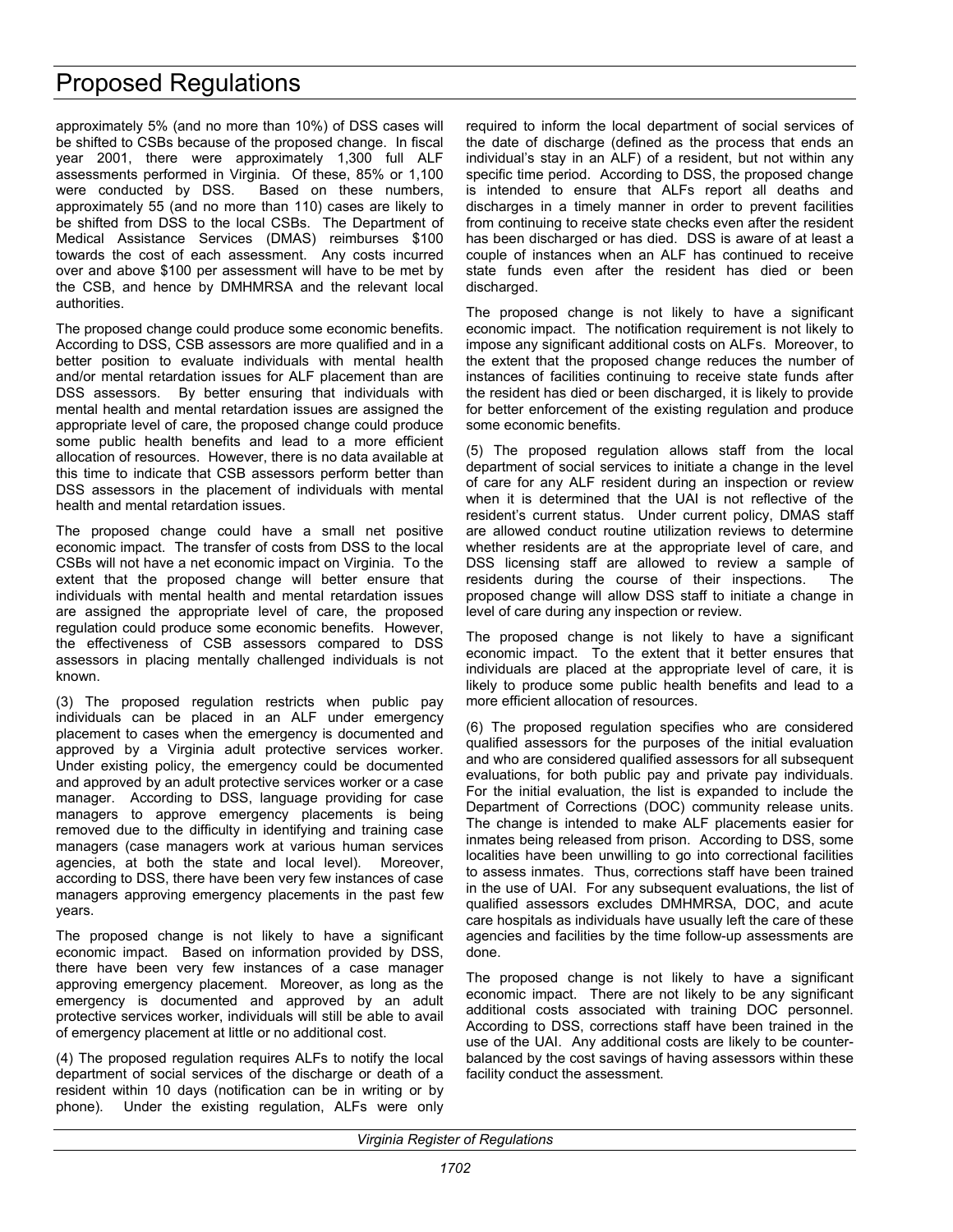approximately 5% (and no more than 10%) of DSS cases will be shifted to CSBs because of the proposed change. In fiscal year 2001, there were approximately 1,300 full ALF assessments performed in Virginia. Of these, 85% or 1,100 were conducted by DSS. Based on these numbers, approximately 55 (and no more than 110) cases are likely to be shifted from DSS to the local CSBs. The Department of Medical Assistance Services (DMAS) reimburses \$100 towards the cost of each assessment. Any costs incurred over and above \$100 per assessment will have to be met by the CSB, and hence by DMHMRSA and the relevant local authorities.

The proposed change could produce some economic benefits. According to DSS, CSB assessors are more qualified and in a better position to evaluate individuals with mental health and/or mental retardation issues for ALF placement than are DSS assessors. By better ensuring that individuals with mental health and mental retardation issues are assigned the appropriate level of care, the proposed change could produce some public health benefits and lead to a more efficient allocation of resources. However, there is no data available at this time to indicate that CSB assessors perform better than DSS assessors in the placement of individuals with mental health and mental retardation issues.

The proposed change could have a small net positive economic impact. The transfer of costs from DSS to the local CSBs will not have a net economic impact on Virginia. To the extent that the proposed change will better ensure that individuals with mental health and mental retardation issues are assigned the appropriate level of care, the proposed regulation could produce some economic benefits. However, the effectiveness of CSB assessors compared to DSS assessors in placing mentally challenged individuals is not known.

(3) The proposed regulation restricts when public pay individuals can be placed in an ALF under emergency placement to cases when the emergency is documented and approved by a Virginia adult protective services worker. Under existing policy, the emergency could be documented and approved by an adult protective services worker or a case manager. According to DSS, language providing for case managers to approve emergency placements is being removed due to the difficulty in identifying and training case managers (case managers work at various human services agencies, at both the state and local level). Moreover, according to DSS, there have been very few instances of case managers approving emergency placements in the past few years.

The proposed change is not likely to have a significant economic impact. Based on information provided by DSS, there have been very few instances of a case manager approving emergency placement. Moreover, as long as the emergency is documented and approved by an adult protective services worker, individuals will still be able to avail of emergency placement at little or no additional cost.

(4) The proposed regulation requires ALFs to notify the local department of social services of the discharge or death of a resident within 10 days (notification can be in writing or by phone). Under the existing regulation, ALFs were only

required to inform the local department of social services of the date of discharge (defined as the process that ends an individual's stay in an ALF) of a resident, but not within any specific time period. According to DSS, the proposed change is intended to ensure that ALFs report all deaths and discharges in a timely manner in order to prevent facilities from continuing to receive state checks even after the resident has been discharged or has died. DSS is aware of at least a couple of instances when an ALF has continued to receive state funds even after the resident has died or been discharged.

The proposed change is not likely to have a significant economic impact. The notification requirement is not likely to impose any significant additional costs on ALFs. Moreover, to the extent that the proposed change reduces the number of instances of facilities continuing to receive state funds after the resident has died or been discharged, it is likely to provide for better enforcement of the existing regulation and produce some economic benefits.

(5) The proposed regulation allows staff from the local department of social services to initiate a change in the level of care for any ALF resident during an inspection or review when it is determined that the UAI is not reflective of the resident's current status. Under current policy, DMAS staff are allowed conduct routine utilization reviews to determine whether residents are at the appropriate level of care, and DSS licensing staff are allowed to review a sample of residents during the course of their inspections. The proposed change will allow DSS staff to initiate a change in level of care during any inspection or review.

The proposed change is not likely to have a significant economic impact. To the extent that it better ensures that individuals are placed at the appropriate level of care, it is likely to produce some public health benefits and lead to a more efficient allocation of resources.

(6) The proposed regulation specifies who are considered qualified assessors for the purposes of the initial evaluation and who are considered qualified assessors for all subsequent evaluations, for both public pay and private pay individuals. For the initial evaluation, the list is expanded to include the Department of Corrections (DOC) community release units. The change is intended to make ALF placements easier for inmates being released from prison. According to DSS, some localities have been unwilling to go into correctional facilities to assess inmates. Thus, corrections staff have been trained in the use of UAI. For any subsequent evaluations, the list of qualified assessors excludes DMHMRSA, DOC, and acute care hospitals as individuals have usually left the care of these agencies and facilities by the time follow-up assessments are done.

The proposed change is not likely to have a significant economic impact. There are not likely to be any significant additional costs associated with training DOC personnel. According to DSS, corrections staff have been trained in the use of the UAI. Any additional costs are likely to be counterbalanced by the cost savings of having assessors within these facility conduct the assessment.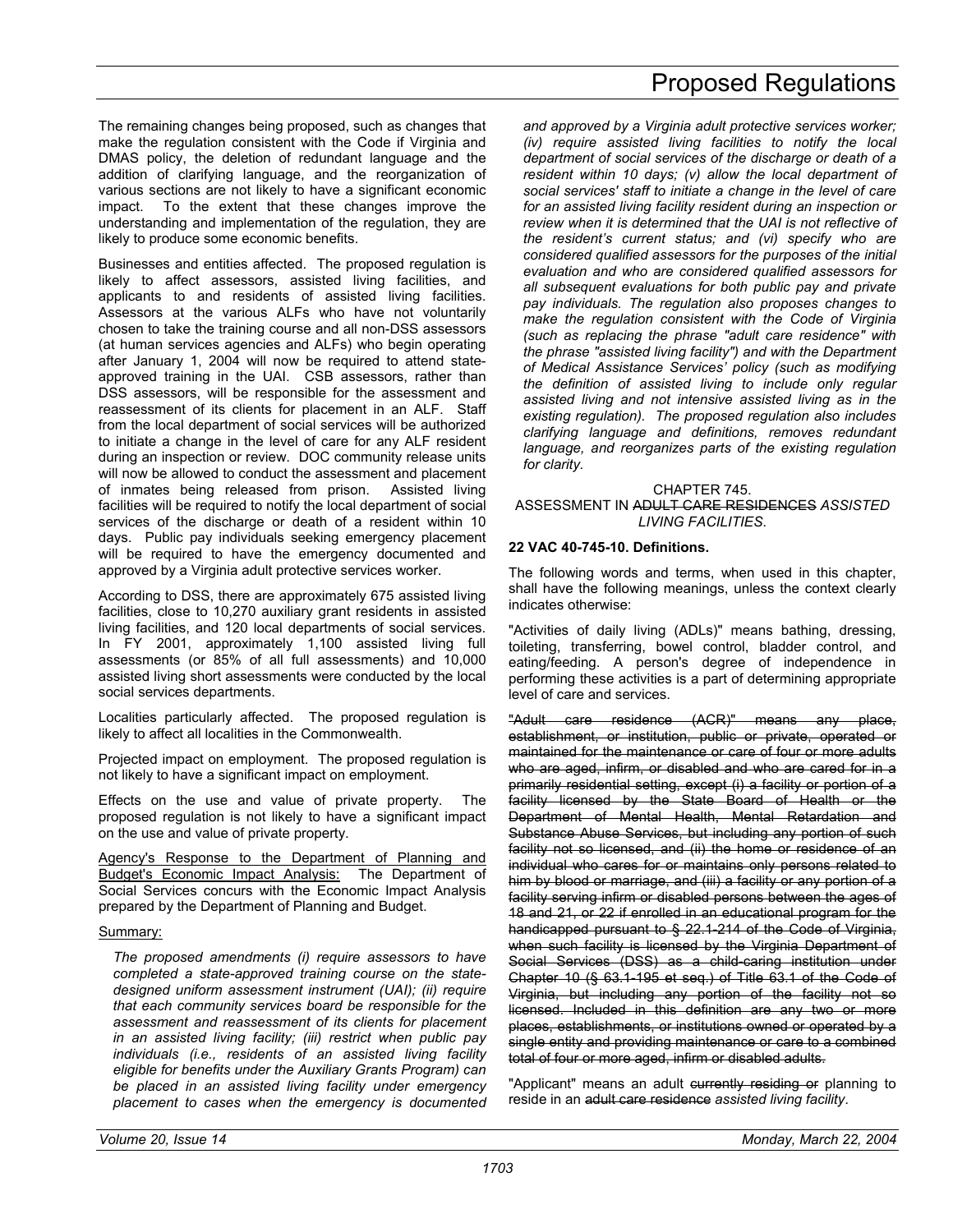The remaining changes being proposed, such as changes that make the regulation consistent with the Code if Virginia and DMAS policy, the deletion of redundant language and the addition of clarifying language, and the reorganization of various sections are not likely to have a significant economic impact. To the extent that these changes improve the understanding and implementation of the regulation, they are likely to produce some economic benefits.

Businesses and entities affected. The proposed regulation is likely to affect assessors, assisted living facilities, and applicants to and residents of assisted living facilities. Assessors at the various ALFs who have not voluntarily chosen to take the training course and all non-DSS assessors (at human services agencies and ALFs) who begin operating after January 1, 2004 will now be required to attend stateapproved training in the UAI. CSB assessors, rather than DSS assessors, will be responsible for the assessment and reassessment of its clients for placement in an ALF. Staff from the local department of social services will be authorized to initiate a change in the level of care for any ALF resident during an inspection or review. DOC community release units will now be allowed to conduct the assessment and placement of inmates being released from prison. Assisted living facilities will be required to notify the local department of social services of the discharge or death of a resident within 10 days. Public pay individuals seeking emergency placement will be required to have the emergency documented and approved by a Virginia adult protective services worker.

According to DSS, there are approximately 675 assisted living facilities, close to 10,270 auxiliary grant residents in assisted living facilities, and 120 local departments of social services. In FY 2001, approximately 1,100 assisted living full assessments (or 85% of all full assessments) and 10,000 assisted living short assessments were conducted by the local social services departments.

Localities particularly affected. The proposed regulation is likely to affect all localities in the Commonwealth.

Projected impact on employment. The proposed regulation is not likely to have a significant impact on employment.

Effects on the use and value of private property. The proposed regulation is not likely to have a significant impact on the use and value of private property.

Agency's Response to the Department of Planning and Budget's Economic Impact Analysis: The Department of Social Services concurs with the Economic Impact Analysis prepared by the Department of Planning and Budget.

#### Summary:

*The proposed amendments (i) require assessors to have completed a state-approved training course on the statedesigned uniform assessment instrument (UAI); (ii) require that each community services board be responsible for the assessment and reassessment of its clients for placement in an assisted living facility; (iii) restrict when public pay individuals (i.e., residents of an assisted living facility eligible for benefits under the Auxiliary Grants Program) can be placed in an assisted living facility under emergency placement to cases when the emergency is documented* 

*and approved by a Virginia adult protective services worker; (iv) require assisted living facilities to notify the local department of social services of the discharge or death of a resident within 10 days; (v) allow the local department of social services' staff to initiate a change in the level of care for an assisted living facility resident during an inspection or review when it is determined that the UAI is not reflective of the resident's current status; and (vi) specify who are considered qualified assessors for the purposes of the initial evaluation and who are considered qualified assessors for all subsequent evaluations for both public pay and private pay individuals. The regulation also proposes changes to make the regulation consistent with the Code of Virginia (such as replacing the phrase "adult care residence" with the phrase "assisted living facility") and with the Department of Medical Assistance Services' policy (such as modifying the definition of assisted living to include only regular assisted living and not intensive assisted living as in the existing regulation). The proposed regulation also includes clarifying language and definitions, removes redundant language, and reorganizes parts of the existing regulation for clarity.* 

#### CHAPTER 745. ASSESSMENT IN ADULT CARE RESIDENCES *ASSISTED LIVING FACILITIES*.

#### **22 VAC 40-745-10. Definitions.**

The following words and terms, when used in this chapter, shall have the following meanings, unless the context clearly indicates otherwise:

"Activities of daily living (ADLs)" means bathing, dressing, toileting, transferring, bowel control, bladder control, and eating/feeding. A person's degree of independence in performing these activities is a part of determining appropriate level of care and services.

care residence (ACR)" means any place, establishment, or institution, public or private, operated or maintained for the maintenance or care of four or more adults who are aged, infirm, or disabled and who are cared for in a primarily residential setting, except (i) a facility or portion of a facility licensed by the State Board of Health or the Department of Mental Health, Mental Retardation and Substance Abuse Services, but including any portion of such facility not so licensed, and (ii) the home or residence of an individual who cares for or maintains only persons related to him by blood or marriage, and (iii) a facility or any portion of a facility serving infirm or disabled persons between the ages of 18 and 21, or 22 if enrolled in an educational program for the handicapped pursuant to § 22.1-214 of the Code of Virginia, when such facility is licensed by the Virginia Department of Social Services (DSS) as a child-caring institution under Chapter 10 (§ 63.1-195 et seq.) of Title 63.1 of the Code of Virginia, but including any portion of the facility not so licensed. Included in this definition are any two or more places, establishments, or institutions owned or operated by a single entity and providing maintenance or care to a combined total of four or more aged, infirm or disabled adults.

"Applicant" means an adult eurrently residing or planning to reside in an adult care residence *assisted living facility*.

## Proposed Regulations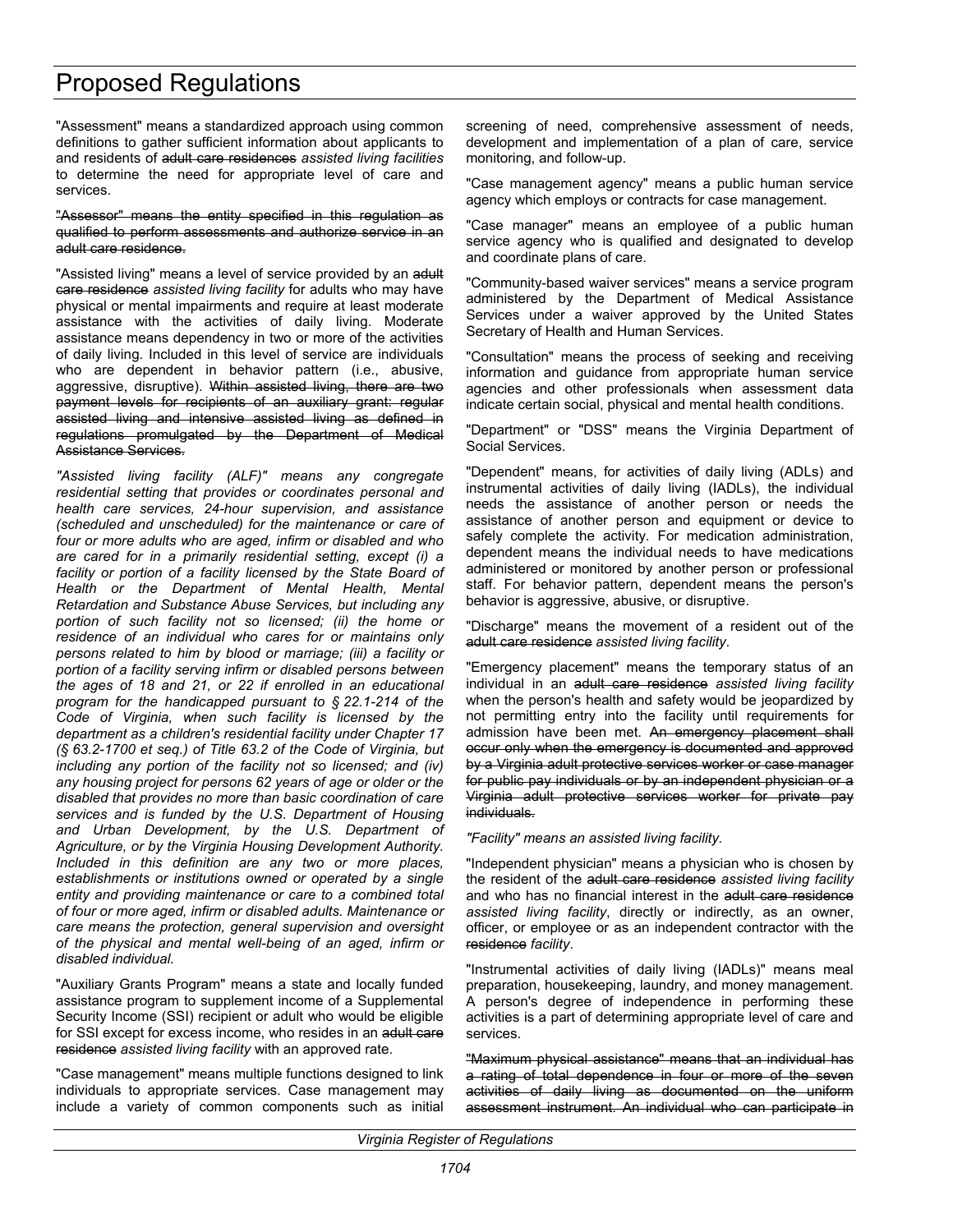"Assessment" means a standardized approach using common definitions to gather sufficient information about applicants to and residents of adult care residences *assisted living facilities* to determine the need for appropriate level of care and services.

#### "Assessor" means the entity specified in this regulation as qualified to perform assessments and authorize service in an adult care residence.

"Assisted living" means a level of service provided by an adult care residence *assisted living facility* for adults who may have physical or mental impairments and require at least moderate assistance with the activities of daily living. Moderate assistance means dependency in two or more of the activities of daily living. Included in this level of service are individuals who are dependent in behavior pattern (i.e., abusive, aggressive, disruptive). Within assisted living, there are two payment levels for recipients of an auxiliary grant: regular assisted living and intensive assisted living as defined in regulations promulgated by the Department of Medical Assistance Services.

*"Assisted living facility (ALF)" means any congregate residential setting that provides or coordinates personal and health care services, 24-hour supervision, and assistance (scheduled and unscheduled) for the maintenance or care of four or more adults who are aged, infirm or disabled and who are cared for in a primarily residential setting, except (i) a facility or portion of a facility licensed by the State Board of Health or the Department of Mental Health, Mental Retardation and Substance Abuse Services, but including any portion of such facility not so licensed; (ii) the home or residence of an individual who cares for or maintains only persons related to him by blood or marriage; (iii) a facility or portion of a facility serving infirm or disabled persons between the ages of 18 and 21, or 22 if enrolled in an educational program for the handicapped pursuant to § 22.1-214 of the Code of Virginia, when such facility is licensed by the department as a children's residential facility under Chapter 17 (§ 63.2-1700 et seq.) of Title 63.2 of the Code of Virginia, but including any portion of the facility not so licensed; and (iv) any housing project for persons 62 years of age or older or the disabled that provides no more than basic coordination of care services and is funded by the U.S. Department of Housing and Urban Development, by the U.S. Department of Agriculture, or by the Virginia Housing Development Authority. Included in this definition are any two or more places, establishments or institutions owned or operated by a single entity and providing maintenance or care to a combined total of four or more aged, infirm or disabled adults. Maintenance or care means the protection, general supervision and oversight of the physical and mental well-being of an aged, infirm or disabled individual.*

"Auxiliary Grants Program" means a state and locally funded assistance program to supplement income of a Supplemental Security Income (SSI) recipient or adult who would be eligible for SSI except for excess income, who resides in an adult care residence *assisted living facility* with an approved rate.

"Case management" means multiple functions designed to link individuals to appropriate services. Case management may include a variety of common components such as initial screening of need, comprehensive assessment of needs, development and implementation of a plan of care, service monitoring, and follow-up.

"Case management agency" means a public human service agency which employs or contracts for case management.

"Case manager" means an employee of a public human service agency who is qualified and designated to develop and coordinate plans of care.

"Community-based waiver services" means a service program administered by the Department of Medical Assistance Services under a waiver approved by the United States Secretary of Health and Human Services.

"Consultation" means the process of seeking and receiving information and guidance from appropriate human service agencies and other professionals when assessment data indicate certain social, physical and mental health conditions.

"Department" or "DSS" means the Virginia Department of Social Services.

"Dependent" means, for activities of daily living (ADLs) and instrumental activities of daily living (IADLs), the individual needs the assistance of another person or needs the assistance of another person and equipment or device to safely complete the activity. For medication administration, dependent means the individual needs to have medications administered or monitored by another person or professional staff. For behavior pattern, dependent means the person's behavior is aggressive, abusive, or disruptive.

"Discharge" means the movement of a resident out of the adult care residence *assisted living facility*.

"Emergency placement" means the temporary status of an individual in an adult care residence *assisted living facility* when the person's health and safety would be jeopardized by not permitting entry into the facility until requirements for admission have been met. An emergency placement shall occur only when the emergency is documented and approved by a Virginia adult protective services worker or case manager for public pay individuals or by an independent physician or a Virginia adult protective services worker for private pay individuals.

*"Facility" means an assisted living facility.* 

"Independent physician" means a physician who is chosen by the resident of the adult care residence *assisted living facility* and who has no financial interest in the adult care residence *assisted living facility*, directly or indirectly, as an owner, officer, or employee or as an independent contractor with the residence *facility*.

"Instrumental activities of daily living (IADLs)" means meal preparation, housekeeping, laundry, and money management. A person's degree of independence in performing these activities is a part of determining appropriate level of care and services.

"Maximum physical assistance" means that an individual has a rating of total dependence in four or more of the seven activities of daily living as documented on the uniform assessment instrument. An individual who can participate in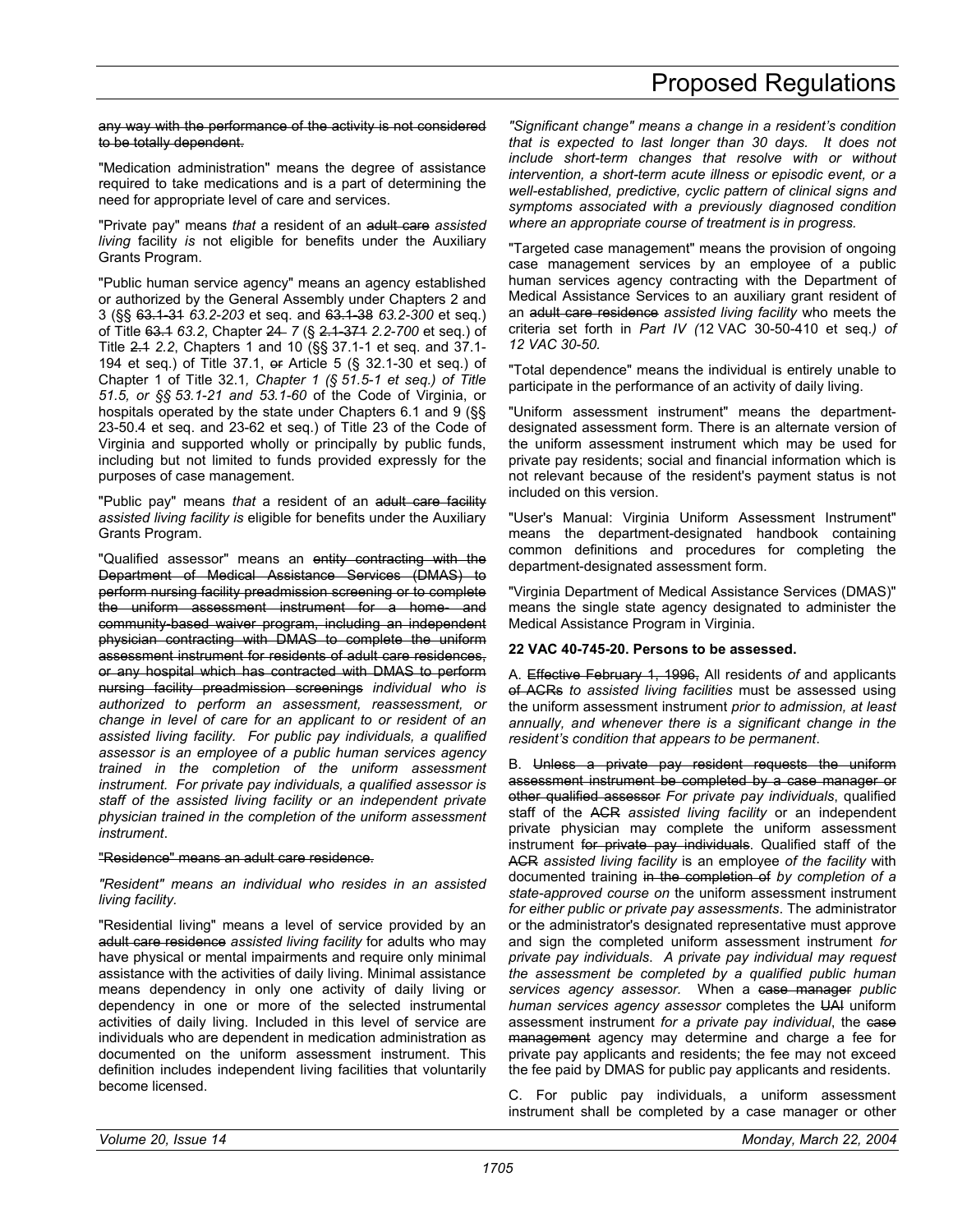any way with the performance of the activity is not considered to be totally dependent.

"Medication administration" means the degree of assistance required to take medications and is a part of determining the need for appropriate level of care and services.

"Private pay" means *that* a resident of an adult care *assisted living* facility *is* not eligible for benefits under the Auxiliary Grants Program.

"Public human service agency" means an agency established or authorized by the General Assembly under Chapters 2 and 3 (§§ 63.1-31 *63.2-203* et seq. and 63.1-38 *63.2-300* et seq.) of Title 63.1 *63.2*, Chapter 24 *7* (§ 2.1-371 *2.2-700* et seq.) of Title 2.1 *2.2*, Chapters 1 and 10 (§§ 37.1-1 et seq. and 37.1- 194 et seq.) of Title 37.1, or Article 5 (§ 32.1-30 et seq.) of Chapter 1 of Title 32.1*, Chapter 1 (§ 51.5-1 et seq.) of Title 51.5, or §§ 53.1-21 and 53.1-60* of the Code of Virginia, or hospitals operated by the state under Chapters 6.1 and 9 (§§ 23-50.4 et seq. and 23-62 et seq.) of Title 23 of the Code of Virginia and supported wholly or principally by public funds, including but not limited to funds provided expressly for the purposes of case management.

"Public pay" means *that* a resident of an adult care facility *assisted living facility is* eligible for benefits under the Auxiliary Grants Program.

"Qualified assessor" means an entity contracting with the Department of Medical Assistance Services (DMAS) to perform nursing facility preadmission screening or to complete the uniform assessment instrument for a home- and community-based waiver program, including an independent physician contracting with DMAS to complete the uniform assessment instrument for residents of adult care residences, or any hospital which has contracted with DMAS to perform nursing facility preadmission screenings *individual who is authorized to perform an assessment, reassessment, or change in level of care for an applicant to or resident of an assisted living facility. For public pay individuals, a qualified assessor is an employee of a public human services agency trained in the completion of the uniform assessment instrument. For private pay individuals, a qualified assessor is staff of the assisted living facility or an independent private physician trained in the completion of the uniform assessment instrument*.

#### "Residence" means an adult care residence.

*"Resident" means an individual who resides in an assisted living facility.* 

"Residential living" means a level of service provided by an adult care residence *assisted living facility* for adults who may have physical or mental impairments and require only minimal assistance with the activities of daily living. Minimal assistance means dependency in only one activity of daily living or dependency in one or more of the selected instrumental activities of daily living. Included in this level of service are individuals who are dependent in medication administration as documented on the uniform assessment instrument. This definition includes independent living facilities that voluntarily become licensed.

*"Significant change" means a change in a resident's condition that is expected to last longer than 30 days. It does not include short-term changes that resolve with or without intervention, a short-term acute illness or episodic event, or a well-established, predictive, cyclic pattern of clinical signs and symptoms associated with a previously diagnosed condition where an appropriate course of treatment is in progress.* 

"Targeted case management" means the provision of ongoing case management services by an employee of a public human services agency contracting with the Department of Medical Assistance Services to an auxiliary grant resident of an adult care residence *assisted living facility* who meets the criteria set forth in *Part IV (*12 VAC 30-50-410 et seq.*) of 12 VAC 30-50.* 

"Total dependence" means the individual is entirely unable to participate in the performance of an activity of daily living.

"Uniform assessment instrument" means the departmentdesignated assessment form. There is an alternate version of the uniform assessment instrument which may be used for private pay residents; social and financial information which is not relevant because of the resident's payment status is not included on this version.

"User's Manual: Virginia Uniform Assessment Instrument" means the department-designated handbook containing common definitions and procedures for completing the department-designated assessment form.

"Virginia Department of Medical Assistance Services (DMAS)" means the single state agency designated to administer the Medical Assistance Program in Virginia.

#### **22 VAC 40-745-20. Persons to be assessed.**

A. Effective February 1, 1996, All residents *of* and applicants of ACRs *to assisted living facilities* must be assessed using the uniform assessment instrument *prior to admission, at least annually, and whenever there is a significant change in the resident's condition that appears to be permanent*.

B. Unless a private pay resident requests the uniform assessment instrument be completed by a case manager or other qualified assessor *For private pay individuals*, qualified staff of the ACR *assisted living facility* or an independent private physician may complete the uniform assessment instrument for private pay individuals. Qualified staff of the ACR *assisted living facility* is an employee *of the facility* with documented training in the completion of *by completion of a state-approved course on* the uniform assessment instrument *for either public or private pay assessments*. The administrator or the administrator's designated representative must approve and sign the completed uniform assessment instrument *for private pay individuals*. *A private pay individual may request the assessment be completed by a qualified public human services agency assessor.* When a case manager *public human services agency assessor* completes the UAI uniform assessment instrument *for a private pay individual*, the case management agency may determine and charge a fee for private pay applicants and residents; the fee may not exceed the fee paid by DMAS for public pay applicants and residents.

C. For public pay individuals, a uniform assessment instrument shall be completed by a case manager or other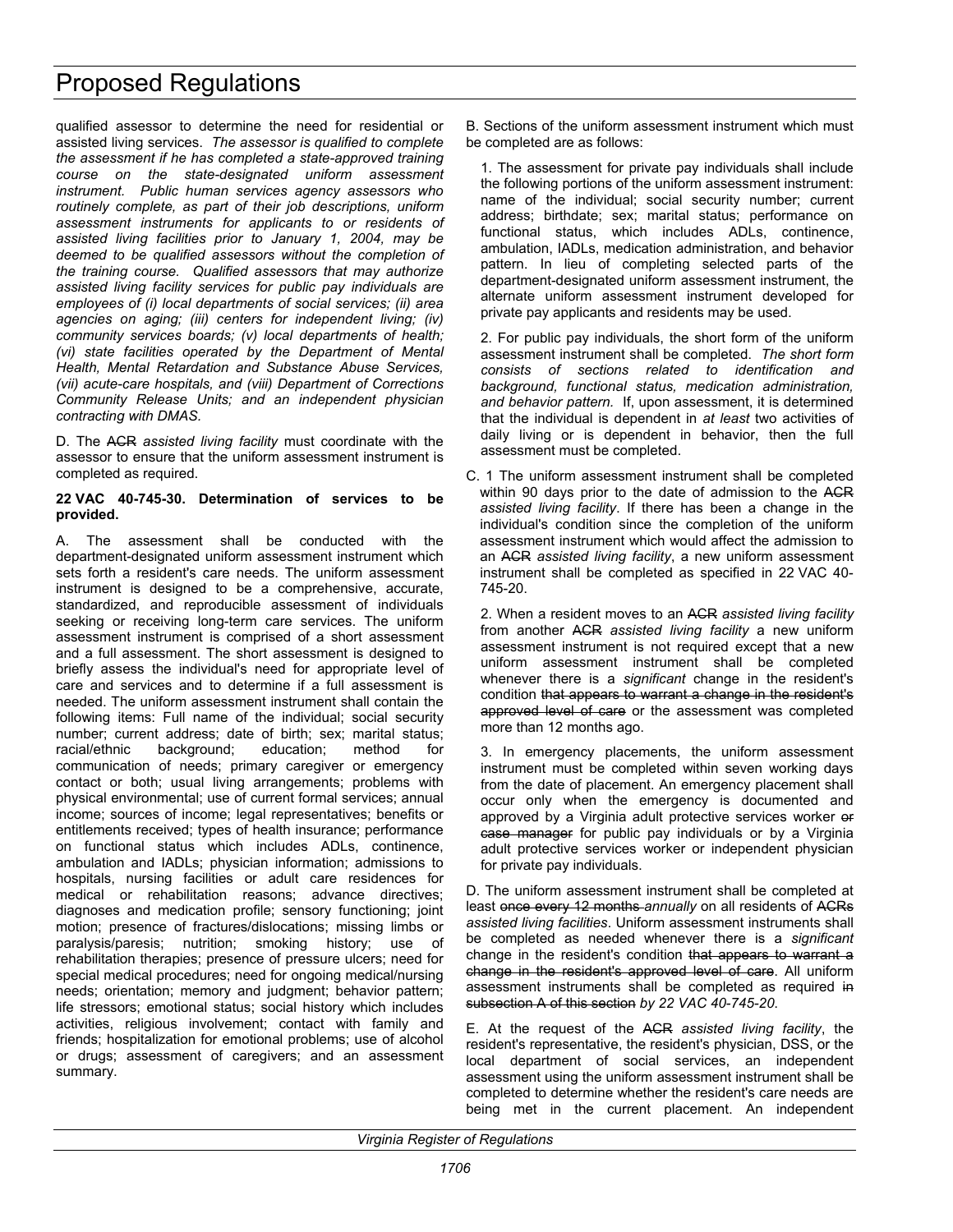qualified assessor to determine the need for residential or assisted living services. *The assessor is qualified to complete the assessment if he has completed a state-approved training course on the state-designated uniform assessment instrument. Public human services agency assessors who routinely complete, as part of their job descriptions, uniform assessment instruments for applicants to or residents of assisted living facilities prior to January 1, 2004, may be deemed to be qualified assessors without the completion of the training course. Qualified assessors that may authorize assisted living facility services for public pay individuals are employees of (i) local departments of social services; (ii) area agencies on aging; (iii) centers for independent living; (iv) community services boards; (v) local departments of health; (vi) state facilities operated by the Department of Mental Health, Mental Retardation and Substance Abuse Services, (vii) acute-care hospitals, and (viii) Department of Corrections Community Release Units; and an independent physician contracting with DMAS.*

D. The ACR *assisted living facility* must coordinate with the assessor to ensure that the uniform assessment instrument is completed as required.

#### **22 VAC 40-745-30. Determination of services to be provided.**

A. The assessment shall be conducted with the department-designated uniform assessment instrument which sets forth a resident's care needs. The uniform assessment instrument is designed to be a comprehensive, accurate, standardized, and reproducible assessment of individuals seeking or receiving long-term care services. The uniform assessment instrument is comprised of a short assessment and a full assessment. The short assessment is designed to briefly assess the individual's need for appropriate level of care and services and to determine if a full assessment is needed. The uniform assessment instrument shall contain the following items: Full name of the individual; social security number; current address; date of birth; sex; marital status; racial/ethnic background; education; method for communication of needs; primary caregiver or emergency contact or both; usual living arrangements; problems with physical environmental; use of current formal services; annual income; sources of income; legal representatives; benefits or entitlements received; types of health insurance; performance on functional status which includes ADLs, continence, ambulation and IADLs; physician information; admissions to hospitals, nursing facilities or adult care residences for medical or rehabilitation reasons; advance directives; diagnoses and medication profile; sensory functioning; joint motion; presence of fractures/dislocations; missing limbs or paralysis/paresis; nutrition; smoking history; use of rehabilitation therapies; presence of pressure ulcers; need for special medical procedures; need for ongoing medical/nursing needs; orientation; memory and judgment; behavior pattern; life stressors; emotional status; social history which includes activities, religious involvement; contact with family and friends; hospitalization for emotional problems; use of alcohol or drugs; assessment of caregivers; and an assessment summary.

B. Sections of the uniform assessment instrument which must be completed are as follows:

1. The assessment for private pay individuals shall include the following portions of the uniform assessment instrument: name of the individual; social security number; current address; birthdate; sex; marital status; performance on functional status, which includes ADLs, continence, ambulation, IADLs, medication administration, and behavior pattern. In lieu of completing selected parts of the department-designated uniform assessment instrument, the alternate uniform assessment instrument developed for private pay applicants and residents may be used.

2. For public pay individuals, the short form of the uniform assessment instrument shall be completed. *The short form consists of sections related to identification and background, functional status, medication administration, and behavior pattern.* If, upon assessment, it is determined that the individual is dependent in *at least* two activities of daily living or is dependent in behavior, then the full assessment must be completed.

C. 1 The uniform assessment instrument shall be completed within 90 days prior to the date of admission to the ACR *assisted living facility*. If there has been a change in the individual's condition since the completion of the uniform assessment instrument which would affect the admission to an ACR *assisted living facility*, a new uniform assessment instrument shall be completed as specified in 22 VAC 40- 745-20.

2. When a resident moves to an ACR *assisted living facility* from another ACR *assisted living facility* a new uniform assessment instrument is not required except that a new uniform assessment instrument shall be completed whenever there is a *significant* change in the resident's condition that appears to warrant a change in the resident's approved level of care or the assessment was completed more than 12 months ago.

3. In emergency placements, the uniform assessment instrument must be completed within seven working days from the date of placement. An emergency placement shall occur only when the emergency is documented and approved by a Virginia adult protective services worker or case manager for public pay individuals or by a Virginia adult protective services worker or independent physician for private pay individuals.

D. The uniform assessment instrument shall be completed at least once every 12 months *annually* on all residents of ACRs *assisted living facilities*. Uniform assessment instruments shall be completed as needed whenever there is a *significant* change in the resident's condition that appears to warrant a change in the resident's approved level of care. All uniform assessment instruments shall be completed as required in subsection A of this section *by 22 VAC 40-745-20*.

E. At the request of the ACR *assisted living facility*, the resident's representative, the resident's physician, DSS, or the local department of social services, an independent assessment using the uniform assessment instrument shall be completed to determine whether the resident's care needs are being met in the current placement. An independent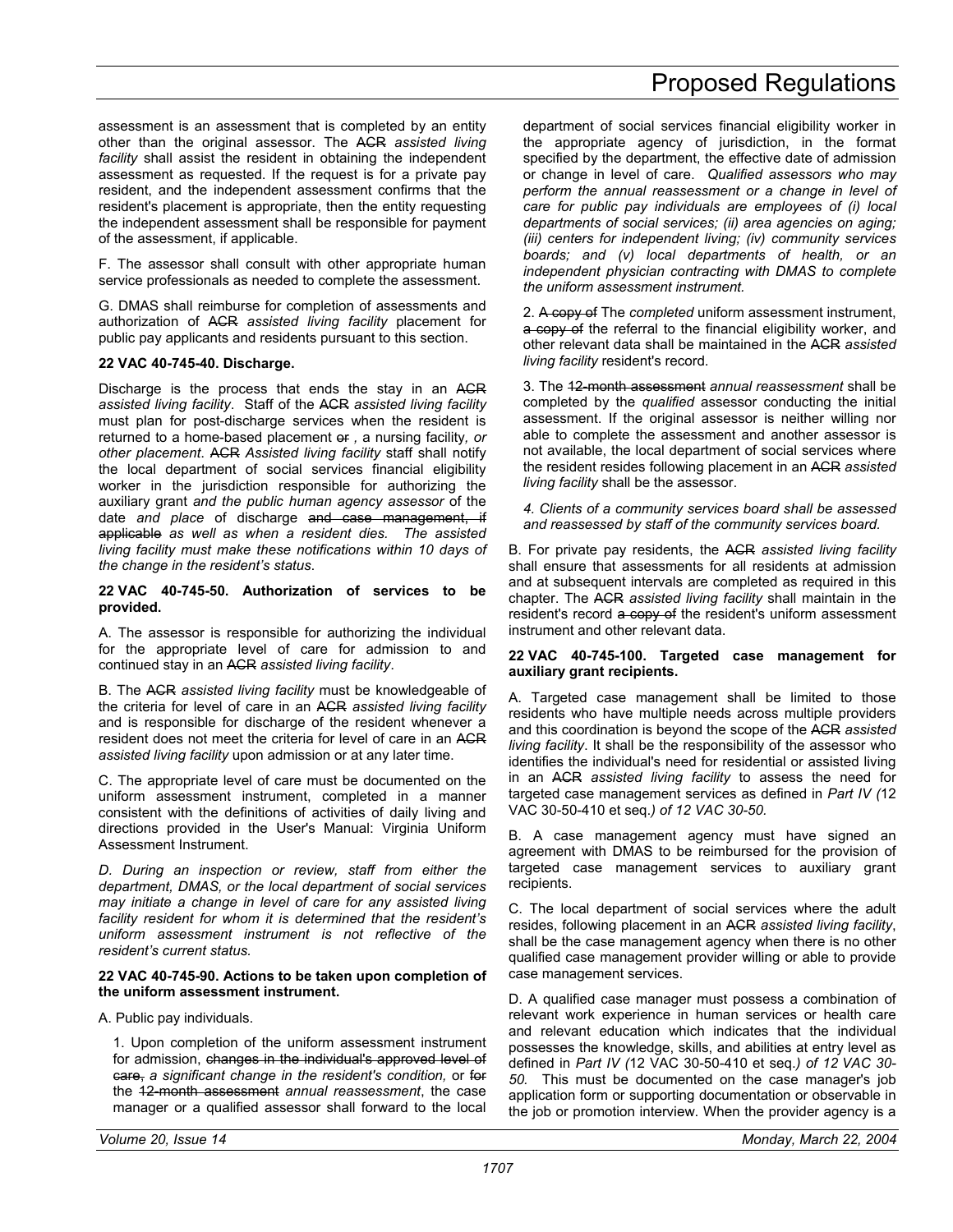#### assessment is an assessment that is completed by an entity other than the original assessor. The ACR *assisted living facility* shall assist the resident in obtaining the independent assessment as requested. If the request is for a private pay resident, and the independent assessment confirms that the resident's placement is appropriate, then the entity requesting the independent assessment shall be responsible for payment of the assessment, if applicable.

F. The assessor shall consult with other appropriate human service professionals as needed to complete the assessment.

G. DMAS shall reimburse for completion of assessments and authorization of ACR *assisted living facility* placement for public pay applicants and residents pursuant to this section.

#### **22 VAC 40-745-40. Discharge.**

Discharge is the process that ends the stay in an ACR *assisted living facility*. Staff of the ACR *assisted living facility* must plan for post-discharge services when the resident is returned to a home-based placement or *,* a nursing facility*, or other placement*. ACR *Assisted living facility* staff shall notify the local department of social services financial eligibility worker in the jurisdiction responsible for authorizing the auxiliary grant *and the public human agency assessor* of the date *and place* of discharge and case management, if applicable *as well as when a resident dies. The assisted living facility must make these notifications within 10 days of the change in the resident's status*.

#### **22 VAC 40-745-50. Authorization of services to be provided.**

A. The assessor is responsible for authorizing the individual for the appropriate level of care for admission to and continued stay in an ACR *assisted living facility*.

B. The ACR *assisted living facility* must be knowledgeable of the criteria for level of care in an ACR *assisted living facility* and is responsible for discharge of the resident whenever a resident does not meet the criteria for level of care in an ACR *assisted living facility* upon admission or at any later time.

C. The appropriate level of care must be documented on the uniform assessment instrument, completed in a manner consistent with the definitions of activities of daily living and directions provided in the User's Manual: Virginia Uniform Assessment Instrument.

*D. During an inspection or review, staff from either the department, DMAS, or the local department of social services may initiate a change in level of care for any assisted living facility resident for whom it is determined that the resident's uniform assessment instrument is not reflective of the resident's current status.* 

#### **22 VAC 40-745-90. Actions to be taken upon completion of the uniform assessment instrument.**

#### A. Public pay individuals.

1. Upon completion of the uniform assessment instrument for admission, changes in the individual's approved level of care, *a significant change in the resident's condition,* or for the 12-month assessment *annual reassessment*, the case manager or a qualified assessor shall forward to the local

department of social services financial eligibility worker in the appropriate agency of jurisdiction, in the format specified by the department, the effective date of admission or change in level of care. *Qualified assessors who may perform the annual reassessment or a change in level of care for public pay individuals are employees of (i) local departments of social services; (ii) area agencies on aging; (iii) centers for independent living; (iv) community services boards; and (v) local departments of health, or an independent physician contracting with DMAS to complete the uniform assessment instrument.*

2. A copy of The *completed* uniform assessment instrument, a copy of the referral to the financial eligibility worker, and other relevant data shall be maintained in the ACR *assisted living facility* resident's record.

3. The 12-month assessment *annual reassessment* shall be completed by the *qualified* assessor conducting the initial assessment. If the original assessor is neither willing nor able to complete the assessment and another assessor is not available, the local department of social services where the resident resides following placement in an ACR *assisted living facility* shall be the assessor.

*4. Clients of a community services board shall be assessed and reassessed by staff of the community services board.* 

B. For private pay residents, the ACR *assisted living facility* shall ensure that assessments for all residents at admission and at subsequent intervals are completed as required in this chapter. The ACR *assisted living facility* shall maintain in the resident's record a copy of the resident's uniform assessment instrument and other relevant data.

#### **22 VAC 40-745-100. Targeted case management for auxiliary grant recipients.**

A. Targeted case management shall be limited to those residents who have multiple needs across multiple providers and this coordination is beyond the scope of the ACR *assisted living facility*. It shall be the responsibility of the assessor who identifies the individual's need for residential or assisted living in an ACR *assisted living facility* to assess the need for targeted case management services as defined in *Part IV (*12 VAC 30-50-410 et seq.*) of 12 VAC 30-50.* 

B. A case management agency must have signed an agreement with DMAS to be reimbursed for the provision of targeted case management services to auxiliary grant recipients.

C. The local department of social services where the adult resides, following placement in an ACR *assisted living facility*, shall be the case management agency when there is no other qualified case management provider willing or able to provide case management services.

D. A qualified case manager must possess a combination of relevant work experience in human services or health care and relevant education which indicates that the individual possesses the knowledge, skills, and abilities at entry level as defined in *Part IV (*12 VAC 30-50-410 et seq.*) of 12 VAC 30- 50.* This must be documented on the case manager's job application form or supporting documentation or observable in the job or promotion interview. When the provider agency is a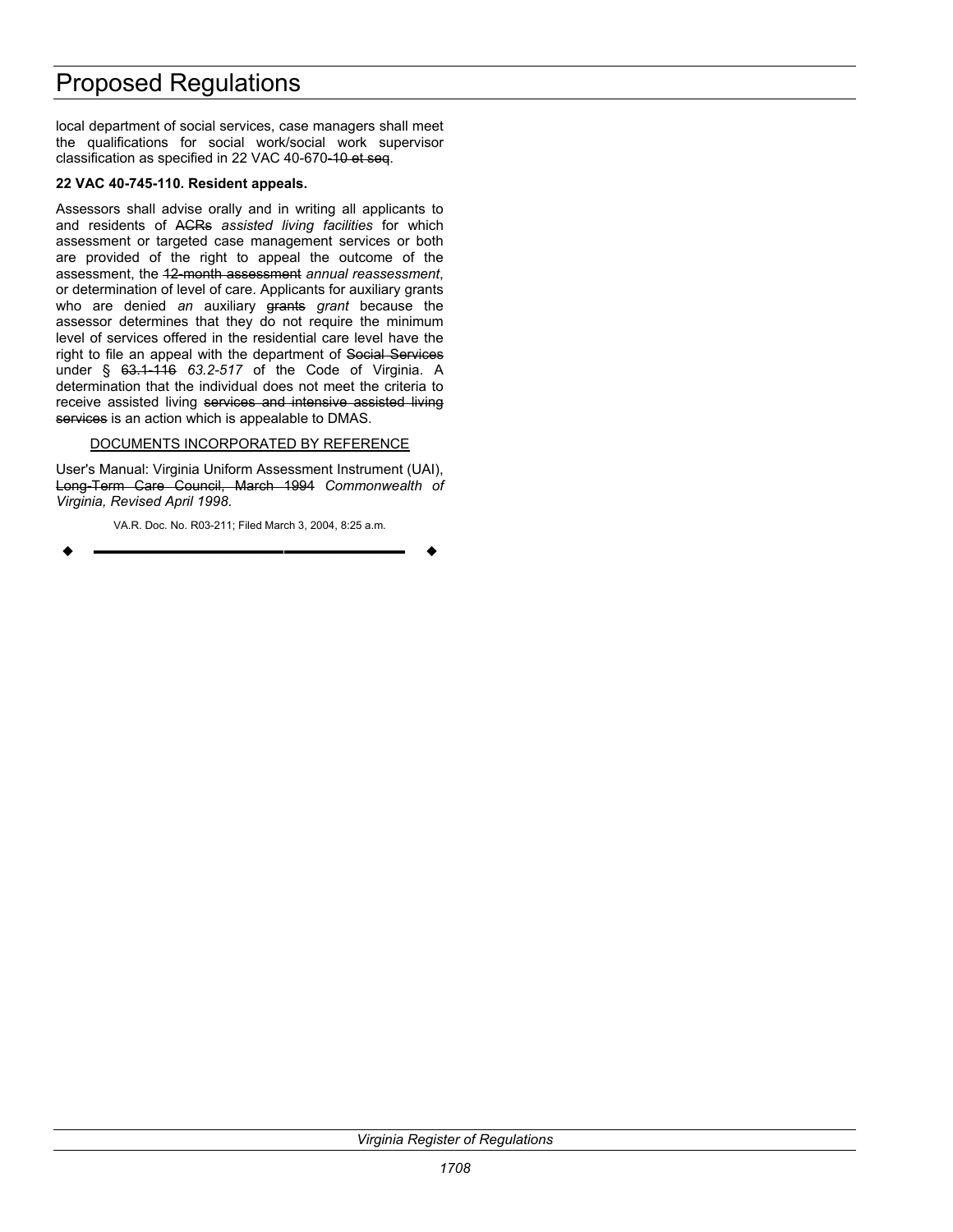local department of social services, case managers shall meet the qualifications for social work/social work supervisor classification as specified in 22 VAC 40-670-10 et seq.

#### **22 VAC 40-745-110. Resident appeals.**

Assessors shall advise orally and in writing all applicants to and residents of ACRs *assisted living facilities* for which assessment or targeted case management services or both are provided of the right to appeal the outcome of the assessment, the 12-month assessment *annual reassessment*, or determination of level of care. Applicants for auxiliary grants who are denied an auxiliary grants grant because the assessor determines that they do not require the minimum level of services offered in the residential care level have the right to file an appeal with the department of Social Services under § 63.1-116 *63.2-517* of the Code of Virginia. A determination that the individual does not meet the criteria to receive assisted living services and intensive assisted living services is an action which is appealable to DMAS.

#### DOCUMENTS INCORPORATED BY REFERENCE

User's Manual: Virginia Uniform Assessment Instrument (UAI), Long-Term Care Council, March 1994 *Commonwealth of Virginia, Revised April 1998*.

VA.R. Doc. No. R03-211; Filed March 3, 2004, 8:25 a.m.

**––––––––––––––––––**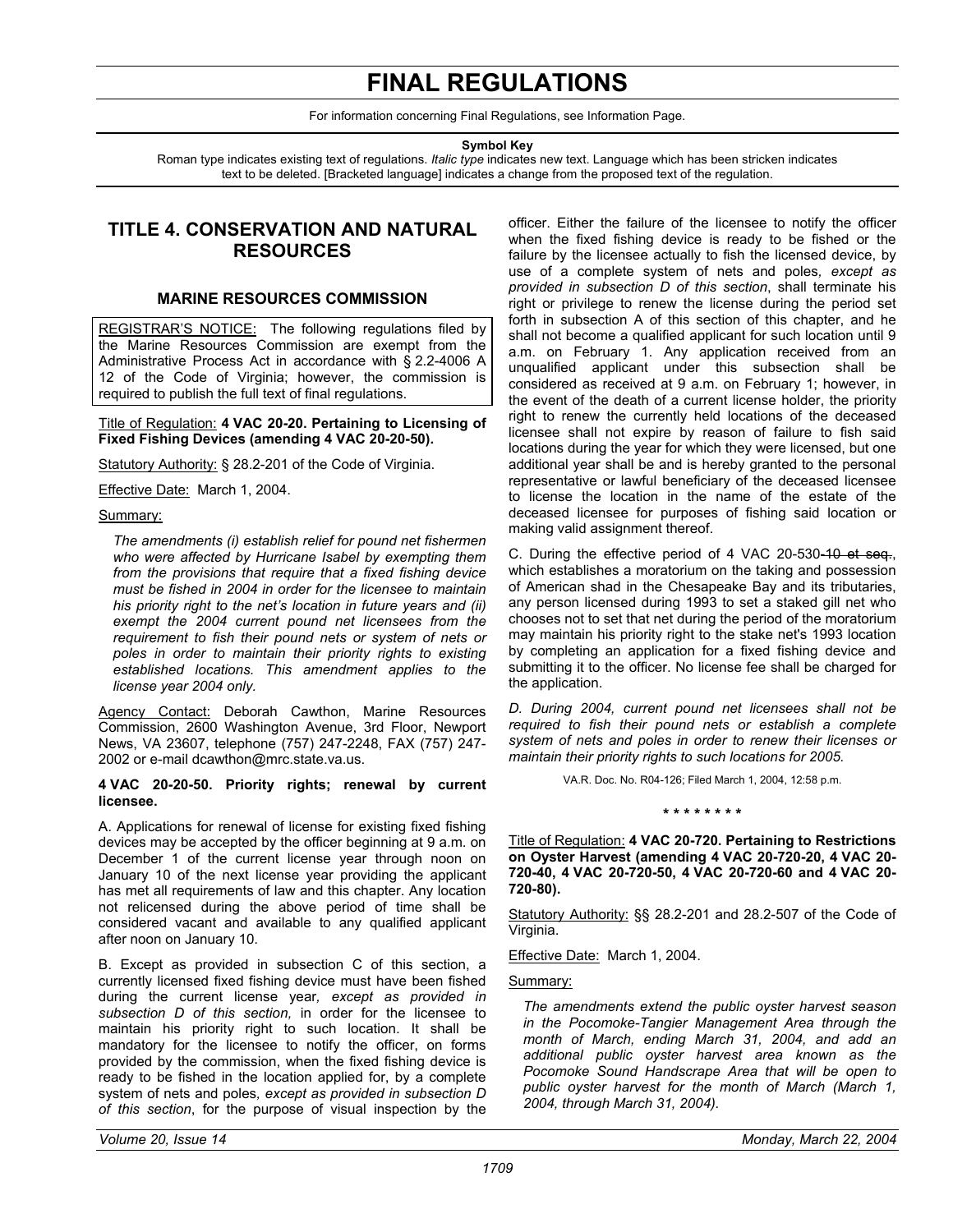# **FINAL REGULATIONS**

For information concerning Final Regulations, see Information Page.

**Symbol Key** 

<span id="page-32-0"></span>Roman type indicates existing text of regulations. *Italic type* indicates new text. Language which has been stricken indicates text to be deleted. [Bracketed language] indicates a change from the proposed text of the regulation.

## **TITLE 4. CONSERVATION AND NATURAL RESOURCES**

#### **MARINE RESOURCES COMMISSION**

REGISTRAR'S NOTICE: The following regulations filed by the Marine Resources Commission are exempt from the Administrative Process Act in accordance with § 2.2-4006 A 12 of the Code of Virginia; however, the commission is required to publish the full text of final regulations.

#### Title of Regulation: **4 VAC 20-20. Pertaining to Licensing of Fixed Fishing Devices (amending 4 VAC 20-20-50).**

Statutory Authority: § 28.2-201 of the Code of Virginia.

Effective Date: March 1, 2004.

#### Summary:

*The amendments (i) establish relief for pound net fishermen who were affected by Hurricane Isabel by exempting them from the provisions that require that a fixed fishing device must be fished in 2004 in order for the licensee to maintain his priority right to the net's location in future years and (ii) exempt the 2004 current pound net licensees from the requirement to fish their pound nets or system of nets or poles in order to maintain their priority rights to existing established locations. This amendment applies to the license year 2004 only.* 

Agency Contact: Deborah Cawthon, Marine Resources Commission, 2600 Washington Avenue, 3rd Floor, Newport News, VA 23607, telephone (757) 247-2248, FAX (757) 247- 2002 or e-mail dcawthon@mrc.state.va.us.

#### **4 VAC 20-20-50. Priority rights; renewal by current licensee.**

A. Applications for renewal of license for existing fixed fishing devices may be accepted by the officer beginning at 9 a.m. on December 1 of the current license year through noon on January 10 of the next license year providing the applicant has met all requirements of law and this chapter. Any location not relicensed during the above period of time shall be considered vacant and available to any qualified applicant after noon on January 10.

B. Except as provided in subsection C of this section, a currently licensed fixed fishing device must have been fished during the current license year*, except as provided in subsection D of this section,* in order for the licensee to maintain his priority right to such location. It shall be mandatory for the licensee to notify the officer, on forms provided by the commission, when the fixed fishing device is ready to be fished in the location applied for, by a complete system of nets and poles*, except as provided in subsection D of this section*, for the purpose of visual inspection by the

officer. Either the failure of the licensee to notify the officer when the fixed fishing device is ready to be fished or the failure by the licensee actually to fish the licensed device, by use of a complete system of nets and poles*, except as provided in subsection D of this section*, shall terminate his right or privilege to renew the license during the period set forth in subsection A of this section of this chapter, and he shall not become a qualified applicant for such location until 9 a.m. on February 1. Any application received from an unqualified applicant under this subsection shall be considered as received at 9 a.m. on February 1; however, in the event of the death of a current license holder, the priority right to renew the currently held locations of the deceased licensee shall not expire by reason of failure to fish said locations during the year for which they were licensed, but one additional year shall be and is hereby granted to the personal representative or lawful beneficiary of the deceased licensee to license the location in the name of the estate of the deceased licensee for purposes of fishing said location or making valid assignment thereof.

C. During the effective period of 4 VAC 20-530-10 et seq., which establishes a moratorium on the taking and possession of American shad in the Chesapeake Bay and its tributaries, any person licensed during 1993 to set a staked gill net who chooses not to set that net during the period of the moratorium may maintain his priority right to the stake net's 1993 location by completing an application for a fixed fishing device and submitting it to the officer. No license fee shall be charged for the application.

*D. During 2004, current pound net licensees shall not be required to fish their pound nets or establish a complete system of nets and poles in order to renew their licenses or maintain their priority rights to such locations for 2005.* 

VA.R. Doc. No. R04-126; Filed March 1, 2004, 12:58 p.m.

**\* \* \* \* \* \* \* \*** 

Title of Regulation: **4 VAC 20-720. Pertaining to Restrictions on Oyster Harvest (amending 4 VAC 20-720-20, 4 VAC 20- 720-40, 4 VAC 20-720-50, 4 VAC 20-720-60 and 4 VAC 20- 720-80).** 

Statutory Authority: §§ 28.2-201 and 28.2-507 of the Code of Virginia.

Effective Date: March 1, 2004.

Summary:

*The amendments extend the public oyster harvest season in the Pocomoke-Tangier Management Area through the month of March, ending March 31, 2004, and add an additional public oyster harvest area known as the Pocomoke Sound Handscrape Area that will be open to public oyster harvest for the month of March (March 1, 2004, through March 31, 2004).*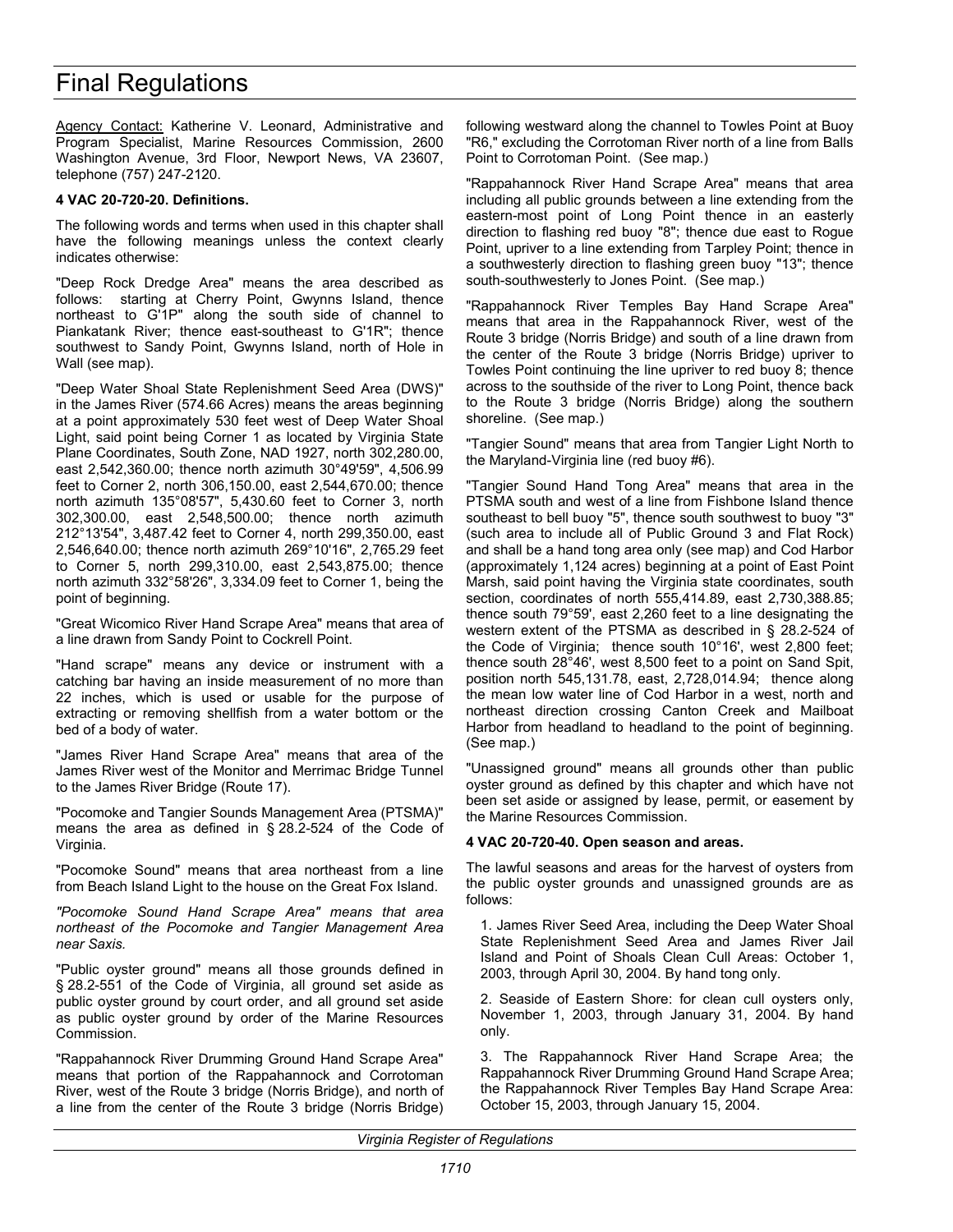# Final Regulations

Agency Contact: Katherine V. Leonard, Administrative and Program Specialist, Marine Resources Commission, 2600 Washington Avenue, 3rd Floor, Newport News, VA 23607, telephone (757) 247-2120.

#### **4 VAC 20-720-20. Definitions.**

The following words and terms when used in this chapter shall have the following meanings unless the context clearly indicates otherwise:

"Deep Rock Dredge Area" means the area described as follows: starting at Cherry Point, Gwynns Island, thence northeast to G'1P" along the south side of channel to Piankatank River; thence east-southeast to G'1R"; thence southwest to Sandy Point, Gwynns Island, north of Hole in Wall (see map).

"Deep Water Shoal State Replenishment Seed Area (DWS)" in the James River (574.66 Acres) means the areas beginning at a point approximately 530 feet west of Deep Water Shoal Light, said point being Corner 1 as located by Virginia State Plane Coordinates, South Zone, NAD 1927, north 302,280.00, east 2,542,360.00; thence north azimuth 30°49'59", 4,506.99 feet to Corner 2, north 306,150.00, east 2,544,670.00; thence north azimuth 135°08'57", 5,430.60 feet to Corner 3, north 302,300.00, east 2,548,500.00; thence north azimuth 212°13'54", 3,487.42 feet to Corner 4, north 299,350.00, east 2,546,640.00; thence north azimuth 269°10'16", 2,765.29 feet to Corner 5, north 299,310.00, east 2,543,875.00; thence north azimuth 332°58'26", 3,334.09 feet to Corner 1, being the point of beginning.

"Great Wicomico River Hand Scrape Area" means that area of a line drawn from Sandy Point to Cockrell Point.

"Hand scrape" means any device or instrument with a catching bar having an inside measurement of no more than 22 inches, which is used or usable for the purpose of extracting or removing shellfish from a water bottom or the bed of a body of water.

"James River Hand Scrape Area" means that area of the James River west of the Monitor and Merrimac Bridge Tunnel to the James River Bridge (Route 17).

"Pocomoke and Tangier Sounds Management Area (PTSMA)" means the area as defined in § 28.2-524 of the Code of Virginia.

"Pocomoke Sound" means that area northeast from a line from Beach Island Light to the house on the Great Fox Island.

*"Pocomoke Sound Hand Scrape Area" means that area northeast of the Pocomoke and Tangier Management Area near Saxis.* 

"Public oyster ground" means all those grounds defined in § 28.2-551 of the Code of Virginia, all ground set aside as public oyster ground by court order, and all ground set aside as public oyster ground by order of the Marine Resources Commission.

"Rappahannock River Drumming Ground Hand Scrape Area" means that portion of the Rappahannock and Corrotoman River, west of the Route 3 bridge (Norris Bridge), and north of a line from the center of the Route 3 bridge (Norris Bridge)

following westward along the channel to Towles Point at Buoy "R6," excluding the Corrotoman River north of a line from Balls Point to Corrotoman Point. (See map.)

"Rappahannock River Hand Scrape Area" means that area including all public grounds between a line extending from the eastern-most point of Long Point thence in an easterly direction to flashing red buoy "8"; thence due east to Rogue Point, upriver to a line extending from Tarpley Point; thence in a southwesterly direction to flashing green buoy "13"; thence south-southwesterly to Jones Point. (See map.)

"Rappahannock River Temples Bay Hand Scrape Area" means that area in the Rappahannock River, west of the Route 3 bridge (Norris Bridge) and south of a line drawn from the center of the Route 3 bridge (Norris Bridge) upriver to Towles Point continuing the line upriver to red buoy 8; thence across to the southside of the river to Long Point, thence back to the Route 3 bridge (Norris Bridge) along the southern shoreline. (See map.)

"Tangier Sound" means that area from Tangier Light North to the Maryland-Virginia line (red buoy #6).

"Tangier Sound Hand Tong Area" means that area in the PTSMA south and west of a line from Fishbone Island thence southeast to bell buoy "5", thence south southwest to buoy "3" (such area to include all of Public Ground 3 and Flat Rock) and shall be a hand tong area only (see map) and Cod Harbor (approximately 1,124 acres) beginning at a point of East Point Marsh, said point having the Virginia state coordinates, south section, coordinates of north 555,414.89, east 2,730,388.85; thence south 79°59', east 2,260 feet to a line designating the western extent of the PTSMA as described in § 28.2-524 of the Code of Virginia; thence south 10°16', west 2,800 feet; thence south 28°46', west 8,500 feet to a point on Sand Spit, position north 545,131.78, east, 2,728,014.94; thence along the mean low water line of Cod Harbor in a west, north and northeast direction crossing Canton Creek and Mailboat Harbor from headland to headland to the point of beginning. (See map.)

"Unassigned ground" means all grounds other than public oyster ground as defined by this chapter and which have not been set aside or assigned by lease, permit, or easement by the Marine Resources Commission.

#### **4 VAC 20-720-40. Open season and areas.**

The lawful seasons and areas for the harvest of oysters from the public oyster grounds and unassigned grounds are as follows:

1. James River Seed Area, including the Deep Water Shoal State Replenishment Seed Area and James River Jail Island and Point of Shoals Clean Cull Areas: October 1, 2003, through April 30, 2004. By hand tong only.

2. Seaside of Eastern Shore: for clean cull oysters only, November 1, 2003, through January 31, 2004. By hand only.

3. The Rappahannock River Hand Scrape Area; the Rappahannock River Drumming Ground Hand Scrape Area; the Rappahannock River Temples Bay Hand Scrape Area: October 15, 2003, through January 15, 2004.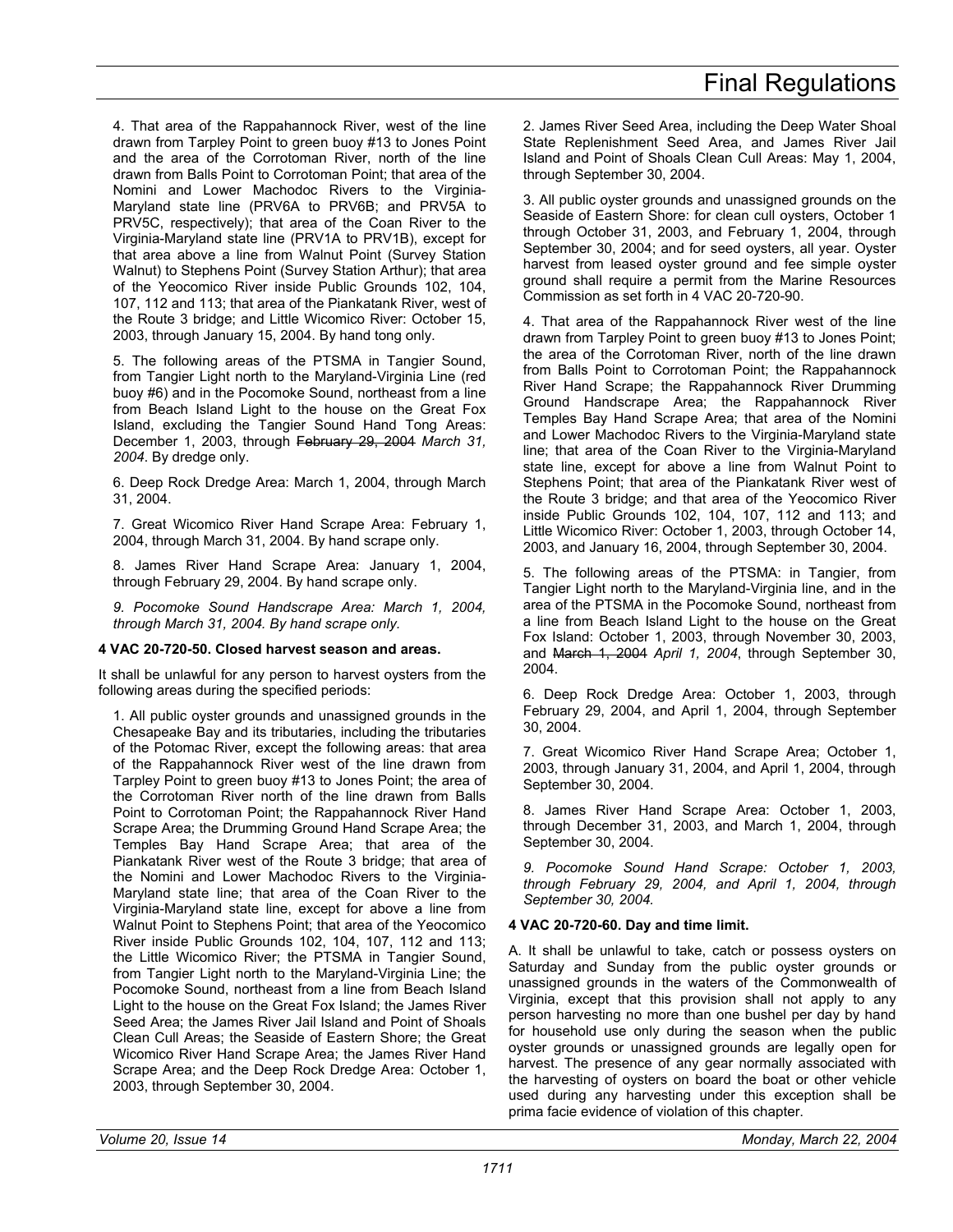4. That area of the Rappahannock River, west of the line drawn from Tarpley Point to green buoy #13 to Jones Point and the area of the Corrotoman River, north of the line drawn from Balls Point to Corrotoman Point; that area of the Nomini and Lower Machodoc Rivers to the Virginia-Maryland state line (PRV6A to PRV6B; and PRV5A to PRV5C, respectively); that area of the Coan River to the Virginia-Maryland state line (PRV1A to PRV1B), except for that area above a line from Walnut Point (Survey Station Walnut) to Stephens Point (Survey Station Arthur); that area of the Yeocomico River inside Public Grounds 102, 104, 107, 112 and 113; that area of the Piankatank River, west of the Route 3 bridge; and Little Wicomico River: October 15, 2003, through January 15, 2004. By hand tong only.

5. The following areas of the PTSMA in Tangier Sound, from Tangier Light north to the Maryland-Virginia Line (red buoy #6) and in the Pocomoke Sound, northeast from a line from Beach Island Light to the house on the Great Fox Island, excluding the Tangier Sound Hand Tong Areas: December 1, 2003, through February 29, 2004 *March 31, 2004*. By dredge only.

6. Deep Rock Dredge Area: March 1, 2004, through March 31, 2004.

7. Great Wicomico River Hand Scrape Area: February 1, 2004, through March 31, 2004. By hand scrape only.

8. James River Hand Scrape Area: January 1, 2004, through February 29, 2004. By hand scrape only.

*9. Pocomoke Sound Handscrape Area: March 1, 2004, through March 31, 2004. By hand scrape only.* 

#### **4 VAC 20-720-50. Closed harvest season and areas.**

It shall be unlawful for any person to harvest oysters from the following areas during the specified periods:

1. All public oyster grounds and unassigned grounds in the Chesapeake Bay and its tributaries, including the tributaries of the Potomac River, except the following areas: that area of the Rappahannock River west of the line drawn from Tarpley Point to green buoy #13 to Jones Point; the area of the Corrotoman River north of the line drawn from Balls Point to Corrotoman Point; the Rappahannock River Hand Scrape Area; the Drumming Ground Hand Scrape Area; the Temples Bay Hand Scrape Area; that area of the Piankatank River west of the Route 3 bridge; that area of the Nomini and Lower Machodoc Rivers to the Virginia-Maryland state line; that area of the Coan River to the Virginia-Maryland state line, except for above a line from Walnut Point to Stephens Point; that area of the Yeocomico River inside Public Grounds 102, 104, 107, 112 and 113; the Little Wicomico River; the PTSMA in Tangier Sound, from Tangier Light north to the Maryland-Virginia Line; the Pocomoke Sound, northeast from a line from Beach Island Light to the house on the Great Fox Island; the James River Seed Area; the James River Jail Island and Point of Shoals Clean Cull Areas; the Seaside of Eastern Shore; the Great Wicomico River Hand Scrape Area; the James River Hand Scrape Area; and the Deep Rock Dredge Area: October 1, 2003, through September 30, 2004.

2. James River Seed Area, including the Deep Water Shoal State Replenishment Seed Area, and James River Jail Island and Point of Shoals Clean Cull Areas: May 1, 2004, through September 30, 2004.

3. All public oyster grounds and unassigned grounds on the Seaside of Eastern Shore: for clean cull oysters, October 1 through October 31, 2003, and February 1, 2004, through September 30, 2004; and for seed oysters, all year. Oyster harvest from leased oyster ground and fee simple oyster ground shall require a permit from the Marine Resources Commission as set forth in 4 VAC 20-720-90.

4. That area of the Rappahannock River west of the line drawn from Tarpley Point to green buoy #13 to Jones Point; the area of the Corrotoman River, north of the line drawn from Balls Point to Corrotoman Point; the Rappahannock River Hand Scrape; the Rappahannock River Drumming Ground Handscrape Area; the Rappahannock River Temples Bay Hand Scrape Area; that area of the Nomini and Lower Machodoc Rivers to the Virginia-Maryland state line; that area of the Coan River to the Virginia-Maryland state line, except for above a line from Walnut Point to Stephens Point; that area of the Piankatank River west of the Route 3 bridge; and that area of the Yeocomico River inside Public Grounds 102, 104, 107, 112 and 113; and Little Wicomico River: October 1, 2003, through October 14, 2003, and January 16, 2004, through September 30, 2004.

5. The following areas of the PTSMA: in Tangier, from Tangier Light north to the Maryland-Virginia line, and in the area of the PTSMA in the Pocomoke Sound, northeast from a line from Beach Island Light to the house on the Great Fox Island: October 1, 2003, through November 30, 2003, and March 1, 2004 *April 1, 2004*, through September 30, 2004.

6. Deep Rock Dredge Area: October 1, 2003, through February 29, 2004, and April 1, 2004, through September 30, 2004.

7. Great Wicomico River Hand Scrape Area; October 1, 2003, through January 31, 2004, and April 1, 2004, through September 30, 2004.

8. James River Hand Scrape Area: October 1, 2003, through December 31, 2003, and March 1, 2004, through September 30, 2004.

*9. Pocomoke Sound Hand Scrape: October 1, 2003, through February 29, 2004, and April 1, 2004, through September 30, 2004.* 

#### **4 VAC 20-720-60. Day and time limit.**

A. It shall be unlawful to take, catch or possess oysters on Saturday and Sunday from the public oyster grounds or unassigned grounds in the waters of the Commonwealth of Virginia, except that this provision shall not apply to any person harvesting no more than one bushel per day by hand for household use only during the season when the public oyster grounds or unassigned grounds are legally open for harvest. The presence of any gear normally associated with the harvesting of oysters on board the boat or other vehicle used during any harvesting under this exception shall be prima facie evidence of violation of this chapter.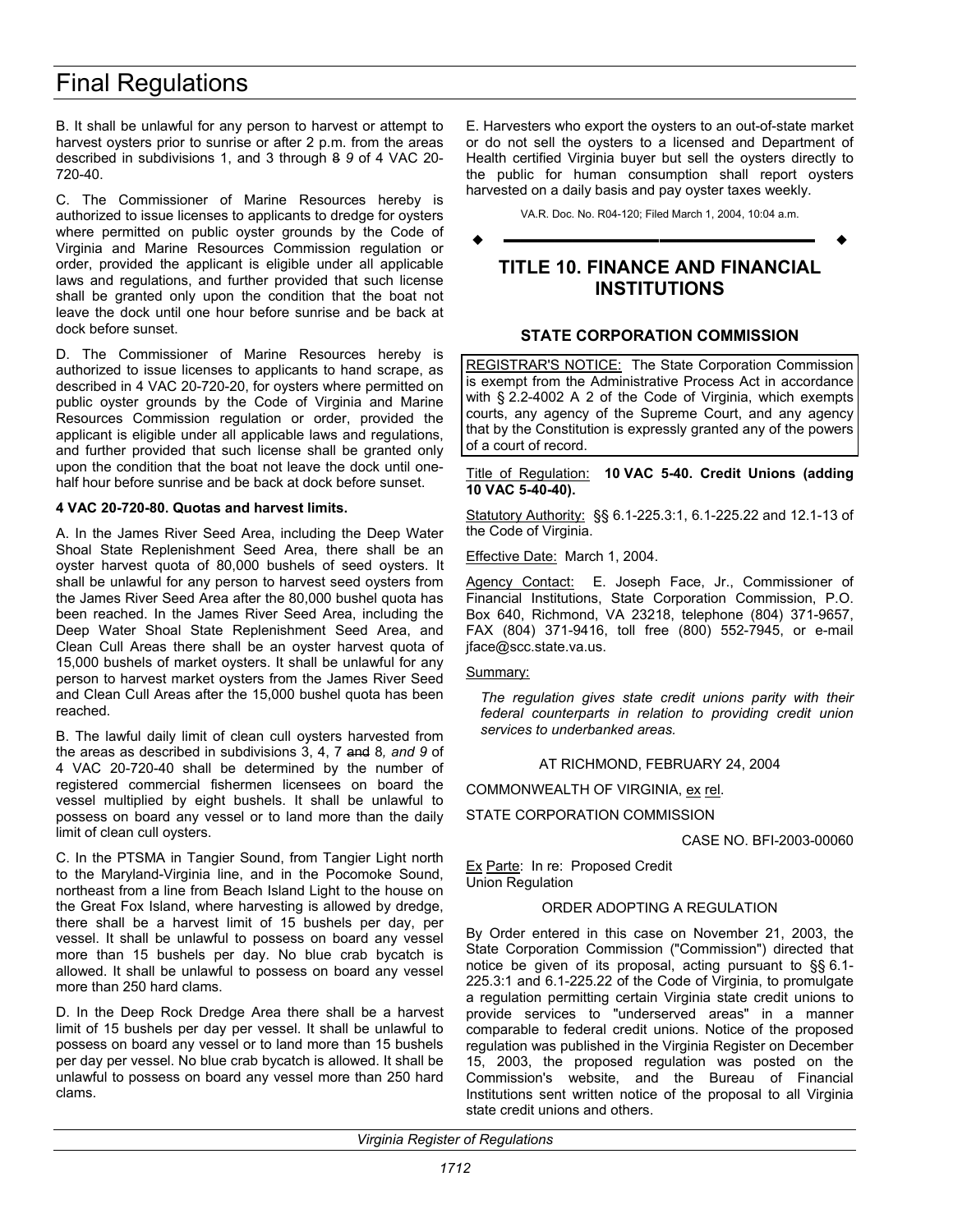# <span id="page-35-0"></span>Final Regulations

B. It shall be unlawful for any person to harvest or attempt to harvest oysters prior to sunrise or after 2 p.m. from the areas described in subdivisions 1, and 3 through 8 *9* of 4 VAC 20- 720-40.

C. The Commissioner of Marine Resources hereby is authorized to issue licenses to applicants to dredge for oysters where permitted on public oyster grounds by the Code of Virginia and Marine Resources Commission regulation or order, provided the applicant is eligible under all applicable laws and regulations, and further provided that such license shall be granted only upon the condition that the boat not leave the dock until one hour before sunrise and be back at dock before sunset.

D. The Commissioner of Marine Resources hereby is authorized to issue licenses to applicants to hand scrape, as described in 4 VAC 20-720-20, for oysters where permitted on public oyster grounds by the Code of Virginia and Marine Resources Commission regulation or order, provided the applicant is eligible under all applicable laws and regulations, and further provided that such license shall be granted only upon the condition that the boat not leave the dock until onehalf hour before sunrise and be back at dock before sunset.

#### **4 VAC 20-720-80. Quotas and harvest limits.**

A. In the James River Seed Area, including the Deep Water Shoal State Replenishment Seed Area, there shall be an oyster harvest quota of 80,000 bushels of seed oysters. It shall be unlawful for any person to harvest seed oysters from the James River Seed Area after the 80,000 bushel quota has been reached. In the James River Seed Area, including the Deep Water Shoal State Replenishment Seed Area, and Clean Cull Areas there shall be an oyster harvest quota of 15,000 bushels of market oysters. It shall be unlawful for any person to harvest market oysters from the James River Seed and Clean Cull Areas after the 15,000 bushel quota has been reached.

B. The lawful daily limit of clean cull oysters harvested from the areas as described in subdivisions 3, 4, 7 and 8*, and 9* of 4 VAC 20-720-40 shall be determined by the number of registered commercial fishermen licensees on board the vessel multiplied by eight bushels. It shall be unlawful to possess on board any vessel or to land more than the daily limit of clean cull oysters.

C. In the PTSMA in Tangier Sound, from Tangier Light north to the Maryland-Virginia line, and in the Pocomoke Sound, northeast from a line from Beach Island Light to the house on the Great Fox Island, where harvesting is allowed by dredge, there shall be a harvest limit of 15 bushels per day, per vessel. It shall be unlawful to possess on board any vessel more than 15 bushels per day. No blue crab bycatch is allowed. It shall be unlawful to possess on board any vessel more than 250 hard clams.

D. In the Deep Rock Dredge Area there shall be a harvest limit of 15 bushels per day per vessel. It shall be unlawful to possess on board any vessel or to land more than 15 bushels per day per vessel. No blue crab bycatch is allowed. It shall be unlawful to possess on board any vessel more than 250 hard clams.

E. Harvesters who export the oysters to an out-of-state market or do not sell the oysters to a licensed and Department of Health certified Virginia buyer but sell the oysters directly to the public for human consumption shall report oysters harvested on a daily basis and pay oyster taxes weekly.

VA.R. Doc. No. R04-120; Filed March 1, 2004, 10:04 a.m.

# **––––––––––––––––––**

## **TITLE 10. FINANCE AND FINANCIAL INSTITUTIONS**

#### **STATE CORPORATION COMMISSION**

REGISTRAR'S NOTICE: The State Corporation Commission is exempt from the Administrative Process Act in accordance with § 2.2-4002 A 2 of the Code of Virginia, which exempts courts, any agency of the Supreme Court, and any agency that by the Constitution is expressly granted any of the powers of a court of record.

#### Title of Regulation: **10 VAC 5-40. Credit Unions (adding 10 VAC 5-40-40).**

Statutory Authority: §§ 6.1-225.3:1, 6.1-225.22 and 12.1-13 of the Code of Virginia.

Effective Date: March 1, 2004.

Agency Contact: E. Joseph Face, Jr., Commissioner of Financial Institutions, State Corporation Commission, P.O. Box 640, Richmond, VA 23218, telephone (804) 371-9657, FAX (804) 371-9416, toll free (800) 552-7945, or e-mail jface@scc.state.va.us.

#### Summary:

*The regulation gives state credit unions parity with their federal counterparts in relation to providing credit union services to underbanked areas.* 

AT RICHMOND, FEBRUARY 24, 2004

COMMONWEALTH OF VIRGINIA, ex rel.

STATE CORPORATION COMMISSION

CASE NO. BFI-2003-00060

Ex Parte: In re: Proposed Credit Union Regulation

#### ORDER ADOPTING A REGULATION

By Order entered in this case on November 21, 2003, the State Corporation Commission ("Commission") directed that notice be given of its proposal, acting pursuant to §§ 6.1- 225.3:1 and 6.1-225.22 of the Code of Virginia, to promulgate a regulation permitting certain Virginia state credit unions to provide services to "underserved areas" in a manner comparable to federal credit unions. Notice of the proposed regulation was published in the Virginia Register on December 15, 2003, the proposed regulation was posted on the Commission's website, and the Bureau of Financial Institutions sent written notice of the proposal to all Virginia state credit unions and others.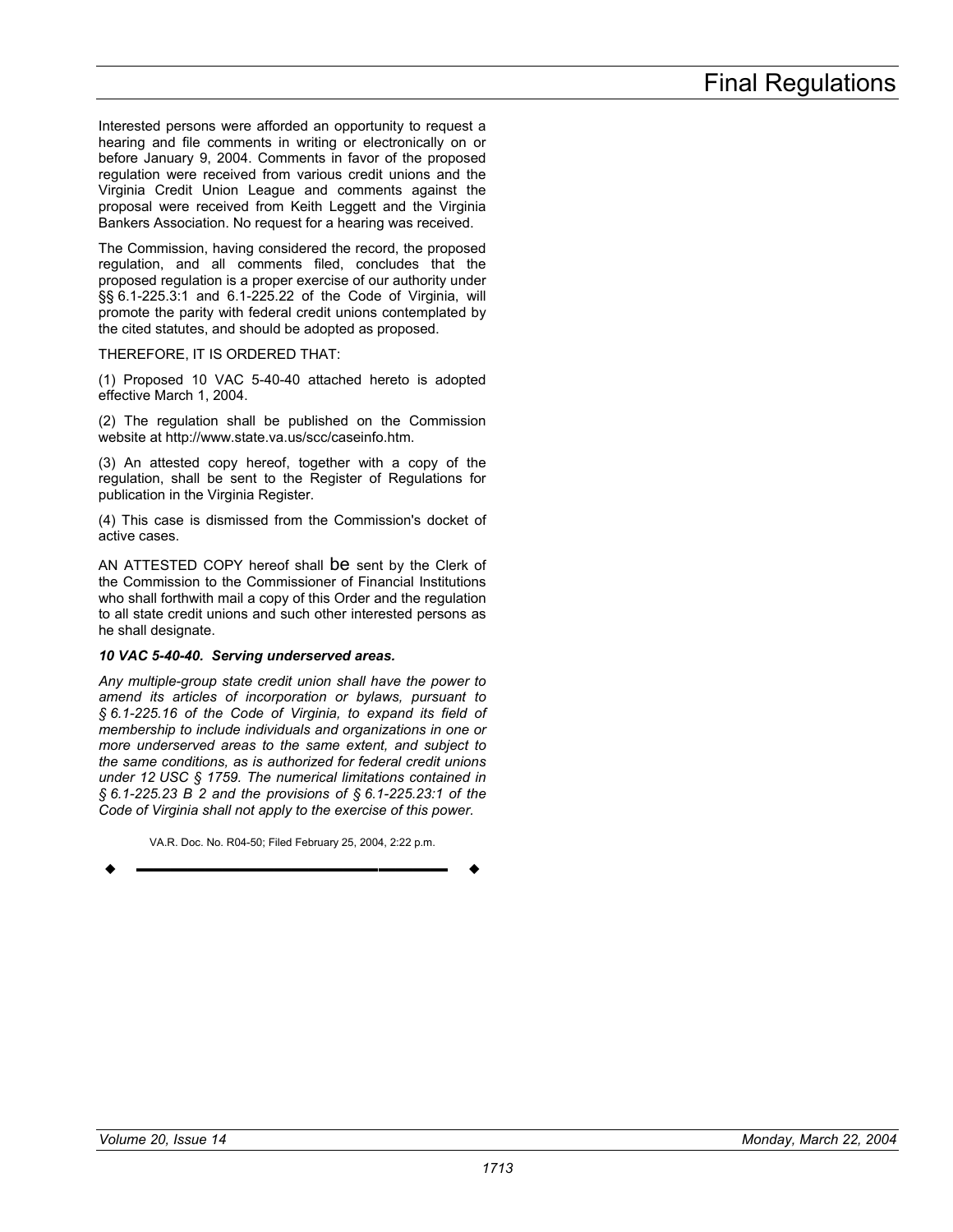Interested persons were afforded an opportunity to request a hearing and file comments in writing or electronically on or before January 9, 2004. Comments in favor of the proposed regulation were received from various credit unions and the Virginia Credit Union League and comments against the proposal were received from Keith Leggett and the Virginia Bankers Association. No request for a hearing was received.

The Commission, having considered the record, the proposed regulation, and all comments filed, concludes that the proposed regulation is a proper exercise of our authority under §§ 6.1-225.3:1 and 6.1-225.22 of the Code of Virginia, will promote the parity with federal credit unions contemplated by the cited statutes, and should be adopted as proposed.

## THEREFORE, IT IS ORDERED THAT:

(1) Proposed 10 VAC 5-40-40 attached hereto is adopted effective March 1, 2004.

(2) The regulation shall be published on the Commission website at http://www.state.va.us/scc/caseinfo.htm.

(3) An attested copy hereof, together with a copy of the regulation, shall be sent to the Register of Regulations for publication in the Virginia Register.

(4) This case is dismissed from the Commission's docket of active cases.

AN ATTESTED COPY hereof shall be sent by the Clerk of the Commission to the Commissioner of Financial Institutions who shall forthwith mail a copy of this Order and the regulation to all state credit unions and such other interested persons as he shall designate.

## *10 VAC 5-40-40. Serving underserved areas.*

*Any multiple-group state credit union shall have the power to amend its articles of incorporation or bylaws, pursuant to § 6.1-225.16 of the Code of Virginia, to expand its field of membership to include individuals and organizations in one or more underserved areas to the same extent, and subject to the same conditions, as is authorized for federal credit unions under 12 USC § 1759. The numerical limitations contained in § 6.1-225.23 B 2 and the provisions of § 6.1-225.23:1 of the Code of Virginia shall not apply to the exercise of this power.*

VA.R. Doc. No. R04-50; Filed February 25, 2004, 2:22 p.m. **––––––––––––––––––**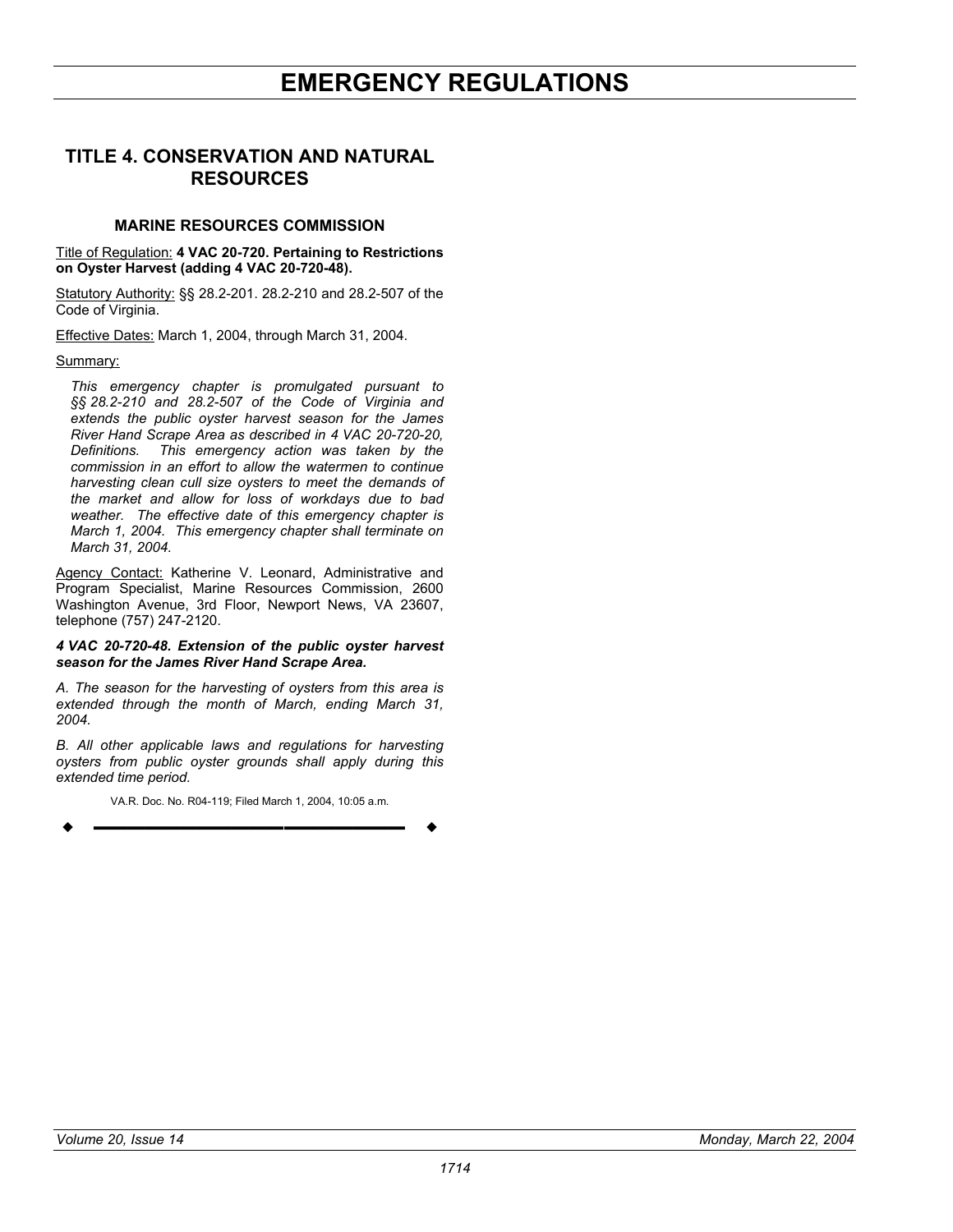## **TITLE 4. CONSERVATION AND NATURAL RESOURCES**

## **MARINE RESOURCES COMMISSION**

Title of Regulation: **4 VAC 20-720. Pertaining to Restrictions on Oyster Harvest (adding 4 VAC 20-720-48).** 

Statutory Authority: §§ 28.2-201. 28.2-210 and 28.2-507 of the Code of Virginia.

Effective Dates: March 1, 2004, through March 31, 2004.

#### Summary:

*This emergency chapter is promulgated pursuant to §§ 28.2-210 and 28.2-507 of the Code of Virginia and extends the public oyster harvest season for the James River Hand Scrape Area as described in 4 VAC 20-720-20, Definitions. This emergency action was taken by the commission in an effort to allow the watermen to continue harvesting clean cull size oysters to meet the demands of the market and allow for loss of workdays due to bad weather. The effective date of this emergency chapter is March 1, 2004. This emergency chapter shall terminate on March 31, 2004.* 

Agency Contact: Katherine V. Leonard, Administrative and Program Specialist, Marine Resources Commission, 2600 Washington Avenue, 3rd Floor, Newport News, VA 23607, telephone (757) 247-2120.

#### *4 VAC 20-720-48. Extension of the public oyster harvest season for the James River Hand Scrape Area.*

*A. The season for the harvesting of oysters from this area is extended through the month of March, ending March 31, 2004.* 

*B. All other applicable laws and regulations for harvesting oysters from public oyster grounds shall apply during this extended time period.* 

VA.R. Doc. No. R04-119; Filed March 1, 2004, 10:05 a.m.

$$
\bullet
$$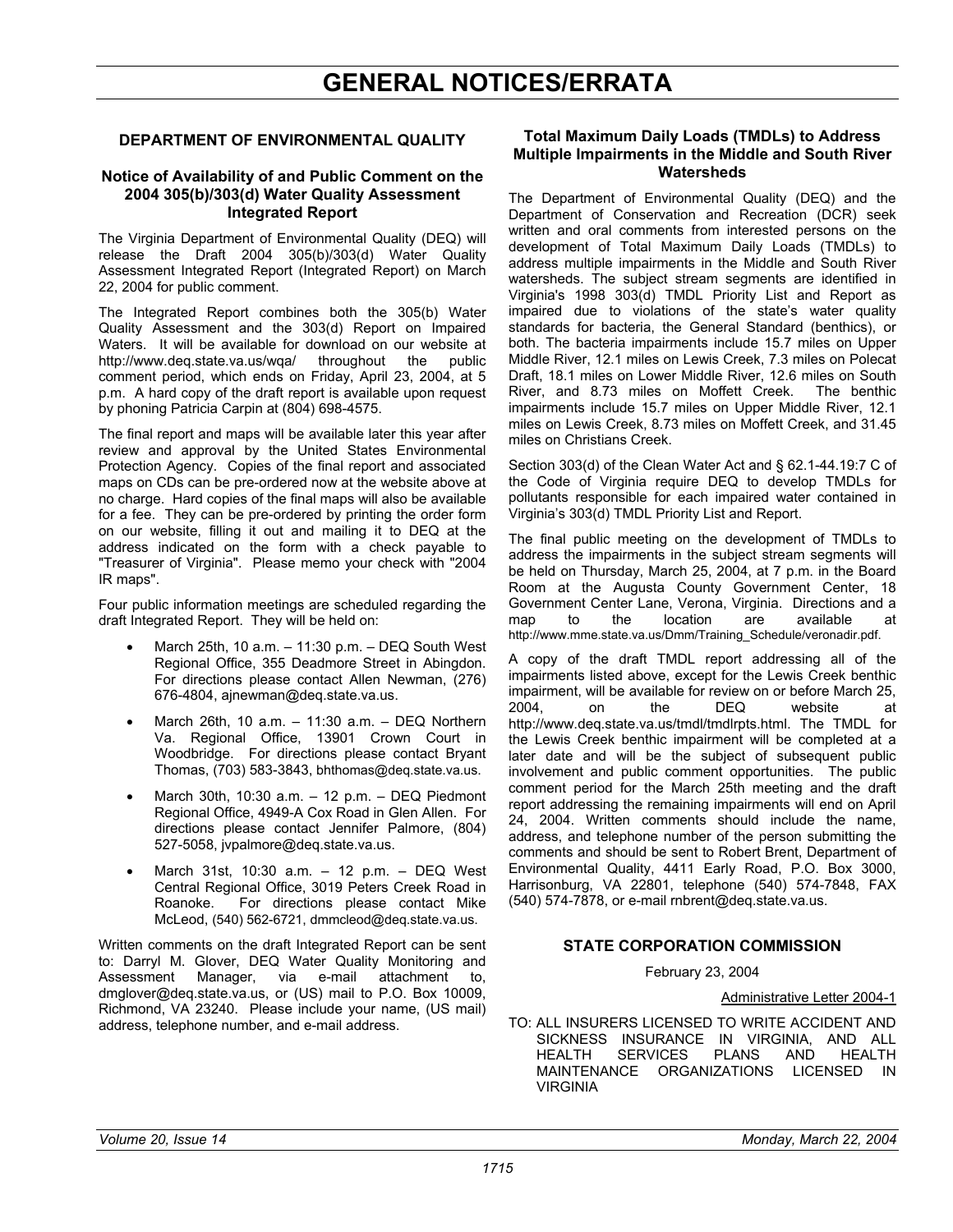# **GENERAL NOTICES/ERRATA**

## **DEPARTMENT OF ENVIRONMENTAL QUALITY**

## **Notice of Availability of and Public Comment on the 2004 305(b)/303(d) Water Quality Assessment Integrated Report**

The Virginia Department of Environmental Quality (DEQ) will release the Draft 2004 305(b)/303(d) Water Quality Assessment Integrated Report (Integrated Report) on March 22, 2004 for public comment.

The Integrated Report combines both the 305(b) Water Quality Assessment and the 303(d) Report on Impaired Waters. It will be available for download on our website at http://www.deq.state.va.us/wqa/ throughout the public comment period, which ends on Friday, April 23, 2004, at 5 p.m. A hard copy of the draft report is available upon request by phoning Patricia Carpin at (804) 698-4575.

The final report and maps will be available later this year after review and approval by the United States Environmental Protection Agency. Copies of the final report and associated maps on CDs can be pre-ordered now at the website above at no charge. Hard copies of the final maps will also be available for a fee. They can be pre-ordered by printing the order form on our website, filling it out and mailing it to DEQ at the address indicated on the form with a check payable to "Treasurer of Virginia". Please memo your check with "2004 IR maps".

Four public information meetings are scheduled regarding the draft Integrated Report. They will be held on:

- March 25th, 10 a.m. 11:30 p.m. DEQ South West Regional Office, 355 Deadmore Street in Abingdon. For directions please contact Allen Newman, (276) 676-4804, ajnewman@deq.state.va.us.
- March 26th, 10 a.m. 11:30 a.m. DEQ Northern Va. Regional Office, 13901 Crown Court in Woodbridge. For directions please contact Bryant Thomas, (703) 583-3843, bhthomas@deq.state.va.us.
- March 30th, 10:30 a.m. 12 p.m. DEQ Piedmont Regional Office, 4949-A Cox Road in Glen Allen. For directions please contact Jennifer Palmore, (804) 527-5058, jvpalmore@deq.state.va.us.
- March 31st, 10:30 a.m. 12 p.m. DEQ West Central Regional Office, 3019 Peters Creek Road in Roanoke. For directions please contact Mike McLeod, (540) 562-6721, dmmcleod@deq.state.va.us.

Written comments on the draft Integrated Report can be sent to: Darryl M. Glover, DEQ Water Quality Monitoring and Assessment Manager, via e-mail attachment to, dmglover@deq.state.va.us, or (US) mail to P.O. Box 10009, Richmond, VA 23240. Please include your name, (US mail) address, telephone number, and e-mail address.

### **Total Maximum Daily Loads (TMDLs) to Address Multiple Impairments in the Middle and South River Watersheds**

The Department of Environmental Quality (DEQ) and the Department of Conservation and Recreation (DCR) seek written and oral comments from interested persons on the development of Total Maximum Daily Loads (TMDLs) to address multiple impairments in the Middle and South River watersheds. The subject stream segments are identified in Virginia's 1998 303(d) TMDL Priority List and Report as impaired due to violations of the state's water quality standards for bacteria, the General Standard (benthics), or both. The bacteria impairments include 15.7 miles on Upper Middle River, 12.1 miles on Lewis Creek, 7.3 miles on Polecat Draft, 18.1 miles on Lower Middle River, 12.6 miles on South River, and 8.73 miles on Moffett Creek. The benthic impairments include 15.7 miles on Upper Middle River, 12.1 miles on Lewis Creek, 8.73 miles on Moffett Creek, and 31.45 miles on Christians Creek.

Section 303(d) of the Clean Water Act and § 62.1-44.19:7 C of the Code of Virginia require DEQ to develop TMDLs for pollutants responsible for each impaired water contained in Virginia's 303(d) TMDL Priority List and Report.

The final public meeting on the development of TMDLs to address the impairments in the subject stream segments will be held on Thursday, March 25, 2004, at 7 p.m. in the Board Room at the Augusta County Government Center, 18 Government Center Lane, Verona, Virginia. Directions and a map to the location are available at http://www.mme.state.va.us/Dmm/Training\_Schedule/veronadir.pdf.

A copy of the draft TMDL report addressing all of the impairments listed above, except for the Lewis Creek benthic impairment, will be available for review on or before March 25, 2004, on the DEQ website at http://www.deq.state.va.us/tmdl/tmdlrpts.html. The TMDL for the Lewis Creek benthic impairment will be completed at a later date and will be the subject of subsequent public involvement and public comment opportunities. The public comment period for the March 25th meeting and the draft report addressing the remaining impairments will end on April 24, 2004. Written comments should include the name, address, and telephone number of the person submitting the comments and should be sent to Robert Brent, Department of Environmental Quality, 4411 Early Road, P.O. Box 3000, Harrisonburg, VA 22801, telephone (540) 574-7848, FAX (540) 574-7878, or e-mail rnbrent@deq.state.va.us.

## **STATE CORPORATION COMMISSION**

February 23, 2004

Administrative Letter 2004-1

TO: ALL INSURERS LICENSED TO WRITE ACCIDENT AND SICKNESS INSURANCE IN VIRGINIA, AND ALL HEALTH SERVICES PLANS AND HEALTH MAINTENANCE ORGANIZATIONS LICENSED IN VIRGINIA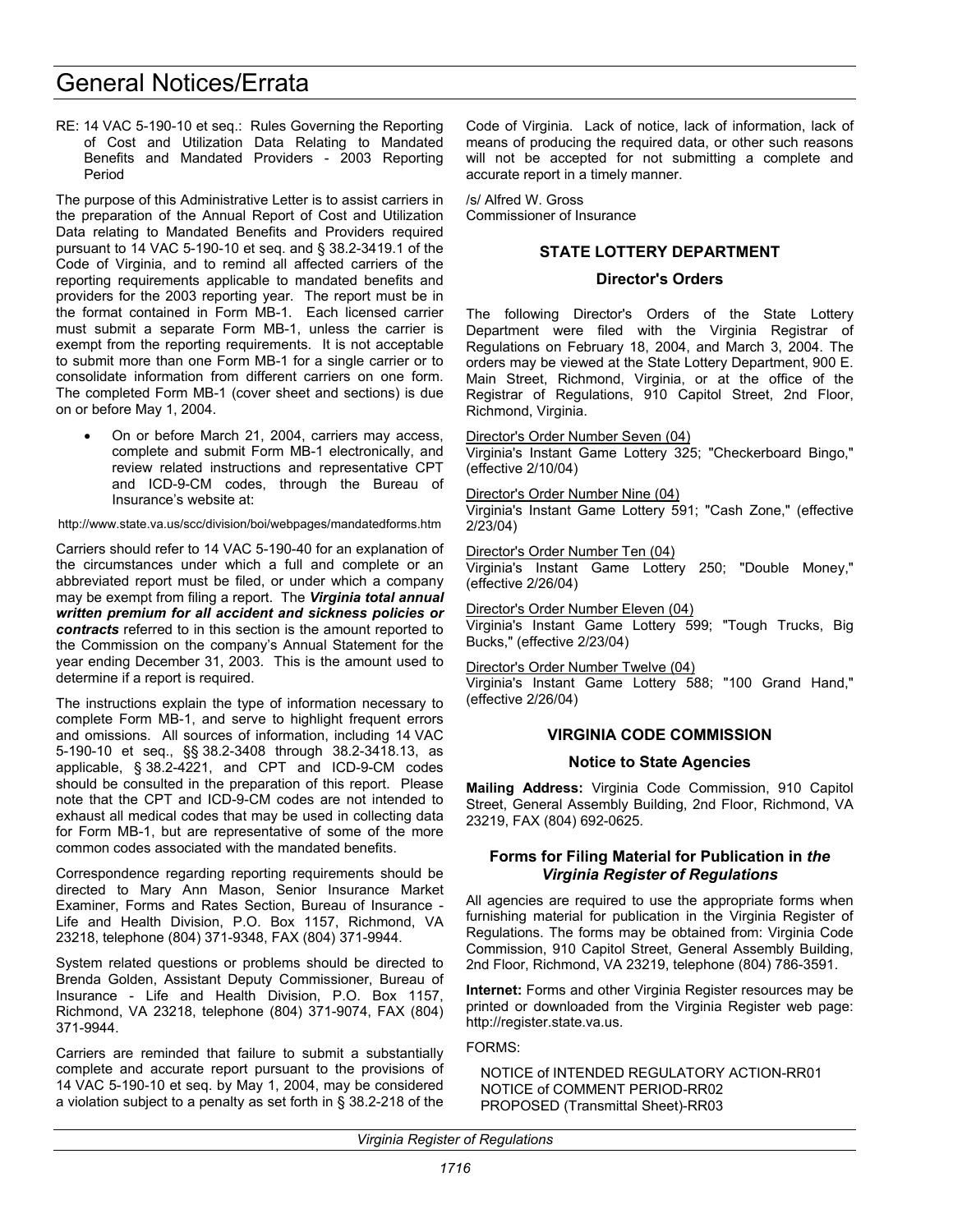# General Notices/Errata

RE: 14 VAC 5-190-10 et seq.: Rules Governing the Reporting of Cost and Utilization Data Relating to Mandated Benefits and Mandated Providers - 2003 Reporting Period

The purpose of this Administrative Letter is to assist carriers in the preparation of the Annual Report of Cost and Utilization Data relating to Mandated Benefits and Providers required pursuant to 14 VAC 5-190-10 et seq. and § 38.2-3419.1 of the Code of Virginia, and to remind all affected carriers of the reporting requirements applicable to mandated benefits and providers for the 2003 reporting year. The report must be in the format contained in Form MB-1. Each licensed carrier must submit a separate Form MB-1, unless the carrier is exempt from the reporting requirements. It is not acceptable to submit more than one Form MB-1 for a single carrier or to consolidate information from different carriers on one form. The completed Form MB-1 (cover sheet and sections) is due on or before May 1, 2004.

On or before March 21, 2004, carriers may access, complete and submit Form MB-1 electronically, and review related instructions and representative CPT and ICD-9-CM codes, through the Bureau of Insurance's website at:

http://www.state.va.us/scc/division/boi/webpages/mandatedforms.htm

Carriers should refer to 14 VAC 5-190-40 for an explanation of the circumstances under which a full and complete or an abbreviated report must be filed, or under which a company may be exempt from filing a report. The *Virginia total annual written premium for all accident and sickness policies or contracts* referred to in this section is the amount reported to the Commission on the company's Annual Statement for the year ending December 31, 2003. This is the amount used to determine if a report is required.

The instructions explain the type of information necessary to complete Form MB-1, and serve to highlight frequent errors and omissions. All sources of information, including 14 VAC 5-190-10 et seq., §§ 38.2-3408 through 38.2-3418.13, as applicable, § 38.2-4221, and CPT and ICD-9-CM codes should be consulted in the preparation of this report. Please note that the CPT and ICD-9-CM codes are not intended to exhaust all medical codes that may be used in collecting data for Form MB-1, but are representative of some of the more common codes associated with the mandated benefits.

Correspondence regarding reporting requirements should be directed to Mary Ann Mason, Senior Insurance Market Examiner, Forms and Rates Section, Bureau of Insurance - Life and Health Division, P.O. Box 1157, Richmond, VA 23218, telephone (804) 371-9348, FAX (804) 371-9944.

System related questions or problems should be directed to Brenda Golden, Assistant Deputy Commissioner, Bureau of Insurance - Life and Health Division, P.O. Box 1157, Richmond, VA 23218, telephone (804) 371-9074, FAX (804) 371-9944.

Carriers are reminded that failure to submit a substantially complete and accurate report pursuant to the provisions of 14 VAC 5-190-10 et seq. by May 1, 2004, may be considered a violation subject to a penalty as set forth in § 38.2-218 of the

Code of Virginia. Lack of notice, lack of information, lack of means of producing the required data, or other such reasons will not be accepted for not submitting a complete and accurate report in a timely manner.

/s/ Alfred W. Gross Commissioner of Insurance

### **STATE LOTTERY DEPARTMENT**

#### **Director's Orders**

The following Director's Orders of the State Lottery Department were filed with the Virginia Registrar of Regulations on February 18, 2004, and March 3, 2004. The orders may be viewed at the State Lottery Department, 900 E. Main Street, Richmond, Virginia, or at the office of the Registrar of Regulations, 910 Capitol Street, 2nd Floor, Richmond, Virginia.

Director's Order Number Seven (04)

Virginia's Instant Game Lottery 325; "Checkerboard Bingo," (effective 2/10/04)

Director's Order Number Nine (04)

Virginia's Instant Game Lottery 591; "Cash Zone," (effective 2/23/04)

Director's Order Number Ten (04)

Virginia's Instant Game Lottery 250; "Double Money," (effective 2/26/04)

Director's Order Number Eleven (04)

Virginia's Instant Game Lottery 599; "Tough Trucks, Big Bucks," (effective 2/23/04)

Director's Order Number Twelve (04)

Virginia's Instant Game Lottery 588; "100 Grand Hand," (effective 2/26/04)

## **VIRGINIA CODE COMMISSION**

#### **Notice to State Agencies**

**Mailing Address:** Virginia Code Commission, 910 Capitol Street, General Assembly Building, 2nd Floor, Richmond, VA 23219, FAX (804) 692-0625.

### **Forms for Filing Material for Publication in** *the Virginia Register of Regulations*

All agencies are required to use the appropriate forms when furnishing material for publication in the Virginia Register of Regulations. The forms may be obtained from: Virginia Code Commission, 910 Capitol Street, General Assembly Building, 2nd Floor, Richmond, VA 23219, telephone (804) 786-3591.

**Internet:** Forms and other Virginia Register resources may be printed or downloaded from the Virginia Register web page: http://register.state.va.us.

FORMS:

NOTICE of INTENDED REGULATORY ACTION-RR01 NOTICE of COMMENT PERIOD-RR02 PROPOSED (Transmittal Sheet)-RR03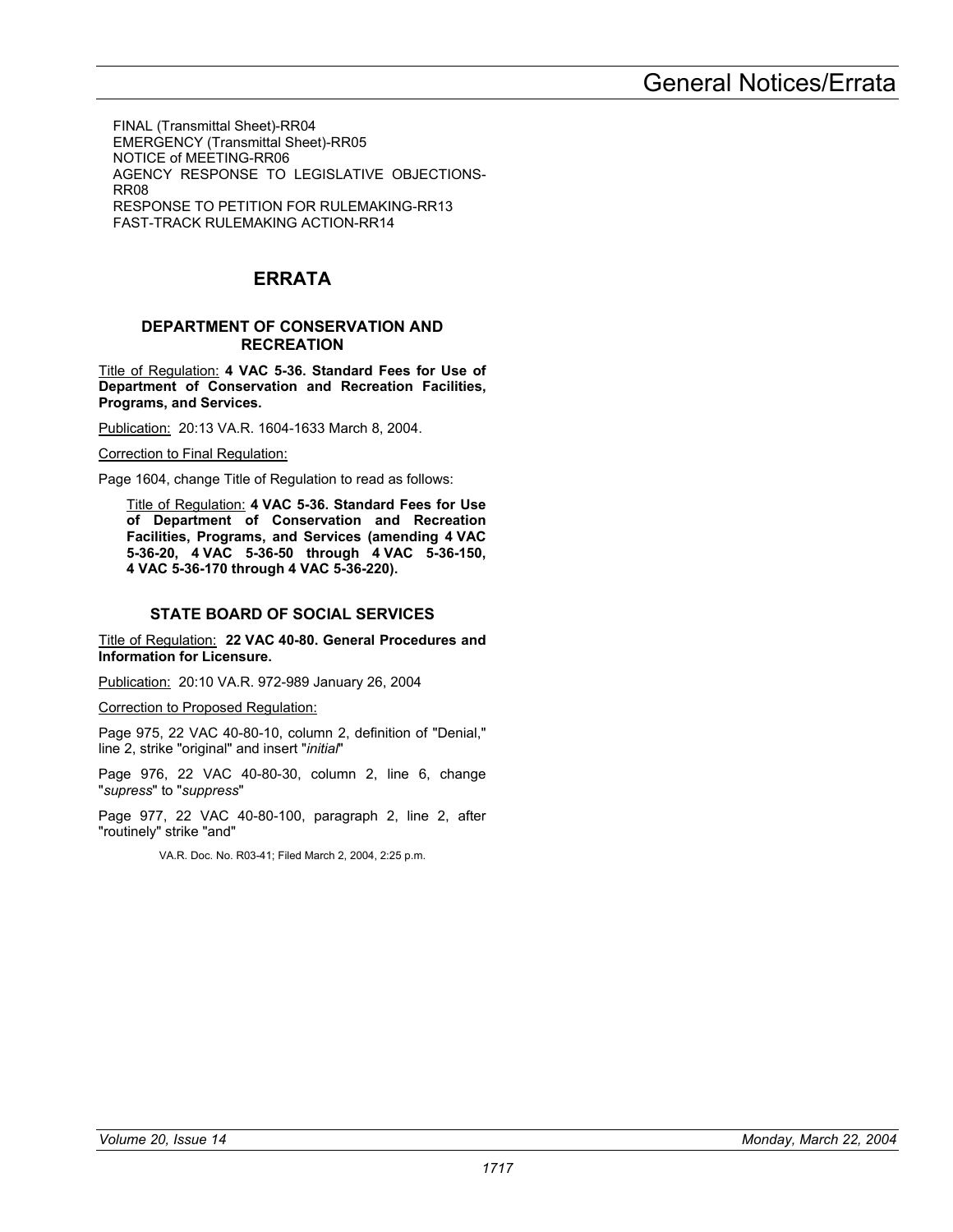FINAL (Transmittal Sheet)-RR04 EMERGENCY (Transmittal Sheet)-RR05 NOTICE of MEETING-RR06 AGENCY RESPONSE TO LEGISLATIVE OBJECTIONS-RR08 RESPONSE TO PETITION FOR RULEMAKING-RR13 FAST-TRACK RULEMAKING ACTION-RR14

## **ERRATA**

### **DEPARTMENT OF CONSERVATION AND RECREATION**

Title of Regulation: **4 VAC 5-36. Standard Fees for Use of Department of Conservation and Recreation Facilities, Programs, and Services.** 

Publication: 20:13 VA.R. 1604-1633 March 8, 2004.

Correction to Final Regulation:

Page 1604, change Title of Regulation to read as follows:

Title of Regulation: **4 VAC 5-36. Standard Fees for Use of Department of Conservation and Recreation Facilities, Programs, and Services (amending 4 VAC 5-36-20, 4 VAC 5-36-50 through 4 VAC 5-36-150, 4 VAC 5-36-170 through 4 VAC 5-36-220).** 

## **STATE BOARD OF SOCIAL SERVICES**

Title of Regulation: **22 VAC 40-80. General Procedures and Information for Licensure.** 

Publication: 20:10 VA.R. 972-989 January 26, 2004

Correction to Proposed Regulation:

Page 975, 22 VAC 40-80-10, column 2, definition of "Denial," line 2, strike "original" and insert "*initial*"

Page 976, 22 VAC 40-80-30, column 2, line 6, change "*supress*" to "*suppress*"

Page 977, 22 VAC 40-80-100, paragraph 2, line 2, after "routinely" strike "and"

VA.R. Doc. No. R03-41; Filed March 2, 2004, 2:25 p.m.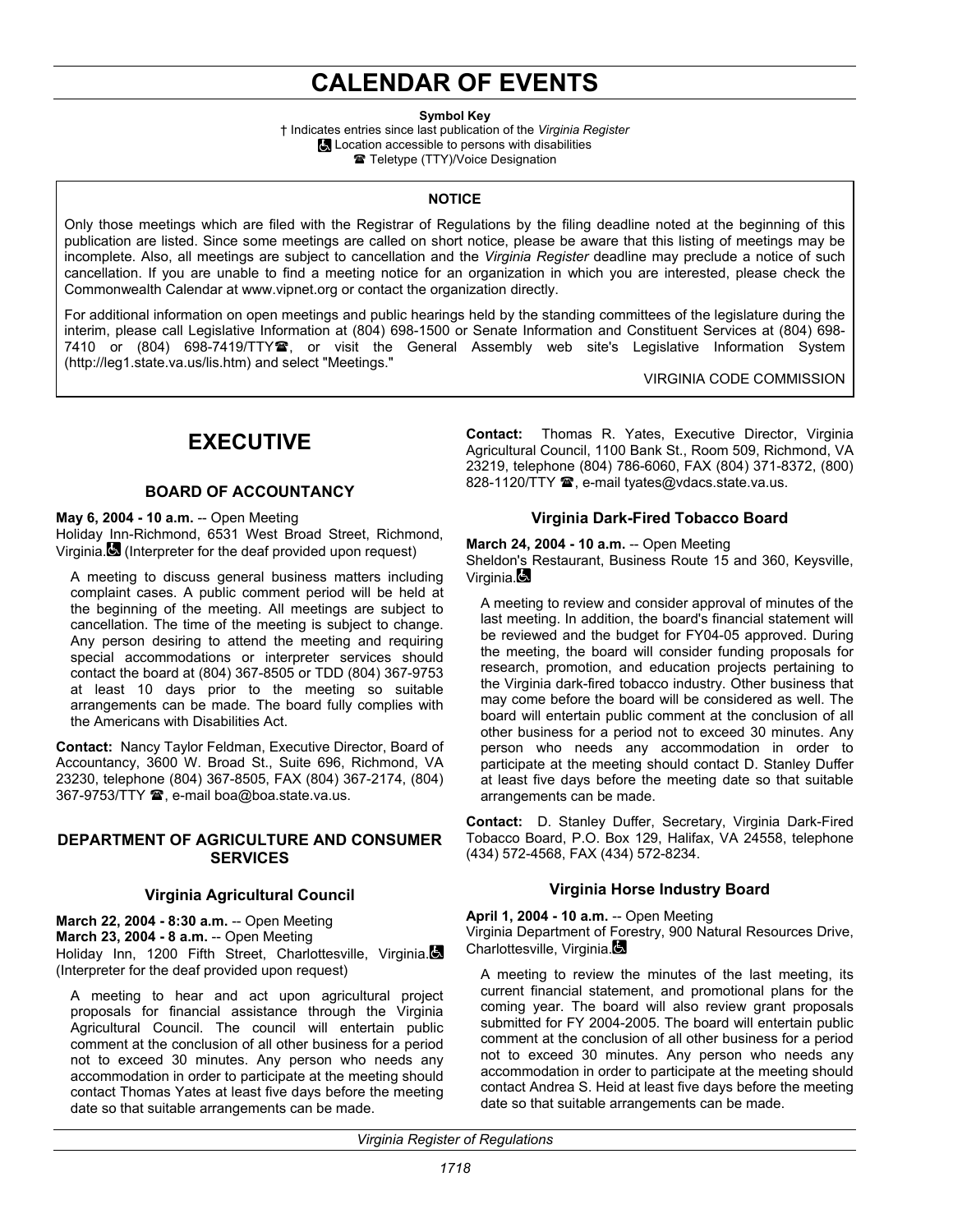# **CALENDAR OF EVENTS**

**Symbol Key** 

† Indicates entries since last publication of the *Virginia Register* **Location accessible to persons with disabilities** Teletype (TTY)/Voice Designation

### **NOTICE**

Only those meetings which are filed with the Registrar of Regulations by the filing deadline noted at the beginning of this publication are listed. Since some meetings are called on short notice, please be aware that this listing of meetings may be incomplete. Also, all meetings are subject to cancellation and the *Virginia Register* deadline may preclude a notice of such cancellation. If you are unable to find a meeting notice for an organization in which you are interested, please check the Commonwealth Calendar at www.vipnet.org or contact the organization directly.

For additional information on open meetings and public hearings held by the standing committees of the legislature during the interim, please call Legislative Information at (804) 698-1500 or Senate Information and Constituent Services at (804) 698- 7410 or (804) 698-7419/TTY雪, or visit the General Assembly web site's Legislative Information System (http://leg1.state.va.us/lis.htm) and select "Meetings."

VIRGINIA CODE COMMISSION

## **EXECUTIVE**

## **BOARD OF ACCOUNTANCY**

### **May 6, 2004 - 10 a.m.** -- Open Meeting

Holiday Inn-Richmond, 6531 West Broad Street, Richmond, Virginia. (Interpreter for the deaf provided upon request)

A meeting to discuss general business matters including complaint cases. A public comment period will be held at the beginning of the meeting. All meetings are subject to cancellation. The time of the meeting is subject to change. Any person desiring to attend the meeting and requiring special accommodations or interpreter services should contact the board at (804) 367-8505 or TDD (804) 367-9753 at least 10 days prior to the meeting so suitable arrangements can be made. The board fully complies with the Americans with Disabilities Act.

**Contact:** Nancy Taylor Feldman, Executive Director, Board of Accountancy, 3600 W. Broad St., Suite 696, Richmond, VA 23230, telephone (804) 367-8505, FAX (804) 367-2174, (804) 367-9753/TTY <sup>3</sup>, e-mail boa@boa.state.va.us.

### **DEPARTMENT OF AGRICULTURE AND CONSUMER SERVICES**

## **Virginia Agricultural Council**

**March 22, 2004 - 8:30 a.m.** -- Open Meeting **March 23, 2004 - 8 a.m.** -- Open Meeting Holiday Inn, 1200 Fifth Street, Charlottesville, Virginia. (Interpreter for the deaf provided upon request)

A meeting to hear and act upon agricultural project proposals for financial assistance through the Virginia Agricultural Council. The council will entertain public comment at the conclusion of all other business for a period not to exceed 30 minutes. Any person who needs any accommodation in order to participate at the meeting should contact Thomas Yates at least five days before the meeting date so that suitable arrangements can be made.

**Contact:** Thomas R. Yates, Executive Director, Virginia Agricultural Council, 1100 Bank St., Room 509, Richmond, VA 23219, telephone (804) 786-6060, FAX (804) 371-8372, (800) 828-1120/TTY <sup>3</sup>, e-mail tyates@vdacs.state.va.us.

## **Virginia Dark-Fired Tobacco Board**

**March 24, 2004 - 10 a.m.** -- Open Meeting Sheldon's Restaurant, Business Route 15 and 360, Keysville, Virginia. $\blacksquare$ 

A meeting to review and consider approval of minutes of the last meeting. In addition, the board's financial statement will be reviewed and the budget for FY04-05 approved. During the meeting, the board will consider funding proposals for research, promotion, and education projects pertaining to the Virginia dark-fired tobacco industry. Other business that may come before the board will be considered as well. The board will entertain public comment at the conclusion of all other business for a period not to exceed 30 minutes. Any person who needs any accommodation in order to participate at the meeting should contact D. Stanley Duffer at least five days before the meeting date so that suitable arrangements can be made.

**Contact:** D. Stanley Duffer, Secretary, Virginia Dark-Fired Tobacco Board, P.O. Box 129, Halifax, VA 24558, telephone (434) 572-4568, FAX (434) 572-8234.

## **Virginia Horse Industry Board**

**April 1, 2004 - 10 a.m.** -- Open Meeting

Virginia Department of Forestry, 900 Natural Resources Drive, Charlottesville, Virginia.

A meeting to review the minutes of the last meeting, its current financial statement, and promotional plans for the coming year. The board will also review grant proposals submitted for FY 2004-2005. The board will entertain public comment at the conclusion of all other business for a period not to exceed 30 minutes. Any person who needs any accommodation in order to participate at the meeting should contact Andrea S. Heid at least five days before the meeting date so that suitable arrangements can be made.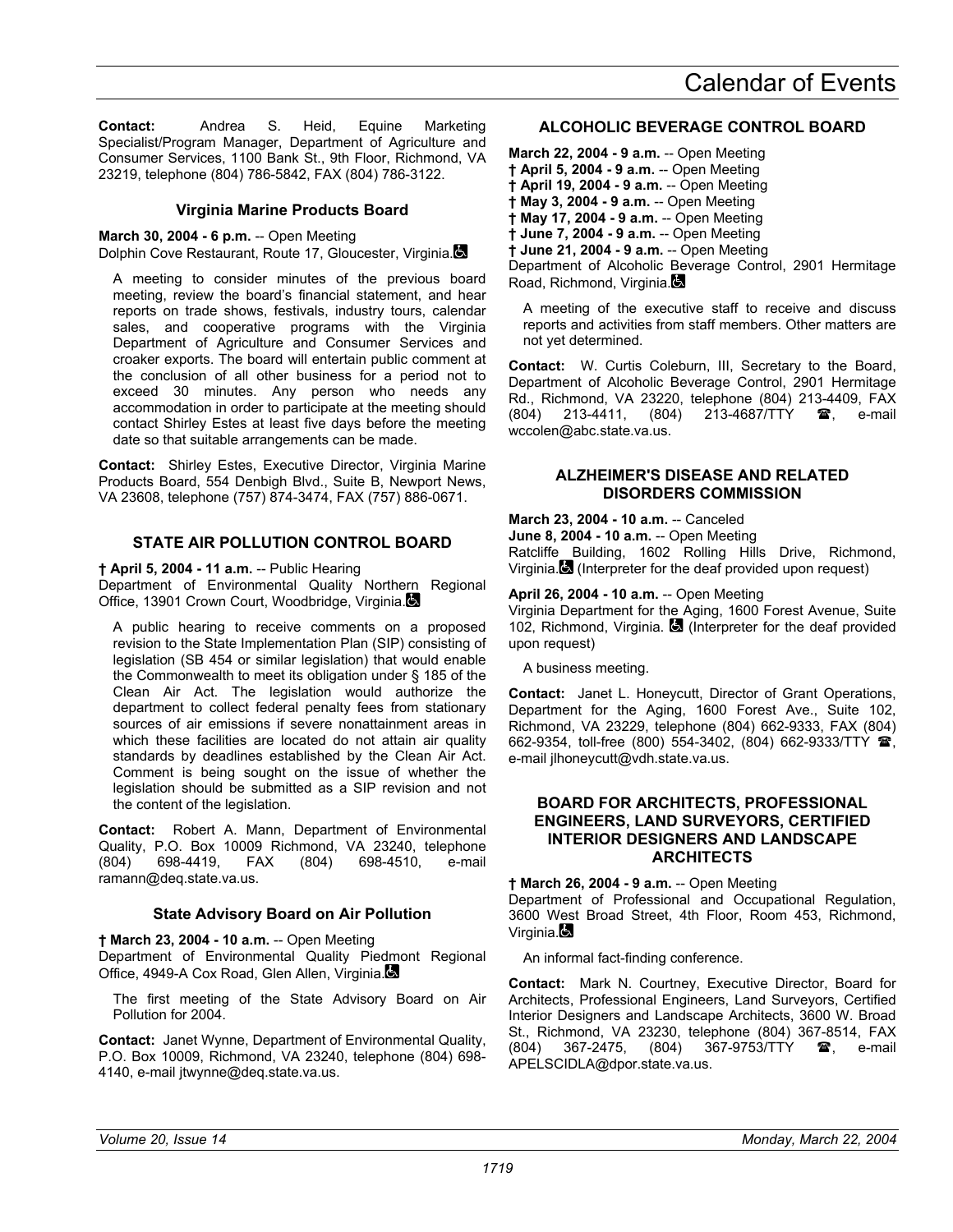**Contact:** Andrea S. Heid, Equine Marketing Specialist/Program Manager, Department of Agriculture and Consumer Services, 1100 Bank St., 9th Floor, Richmond, VA 23219, telephone (804) 786-5842, FAX (804) 786-3122.

## **Virginia Marine Products Board**

**March 30, 2004 - 6 p.m.** -- Open Meeting

Dolphin Cove Restaurant, Route 17, Gloucester, Virginia.

A meeting to consider minutes of the previous board meeting, review the board's financial statement, and hear reports on trade shows, festivals, industry tours, calendar sales, and cooperative programs with the Virginia Department of Agriculture and Consumer Services and croaker exports. The board will entertain public comment at the conclusion of all other business for a period not to exceed 30 minutes. Any person who needs any accommodation in order to participate at the meeting should contact Shirley Estes at least five days before the meeting date so that suitable arrangements can be made.

**Contact:** Shirley Estes, Executive Director, Virginia Marine Products Board, 554 Denbigh Blvd., Suite B, Newport News, VA 23608, telephone (757) 874-3474, FAX (757) 886-0671.

## **STATE AIR POLLUTION CONTROL BOARD**

**† April 5, 2004 - 11 a.m.** -- Public Hearing

Department of Environmental Quality Northern Regional Office, 13901 Crown Court, Woodbridge, Virginia.

A public hearing to receive comments on a proposed revision to the State Implementation Plan (SIP) consisting of legislation (SB 454 or similar legislation) that would enable the Commonwealth to meet its obligation under § 185 of the Clean Air Act. The legislation would authorize the department to collect federal penalty fees from stationary sources of air emissions if severe nonattainment areas in which these facilities are located do not attain air quality standards by deadlines established by the Clean Air Act. Comment is being sought on the issue of whether the legislation should be submitted as a SIP revision and not the content of the legislation.

**Contact:** Robert A. Mann, Department of Environmental Quality, P.O. Box 10009 Richmond, VA 23240, telephone (804) 698-4419, FAX (804) 698-4510, e-mail ramann@deq.state.va.us.

## **State Advisory Board on Air Pollution**

**† March 23, 2004 - 10 a.m.** -- Open Meeting Department of Environmental Quality Piedmont Regional Office, 4949-A Cox Road, Glen Allen, Virginia.

The first meeting of the State Advisory Board on Air Pollution for 2004.

**Contact:** Janet Wynne, Department of Environmental Quality, P.O. Box 10009, Richmond, VA 23240, telephone (804) 698- 4140, e-mail jtwynne@deq.state.va.us.

## **ALCOHOLIC BEVERAGE CONTROL BOARD**

**March 22, 2004 - 9 a.m.** -- Open Meeting **† April 5, 2004 - 9 a.m.** -- Open Meeting **† April 19, 2004 - 9 a.m.** -- Open Meeting **† May 3, 2004 - 9 a.m.** -- Open Meeting **† May 17, 2004 - 9 a.m.** -- Open Meeting **† June 7, 2004 - 9 a.m.** -- Open Meeting **† June 21, 2004 - 9 a.m.** -- Open Meeting Department of Alcoholic Beverage Control, 2901 Hermitage Road, Richmond, Virginia.

A meeting of the executive staff to receive and discuss reports and activities from staff members. Other matters are not yet determined.

**Contact:** W. Curtis Coleburn, III, Secretary to the Board, Department of Alcoholic Beverage Control, 2901 Hermitage Rd., Richmond, VA 23220, telephone (804) 213-4409, FAX (804) 213-4411, (804) 213-4687/TTY  $\blacksquare$ , e-mail wccolen@abc.state.va.us.

## **ALZHEIMER'S DISEASE AND RELATED DISORDERS COMMISSION**

**March 23, 2004 - 10 a.m.** -- Canceled

**June 8, 2004 - 10 a.m.** -- Open Meeting Ratcliffe Building, 1602 Rolling Hills Drive, Richmond, Virginia. (Interpreter for the deaf provided upon request)

## **April 26, 2004 - 10 a.m.** -- Open Meeting

Virginia Department for the Aging, 1600 Forest Avenue, Suite 102, Richmond, Virginia. (Interpreter for the deaf provided upon request)

A business meeting.

**Contact:** Janet L. Honeycutt, Director of Grant Operations, Department for the Aging, 1600 Forest Ave., Suite 102, Richmond, VA 23229, telephone (804) 662-9333, FAX (804) 662-9354, toll-free (800) 554-3402, (804) 662-9333/TTY  $\blacksquare$ , e-mail jlhoneycutt@vdh.state.va.us.

## **BOARD FOR ARCHITECTS, PROFESSIONAL ENGINEERS, LAND SURVEYORS, CERTIFIED INTERIOR DESIGNERS AND LANDSCAPE ARCHITECTS**

**† March 26, 2004 - 9 a.m.** -- Open Meeting Department of Professional and Occupational Regulation, 3600 West Broad Street, 4th Floor, Room 453, Richmond, Virginia.

An informal fact-finding conference.

**Contact:** Mark N. Courtney, Executive Director, Board for Architects, Professional Engineers, Land Surveyors, Certified Interior Designers and Landscape Architects, 3600 W. Broad St., Richmond, VA 23230, telephone (804) 367-8514, FAX (804) 367-2475, (804) 367-9753/TTY <sup>2</sup>, e-mail APELSCIDLA@dpor.state.va.us.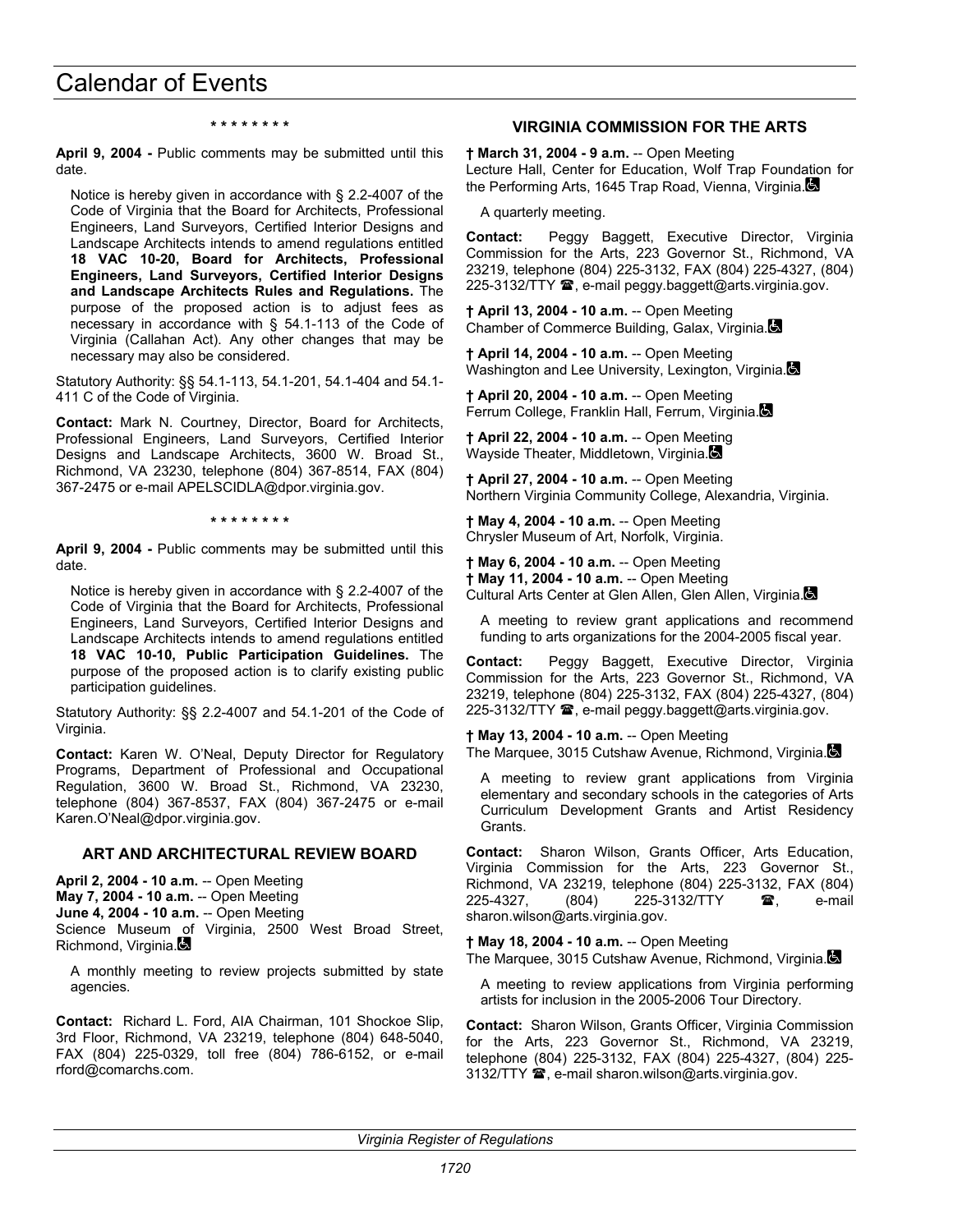#### **\* \* \* \* \* \* \* \***

**April 9, 2004 -** Public comments may be submitted until this date.

Notice is hereby given in accordance with § 2.2-4007 of the Code of Virginia that the Board for Architects, Professional Engineers, Land Surveyors, Certified Interior Designs and Landscape Architects intends to amend regulations entitled **18 VAC 10-20, Board for Architects, Professional Engineers, Land Surveyors, Certified Interior Designs and Landscape Architects Rules and Regulations.** The purpose of the proposed action is to adjust fees as necessary in accordance with § 54.1-113 of the Code of Virginia (Callahan Act). Any other changes that may be necessary may also be considered.

Statutory Authority: §§ 54.1-113, 54.1-201, 54.1-404 and 54.1- 411 C of the Code of Virginia.

**Contact:** Mark N. Courtney, Director, Board for Architects, Professional Engineers, Land Surveyors, Certified Interior Designs and Landscape Architects, 3600 W. Broad St., Richmond, VA 23230, telephone (804) 367-8514, FAX (804) 367-2475 or e-mail APELSCIDLA@dpor.virginia.gov.

**\* \* \* \* \* \* \* \*** 

**April 9, 2004 -** Public comments may be submitted until this date.

Notice is hereby given in accordance with § 2.2-4007 of the Code of Virginia that the Board for Architects, Professional Engineers, Land Surveyors, Certified Interior Designs and Landscape Architects intends to amend regulations entitled **18 VAC 10-10, Public Participation Guidelines.** The purpose of the proposed action is to clarify existing public participation guidelines.

Statutory Authority: §§ 2.2-4007 and 54.1-201 of the Code of Virginia.

**Contact:** Karen W. O'Neal, Deputy Director for Regulatory Programs, Department of Professional and Occupational Regulation, 3600 W. Broad St., Richmond, VA 23230, telephone (804) 367-8537, FAX (804) 367-2475 or e-mail Karen.O'Neal@dpor.virginia.gov.

#### **ART AND ARCHITECTURAL REVIEW BOARD**

**April 2, 2004 - 10 a.m.** -- Open Meeting

**May 7, 2004 - 10 a.m.** -- Open Meeting

**June 4, 2004 - 10 a.m.** -- Open Meeting

Science Museum of Virginia, 2500 West Broad Street, Richmond, Virginia.

A monthly meeting to review projects submitted by state agencies.

**Contact:** Richard L. Ford, AIA Chairman, 101 Shockoe Slip, 3rd Floor, Richmond, VA 23219, telephone (804) 648-5040, FAX (804) 225-0329, toll free (804) 786-6152, or e-mail rford@comarchs.com.

### **VIRGINIA COMMISSION FOR THE ARTS**

**† March 31, 2004 - 9 a.m.** -- Open Meeting Lecture Hall, Center for Education, Wolf Trap Foundation for the Performing Arts, 1645 Trap Road, Vienna, Virginia.

A quarterly meeting.

**Contact:** Peggy Baggett, Executive Director, Virginia Commission for the Arts, 223 Governor St., Richmond, VA 23219, telephone (804) 225-3132, FAX (804) 225-4327, (804) 225-3132/TTY <sup>•</sup>, e-mail peggy.baggett@arts.virginia.gov.

**† April 13, 2004 - 10 a.m.** -- Open Meeting Chamber of Commerce Building, Galax, Virginia.

**† April 14, 2004 - 10 a.m.** -- Open Meeting Washington and Lee University, Lexington, Virginia.

**† April 20, 2004 - 10 a.m.** -- Open Meeting Ferrum College, Franklin Hall, Ferrum, Virginia.

**† April 22, 2004 - 10 a.m.** -- Open Meeting Wayside Theater, Middletown, Virginia.

**† April 27, 2004 - 10 a.m.** -- Open Meeting Northern Virginia Community College, Alexandria, Virginia.

**† May 4, 2004 - 10 a.m.** -- Open Meeting Chrysler Museum of Art, Norfolk, Virginia.

**† May 6, 2004 - 10 a.m.** -- Open Meeting **† May 11, 2004 - 10 a.m.** -- Open Meeting Cultural Arts Center at Glen Allen, Glen Allen, Virginia.

A meeting to review grant applications and recommend funding to arts organizations for the 2004-2005 fiscal year.

**Contact:** Peggy Baggett, Executive Director, Virginia Commission for the Arts, 223 Governor St., Richmond, VA 23219, telephone (804) 225-3132, FAX (804) 225-4327, (804) 225-3132/TTY  $\blacksquare$ , e-mail peggy.baggett@arts.virginia.gov.

**† May 13, 2004 - 10 a.m.** -- Open Meeting The Marquee, 3015 Cutshaw Avenue, Richmond, Virginia.

A meeting to review grant applications from Virginia elementary and secondary schools in the categories of Arts Curriculum Development Grants and Artist Residency Grants.

**Contact:** Sharon Wilson, Grants Officer, Arts Education, Virginia Commission for the Arts, 223 Governor St., Richmond, VA 23219, telephone (804) 225-3132, FAX (804) 225-4327, (804) 225-3132/TTY **?**, e-mail sharon.wilson@arts.virginia.gov.

**† May 18, 2004 - 10 a.m.** -- Open Meeting The Marquee, 3015 Cutshaw Avenue, Richmond, Virginia.

A meeting to review applications from Virginia performing artists for inclusion in the 2005-2006 Tour Directory.

**Contact:** Sharon Wilson, Grants Officer, Virginia Commission for the Arts, 223 Governor St., Richmond, VA 23219, telephone (804) 225-3132, FAX (804) 225-4327, (804) 225- 3132/TTY **☎**, e-mail sharon.wilson@arts.virginia.gov.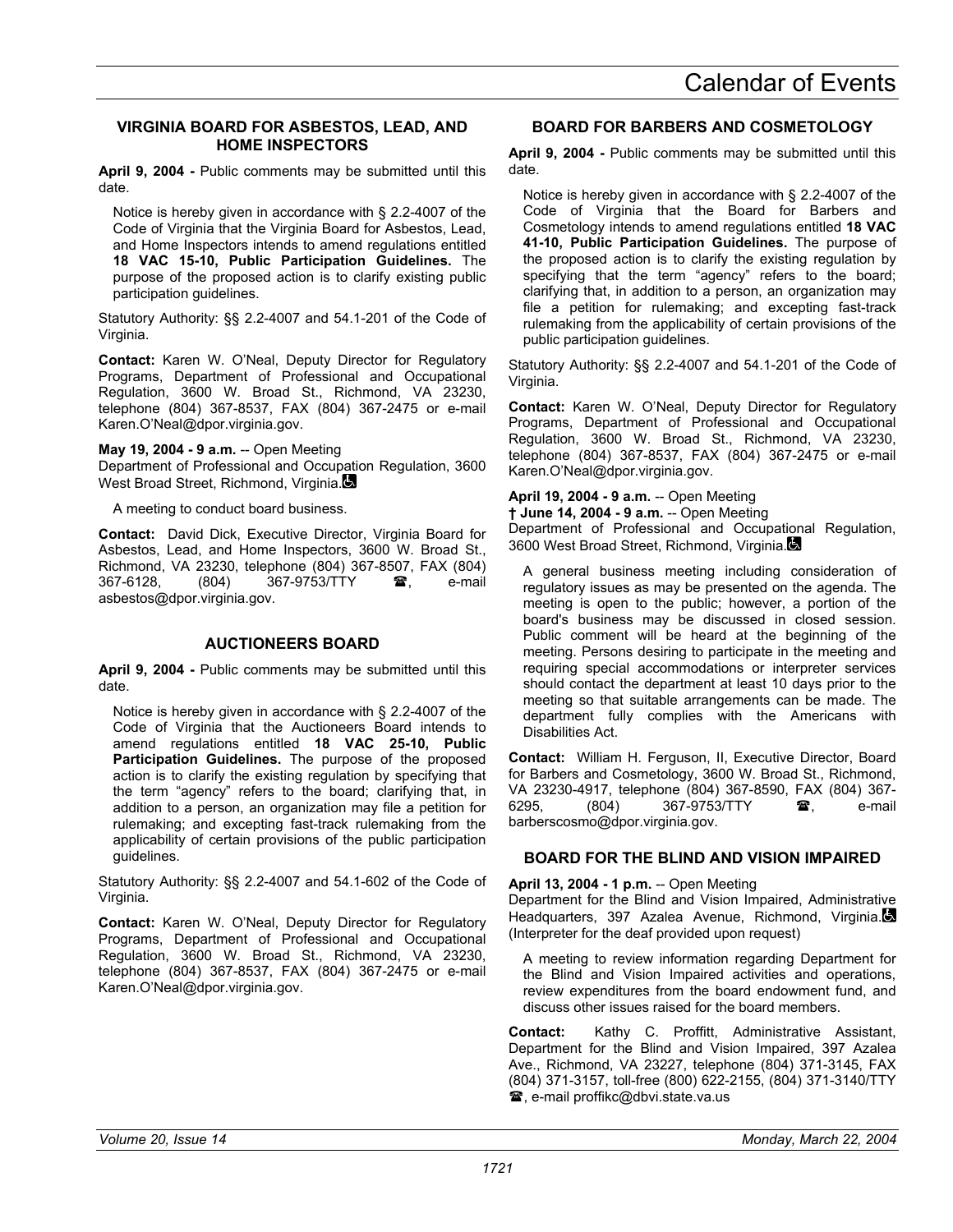## **VIRGINIA BOARD FOR ASBESTOS, LEAD, AND HOME INSPECTORS**

**April 9, 2004 -** Public comments may be submitted until this date.

Notice is hereby given in accordance with § 2.2-4007 of the Code of Virginia that the Virginia Board for Asbestos, Lead, and Home Inspectors intends to amend regulations entitled **18 VAC 15-10, Public Participation Guidelines.** The purpose of the proposed action is to clarify existing public participation guidelines.

Statutory Authority: §§ 2.2-4007 and 54.1-201 of the Code of Virginia.

**Contact:** Karen W. O'Neal, Deputy Director for Regulatory Programs, Department of Professional and Occupational Regulation, 3600 W. Broad St., Richmond, VA 23230, telephone (804) 367-8537, FAX (804) 367-2475 or e-mail Karen.O'Neal@dpor.virginia.gov.

**May 19, 2004 - 9 a.m.** -- Open Meeting

Department of Professional and Occupation Regulation, 3600 West Broad Street, Richmond, Virginia.

A meeting to conduct board business.

**Contact:** David Dick, Executive Director, Virginia Board for Asbestos, Lead, and Home Inspectors, 3600 W. Broad St., Richmond, VA 23230, telephone (804) 367-8507, FAX (804) 367-6128, (804) 367-9753/TTY **3**, e-mail asbestos@dpor.virginia.gov.

## **AUCTIONEERS BOARD**

**April 9, 2004 -** Public comments may be submitted until this date.

Notice is hereby given in accordance with § 2.2-4007 of the Code of Virginia that the Auctioneers Board intends to amend regulations entitled **18 VAC 25-10, Public Participation Guidelines.** The purpose of the proposed action is to clarify the existing regulation by specifying that the term "agency" refers to the board; clarifying that, in addition to a person, an organization may file a petition for rulemaking; and excepting fast-track rulemaking from the applicability of certain provisions of the public participation guidelines.

Statutory Authority: §§ 2.2-4007 and 54.1-602 of the Code of Virginia.

**Contact:** Karen W. O'Neal, Deputy Director for Regulatory Programs, Department of Professional and Occupational Regulation, 3600 W. Broad St., Richmond, VA 23230, telephone (804) 367-8537, FAX (804) 367-2475 or e-mail Karen.O'Neal@dpor.virginia.gov.

## **BOARD FOR BARBERS AND COSMETOLOGY**

**April 9, 2004 -** Public comments may be submitted until this date.

Notice is hereby given in accordance with § 2.2-4007 of the Code of Virginia that the Board for Barbers and Cosmetology intends to amend regulations entitled **18 VAC 41-10, Public Participation Guidelines.** The purpose of the proposed action is to clarify the existing regulation by specifying that the term "agency" refers to the board; clarifying that, in addition to a person, an organization may file a petition for rulemaking; and excepting fast-track rulemaking from the applicability of certain provisions of the public participation guidelines.

Statutory Authority: §§ 2.2-4007 and 54.1-201 of the Code of Virginia.

**Contact:** Karen W. O'Neal, Deputy Director for Regulatory Programs, Department of Professional and Occupational Regulation, 3600 W. Broad St., Richmond, VA 23230, telephone (804) 367-8537, FAX (804) 367-2475 or e-mail Karen.O'Neal@dpor.virginia.gov.

## **April 19, 2004 - 9 a.m.** -- Open Meeting

**† June 14, 2004 - 9 a.m.** -- Open Meeting Department of Professional and Occupational Regulation, 3600 West Broad Street, Richmond, Virginia.

A general business meeting including consideration of regulatory issues as may be presented on the agenda. The meeting is open to the public; however, a portion of the board's business may be discussed in closed session. Public comment will be heard at the beginning of the meeting. Persons desiring to participate in the meeting and requiring special accommodations or interpreter services should contact the department at least 10 days prior to the meeting so that suitable arrangements can be made. The department fully complies with the Americans with Disabilities Act.

**Contact:** William H. Ferguson, II, Executive Director, Board for Barbers and Cosmetology, 3600 W. Broad St., Richmond, VA 23230-4917, telephone (804) 367-8590, FAX (804) 367- 6295, (804) 367-9753/TTY **雷**, e-mail barberscosmo@dpor.virginia.gov.

## **BOARD FOR THE BLIND AND VISION IMPAIRED**

#### **April 13, 2004 - 1 p.m.** -- Open Meeting

Department for the Blind and Vision Impaired, Administrative Headquarters, 397 Azalea Avenue, Richmond, Virginia. (Interpreter for the deaf provided upon request)

A meeting to review information regarding Department for the Blind and Vision Impaired activities and operations, review expenditures from the board endowment fund, and discuss other issues raised for the board members.

**Contact:** Kathy C. Proffitt, Administrative Assistant, Department for the Blind and Vision Impaired, 397 Azalea Ave., Richmond, VA 23227, telephone (804) 371-3145, FAX (804) 371-3157, toll-free (800) 622-2155, (804) 371-3140/TTY **■, e-mail proffikc@dbvi.state.va.us**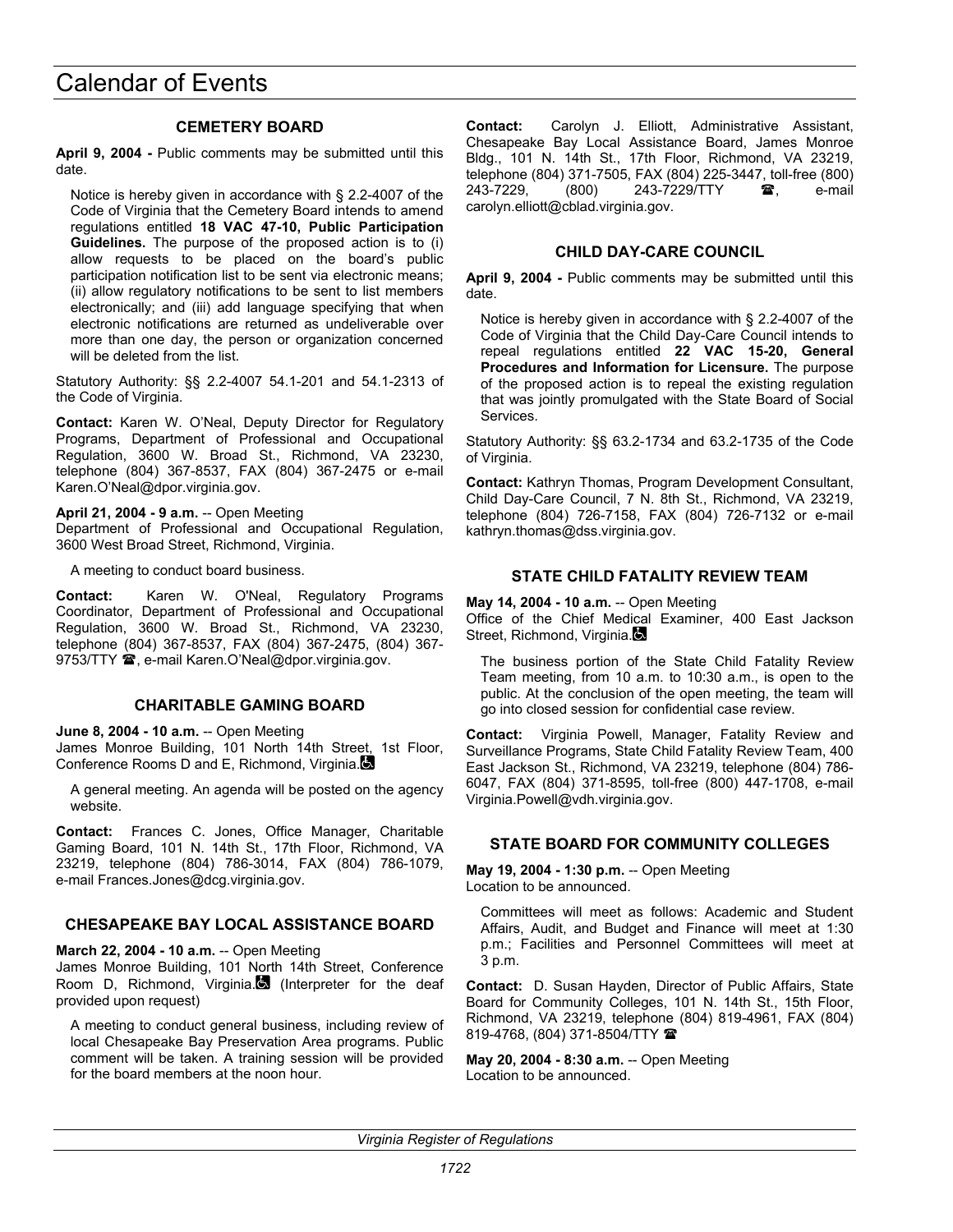### **CEMETERY BOARD**

**April 9, 2004 -** Public comments may be submitted until this date.

Notice is hereby given in accordance with § 2.2-4007 of the Code of Virginia that the Cemetery Board intends to amend regulations entitled **18 VAC 47-10, Public Participation Guidelines.** The purpose of the proposed action is to (i) allow requests to be placed on the board's public participation notification list to be sent via electronic means; (ii) allow regulatory notifications to be sent to list members electronically; and (iii) add language specifying that when electronic notifications are returned as undeliverable over more than one day, the person or organization concerned will be deleted from the list.

Statutory Authority: §§ 2.2-4007 54.1-201 and 54.1-2313 of the Code of Virginia.

**Contact:** Karen W. O'Neal, Deputy Director for Regulatory Programs, Department of Professional and Occupational Regulation, 3600 W. Broad St., Richmond, VA 23230, telephone (804) 367-8537, FAX (804) 367-2475 or e-mail Karen.O'Neal@dpor.virginia.gov.

#### **April 21, 2004 - 9 a.m.** -- Open Meeting

Department of Professional and Occupational Regulation, 3600 West Broad Street, Richmond, Virginia.

A meeting to conduct board business.

**Contact:** Karen W. O'Neal, Regulatory Programs Coordinator, Department of Professional and Occupational Regulation, 3600 W. Broad St., Richmond, VA 23230, telephone (804) 367-8537, FAX (804) 367-2475, (804) 367- 9753/TTY  $\mathbf{\mathcal{D}}$ , e-mail Karen.O'Neal@dpor.virginia.gov.

## **CHARITABLE GAMING BOARD**

**June 8, 2004 - 10 a.m.** -- Open Meeting

James Monroe Building, 101 North 14th Street, 1st Floor, Conference Rooms D and E, Richmond, Virginia.

A general meeting. An agenda will be posted on the agency website.

**Contact:** Frances C. Jones, Office Manager, Charitable Gaming Board, 101 N. 14th St., 17th Floor, Richmond, VA 23219, telephone (804) 786-3014, FAX (804) 786-1079, e-mail Frances.Jones@dcg.virginia.gov.

## **CHESAPEAKE BAY LOCAL ASSISTANCE BOARD**

**March 22, 2004 - 10 a.m.** -- Open Meeting

James Monroe Building, 101 North 14th Street, Conference Room D, Richmond, Virginia. (Interpreter for the deaf provided upon request)

A meeting to conduct general business, including review of local Chesapeake Bay Preservation Area programs. Public comment will be taken. A training session will be provided for the board members at the noon hour.

**Contact:** Carolyn J. Elliott, Administrative Assistant, Chesapeake Bay Local Assistance Board, James Monroe Bldg., 101 N. 14th St., 17th Floor, Richmond, VA 23219, telephone (804) 371-7505, FAX (804) 225-3447, toll-free (800) 243-7229, (800) 243-7229/TTY **雪**, e-mail carolyn.elliott@cblad.virginia.gov.

## **CHILD DAY-CARE COUNCIL**

**April 9, 2004 -** Public comments may be submitted until this date.

Notice is hereby given in accordance with § 2.2-4007 of the Code of Virginia that the Child Day-Care Council intends to repeal regulations entitled **22 VAC 15-20, General Procedures and Information for Licensure.** The purpose of the proposed action is to repeal the existing regulation that was jointly promulgated with the State Board of Social Services.

Statutory Authority: §§ 63.2-1734 and 63.2-1735 of the Code of Virginia.

**Contact:** Kathryn Thomas, Program Development Consultant, Child Day-Care Council, 7 N. 8th St., Richmond, VA 23219, telephone (804) 726-7158, FAX (804) 726-7132 or e-mail kathryn.thomas@dss.virginia.gov.

## **STATE CHILD FATALITY REVIEW TEAM**

#### **May 14, 2004 - 10 a.m.** -- Open Meeting

Office of the Chief Medical Examiner, 400 East Jackson Street, Richmond, Virginia.

The business portion of the State Child Fatality Review Team meeting, from 10 a.m. to 10:30 a.m., is open to the public. At the conclusion of the open meeting, the team will go into closed session for confidential case review.

**Contact:** Virginia Powell, Manager, Fatality Review and Surveillance Programs, State Child Fatality Review Team, 400 East Jackson St., Richmond, VA 23219, telephone (804) 786- 6047, FAX (804) 371-8595, toll-free (800) 447-1708, e-mail Virginia.Powell@vdh.virginia.gov.

## **STATE BOARD FOR COMMUNITY COLLEGES**

**May 19, 2004 - 1:30 p.m.** -- Open Meeting Location to be announced.

Committees will meet as follows: Academic and Student Affairs, Audit, and Budget and Finance will meet at 1:30 p.m.; Facilities and Personnel Committees will meet at 3 p.m.

**Contact:** D. Susan Hayden, Director of Public Affairs, State Board for Community Colleges, 101 N. 14th St., 15th Floor, Richmond, VA 23219, telephone (804) 819-4961, FAX (804) 819-4768, (804) 371-8504/TTY

**May 20, 2004 - 8:30 a.m.** -- Open Meeting Location to be announced.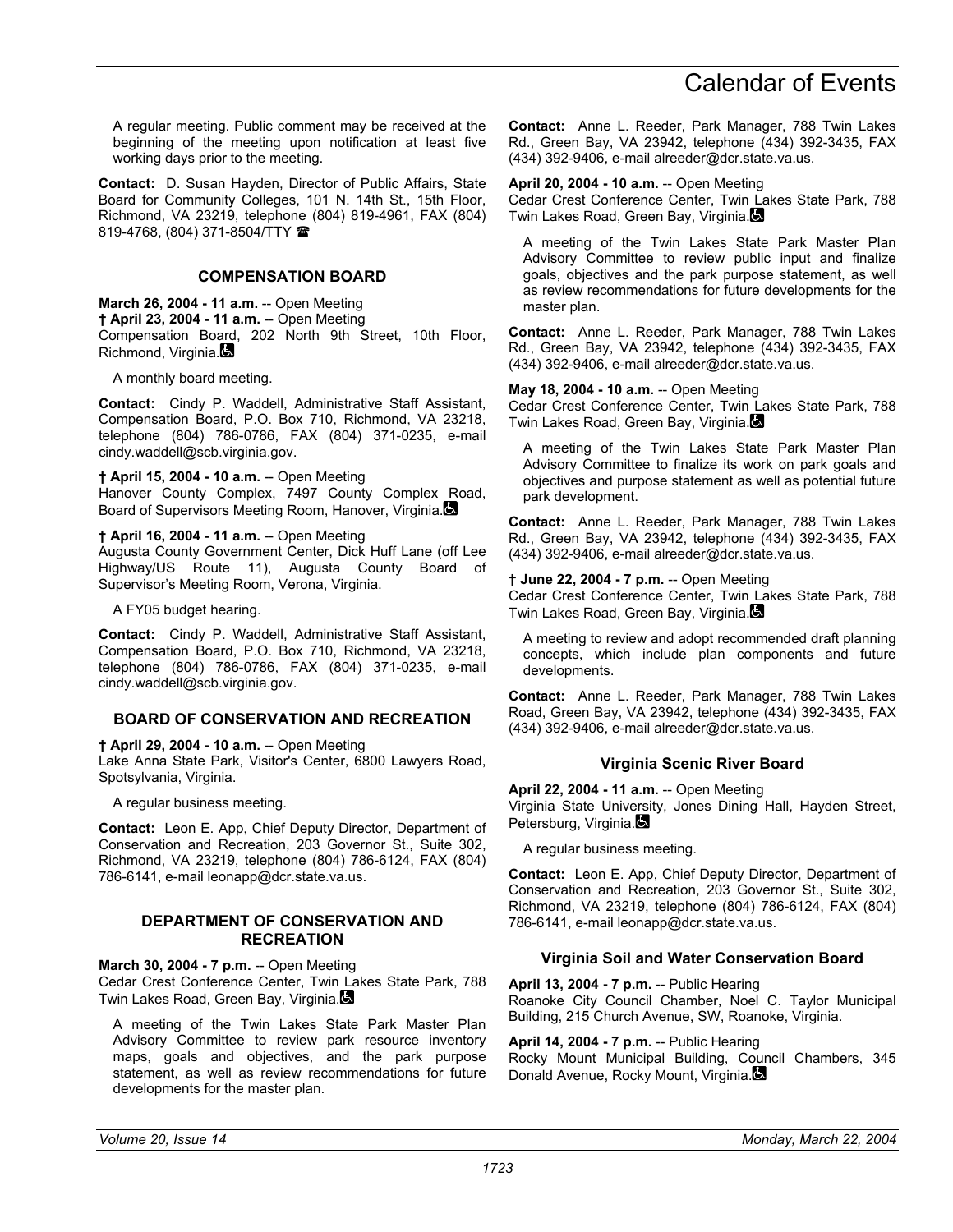A regular meeting. Public comment may be received at the beginning of the meeting upon notification at least five working days prior to the meeting.

**Contact:** D. Susan Hayden, Director of Public Affairs, State Board for Community Colleges, 101 N. 14th St., 15th Floor, Richmond, VA 23219, telephone (804) 819-4961, FAX (804) 819-4768, (804) 371-8504/TTY

### **COMPENSATION BOARD**

**March 26, 2004 - 11 a.m.** -- Open Meeting **† April 23, 2004 - 11 a.m.** -- Open Meeting Compensation Board, 202 North 9th Street, 10th Floor, Richmond, Virginia.

A monthly board meeting.

**Contact:** Cindy P. Waddell, Administrative Staff Assistant, Compensation Board, P.O. Box 710, Richmond, VA 23218, telephone (804) 786-0786, FAX (804) 371-0235, e-mail cindy.waddell@scb.virginia.gov.

**† April 15, 2004 - 10 a.m.** -- Open Meeting Hanover County Complex, 7497 County Complex Road, Board of Supervisors Meeting Room, Hanover, Virginia.

**† April 16, 2004 - 11 a.m.** -- Open Meeting Augusta County Government Center, Dick Huff Lane (off Lee Highway/US Route 11), Augusta County Board of

A FY05 budget hearing.

**Contact:** Cindy P. Waddell, Administrative Staff Assistant, Compensation Board, P.O. Box 710, Richmond, VA 23218, telephone (804) 786-0786, FAX (804) 371-0235, e-mail cindy.waddell@scb.virginia.gov.

## **BOARD OF CONSERVATION AND RECREATION**

**† April 29, 2004 - 10 a.m.** -- Open Meeting

Supervisor's Meeting Room, Verona, Virginia.

Lake Anna State Park, Visitor's Center, 6800 Lawyers Road, Spotsylvania, Virginia.

A regular business meeting.

**Contact:** Leon E. App, Chief Deputy Director, Department of Conservation and Recreation, 203 Governor St., Suite 302, Richmond, VA 23219, telephone (804) 786-6124, FAX (804) 786-6141, e-mail leonapp@dcr.state.va.us.

#### **DEPARTMENT OF CONSERVATION AND RECREATION**

**March 30, 2004 - 7 p.m.** -- Open Meeting Cedar Crest Conference Center, Twin Lakes State Park, 788 Twin Lakes Road, Green Bay, Virginia.

A meeting of the Twin Lakes State Park Master Plan Advisory Committee to review park resource inventory maps, goals and objectives, and the park purpose statement, as well as review recommendations for future developments for the master plan.

**Contact:** Anne L. Reeder, Park Manager, 788 Twin Lakes Rd., Green Bay, VA 23942, telephone (434) 392-3435, FAX (434) 392-9406, e-mail alreeder@dcr.state.va.us.

**April 20, 2004 - 10 a.m.** -- Open Meeting

Cedar Crest Conference Center, Twin Lakes State Park, 788 Twin Lakes Road, Green Bay, Virginia.

A meeting of the Twin Lakes State Park Master Plan Advisory Committee to review public input and finalize goals, objectives and the park purpose statement, as well as review recommendations for future developments for the master plan.

**Contact:** Anne L. Reeder, Park Manager, 788 Twin Lakes Rd., Green Bay, VA 23942, telephone (434) 392-3435, FAX (434) 392-9406, e-mail alreeder@dcr.state.va.us.

**May 18, 2004 - 10 a.m.** -- Open Meeting Cedar Crest Conference Center, Twin Lakes State Park, 788 Twin Lakes Road, Green Bay, Virginia.

A meeting of the Twin Lakes State Park Master Plan Advisory Committee to finalize its work on park goals and objectives and purpose statement as well as potential future park development.

**Contact:** Anne L. Reeder, Park Manager, 788 Twin Lakes Rd., Green Bay, VA 23942, telephone (434) 392-3435, FAX (434) 392-9406, e-mail alreeder@dcr.state.va.us.

**† June 22, 2004 - 7 p.m.** -- Open Meeting Cedar Crest Conference Center, Twin Lakes State Park, 788 Twin Lakes Road, Green Bay, Virginia.

A meeting to review and adopt recommended draft planning concepts, which include plan components and future developments.

**Contact:** Anne L. Reeder, Park Manager, 788 Twin Lakes Road, Green Bay, VA 23942, telephone (434) 392-3435, FAX (434) 392-9406, e-mail alreeder@dcr.state.va.us.

## **Virginia Scenic River Board**

**April 22, 2004 - 11 a.m.** -- Open Meeting Virginia State University, Jones Dining Hall, Hayden Street, Petersburg, Virginia.

A regular business meeting.

**Contact:** Leon E. App, Chief Deputy Director, Department of Conservation and Recreation, 203 Governor St., Suite 302, Richmond, VA 23219, telephone (804) 786-6124, FAX (804) 786-6141, e-mail leonapp@dcr.state.va.us.

## **Virginia Soil and Water Conservation Board**

**April 13, 2004 - 7 p.m.** -- Public Hearing Roanoke City Council Chamber, Noel C. Taylor Municipal Building, 215 Church Avenue, SW, Roanoke, Virginia.

**April 14, 2004 - 7 p.m.** -- Public Hearing Rocky Mount Municipal Building, Council Chambers, 345 Donald Avenue, Rocky Mount, Virginia.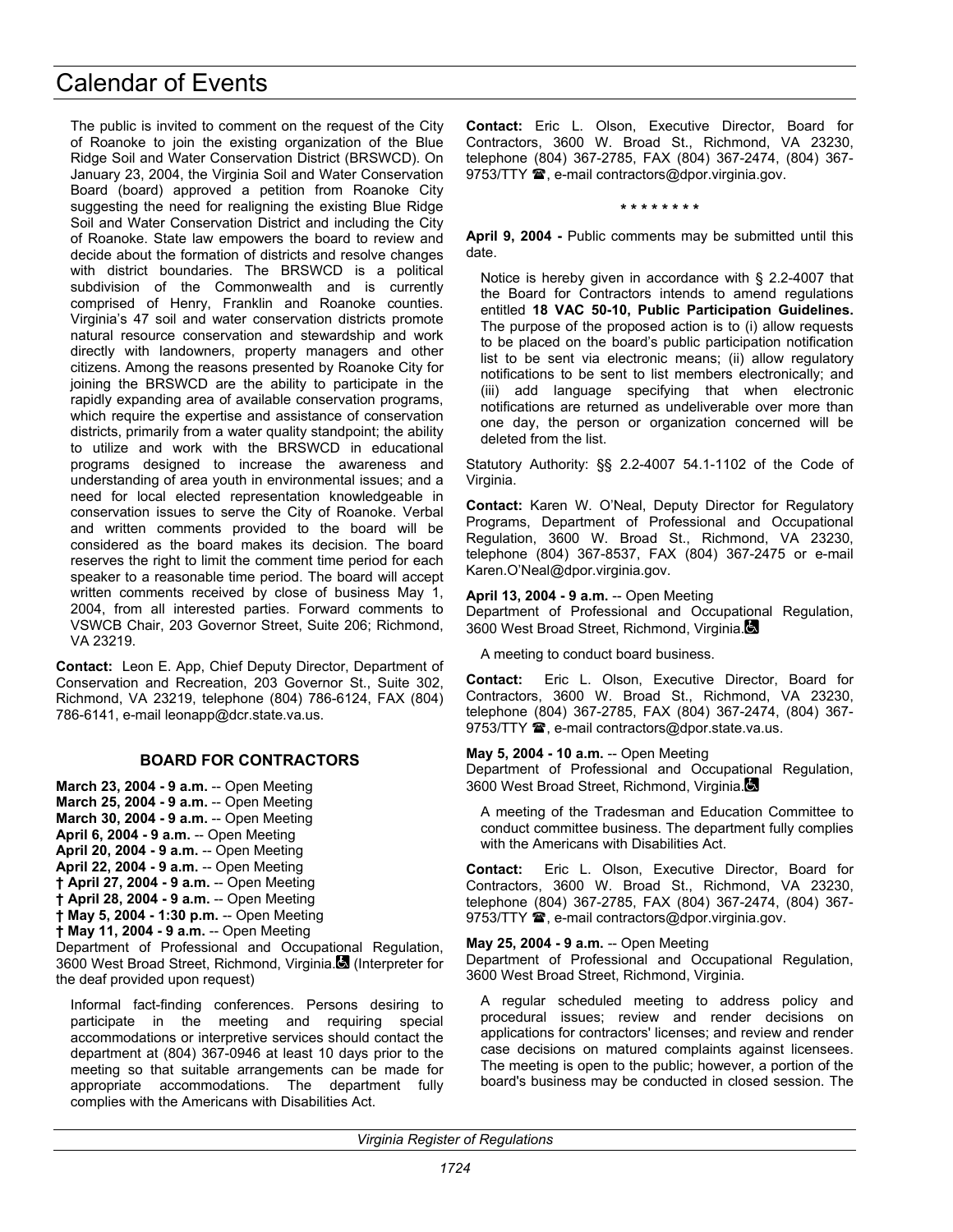The public is invited to comment on the request of the City of Roanoke to join the existing organization of the Blue Ridge Soil and Water Conservation District (BRSWCD). On January 23, 2004, the Virginia Soil and Water Conservation Board (board) approved a petition from Roanoke City suggesting the need for realigning the existing Blue Ridge Soil and Water Conservation District and including the City of Roanoke. State law empowers the board to review and decide about the formation of districts and resolve changes with district boundaries. The BRSWCD is a political subdivision of the Commonwealth and is currently comprised of Henry, Franklin and Roanoke counties. Virginia's 47 soil and water conservation districts promote natural resource conservation and stewardship and work directly with landowners, property managers and other citizens. Among the reasons presented by Roanoke City for joining the BRSWCD are the ability to participate in the rapidly expanding area of available conservation programs, which require the expertise and assistance of conservation districts, primarily from a water quality standpoint; the ability to utilize and work with the BRSWCD in educational programs designed to increase the awareness and understanding of area youth in environmental issues; and a need for local elected representation knowledgeable in conservation issues to serve the City of Roanoke. Verbal and written comments provided to the board will be considered as the board makes its decision. The board reserves the right to limit the comment time period for each speaker to a reasonable time period. The board will accept written comments received by close of business May 1, 2004, from all interested parties. Forward comments to VSWCB Chair, 203 Governor Street, Suite 206; Richmond, VA 23219.

**Contact:** Leon E. App, Chief Deputy Director, Department of Conservation and Recreation, 203 Governor St., Suite 302, Richmond, VA 23219, telephone (804) 786-6124, FAX (804) 786-6141, e-mail leonapp@dcr.state.va.us.

## **BOARD FOR CONTRACTORS**

**March 23, 2004 - 9 a.m.** -- Open Meeting **March 25, 2004 - 9 a.m.** -- Open Meeting **March 30, 2004 - 9 a.m.** -- Open Meeting **April 6, 2004 - 9 a.m.** -- Open Meeting **April 20, 2004 - 9 a.m.** -- Open Meeting **April 22, 2004 - 9 a.m.** -- Open Meeting **† April 27, 2004 - 9 a.m.** -- Open Meeting **† April 28, 2004 - 9 a.m.** -- Open Meeting **† May 5, 2004 - 1:30 p.m.** -- Open Meeting **† May 11, 2004 - 9 a.m.** -- Open Meeting

Department of Professional and Occupational Regulation, 3600 West Broad Street, Richmond, Virginia. (Interpreter for the deaf provided upon request)

Informal fact-finding conferences. Persons desiring to participate in the meeting and requiring special accommodations or interpretive services should contact the department at (804) 367-0946 at least 10 days prior to the meeting so that suitable arrangements can be made for appropriate accommodations. The department fully complies with the Americans with Disabilities Act.

**Contact:** Eric L. Olson, Executive Director, Board for Contractors, 3600 W. Broad St., Richmond, VA 23230, telephone (804) 367-2785, FAX (804) 367-2474, (804) 367- 9753/TTY <sup>3</sup>, e-mail contractors@dpor.virginia.gov.

**\* \* \* \* \* \* \* \*** 

**April 9, 2004 -** Public comments may be submitted until this date.

Notice is hereby given in accordance with § 2.2-4007 that the Board for Contractors intends to amend regulations entitled **18 VAC 50-10, Public Participation Guidelines.** The purpose of the proposed action is to (i) allow requests to be placed on the board's public participation notification list to be sent via electronic means; (ii) allow regulatory notifications to be sent to list members electronically; and (iii) add language specifying that when electronic notifications are returned as undeliverable over more than one day, the person or organization concerned will be deleted from the list.

Statutory Authority: §§ 2.2-4007 54.1-1102 of the Code of Virginia.

**Contact:** Karen W. O'Neal, Deputy Director for Regulatory Programs, Department of Professional and Occupational Regulation, 3600 W. Broad St., Richmond, VA 23230, telephone (804) 367-8537, FAX (804) 367-2475 or e-mail Karen.O'Neal@dpor.virginia.gov.

**April 13, 2004 - 9 a.m.** -- Open Meeting

Department of Professional and Occupational Regulation, 3600 West Broad Street, Richmond, Virginia.

A meeting to conduct board business.

**Contact:** Eric L. Olson, Executive Director, Board for Contractors, 3600 W. Broad St., Richmond, VA 23230, telephone (804) 367-2785, FAX (804) 367-2474, (804) 367- 9753/TTY  $\mathbf{\mathcal{D}}$ , e-mail contractors@dpor.state.va.us.

#### **May 5, 2004 - 10 a.m.** -- Open Meeting

Department of Professional and Occupational Regulation, 3600 West Broad Street, Richmond, Virginia.

A meeting of the Tradesman and Education Committee to conduct committee business. The department fully complies with the Americans with Disabilities Act.

**Contact:** Eric L. Olson, Executive Director, Board for Contractors, 3600 W. Broad St., Richmond, VA 23230, telephone (804) 367-2785, FAX (804) 367-2474, (804) 367- 9753/TTY  $\mathbf{\mathcal{D}}$ , e-mail contractors@dpor.virginia.gov.

#### **May 25, 2004 - 9 a.m.** -- Open Meeting

Department of Professional and Occupational Regulation, 3600 West Broad Street, Richmond, Virginia.

A regular scheduled meeting to address policy and procedural issues; review and render decisions on applications for contractors' licenses; and review and render case decisions on matured complaints against licensees. The meeting is open to the public; however, a portion of the board's business may be conducted in closed session. The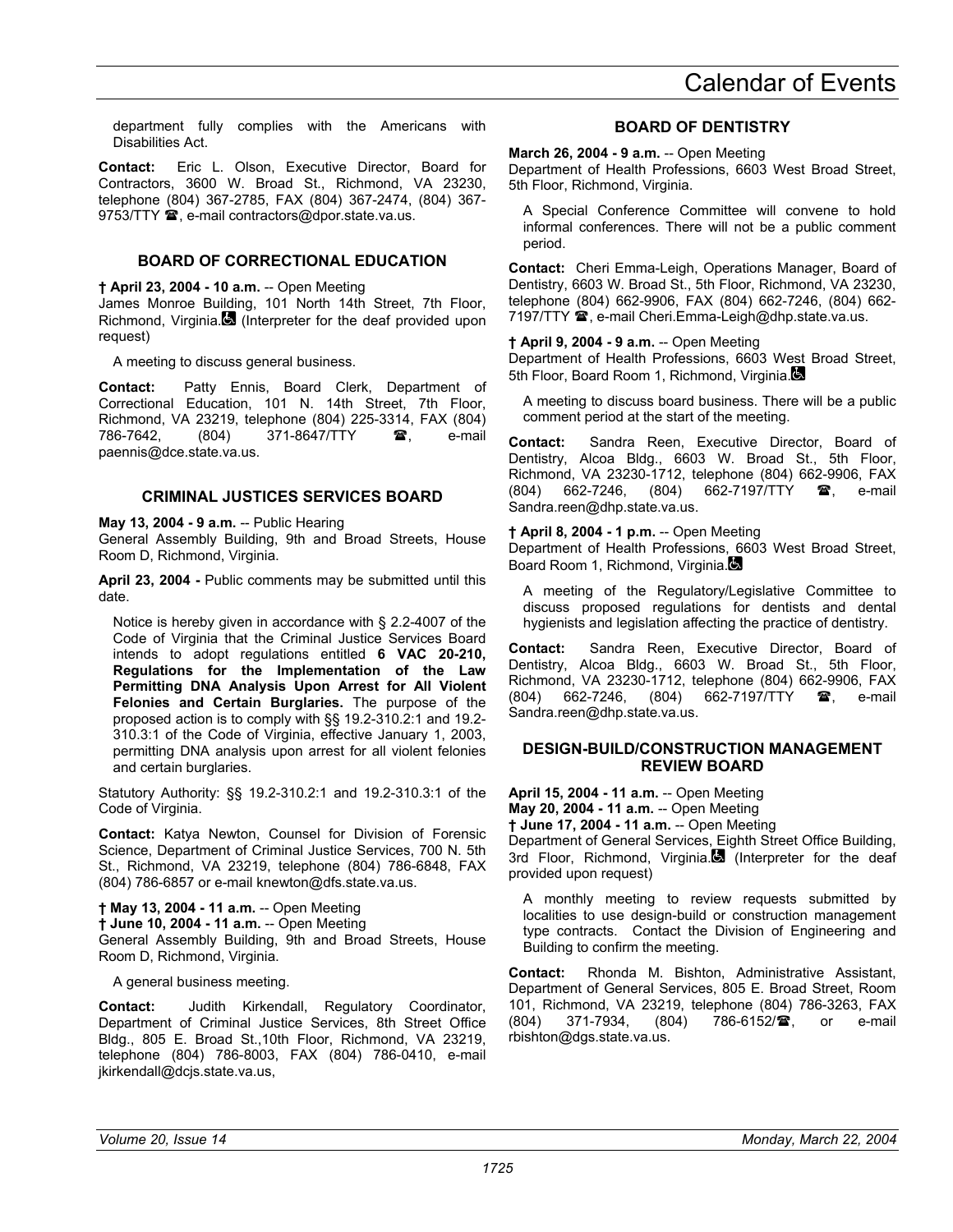department fully complies with the Americans with Disabilities Act.

**Contact:** Eric L. Olson, Executive Director, Board for Contractors, 3600 W. Broad St., Richmond, VA 23230, telephone (804) 367-2785, FAX (804) 367-2474, (804) 367- 9753/TTY  $\hat{a}$ , e-mail contractors@dpor.state.va.us.

### **BOARD OF CORRECTIONAL EDUCATION**

**† April 23, 2004 - 10 a.m.** -- Open Meeting

James Monroe Building, 101 North 14th Street, 7th Floor, Richmond, Virginia. (Interpreter for the deaf provided upon request)

A meeting to discuss general business.

**Contact:** Patty Ennis, Board Clerk, Department of Correctional Education, 101 N. 14th Street, 7th Floor, Richmond, VA 23219, telephone (804) 225-3314, FAX (804) 786-7642, (804) 371-8647/TTY **雷**, e-mail paennis@dce.state.va.us.

#### **CRIMINAL JUSTICES SERVICES BOARD**

**May 13, 2004 - 9 a.m.** -- Public Hearing

General Assembly Building, 9th and Broad Streets, House Room D, Richmond, Virginia.

**April 23, 2004 -** Public comments may be submitted until this date.

Notice is hereby given in accordance with § 2.2-4007 of the Code of Virginia that the Criminal Justice Services Board intends to adopt regulations entitled **6 VAC 20-210, Regulations for the Implementation of the Law Permitting DNA Analysis Upon Arrest for All Violent Felonies and Certain Burglaries.** The purpose of the proposed action is to comply with §§ 19.2-310.2:1 and 19.2- 310.3:1 of the Code of Virginia, effective January 1, 2003, permitting DNA analysis upon arrest for all violent felonies and certain burglaries.

Statutory Authority: §§ 19.2-310.2:1 and 19.2-310.3:1 of the Code of Virginia.

**Contact:** Katya Newton, Counsel for Division of Forensic Science, Department of Criminal Justice Services, 700 N. 5th St., Richmond, VA 23219, telephone (804) 786-6848, FAX (804) 786-6857 or e-mail knewton@dfs.state.va.us.

**† May 13, 2004 - 11 a.m.** -- Open Meeting **† June 10, 2004 - 11 a.m.** -- Open Meeting General Assembly Building, 9th and Broad Streets, House Room D, Richmond, Virginia.

A general business meeting.

**Contact:** Judith Kirkendall, Regulatory Coordinator, Department of Criminal Justice Services, 8th Street Office Bldg., 805 E. Broad St.,10th Floor, Richmond, VA 23219, telephone (804) 786-8003, FAX (804) 786-0410, e-mail jkirkendall@dcjs.state.va.us,

## **BOARD OF DENTISTRY**

**March 26, 2004 - 9 a.m.** -- Open Meeting

Department of Health Professions, 6603 West Broad Street, 5th Floor, Richmond, Virginia.

A Special Conference Committee will convene to hold informal conferences. There will not be a public comment period.

**Contact:** Cheri Emma-Leigh, Operations Manager, Board of Dentistry, 6603 W. Broad St., 5th Floor, Richmond, VA 23230, telephone (804) 662-9906, FAX (804) 662-7246, (804) 662- 7197/TTY <sup>3</sup>, e-mail Cheri.Emma-Leigh@dhp.state.va.us.

#### **† April 9, 2004 - 9 a.m.** -- Open Meeting

Department of Health Professions, 6603 West Broad Street, 5th Floor, Board Room 1, Richmond, Virginia.

A meeting to discuss board business. There will be a public comment period at the start of the meeting.

**Contact:** Sandra Reen, Executive Director, Board of Dentistry, Alcoa Bldg., 6603 W. Broad St., 5th Floor, Richmond, VA 23230-1712, telephone (804) 662-9906, FAX (804) 662-7246, (804) 662-7197/TTY **2**, e-mail Sandra.reen@dhp.state.va.us.

**† April 8, 2004 - 1 p.m.** -- Open Meeting

Department of Health Professions, 6603 West Broad Street, Board Room 1, Richmond, Virginia.

A meeting of the Regulatory/Legislative Committee to discuss proposed regulations for dentists and dental hygienists and legislation affecting the practice of dentistry.

**Contact:** Sandra Reen, Executive Director, Board of Dentistry, Alcoa Bldg., 6603 W. Broad St., 5th Floor, Richmond, VA 23230-1712, telephone (804) 662-9906, FAX (804) 662-7246, (804) 662-7197/TTY  $\mathbf{\mathcal{F}}$ , e-mail Sandra.reen@dhp.state.va.us.

#### **DESIGN-BUILD/CONSTRUCTION MANAGEMENT REVIEW BOARD**

**April 15, 2004 - 11 a.m.** -- Open Meeting **May 20, 2004 - 11 a.m.** -- Open Meeting

**† June 17, 2004 - 11 a.m.** -- Open Meeting

Department of General Services, Eighth Street Office Building, 3rd Floor, Richmond, Virginia. (Interpreter for the deaf provided upon request)

A monthly meeting to review requests submitted by localities to use design-build or construction management type contracts. Contact the Division of Engineering and Building to confirm the meeting.

**Contact:** Rhonda M. Bishton, Administrative Assistant, Department of General Services, 805 E. Broad Street, Room 101, Richmond, VA 23219, telephone (804) 786-3263, FAX (804) 371-7934, (804) 786-6152/<sup>2</sup>, or e-mail rbishton@dgs.state.va.us.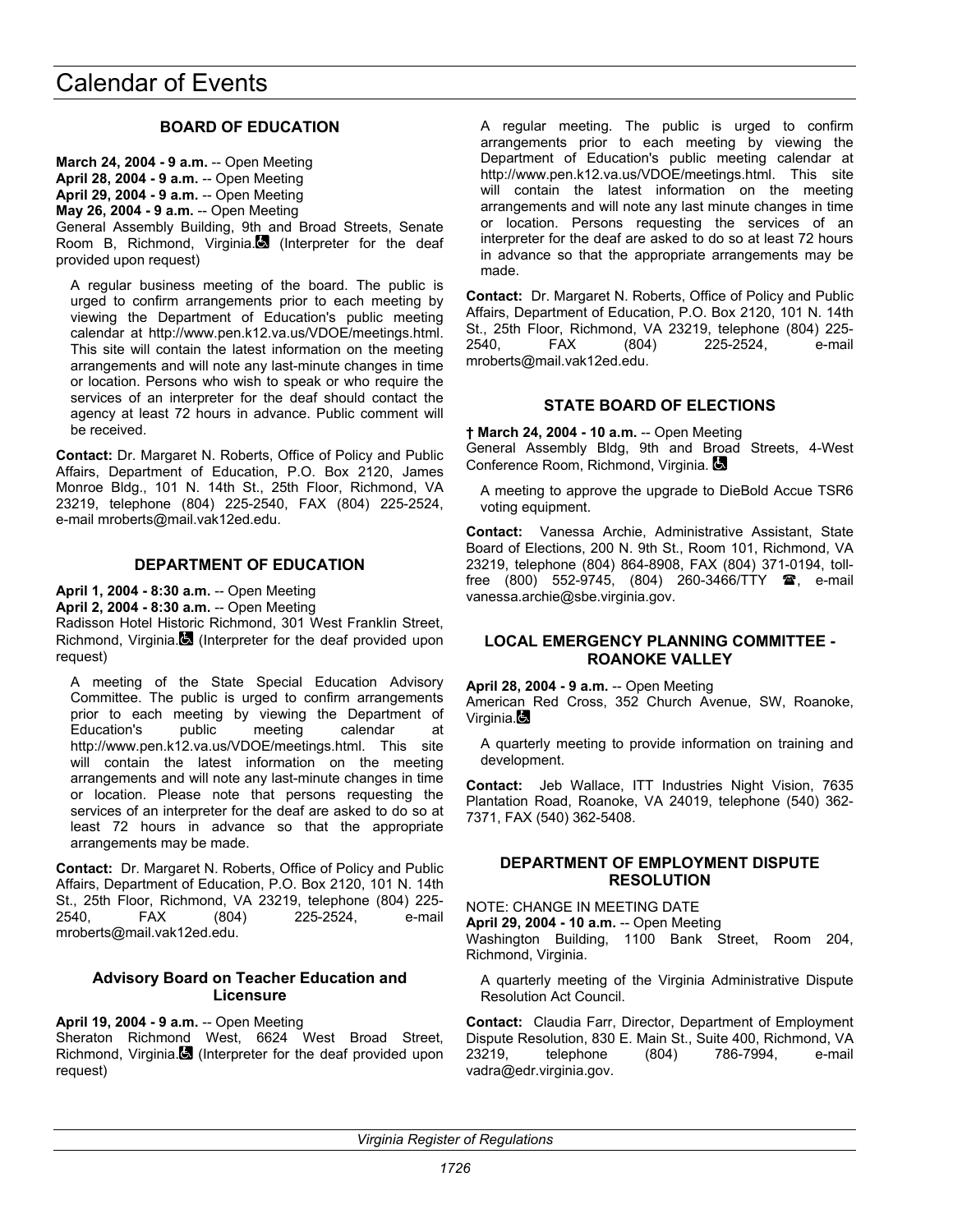## **BOARD OF EDUCATION**

**March 24, 2004 - 9 a.m.** -- Open Meeting **April 28, 2004 - 9 a.m.** -- Open Meeting **April 29, 2004 - 9 a.m.** -- Open Meeting **May 26, 2004 - 9 a.m.** -- Open Meeting General Assembly Building, 9th and Broad Streets, Senate Room B, Richmond, Virginia. $\Box$  (Interpreter for the deaf provided upon request)

A regular business meeting of the board. The public is urged to confirm arrangements prior to each meeting by viewing the Department of Education's public meeting calendar at http://www.pen.k12.va.us/VDOE/meetings.html. This site will contain the latest information on the meeting arrangements and will note any last-minute changes in time or location. Persons who wish to speak or who require the services of an interpreter for the deaf should contact the agency at least 72 hours in advance. Public comment will be received.

**Contact:** Dr. Margaret N. Roberts, Office of Policy and Public Affairs, Department of Education, P.O. Box 2120, James Monroe Bldg., 101 N. 14th St., 25th Floor, Richmond, VA 23219, telephone (804) 225-2540, FAX (804) 225-2524, e-mail mroberts@mail.vak12ed.edu.

## **DEPARTMENT OF EDUCATION**

**April 1, 2004 - 8:30 a.m.** -- Open Meeting

**April 2, 2004 - 8:30 a.m.** -- Open Meeting

Radisson Hotel Historic Richmond, 301 West Franklin Street, Richmond, Virginia. (Interpreter for the deaf provided upon request)

A meeting of the State Special Education Advisory Committee. The public is urged to confirm arrangements prior to each meeting by viewing the Department of Education's public meeting calendar at http://www.pen.k12.va.us/VDOE/meetings.html. This site will contain the latest information on the meeting arrangements and will note any last-minute changes in time or location. Please note that persons requesting the services of an interpreter for the deaf are asked to do so at least 72 hours in advance so that the appropriate arrangements may be made.

**Contact:** Dr. Margaret N. Roberts, Office of Policy and Public Affairs, Department of Education, P.O. Box 2120, 101 N. 14th St., 25th Floor, Richmond, VA 23219, telephone (804) 225- 2540, FAX (804) 225-2524, e-mail mroberts@mail.vak12ed.edu.

### **Advisory Board on Teacher Education and Licensure**

**April 19, 2004 - 9 a.m.** -- Open Meeting Sheraton Richmond West, 6624 West Broad Street, Richmond, Virginia. (Interpreter for the deaf provided upon request)

A regular meeting. The public is urged to confirm arrangements prior to each meeting by viewing the Department of Education's public meeting calendar at http://www.pen.k12.va.us/VDOE/meetings.html. This site will contain the latest information on the meeting arrangements and will note any last minute changes in time or location. Persons requesting the services of an interpreter for the deaf are asked to do so at least 72 hours in advance so that the appropriate arrangements may be made.

**Contact:** Dr. Margaret N. Roberts, Office of Policy and Public Affairs, Department of Education, P.O. Box 2120, 101 N. 14th St., 25th Floor, Richmond, VA 23219, telephone (804) 225- 2540, FAX (804) 225-2524, e-mail mroberts@mail.vak12ed.edu.

## **STATE BOARD OF ELECTIONS**

**† March 24, 2004 - 10 a.m.** -- Open Meeting General Assembly Bldg, 9th and Broad Streets, 4-West Conference Room, Richmond, Virginia.

A meeting to approve the upgrade to DieBold Accue TSR6 voting equipment.

**Contact:** Vanessa Archie, Administrative Assistant, State Board of Elections, 200 N. 9th St., Room 101, Richmond, VA 23219, telephone (804) 864-8908, FAX (804) 371-0194, tollfree  $(800)$  552-9745,  $(804)$  260-3466/TTY  $\text{m}$ , e-mail vanessa.archie@sbe.virginia.gov.

## **LOCAL EMERGENCY PLANNING COMMITTEE - ROANOKE VALLEY**

**April 28, 2004 - 9 a.m.** -- Open Meeting American Red Cross, 352 Church Avenue, SW, Roanoke, Virginia.

A quarterly meeting to provide information on training and development.

**Contact:** Jeb Wallace, ITT Industries Night Vision, 7635 Plantation Road, Roanoke, VA 24019, telephone (540) 362- 7371, FAX (540) 362-5408.

### **DEPARTMENT OF EMPLOYMENT DISPUTE RESOLUTION**

NOTE: CHANGE IN MEETING DATE

**April 29, 2004 - 10 a.m.** -- Open Meeting

Washington Building, 1100 Bank Street, Room 204, Richmond, Virginia.

A quarterly meeting of the Virginia Administrative Dispute Resolution Act Council.

**Contact:** Claudia Farr, Director, Department of Employment Dispute Resolution, 830 E. Main St., Suite 400, Richmond, VA 23219, telephone (804) 786-7994, e-mail vadra@edr.virginia.gov.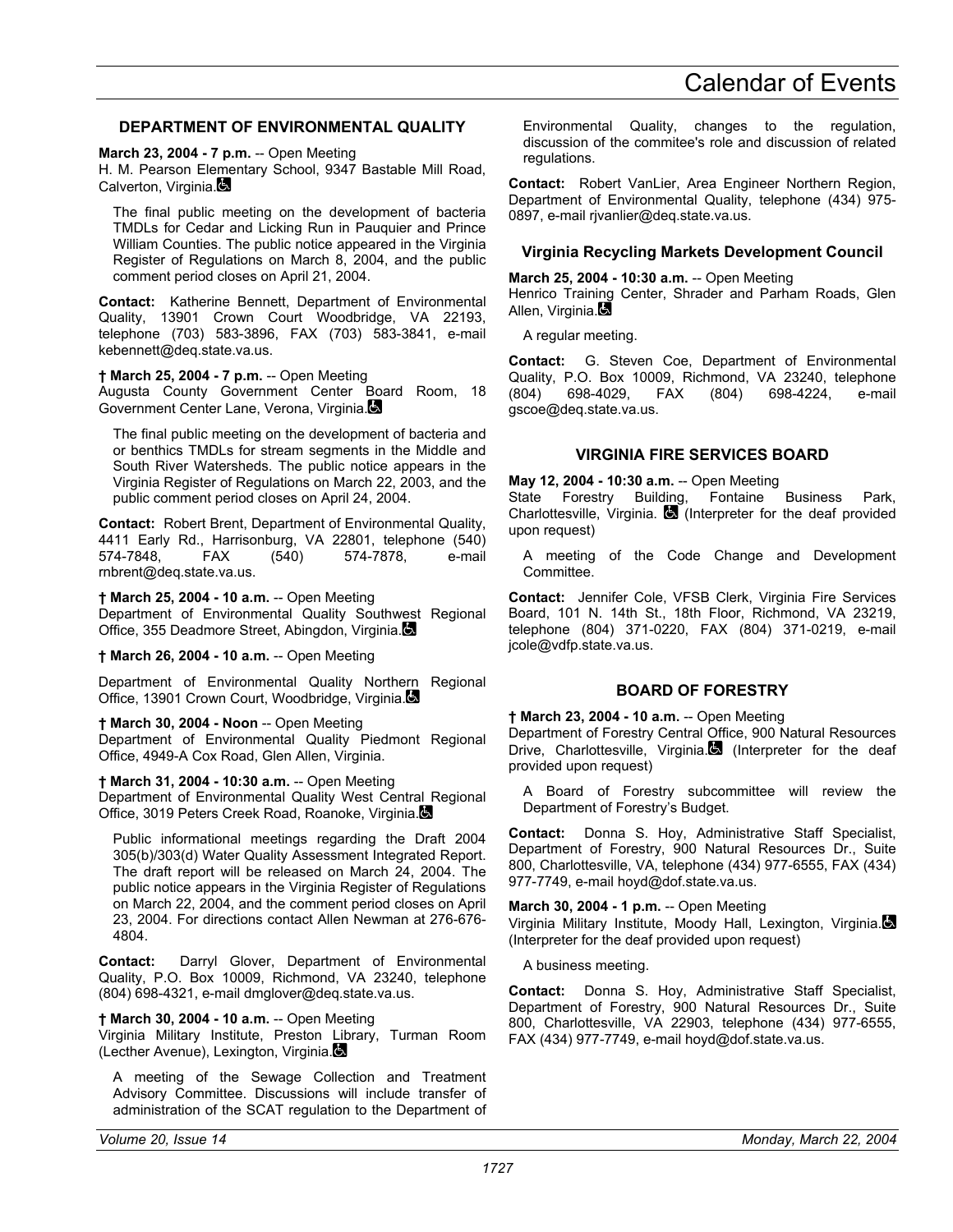## **DEPARTMENT OF ENVIRONMENTAL QUALITY**

**March 23, 2004 - 7 p.m.** -- Open Meeting

H. M. Pearson Elementary School, 9347 Bastable Mill Road, Calverton, Virginia.

The final public meeting on the development of bacteria TMDLs for Cedar and Licking Run in Pauquier and Prince William Counties. The public notice appeared in the Virginia Register of Regulations on March 8, 2004, and the public comment period closes on April 21, 2004.

**Contact:** Katherine Bennett, Department of Environmental Quality, 13901 Crown Court Woodbridge, VA 22193, telephone (703) 583-3896, FAX (703) 583-3841, e-mail kebennett@deq.state.va.us.

**† March 25, 2004 - 7 p.m.** -- Open Meeting Augusta County Government Center Board Room, 18 Government Center Lane, Verona, Virginia.

The final public meeting on the development of bacteria and or benthics TMDLs for stream segments in the Middle and South River Watersheds. The public notice appears in the Virginia Register of Regulations on March 22, 2003, and the public comment period closes on April 24, 2004.

**Contact:** Robert Brent, Department of Environmental Quality, 4411 Early Rd., Harrisonburg, VA 22801, telephone (540) 574-7878, e-mail rnbrent@deq.state.va.us.

**† March 25, 2004 - 10 a.m.** -- Open Meeting

Department of Environmental Quality Southwest Regional Office, 355 Deadmore Street, Abingdon, Virginia.

**† March 26, 2004 - 10 a.m.** -- Open Meeting

Department of Environmental Quality Northern Regional Office, 13901 Crown Court, Woodbridge, Virginia.

**† March 30, 2004 - Noon** -- Open Meeting Department of Environmental Quality Piedmont Regional Office, 4949-A Cox Road, Glen Allen, Virginia.

**† March 31, 2004 - 10:30 a.m.** -- Open Meeting

Department of Environmental Quality West Central Regional Office, 3019 Peters Creek Road, Roanoke, Virginia.

Public informational meetings regarding the Draft 2004 305(b)/303(d) Water Quality Assessment Integrated Report. The draft report will be released on March 24, 2004. The public notice appears in the Virginia Register of Regulations on March 22, 2004, and the comment period closes on April 23, 2004. For directions contact Allen Newman at 276-676- 4804.

**Contact:** Darryl Glover, Department of Environmental Quality, P.O. Box 10009, Richmond, VA 23240, telephone (804) 698-4321, e-mail dmglover@deq.state.va.us.

**† March 30, 2004 - 10 a.m.** -- Open Meeting Virginia Military Institute, Preston Library, Turman Room (Lecther Avenue), Lexington, Virginia.

A meeting of the Sewage Collection and Treatment Advisory Committee. Discussions will include transfer of administration of the SCAT regulation to the Department of

Environmental Quality, changes to the regulation, discussion of the commitee's role and discussion of related regulations.

**Contact:** Robert VanLier, Area Engineer Northern Region, Department of Environmental Quality, telephone (434) 975- 0897, e-mail rjvanlier@deq.state.va.us.

### **Virginia Recycling Markets Development Council**

#### **March 25, 2004 - 10:30 a.m.** -- Open Meeting

Henrico Training Center, Shrader and Parham Roads, Glen Allen, Virginia.

A regular meeting.

**Contact:** G. Steven Coe, Department of Environmental Quality, P.O. Box 10009, Richmond, VA 23240, telephone (804) 698-4029, FAX (804) 698-4224, e-mail gscoe@deq.state.va.us.

### **VIRGINIA FIRE SERVICES BOARD**

**May 12, 2004 - 10:30 a.m.** -- Open Meeting

State Forestry Building, Fontaine Business Park, Charlottesville, Virginia.  $\Box$  (Interpreter for the deaf provided upon request)

A meeting of the Code Change and Development Committee.

**Contact:** Jennifer Cole, VFSB Clerk, Virginia Fire Services Board, 101 N. 14th St., 18th Floor, Richmond, VA 23219, telephone (804) 371-0220, FAX (804) 371-0219, e-mail jcole@vdfp.state.va.us.

## **BOARD OF FORESTRY**

## **† March 23, 2004 - 10 a.m.** -- Open Meeting

Department of Forestry Central Office, 900 Natural Resources Drive, Charlottesville, Virginia. (Interpreter for the deaf provided upon request)

A Board of Forestry subcommittee will review the Department of Forestry's Budget.

**Contact:** Donna S. Hoy, Administrative Staff Specialist, Department of Forestry, 900 Natural Resources Dr., Suite 800, Charlottesville, VA, telephone (434) 977-6555, FAX (434) 977-7749, e-mail hoyd@dof.state.va.us.

**March 30, 2004 - 1 p.m. -- Open Meeting** Virginia Military Institute, Moody Hall, Lexington, Virginia. (Interpreter for the deaf provided upon request)

A business meeting.

**Contact:** Donna S. Hoy, Administrative Staff Specialist, Department of Forestry, 900 Natural Resources Dr., Suite 800, Charlottesville, VA 22903, telephone (434) 977-6555, FAX (434) 977-7749, e-mail hoyd@dof.state.va.us.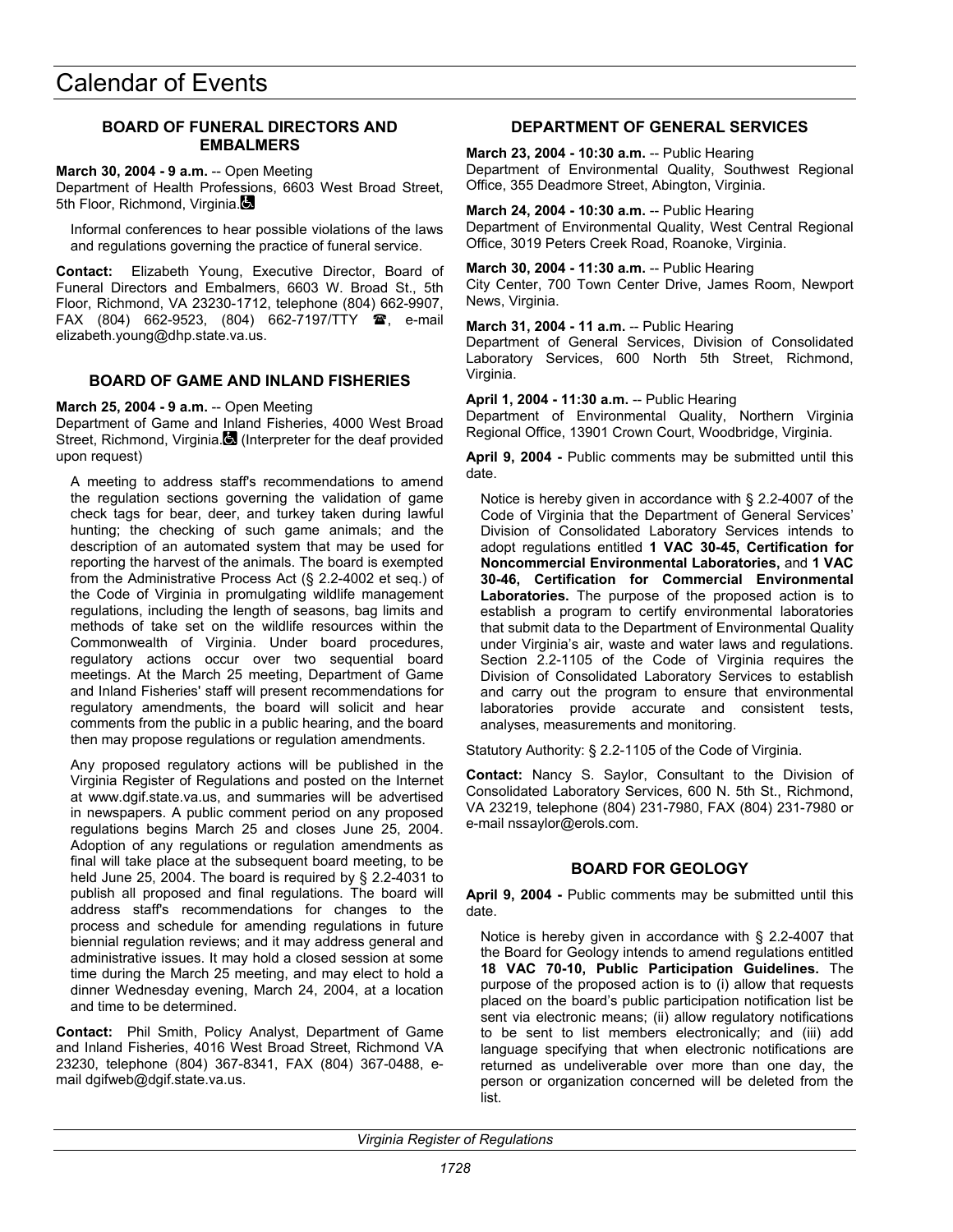## **BOARD OF FUNERAL DIRECTORS AND EMBALMERS**

**March 30, 2004 - 9 a.m.** -- Open Meeting Department of Health Professions, 6603 West Broad Street, 5th Floor, Richmond, Virginia.

Informal conferences to hear possible violations of the laws and regulations governing the practice of funeral service.

**Contact:** Elizabeth Young, Executive Director, Board of Funeral Directors and Embalmers, 6603 W. Broad St., 5th Floor, Richmond, VA 23230-1712, telephone (804) 662-9907, FAX (804) 662-9523, (804) 662-7197/TTY  $\mathbf{\mathcal{F}}$ , e-mail elizabeth.young@dhp.state.va.us.

## **BOARD OF GAME AND INLAND FISHERIES**

**March 25, 2004 - 9 a.m.** -- Open Meeting

Department of Game and Inland Fisheries, 4000 West Broad Street, Richmond, Virginia. (Interpreter for the deaf provided upon request)

A meeting to address staff's recommendations to amend the regulation sections governing the validation of game check tags for bear, deer, and turkey taken during lawful hunting; the checking of such game animals; and the description of an automated system that may be used for reporting the harvest of the animals. The board is exempted from the Administrative Process Act (§ 2.2-4002 et seq.) of the Code of Virginia in promulgating wildlife management regulations, including the length of seasons, bag limits and methods of take set on the wildlife resources within the Commonwealth of Virginia. Under board procedures, regulatory actions occur over two sequential board meetings. At the March 25 meeting, Department of Game and Inland Fisheries' staff will present recommendations for regulatory amendments, the board will solicit and hear comments from the public in a public hearing, and the board then may propose regulations or regulation amendments.

Any proposed regulatory actions will be published in the Virginia Register of Regulations and posted on the Internet at www.dgif.state.va.us, and summaries will be advertised in newspapers. A public comment period on any proposed regulations begins March 25 and closes June 25, 2004. Adoption of any regulations or regulation amendments as final will take place at the subsequent board meeting, to be held June 25, 2004. The board is required by § 2.2-4031 to publish all proposed and final regulations. The board will address staff's recommendations for changes to the process and schedule for amending regulations in future biennial regulation reviews; and it may address general and administrative issues. It may hold a closed session at some time during the March 25 meeting, and may elect to hold a dinner Wednesday evening, March 24, 2004, at a location and time to be determined.

**Contact:** Phil Smith, Policy Analyst, Department of Game and Inland Fisheries, 4016 West Broad Street, Richmond VA 23230, telephone (804) 367-8341, FAX (804) 367-0488, email dgifweb@dgif.state.va.us.

## **DEPARTMENT OF GENERAL SERVICES**

**March 23, 2004 - 10:30 a.m.** -- Public Hearing Department of Environmental Quality, Southwest Regional Office, 355 Deadmore Street, Abington, Virginia.

**March 24, 2004 - 10:30 a.m.** -- Public Hearing Department of Environmental Quality, West Central Regional Office, 3019 Peters Creek Road, Roanoke, Virginia.

**March 30, 2004 - 11:30 a.m.** -- Public Hearing City Center, 700 Town Center Drive, James Room, Newport News, Virginia.

**March 31, 2004 - 11 a.m.** -- Public Hearing Department of General Services, Division of Consolidated

Laboratory Services, 600 North 5th Street, Richmond, Virginia.

**April 1, 2004 - 11:30 a.m.** -- Public Hearing Department of Environmental Quality, Northern Virginia Regional Office, 13901 Crown Court, Woodbridge, Virginia.

**April 9, 2004 -** Public comments may be submitted until this date.

Notice is hereby given in accordance with § 2.2-4007 of the Code of Virginia that the Department of General Services' Division of Consolidated Laboratory Services intends to adopt regulations entitled **1 VAC 30-45, Certification for Noncommercial Environmental Laboratories,** and **1 VAC 30-46, Certification for Commercial Environmental Laboratories.** The purpose of the proposed action is to establish a program to certify environmental laboratories that submit data to the Department of Environmental Quality under Virginia's air, waste and water laws and regulations. Section 2.2-1105 of the Code of Virginia requires the Division of Consolidated Laboratory Services to establish and carry out the program to ensure that environmental laboratories provide accurate and consistent tests, analyses, measurements and monitoring.

Statutory Authority: § 2.2-1105 of the Code of Virginia.

**Contact:** Nancy S. Saylor, Consultant to the Division of Consolidated Laboratory Services, 600 N. 5th St., Richmond, VA 23219, telephone (804) 231-7980, FAX (804) 231-7980 or e-mail nssaylor@erols.com.

## **BOARD FOR GEOLOGY**

**April 9, 2004 -** Public comments may be submitted until this date.

Notice is hereby given in accordance with § 2.2-4007 that the Board for Geology intends to amend regulations entitled **18 VAC 70-10, Public Participation Guidelines.** The purpose of the proposed action is to (i) allow that requests placed on the board's public participation notification list be sent via electronic means; (ii) allow regulatory notifications to be sent to list members electronically; and (iii) add language specifying that when electronic notifications are returned as undeliverable over more than one day, the person or organization concerned will be deleted from the list.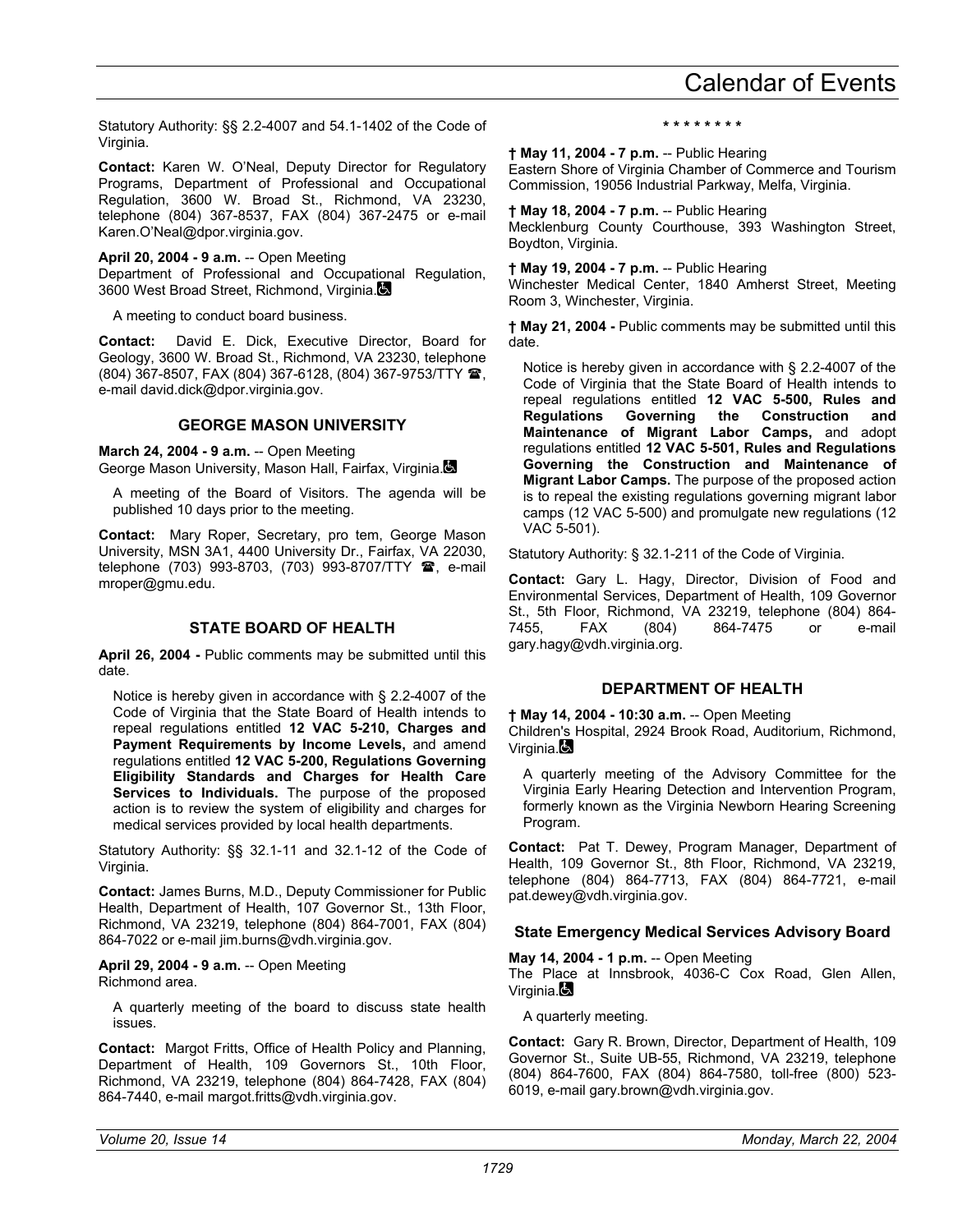**Contact:** Karen W. O'Neal, Deputy Director for Regulatory Programs, Department of Professional and Occupational Regulation, 3600 W. Broad St., Richmond, VA 23230, telephone (804) 367-8537, FAX (804) 367-2475 or e-mail Karen.O'Neal@dpor.virginia.gov.

**April 20, 2004 - 9 a.m.** -- Open Meeting Department of Professional and Occupational Regulation, 3600 West Broad Street, Richmond, Virginia.

A meeting to conduct board business.

**Contact:** David E. Dick, Executive Director, Board for Geology, 3600 W. Broad St., Richmond, VA 23230, telephone (804) 367-8507, FAX (804) 367-6128, (804) 367-9753/TTY , e-mail david.dick@dpor.virginia.gov.

### **GEORGE MASON UNIVERSITY**

**March 24, 2004 - 9 a.m.** -- Open Meeting George Mason University, Mason Hall, Fairfax, Virginia.

A meeting of the Board of Visitors. The agenda will be published 10 days prior to the meeting.

**Contact:** Mary Roper, Secretary, pro tem, George Mason University, MSN 3A1, 4400 University Dr., Fairfax, VA 22030, telephone (703) 993-8703, (703) 993-8707/TTY <sup>2</sup>, e-mail mroper@gmu.edu.

## **STATE BOARD OF HEALTH**

**April 26, 2004 -** Public comments may be submitted until this date.

Notice is hereby given in accordance with § 2.2-4007 of the Code of Virginia that the State Board of Health intends to repeal regulations entitled **12 VAC 5-210, Charges and Payment Requirements by Income Levels,** and amend regulations entitled **12 VAC 5-200, Regulations Governing Eligibility Standards and Charges for Health Care Services to Individuals.** The purpose of the proposed action is to review the system of eligibility and charges for medical services provided by local health departments.

Statutory Authority: §§ 32.1-11 and 32.1-12 of the Code of Virginia.

**Contact:** James Burns, M.D., Deputy Commissioner for Public Health, Department of Health, 107 Governor St., 13th Floor, Richmond, VA 23219, telephone (804) 864-7001, FAX (804) 864-7022 or e-mail jim.burns@vdh.virginia.gov.

**April 29, 2004 - 9 a.m.** -- Open Meeting Richmond area.

A quarterly meeting of the board to discuss state health issues.

**Contact:** Margot Fritts, Office of Health Policy and Planning, Department of Health, 109 Governors St., 10th Floor, Richmond, VA 23219, telephone (804) 864-7428, FAX (804) 864-7440, e-mail margot.fritts@vdh.virginia.gov.

**\* \* \* \* \* \* \* \*** 

**† May 11, 2004 - 7 p.m.** -- Public Hearing

Eastern Shore of Virginia Chamber of Commerce and Tourism Commission, 19056 Industrial Parkway, Melfa, Virginia.

**† May 18, 2004 - 7 p.m.** -- Public Hearing Mecklenburg County Courthouse, 393 Washington Street, Boydton, Virginia.

### **† May 19, 2004 - 7 p.m.** -- Public Hearing

Winchester Medical Center, 1840 Amherst Street, Meeting Room 3, Winchester, Virginia.

**† May 21, 2004 -** Public comments may be submitted until this date.

Notice is hereby given in accordance with § 2.2-4007 of the Code of Virginia that the State Board of Health intends to repeal regulations entitled **12 VAC 5-500, Rules and Regulations Governing the Construction and Maintenance of Migrant Labor Camps,** and adopt regulations entitled **12 VAC 5-501, Rules and Regulations Governing the Construction and Maintenance of Migrant Labor Camps.** The purpose of the proposed action is to repeal the existing regulations governing migrant labor camps (12 VAC 5-500) and promulgate new regulations (12 VAC 5-501).

Statutory Authority: § 32.1-211 of the Code of Virginia.

**Contact:** Gary L. Hagy, Director, Division of Food and Environmental Services, Department of Health, 109 Governor St., 5th Floor, Richmond, VA 23219, telephone (804) 864- 7455, FAX (804) 864-7475 or e-mail gary.hagy@vdh.virginia.org.

## **DEPARTMENT OF HEALTH**

**† May 14, 2004 - 10:30 a.m.** -- Open Meeting

Children's Hospital, 2924 Brook Road, Auditorium, Richmond, Virginia. $\blacksquare$ 

A quarterly meeting of the Advisory Committee for the Virginia Early Hearing Detection and Intervention Program, formerly known as the Virginia Newborn Hearing Screening Program.

**Contact:** Pat T. Dewey, Program Manager, Department of Health, 109 Governor St., 8th Floor, Richmond, VA 23219, telephone (804) 864-7713, FAX (804) 864-7721, e-mail pat.dewey@vdh.virginia.gov.

## **State Emergency Medical Services Advisory Board**

**May 14, 2004 - 1 p.m.** -- Open Meeting

The Place at Innsbrook, 4036-C Cox Road, Glen Allen, Virginia.

A quarterly meeting.

**Contact:** Gary R. Brown, Director, Department of Health, 109 Governor St., Suite UB-55, Richmond, VA 23219, telephone (804) 864-7600, FAX (804) 864-7580, toll-free (800) 523- 6019, e-mail gary.brown@vdh.virginia.gov.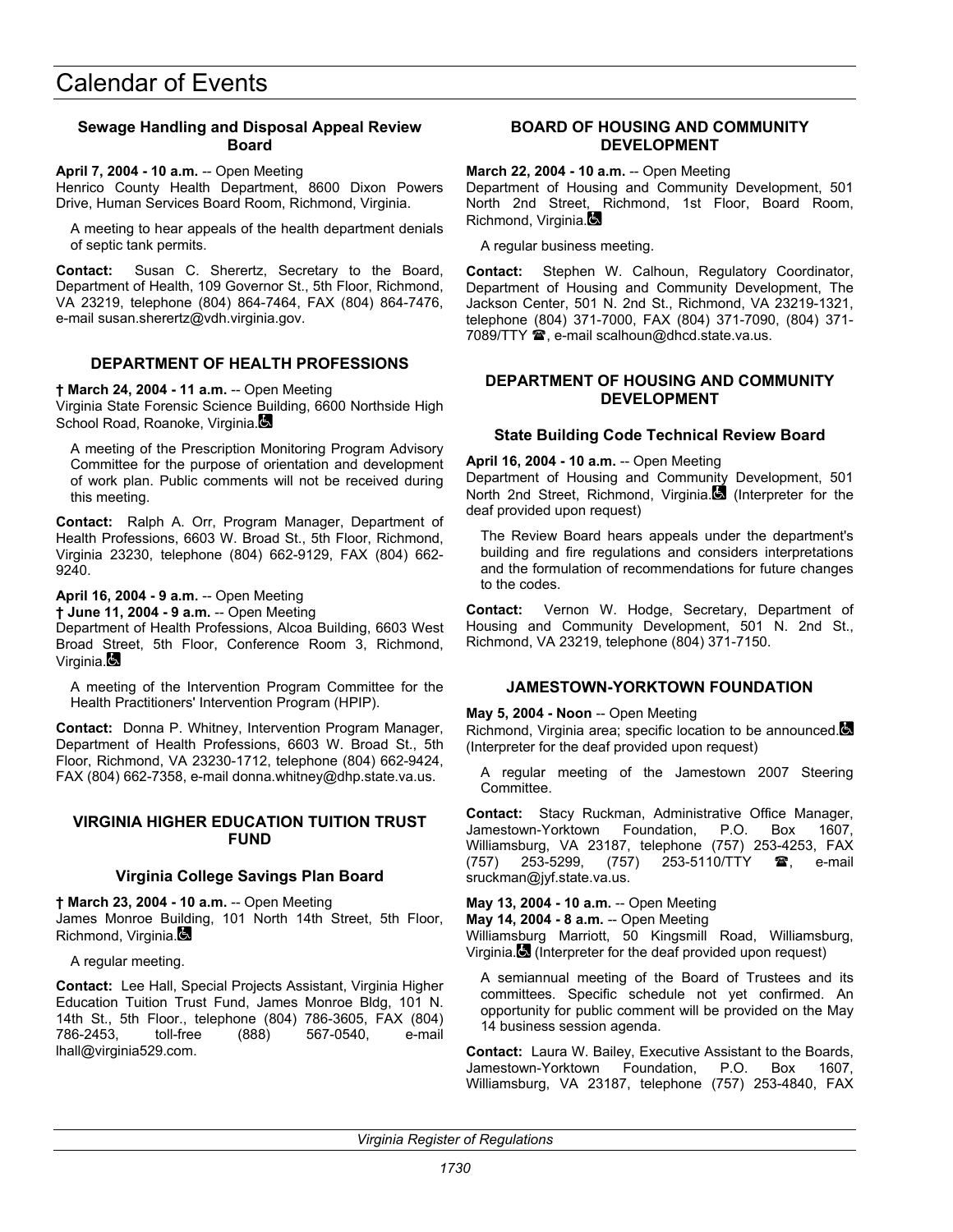## **Sewage Handling and Disposal Appeal Review Board**

#### **April 7, 2004 - 10 a.m.** -- Open Meeting

Henrico County Health Department, 8600 Dixon Powers Drive, Human Services Board Room, Richmond, Virginia.

A meeting to hear appeals of the health department denials of septic tank permits.

**Contact:** Susan C. Sherertz, Secretary to the Board, Department of Health, 109 Governor St., 5th Floor, Richmond, VA 23219, telephone (804) 864-7464, FAX (804) 864-7476, e-mail susan.sherertz@vdh.virginia.gov.

## **DEPARTMENT OF HEALTH PROFESSIONS**

**† March 24, 2004 - 11 a.m.** -- Open Meeting

Virginia State Forensic Science Building, 6600 Northside High School Road, Roanoke, Virginia.

A meeting of the Prescription Monitoring Program Advisory Committee for the purpose of orientation and development of work plan. Public comments will not be received during this meeting.

**Contact:** Ralph A. Orr, Program Manager, Department of Health Professions, 6603 W. Broad St., 5th Floor, Richmond, Virginia 23230, telephone (804) 662-9129, FAX (804) 662- 9240.

**April 16, 2004 - 9 a.m.** -- Open Meeting

**† June 11, 2004 - 9 a.m.** -- Open Meeting

Department of Health Professions, Alcoa Building, 6603 West Broad Street, 5th Floor, Conference Room 3, Richmond, Virginia.

A meeting of the Intervention Program Committee for the Health Practitioners' Intervention Program (HPIP).

**Contact:** Donna P. Whitney, Intervention Program Manager, Department of Health Professions, 6603 W. Broad St., 5th Floor, Richmond, VA 23230-1712, telephone (804) 662-9424, FAX (804) 662-7358, e-mail donna.whitney@dhp.state.va.us.

### **VIRGINIA HIGHER EDUCATION TUITION TRUST FUND**

## **Virginia College Savings Plan Board**

**† March 23, 2004 - 10 a.m.** -- Open Meeting

James Monroe Building, 101 North 14th Street, 5th Floor, Richmond, Virginia.

A regular meeting.

**Contact:** Lee Hall, Special Projects Assistant, Virginia Higher Education Tuition Trust Fund, James Monroe Bldg, 101 N. 14th St., 5th Floor., telephone (804) 786-3605, FAX (804) 786-2453, toll-free (888) 567-0540, e-mail lhall@virginia529.com.

### **BOARD OF HOUSING AND COMMUNITY DEVELOPMENT**

**March 22, 2004 - 10 a.m.** -- Open Meeting

Department of Housing and Community Development, 501 North 2nd Street, Richmond, 1st Floor, Board Room, Richmond, Virginia.

A regular business meeting.

**Contact:** Stephen W. Calhoun, Regulatory Coordinator, Department of Housing and Community Development, The Jackson Center, 501 N. 2nd St., Richmond, VA 23219-1321, telephone (804) 371-7000, FAX (804) 371-7090, (804) 371- 7089/TTY <sup>2</sup>, e-mail scalhoun@dhcd.state.va.us.

### **DEPARTMENT OF HOUSING AND COMMUNITY DEVELOPMENT**

## **State Building Code Technical Review Board**

#### **April 16, 2004 - 10 a.m.** -- Open Meeting

Department of Housing and Community Development, 501 North 2nd Street, Richmond, Virginia. (Interpreter for the deaf provided upon request)

The Review Board hears appeals under the department's building and fire regulations and considers interpretations and the formulation of recommendations for future changes to the codes.

**Contact:** Vernon W. Hodge, Secretary, Department of Housing and Community Development, 501 N. 2nd St., Richmond, VA 23219, telephone (804) 371-7150.

## **JAMESTOWN-YORKTOWN FOUNDATION**

#### **May 5, 2004 - Noon** -- Open Meeting

Richmond, Virginia area; specific location to be announced. (Interpreter for the deaf provided upon request)

A regular meeting of the Jamestown 2007 Steering Committee.

**Contact:** Stacy Ruckman, Administrative Office Manager, Jamestown-Yorktown Foundation, P.O. Box 1607, Williamsburg, VA 23187, telephone (757) 253-4253, FAX (757) 253-5299, (757) 253-5110/TTY **雷**, e-mail sruckman@jyf.state.va.us.

#### **May 13, 2004 - 10 a.m.** -- Open Meeting

**May 14, 2004 - 8 a.m.** -- Open Meeting

Williamsburg Marriott, 50 Kingsmill Road, Williamsburg, Virginia. (Interpreter for the deaf provided upon request)

A semiannual meeting of the Board of Trustees and its committees. Specific schedule not yet confirmed. An opportunity for public comment will be provided on the May 14 business session agenda.

**Contact:** Laura W. Bailey, Executive Assistant to the Boards, Jamestown-Yorktown Foundation, P.O. Box 1607, Williamsburg, VA 23187, telephone (757) 253-4840, FAX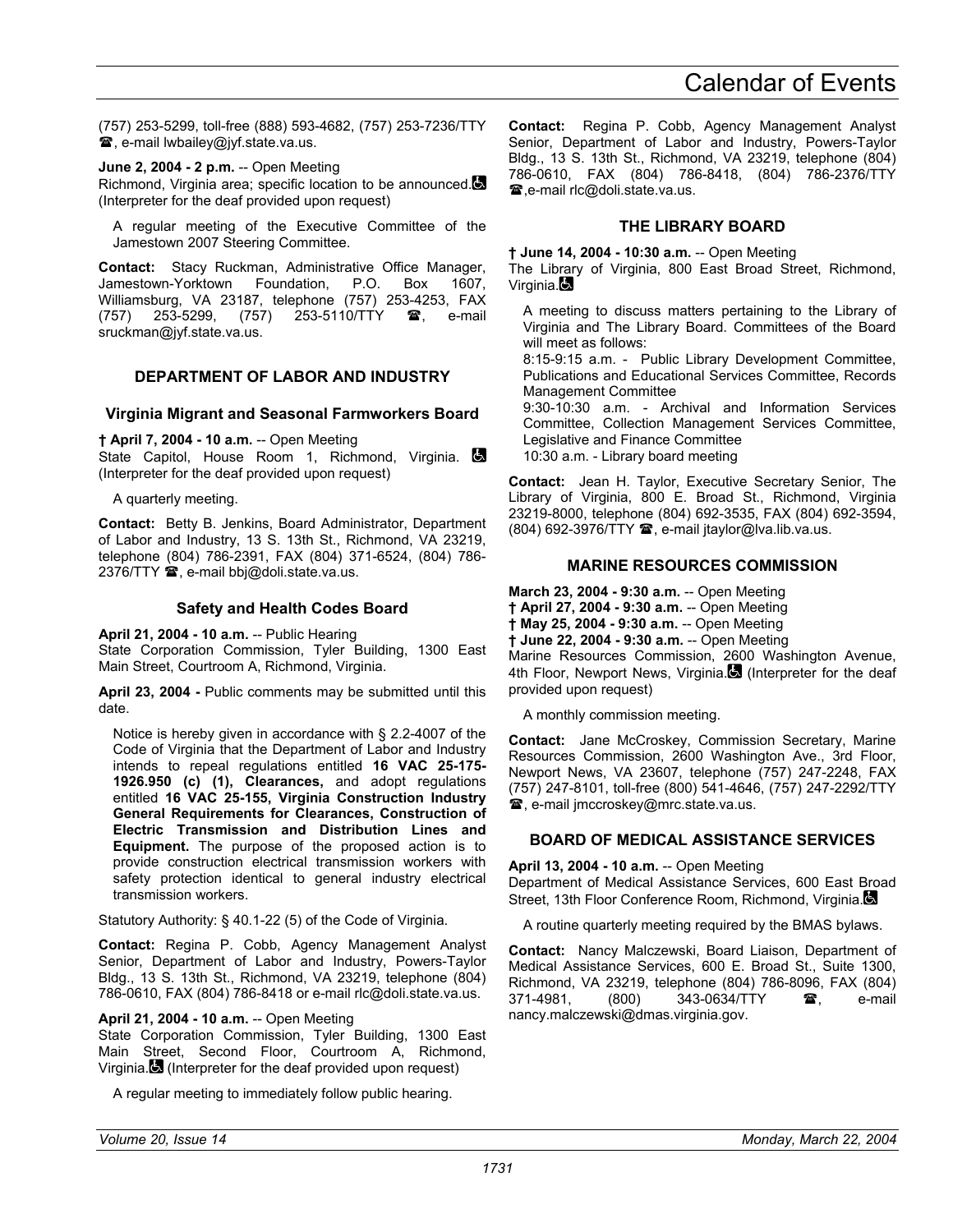(757) 253-5299, toll-free (888) 593-4682, (757) 253-7236/TTY **■, e-mail lwbailey@jyf.state.va.us.** 

**June 2, 2004 - 2 p.m.** -- Open Meeting Richmond, Virginia area; specific location to be announced. (Interpreter for the deaf provided upon request)

A regular meeting of the Executive Committee of the Jamestown 2007 Steering Committee.

**Contact:** Stacy Ruckman, Administrative Office Manager, Jamestown-Yorktown Foundation, P.O. Box 1607, Williamsburg, VA 23187, telephone (757) 253-4253, FAX (757) 253-5299, (757) 253-5110/TTY  $\mathbf{\mathfrak{B}}$ , e-mail sruckman@jyf.state.va.us.

## **DEPARTMENT OF LABOR AND INDUSTRY**

#### **Virginia Migrant and Seasonal Farmworkers Board**

**† April 7, 2004 - 10 a.m.** -- Open Meeting

State Capitol, House Room 1, Richmond, Virginia. (Interpreter for the deaf provided upon request)

A quarterly meeting.

**Contact:** Betty B. Jenkins, Board Administrator, Department of Labor and Industry, 13 S. 13th St., Richmond, VA 23219, telephone (804) 786-2391, FAX (804) 371-6524, (804) 786- 2376/TTY <sup>2</sup>, e-mail bbj@doli.state.va.us.

### **Safety and Health Codes Board**

**April 21, 2004 - 10 a.m.** -- Public Hearing

State Corporation Commission, Tyler Building, 1300 East Main Street, Courtroom A, Richmond, Virginia.

**April 23, 2004 -** Public comments may be submitted until this date.

Notice is hereby given in accordance with § 2.2-4007 of the Code of Virginia that the Department of Labor and Industry intends to repeal regulations entitled **16 VAC 25-175- 1926.950 (c) (1), Clearances,** and adopt regulations entitled **16 VAC 25-155, Virginia Construction Industry General Requirements for Clearances, Construction of Electric Transmission and Distribution Lines and Equipment.** The purpose of the proposed action is to provide construction electrical transmission workers with safety protection identical to general industry electrical transmission workers.

Statutory Authority: § 40.1-22 (5) of the Code of Virginia.

**Contact:** Regina P. Cobb, Agency Management Analyst Senior, Department of Labor and Industry, Powers-Taylor Bldg., 13 S. 13th St., Richmond, VA 23219, telephone (804) 786-0610, FAX (804) 786-8418 or e-mail rlc@doli.state.va.us.

#### **April 21, 2004 - 10 a.m.** -- Open Meeting

State Corporation Commission, Tyler Building, 1300 East Main Street, Second Floor, Courtroom A, Richmond, Virginia.  $\blacksquare$  (Interpreter for the deaf provided upon request)

A regular meeting to immediately follow public hearing.

**Contact:** Regina P. Cobb, Agency Management Analyst Senior, Department of Labor and Industry, Powers-Taylor Bldg., 13 S. 13th St., Richmond, VA 23219, telephone (804) 786-0610, FAX (804) 786-8418, (804) 786-2376/TTY **■,e-mail rlc@doli.state.va.us.** 

### **THE LIBRARY BOARD**

**† June 14, 2004 - 10:30 a.m.** -- Open Meeting

The Library of Virginia, 800 East Broad Street, Richmond, Virginia.**B** 

A meeting to discuss matters pertaining to the Library of Virginia and The Library Board. Committees of the Board will meet as follows:

8:15-9:15 a.m. - Public Library Development Committee, Publications and Educational Services Committee, Records Management Committee

9:30-10:30 a.m. - Archival and Information Services Committee, Collection Management Services Committee, Legislative and Finance Committee 10:30 a.m. - Library board meeting

**Contact:** Jean H. Taylor, Executive Secretary Senior, The Library of Virginia, 800 E. Broad St., Richmond, Virginia 23219-8000, telephone (804) 692-3535, FAX (804) 692-3594,  $(804)$  692-3976/TTY  $\mathbf{\mathcal{D}}$ , e-mail jtaylor $\mathbf{\mathcal{D}}$ lva.lib.va.us.

## **MARINE RESOURCES COMMISSION**

**March 23, 2004 - 9:30 a.m.** -- Open Meeting

**† April 27, 2004 - 9:30 a.m.** -- Open Meeting

**† May 25, 2004 - 9:30 a.m.** -- Open Meeting

**† June 22, 2004 - 9:30 a.m.** -- Open Meeting

Marine Resources Commission, 2600 Washington Avenue, 4th Floor, Newport News, Virginia. (Interpreter for the deaf provided upon request)

A monthly commission meeting.

**Contact:** Jane McCroskey, Commission Secretary, Marine Resources Commission, 2600 Washington Ave., 3rd Floor, Newport News, VA 23607, telephone (757) 247-2248, FAX (757) 247-8101, toll-free (800) 541-4646, (757) 247-2292/TTY , e-mail jmccroskey@mrc.state.va.us.

#### **BOARD OF MEDICAL ASSISTANCE SERVICES**

#### **April 13, 2004 - 10 a.m.** -- Open Meeting

Department of Medical Assistance Services, 600 East Broad Street, 13th Floor Conference Room, Richmond, Virginia.

A routine quarterly meeting required by the BMAS bylaws.

**Contact:** Nancy Malczewski, Board Liaison, Department of Medical Assistance Services, 600 E. Broad St., Suite 1300, Richmond, VA 23219, telephone (804) 786-8096, FAX (804) 371-4981. (800) 343-0634/TTY **a**, e-mail nancy.malczewski@dmas.virginia.gov.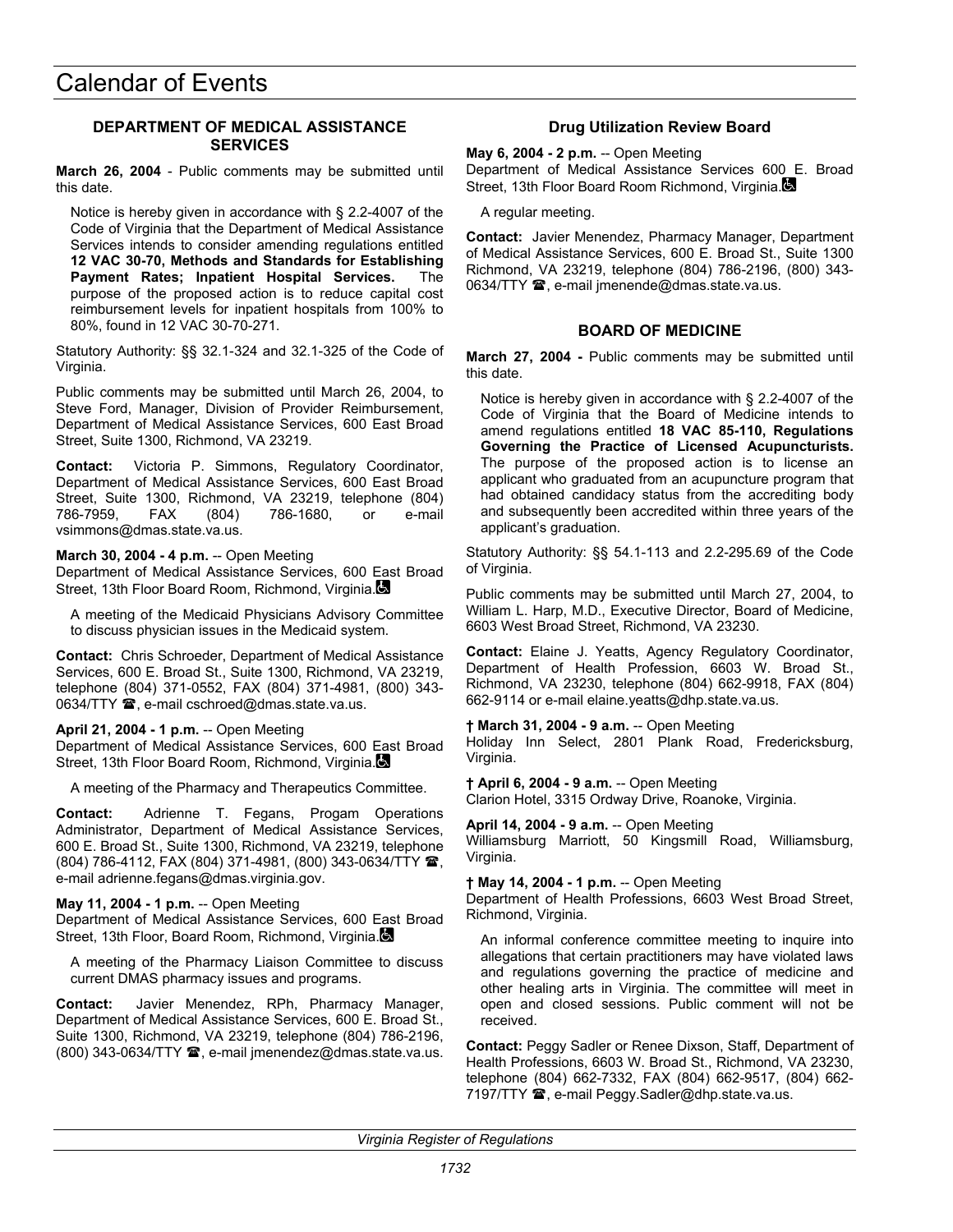## **DEPARTMENT OF MEDICAL ASSISTANCE SERVICES**

**March 26, 2004** - Public comments may be submitted until this date.

Notice is hereby given in accordance with § 2.2-4007 of the Code of Virginia that the Department of Medical Assistance Services intends to consider amending regulations entitled **12 VAC 30-70, Methods and Standards for Establishing Payment Rates; Inpatient Hospital Services.** The purpose of the proposed action is to reduce capital cost reimbursement levels for inpatient hospitals from 100% to 80%, found in 12 VAC 30-70-271.

Statutory Authority: §§ 32.1-324 and 32.1-325 of the Code of Virginia.

Public comments may be submitted until March 26, 2004, to Steve Ford, Manager, Division of Provider Reimbursement, Department of Medical Assistance Services, 600 East Broad Street, Suite 1300, Richmond, VA 23219.

**Contact:** Victoria P. Simmons, Regulatory Coordinator, Department of Medical Assistance Services, 600 East Broad Street, Suite 1300, Richmond, VA 23219, telephone (804) 786-7959, FAX (804) 786-1680, or e-mail vsimmons@dmas.state.va.us.

#### **March 30, 2004 - 4 p.m.** -- Open Meeting

Department of Medical Assistance Services, 600 East Broad Street, 13th Floor Board Room, Richmond, Virginia.

A meeting of the Medicaid Physicians Advisory Committee to discuss physician issues in the Medicaid system.

**Contact:** Chris Schroeder, Department of Medical Assistance Services, 600 E. Broad St., Suite 1300, Richmond, VA 23219, telephone (804) 371-0552, FAX (804) 371-4981, (800) 343- 0634/TTY **雷**, e-mail cschroed@dmas.state.va.us.

#### **April 21, 2004 - 1 p.m.** -- Open Meeting

Department of Medical Assistance Services, 600 East Broad Street, 13th Floor Board Room, Richmond, Virginia.

A meeting of the Pharmacy and Therapeutics Committee.

**Contact:** Adrienne T. Fegans, Progam Operations Administrator, Department of Medical Assistance Services, 600 E. Broad St., Suite 1300, Richmond, VA 23219, telephone (804) 786-4112, FAX (804) 371-4981, (800) 343-0634/TTY <sup>2</sup>, e-mail adrienne.fegans@dmas.virginia.gov.

#### **May 11, 2004 - 1 p.m.** -- Open Meeting

Department of Medical Assistance Services, 600 East Broad Street, 13th Floor, Board Room, Richmond, Virginia.

A meeting of the Pharmacy Liaison Committee to discuss current DMAS pharmacy issues and programs.

**Contact:** Javier Menendez, RPh, Pharmacy Manager, Department of Medical Assistance Services, 600 E. Broad St., Suite 1300, Richmond, VA 23219, telephone (804) 786-2196,  $(800)$  343-0634/TTY  $\hat{=}$ , e-mail jmenendez@dmas.state.va.us.

## **Drug Utilization Review Board**

**May 6, 2004 - 2 p.m.** -- Open Meeting

Department of Medical Assistance Services 600 E. Broad Street, 13th Floor Board Room Richmond, Virginia.

A regular meeting.

**Contact:** Javier Menendez, Pharmacy Manager, Department of Medical Assistance Services, 600 E. Broad St., Suite 1300 Richmond, VA 23219, telephone (804) 786-2196, (800) 343- 0634/TTY  $\mathbf{\mathcal{D}}$ , e-mail jmenende@dmas.state.va.us.

### **BOARD OF MEDICINE**

**March 27, 2004 -** Public comments may be submitted until this date.

Notice is hereby given in accordance with § 2.2-4007 of the Code of Virginia that the Board of Medicine intends to amend regulations entitled **18 VAC 85-110, Regulations Governing the Practice of Licensed Acupuncturists.** The purpose of the proposed action is to license an applicant who graduated from an acupuncture program that had obtained candidacy status from the accrediting body and subsequently been accredited within three years of the applicant's graduation.

Statutory Authority: §§ 54.1-113 and 2.2-295.69 of the Code of Virginia.

Public comments may be submitted until March 27, 2004, to William L. Harp, M.D., Executive Director, Board of Medicine, 6603 West Broad Street, Richmond, VA 23230.

**Contact:** Elaine J. Yeatts, Agency Regulatory Coordinator, Department of Health Profession, 6603 W. Broad St., Richmond, VA 23230, telephone (804) 662-9918, FAX (804) 662-9114 or e-mail elaine.yeatts@dhp.state.va.us.

**† March 31, 2004 - 9 a.m.** -- Open Meeting Holiday Inn Select, 2801 Plank Road, Fredericksburg, Virginia.

**† April 6, 2004 - 9 a.m.** -- Open Meeting Clarion Hotel, 3315 Ordway Drive, Roanoke, Virginia.

**April 14, 2004 - 9 a.m.** -- Open Meeting Williamsburg Marriott, 50 Kingsmill Road, Williamsburg, Virginia.

**† May 14, 2004 - 1 p.m.** -- Open Meeting

Department of Health Professions, 6603 West Broad Street, Richmond, Virginia.

An informal conference committee meeting to inquire into allegations that certain practitioners may have violated laws and regulations governing the practice of medicine and other healing arts in Virginia. The committee will meet in open and closed sessions. Public comment will not be received.

**Contact:** Peggy Sadler or Renee Dixson, Staff, Department of Health Professions, 6603 W. Broad St., Richmond, VA 23230, telephone (804) 662-7332, FAX (804) 662-9517, (804) 662- 7197/TTY <sup>3</sup>, e-mail Peggy.Sadler@dhp.state.va.us.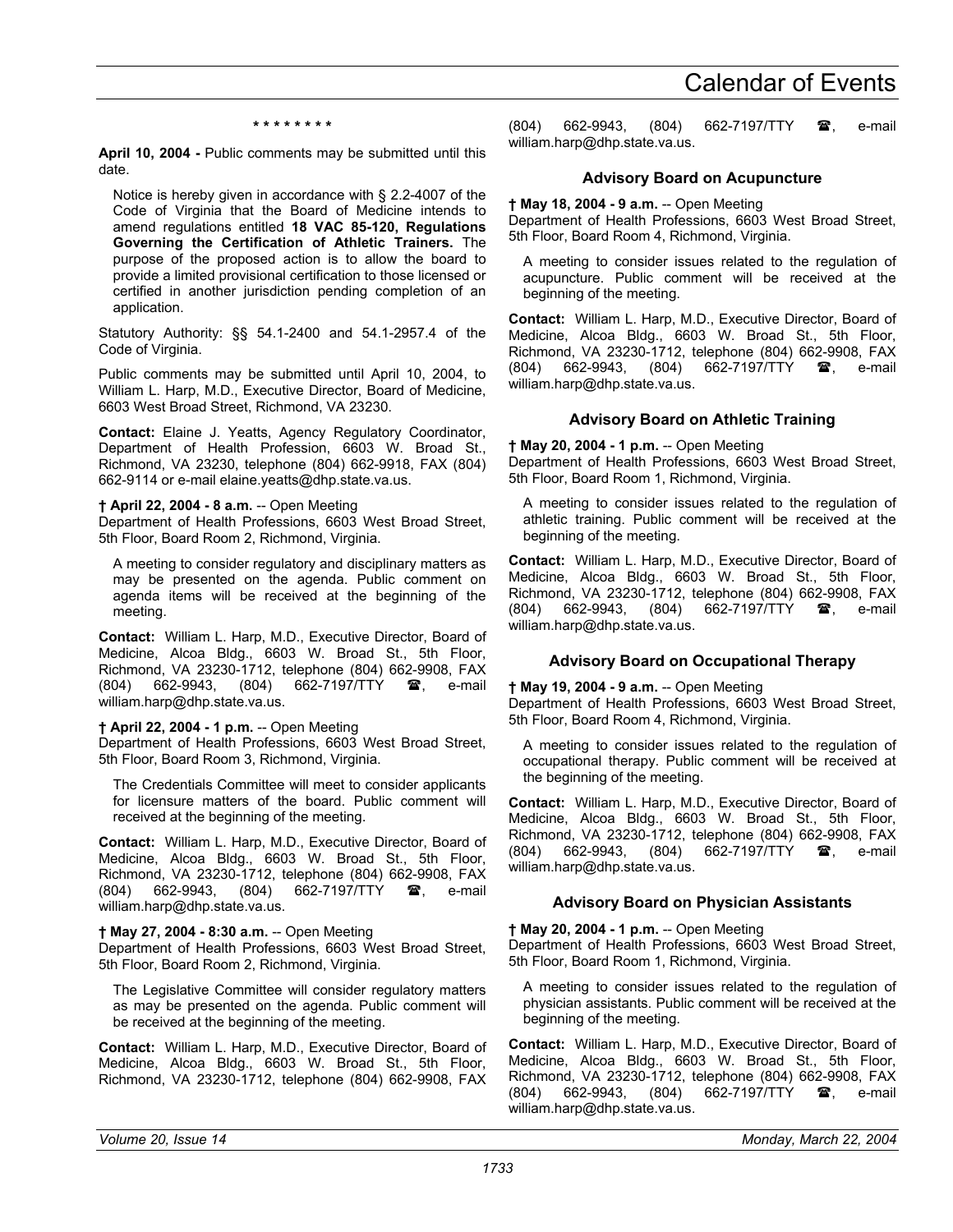#### **\* \* \* \* \* \* \* \***

**April 10, 2004 -** Public comments may be submitted until this date.

Notice is hereby given in accordance with § 2.2-4007 of the Code of Virginia that the Board of Medicine intends to amend regulations entitled **18 VAC 85-120, Regulations Governing the Certification of Athletic Trainers.** The purpose of the proposed action is to allow the board to provide a limited provisional certification to those licensed or certified in another jurisdiction pending completion of an application.

Statutory Authority: §§ 54.1-2400 and 54.1-2957.4 of the Code of Virginia.

Public comments may be submitted until April 10, 2004, to William L. Harp, M.D., Executive Director, Board of Medicine, 6603 West Broad Street, Richmond, VA 23230.

**Contact:** Elaine J. Yeatts, Agency Regulatory Coordinator, Department of Health Profession, 6603 W. Broad St., Richmond, VA 23230, telephone (804) 662-9918, FAX (804) 662-9114 or e-mail elaine.yeatts@dhp.state.va.us.

#### **† April 22, 2004 - 8 a.m.** -- Open Meeting

Department of Health Professions, 6603 West Broad Street, 5th Floor, Board Room 2, Richmond, Virginia.

A meeting to consider regulatory and disciplinary matters as may be presented on the agenda. Public comment on agenda items will be received at the beginning of the meeting.

**Contact:** William L. Harp, M.D., Executive Director, Board of Medicine, Alcoa Bldg., 6603 W. Broad St., 5th Floor, Richmond, VA 23230-1712, telephone (804) 662-9908, FAX (804) 662-9943, (804) 662-7197/TTY  $\blacksquare$ , e-mail william.harp@dhp.state.va.us.

#### **† April 22, 2004 - 1 p.m.** -- Open Meeting

Department of Health Professions, 6603 West Broad Street, 5th Floor, Board Room 3, Richmond, Virginia.

The Credentials Committee will meet to consider applicants for licensure matters of the board. Public comment will received at the beginning of the meeting.

**Contact:** William L. Harp, M.D., Executive Director, Board of Medicine, Alcoa Bldg., 6603 W. Broad St., 5th Floor, Richmond, VA 23230-1712, telephone (804) 662-9908, FAX (804) 662-9943, (804) 662-7197/TTY **3**, e-mail william.harp@dhp.state.va.us.

#### **† May 27, 2004 - 8:30 a.m.** -- Open Meeting

Department of Health Professions, 6603 West Broad Street, 5th Floor, Board Room 2, Richmond, Virginia.

The Legislative Committee will consider regulatory matters as may be presented on the agenda. Public comment will be received at the beginning of the meeting.

**Contact:** William L. Harp, M.D., Executive Director, Board of Medicine, Alcoa Bldg., 6603 W. Broad St., 5th Floor, Richmond, VA 23230-1712, telephone (804) 662-9908, FAX

(804) 662-9943, (804) 662-7197/TTY  $\mathbf{\mathcal{F}}$ , e-mail william.harp@dhp.state.va.us.

#### **Advisory Board on Acupuncture**

**† May 18, 2004 - 9 a.m.** -- Open Meeting

Department of Health Professions, 6603 West Broad Street, 5th Floor, Board Room 4, Richmond, Virginia.

A meeting to consider issues related to the regulation of acupuncture. Public comment will be received at the beginning of the meeting.

**Contact:** William L. Harp, M.D., Executive Director, Board of Medicine, Alcoa Bldg., 6603 W. Broad St., 5th Floor, Richmond, VA 23230-1712, telephone (804) 662-9908, FAX<br>(804) 662-9943, (804) 662-7197/TTY **38**, e-mail (804) 662-9943, (804) 662-7197/TTY  $\mathbf{\mathscr{F}}$ , e-mail william.harp@dhp.state.va.us.

## **Advisory Board on Athletic Training**

**† May 20, 2004 - 1 p.m.** -- Open Meeting

Department of Health Professions, 6603 West Broad Street, 5th Floor, Board Room 1, Richmond, Virginia.

A meeting to consider issues related to the regulation of athletic training. Public comment will be received at the beginning of the meeting.

**Contact:** William L. Harp, M.D., Executive Director, Board of Medicine, Alcoa Bldg., 6603 W. Broad St., 5th Floor, Richmond, VA 23230-1712, telephone (804) 662-9908, FAX (804) 662-9943, (804) 662-7197/TTY **音**, e-mail william.harp@dhp.state.va.us.

#### **Advisory Board on Occupational Therapy**

#### **† May 19, 2004 - 9 a.m.** -- Open Meeting

Department of Health Professions, 6603 West Broad Street, 5th Floor, Board Room 4, Richmond, Virginia.

A meeting to consider issues related to the regulation of occupational therapy. Public comment will be received at the beginning of the meeting.

**Contact:** William L. Harp, M.D., Executive Director, Board of Medicine, Alcoa Bldg., 6603 W. Broad St., 5th Floor, Richmond, VA 23230-1712, telephone (804) 662-9908, FAX<br>(804) 662-9943, (804) 662-7197/TTY **28**, e-mail 662-9943, (804) 662-7197/TTY **@**, e-mail william.harp@dhp.state.va.us.

#### **Advisory Board on Physician Assistants**

**† May 20, 2004 - 1 p.m.** -- Open Meeting

Department of Health Professions, 6603 West Broad Street, 5th Floor, Board Room 1, Richmond, Virginia.

A meeting to consider issues related to the regulation of physician assistants. Public comment will be received at the beginning of the meeting.

**Contact:** William L. Harp, M.D., Executive Director, Board of Medicine, Alcoa Bldg., 6603 W. Broad St., 5th Floor, Richmond, VA 23230-1712, telephone (804) 662-9908, FAX (804) 662-9943, (804) 662-7197/TTY <sup>2</sup>, e-mail william.harp@dhp.state.va.us.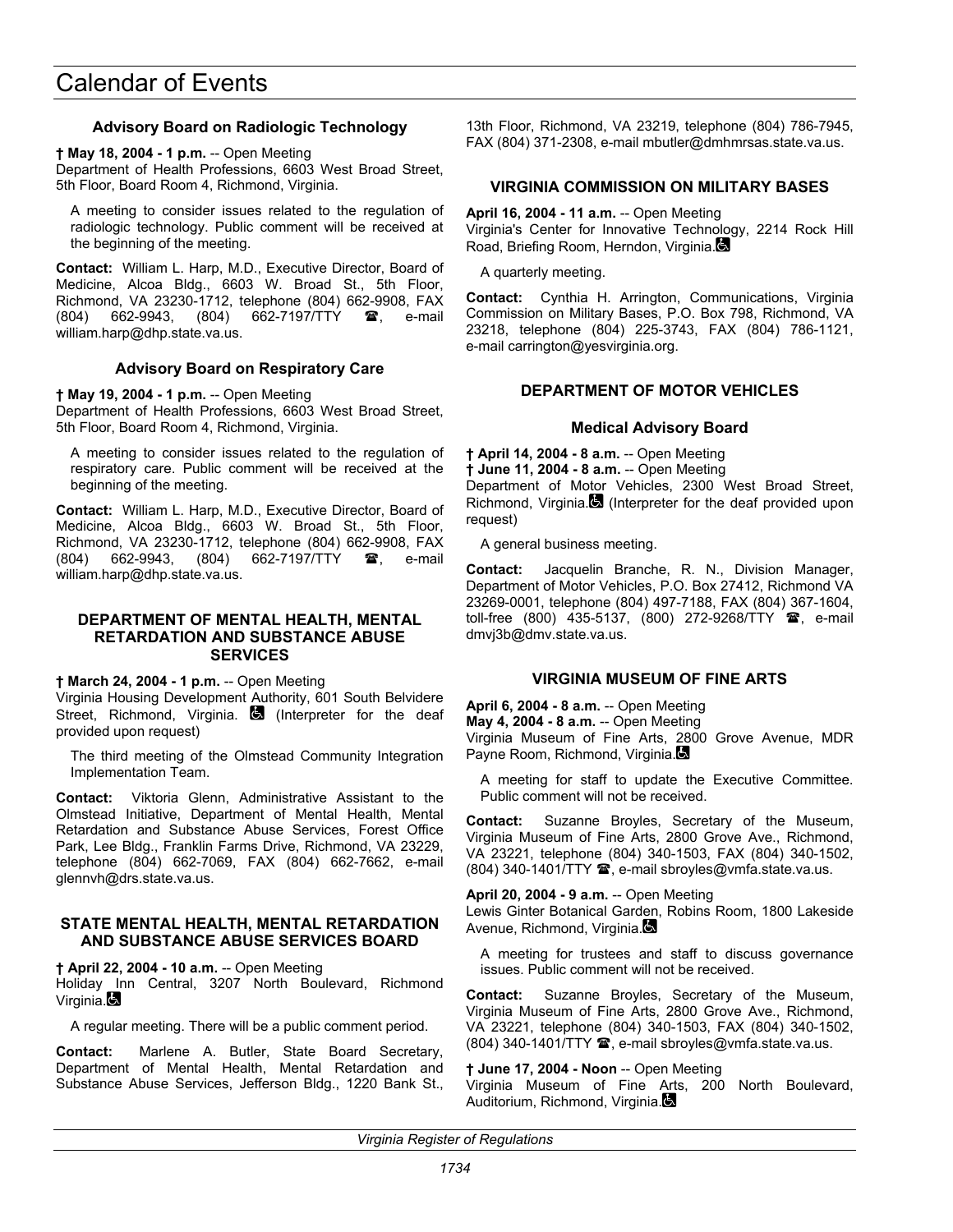### **Advisory Board on Radiologic Technology**

**† May 18, 2004 - 1 p.m.** -- Open Meeting

Department of Health Professions, 6603 West Broad Street, 5th Floor, Board Room 4, Richmond, Virginia.

A meeting to consider issues related to the regulation of radiologic technology. Public comment will be received at the beginning of the meeting.

**Contact:** William L. Harp, M.D., Executive Director, Board of Medicine, Alcoa Bldg., 6603 W. Broad St., 5th Floor, Richmond, VA 23230-1712, telephone (804) 662-9908, FAX (804) 662-9943, (804) 662-7197/TTY **雷**, e-mail william.harp@dhp.state.va.us.

### **Advisory Board on Respiratory Care**

#### **† May 19, 2004 - 1 p.m.** -- Open Meeting

Department of Health Professions, 6603 West Broad Street, 5th Floor, Board Room 4, Richmond, Virginia.

A meeting to consider issues related to the regulation of respiratory care. Public comment will be received at the beginning of the meeting.

**Contact:** William L. Harp, M.D., Executive Director, Board of Medicine, Alcoa Bldg., 6603 W. Broad St., 5th Floor, Richmond, VA 23230-1712, telephone (804) 662-9908, FAX (804) 662-9943, (804) 662-7197/TTY **雷**, e-mail william.harp@dhp.state.va.us.

#### **DEPARTMENT OF MENTAL HEALTH, MENTAL RETARDATION AND SUBSTANCE ABUSE SERVICES**

**† March 24, 2004 - 1 p.m.** -- Open Meeting

Virginia Housing Development Authority, 601 South Belvidere Street, Richmond, Virginia. **(3)** (Interpreter for the deaf provided upon request)

The third meeting of the Olmstead Community Integration Implementation Team.

**Contact:** Viktoria Glenn, Administrative Assistant to the Olmstead Initiative, Department of Mental Health, Mental Retardation and Substance Abuse Services, Forest Office Park, Lee Bldg., Franklin Farms Drive, Richmond, VA 23229, telephone (804) 662-7069, FAX (804) 662-7662, e-mail glennvh@drs.state.va.us.

### **STATE MENTAL HEALTH, MENTAL RETARDATION AND SUBSTANCE ABUSE SERVICES BOARD**

**† April 22, 2004 - 10 a.m.** -- Open Meeting Holiday Inn Central, 3207 North Boulevard, Richmond Virginia.

A regular meeting. There will be a public comment period.

**Contact:** Marlene A. Butler, State Board Secretary, Department of Mental Health, Mental Retardation and Substance Abuse Services, Jefferson Bldg., 1220 Bank St.,

13th Floor, Richmond, VA 23219, telephone (804) 786-7945, FAX (804) 371-2308, e-mail mbutler@dmhmrsas.state.va.us.

### **VIRGINIA COMMISSION ON MILITARY BASES**

**April 16, 2004 - 11 a.m.** -- Open Meeting Virginia's Center for Innovative Technology, 2214 Rock Hill Road, Briefing Room, Herndon, Virginia.

A quarterly meeting.

**Contact:** Cynthia H. Arrington, Communications, Virginia Commission on Military Bases, P.O. Box 798, Richmond, VA 23218, telephone (804) 225-3743, FAX (804) 786-1121, e-mail carrington@yesvirginia.org.

#### **DEPARTMENT OF MOTOR VEHICLES**

#### **Medical Advisory Board**

**† April 14, 2004 - 8 a.m.** -- Open Meeting **† June 11, 2004 - 8 a.m.** -- Open Meeting Department of Motor Vehicles, 2300 West Broad Street, Richmond, Virginia. (Interpreter for the deaf provided upon request)

A general business meeting.

**Contact:** Jacquelin Branche, R. N., Division Manager, Department of Motor Vehicles, P.O. Box 27412, Richmond VA 23269-0001, telephone (804) 497-7188, FAX (804) 367-1604, toll-free (800) 435-5137, (800) 272-9268/TTY **@**, e-mail dmvj3b@dmv.state.va.us.

#### **VIRGINIA MUSEUM OF FINE ARTS**

**April 6, 2004 - 8 a.m.** -- Open Meeting **May 4, 2004 - 8 a.m.** -- Open Meeting

Virginia Museum of Fine Arts, 2800 Grove Avenue, MDR Payne Room, Richmond, Virginia.

A meeting for staff to update the Executive Committee. Public comment will not be received.

**Contact:** Suzanne Broyles, Secretary of the Museum, Virginia Museum of Fine Arts, 2800 Grove Ave., Richmond, VA 23221, telephone (804) 340-1503, FAX (804) 340-1502, (804) 340-1401/TTY <sup>2</sup>, e-mail sbroyles@vmfa.state.va.us.

#### **April 20, 2004 - 9 a.m.** -- Open Meeting

Lewis Ginter Botanical Garden, Robins Room, 1800 Lakeside Avenue, Richmond, Virginia.

A meeting for trustees and staff to discuss governance issues. Public comment will not be received.

**Contact:** Suzanne Broyles, Secretary of the Museum, Virginia Museum of Fine Arts, 2800 Grove Ave., Richmond, VA 23221, telephone (804) 340-1503, FAX (804) 340-1502, (804) 340-1401/TTY <sup>3</sup>, e-mail sbroyles@vmfa.state.va.us.

## **† June 17, 2004 - Noon** -- Open Meeting

Virginia Museum of Fine Arts, 200 North Boulevard, Auditorium, Richmond, Virginia.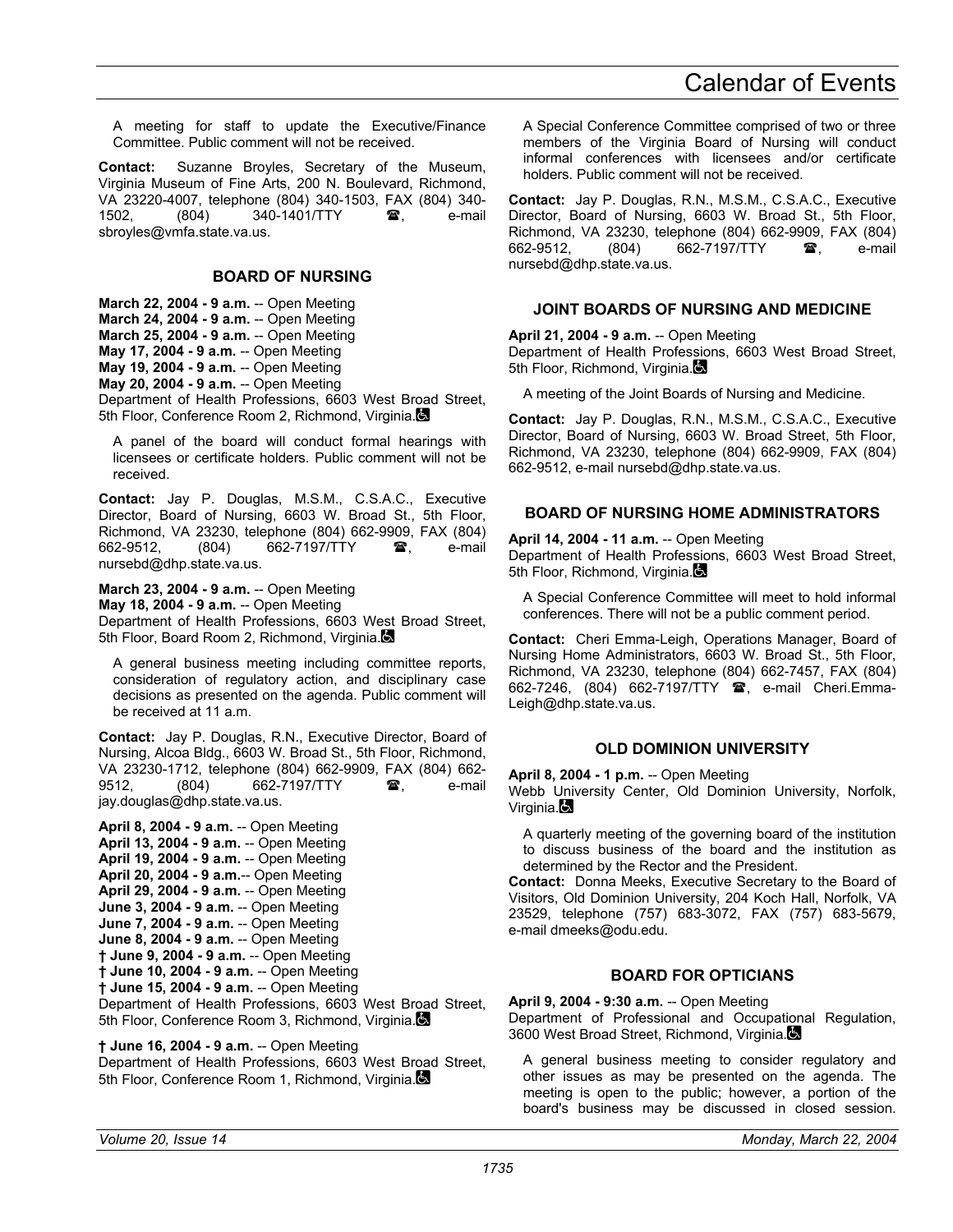A meeting for staff to update the Executive/Finance Committee. Public comment will not be received.

**Contact:** Suzanne Broyles, Secretary of the Museum, Virginia Museum of Fine Arts, 200 N. Boulevard, Richmond, VA 23220-4007, telephone (804) 340-1503, FAX (804) 340- (804) 340-1401/TTY **雷**, e-mail sbroyles@vmfa.state.va.us.

## **BOARD OF NURSING**

**March 22, 2004 - 9 a.m.** -- Open Meeting **March 24, 2004 - 9 a.m.** -- Open Meeting **March 25, 2004 - 9 a.m.** -- Open Meeting **May 17, 2004 - 9 a.m.** -- Open Meeting **May 19, 2004 - 9 a.m.** -- Open Meeting **May 20, 2004 - 9 a.m.** -- Open Meeting

Department of Health Professions, 6603 West Broad Street, 5th Floor, Conference Room 2, Richmond, Virginia.

A panel of the board will conduct formal hearings with licensees or certificate holders. Public comment will not be received.

**Contact:** Jay P. Douglas, M.S.M., C.S.A.C., Executive Director, Board of Nursing, 6603 W. Broad St., 5th Floor, Richmond, VA 23230, telephone (804) 662-9909, FAX (804) 662-9512, (804) 662-7197/TTY <sup>3</sup>, e-mail nursebd@dhp.state.va.us.

**March 23, 2004 - 9 a.m.** -- Open Meeting **May 18, 2004 - 9 a.m.** -- Open Meeting Department of Health Professions, 6603 West Broad Street, 5th Floor, Board Room 2, Richmond, Virginia.

A general business meeting including committee reports, consideration of regulatory action, and disciplinary case decisions as presented on the agenda. Public comment will be received at 11 a.m.

**Contact:** Jay P. Douglas, R.N., Executive Director, Board of Nursing, Alcoa Bldg., 6603 W. Broad St., 5th Floor, Richmond, VA 23230-1712, telephone (804) 662-9909, FAX (804) 662- 9512. (804) 662-7197/TTY **a**, e-mail jay.douglas@dhp.state.va.us.

**April 8, 2004 - 9 a.m.** -- Open Meeting **April 13, 2004 - 9 a.m.** -- Open Meeting **April 19, 2004 - 9 a.m.** -- Open Meeting **April 20, 2004 - 9 a.m.**-- Open Meeting **April 29, 2004 - 9 a.m.** -- Open Meeting **June 3, 2004 - 9 a.m.** -- Open Meeting **June 7, 2004 - 9 a.m.** -- Open Meeting **June 8, 2004 - 9 a.m.** -- Open Meeting **† June 9, 2004 - 9 a.m.** -- Open Meeting **† June 10, 2004 - 9 a.m.** -- Open Meeting **† June 15, 2004 - 9 a.m.** -- Open Meeting Department of Health Professions, 6603 West Broad Street, 5th Floor, Conference Room 3, Richmond, Virginia.

**† June 16, 2004 - 9 a.m.** -- Open Meeting Department of Health Professions, 6603 West Broad Street, 5th Floor, Conference Room 1, Richmond, Virginia.

A Special Conference Committee comprised of two or three members of the Virginia Board of Nursing will conduct informal conferences with licensees and/or certificate holders. Public comment will not be received.

**Contact:** Jay P. Douglas, R.N., M.S.M., C.S.A.C., Executive Director, Board of Nursing, 6603 W. Broad St., 5th Floor, Richmond, VA 23230, telephone (804) 662-9909, FAX (804) 662-7197/TTY **a** e-mail nursebd@dhp.state.va.us.

## **JOINT BOARDS OF NURSING AND MEDICINE**

**April 21, 2004 - 9 a.m.** -- Open Meeting Department of Health Professions, 6603 West Broad Street, 5th Floor, Richmond, Virginia.

A meeting of the Joint Boards of Nursing and Medicine.

**Contact:** Jay P. Douglas, R.N., M.S.M., C.S.A.C., Executive Director, Board of Nursing, 6603 W. Broad Street, 5th Floor, Richmond, VA 23230, telephone (804) 662-9909, FAX (804) 662-9512, e-mail nursebd@dhp.state.va.us.

## **BOARD OF NURSING HOME ADMINISTRATORS**

**April 14, 2004 - 11 a.m.** -- Open Meeting Department of Health Professions, 6603 West Broad Street, 5th Floor, Richmond, Virginia.

A Special Conference Committee will meet to hold informal conferences. There will not be a public comment period.

**Contact:** Cheri Emma-Leigh, Operations Manager, Board of Nursing Home Administrators, 6603 W. Broad St., 5th Floor, Richmond, VA 23230, telephone (804) 662-7457, FAX (804) 662-7246, (804) 662-7197/TTY **@**, e-mail Cheri.Emma-Leigh@dhp.state.va.us.

## **OLD DOMINION UNIVERSITY**

**April 8, 2004 - 1 p.m.** -- Open Meeting

Webb University Center, Old Dominion University, Norfolk, Virginia. $\blacksquare$ 

A quarterly meeting of the governing board of the institution to discuss business of the board and the institution as determined by the Rector and the President.

**Contact:** Donna Meeks, Executive Secretary to the Board of Visitors, Old Dominion University, 204 Koch Hall, Norfolk, VA 23529, telephone (757) 683-3072, FAX (757) 683-5679, e-mail dmeeks@odu.edu.

## **BOARD FOR OPTICIANS**

**April 9, 2004 - 9:30 a.m.** -- Open Meeting Department of Professional and Occupational Regulation, 3600 West Broad Street, Richmond, Virginia.

A general business meeting to consider regulatory and other issues as may be presented on the agenda. The meeting is open to the public; however, a portion of the board's business may be discussed in closed session.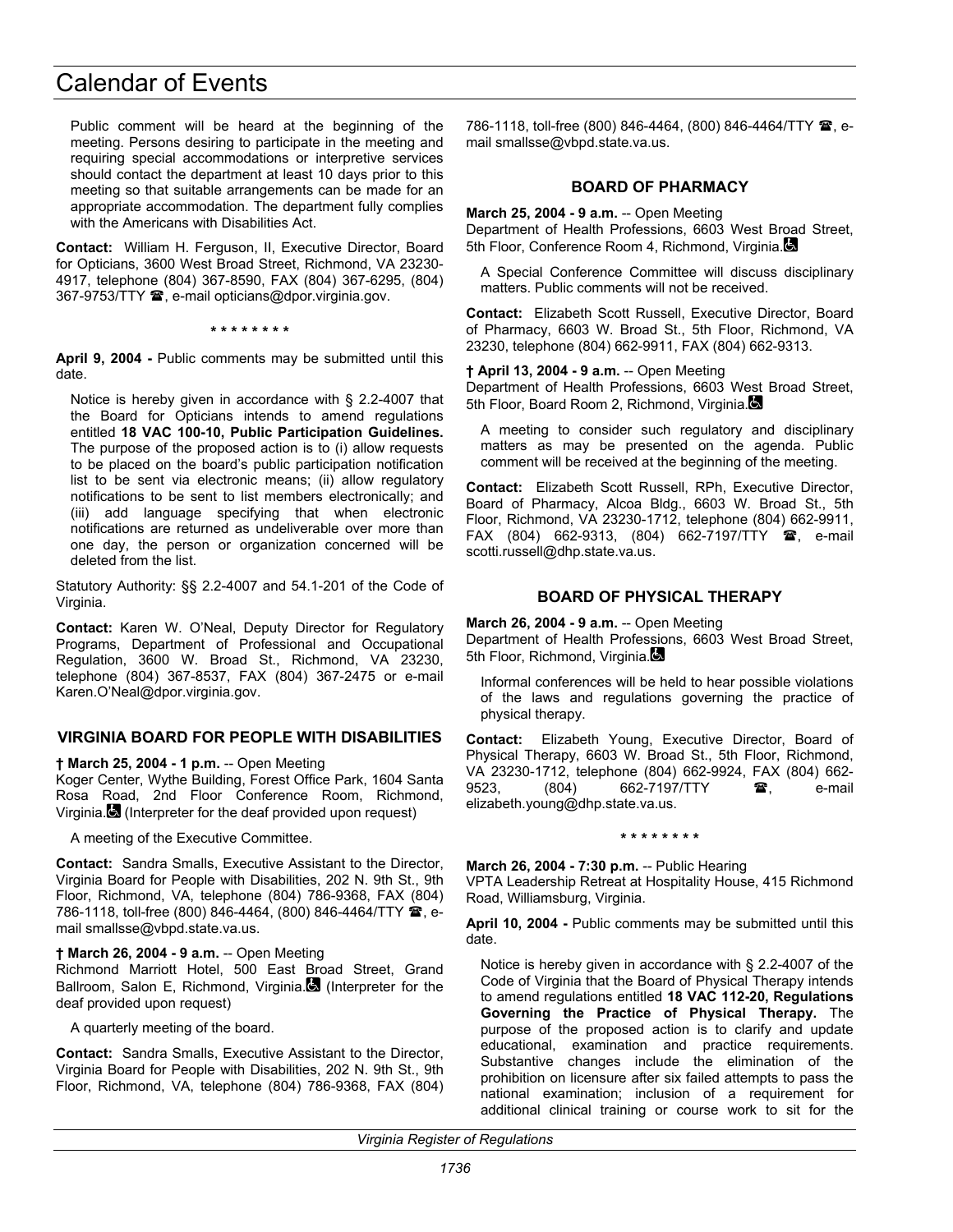Public comment will be heard at the beginning of the meeting. Persons desiring to participate in the meeting and requiring special accommodations or interpretive services should contact the department at least 10 days prior to this meeting so that suitable arrangements can be made for an appropriate accommodation. The department fully complies with the Americans with Disabilities Act.

**Contact:** William H. Ferguson, II, Executive Director, Board for Opticians, 3600 West Broad Street, Richmond, VA 23230- 4917, telephone (804) 367-8590, FAX (804) 367-6295, (804) 367-9753/TTY  $\mathbf{\mathcal{D}}$ , e-mail opticians@dpor.virginia.gov.

**\* \* \* \* \* \* \* \*** 

**April 9, 2004 -** Public comments may be submitted until this date.

Notice is hereby given in accordance with § 2.2-4007 that the Board for Opticians intends to amend regulations entitled **18 VAC 100-10, Public Participation Guidelines.** The purpose of the proposed action is to (i) allow requests to be placed on the board's public participation notification list to be sent via electronic means; (ii) allow regulatory notifications to be sent to list members electronically; and (iii) add language specifying that when electronic notifications are returned as undeliverable over more than one day, the person or organization concerned will be deleted from the list.

Statutory Authority: §§ 2.2-4007 and 54.1-201 of the Code of Virginia.

**Contact:** Karen W. O'Neal, Deputy Director for Regulatory Programs, Department of Professional and Occupational Regulation, 3600 W. Broad St., Richmond, VA 23230, telephone (804) 367-8537, FAX (804) 367-2475 or e-mail Karen.O'Neal@dpor.virginia.gov.

## **VIRGINIA BOARD FOR PEOPLE WITH DISABILITIES**

**† March 25, 2004 - 1 p.m.** -- Open Meeting

Koger Center, Wythe Building, Forest Office Park, 1604 Santa Rosa Road, 2nd Floor Conference Room, Richmond, Virginia. (Interpreter for the deaf provided upon request)

A meeting of the Executive Committee.

**Contact:** Sandra Smalls, Executive Assistant to the Director, Virginia Board for People with Disabilities, 202 N. 9th St., 9th Floor, Richmond, VA, telephone (804) 786-9368, FAX (804) 786-1118, toll-free (800) 846-4464, (800) 846-4464/TTY 2, email smallsse@vbpd.state.va.us.

### **† March 26, 2004 - 9 a.m.** -- Open Meeting

Richmond Marriott Hotel, 500 East Broad Street, Grand Ballroom, Salon E, Richmond, Virginia. (Interpreter for the deaf provided upon request)

A quarterly meeting of the board.

**Contact:** Sandra Smalls, Executive Assistant to the Director, Virginia Board for People with Disabilities, 202 N. 9th St., 9th Floor, Richmond, VA, telephone (804) 786-9368, FAX (804) 786-1118, toll-free (800) 846-4464, (800) 846-4464/TTY <sup>2</sup>, email smallsse@vbpd.state.va.us.

#### **BOARD OF PHARMACY**

**March 25, 2004 - 9 a.m.** -- Open Meeting

Department of Health Professions, 6603 West Broad Street, 5th Floor, Conference Room 4, Richmond, Virginia.

A Special Conference Committee will discuss disciplinary matters. Public comments will not be received.

**Contact:** Elizabeth Scott Russell, Executive Director, Board of Pharmacy, 6603 W. Broad St., 5th Floor, Richmond, VA 23230, telephone (804) 662-9911, FAX (804) 662-9313.

#### **† April 13, 2004 - 9 a.m.** -- Open Meeting

Department of Health Professions, 6603 West Broad Street, 5th Floor, Board Room 2, Richmond, Virginia.

A meeting to consider such regulatory and disciplinary matters as may be presented on the agenda. Public comment will be received at the beginning of the meeting.

**Contact:** Elizabeth Scott Russell, RPh, Executive Director, Board of Pharmacy, Alcoa Bldg., 6603 W. Broad St., 5th Floor, Richmond, VA 23230-1712, telephone (804) 662-9911, FAX (804) 662-9313, (804) 662-7197/TTY <sup>2</sup>, e-mail scotti.russell@dhp.state.va.us.

### **BOARD OF PHYSICAL THERAPY**

**March 26, 2004 - 9 a.m.** -- Open Meeting Department of Health Professions, 6603 West Broad Street, 5th Floor, Richmond, Virginia.

Informal conferences will be held to hear possible violations of the laws and regulations governing the practice of physical therapy.

**Contact:** Elizabeth Young, Executive Director, Board of Physical Therapy, 6603 W. Broad St., 5th Floor, Richmond, VA 23230-1712, telephone (804) 662-9924, FAX (804) 662- 9523, (804) 662-7197/TTY **雷**, e-mail elizabeth.young@dhp.state.va.us.

#### **\* \* \* \* \* \* \* \***

**March 26, 2004 - 7:30 p.m.** -- Public Hearing

VPTA Leadership Retreat at Hospitality House, 415 Richmond Road, Williamsburg, Virginia.

**April 10, 2004 -** Public comments may be submitted until this date.

Notice is hereby given in accordance with § 2.2-4007 of the Code of Virginia that the Board of Physical Therapy intends to amend regulations entitled **18 VAC 112-20, Regulations Governing the Practice of Physical Therapy.** The purpose of the proposed action is to clarify and update educational, examination and practice requirements. Substantive changes include the elimination of the prohibition on licensure after six failed attempts to pass the national examination; inclusion of a requirement for additional clinical training or course work to sit for the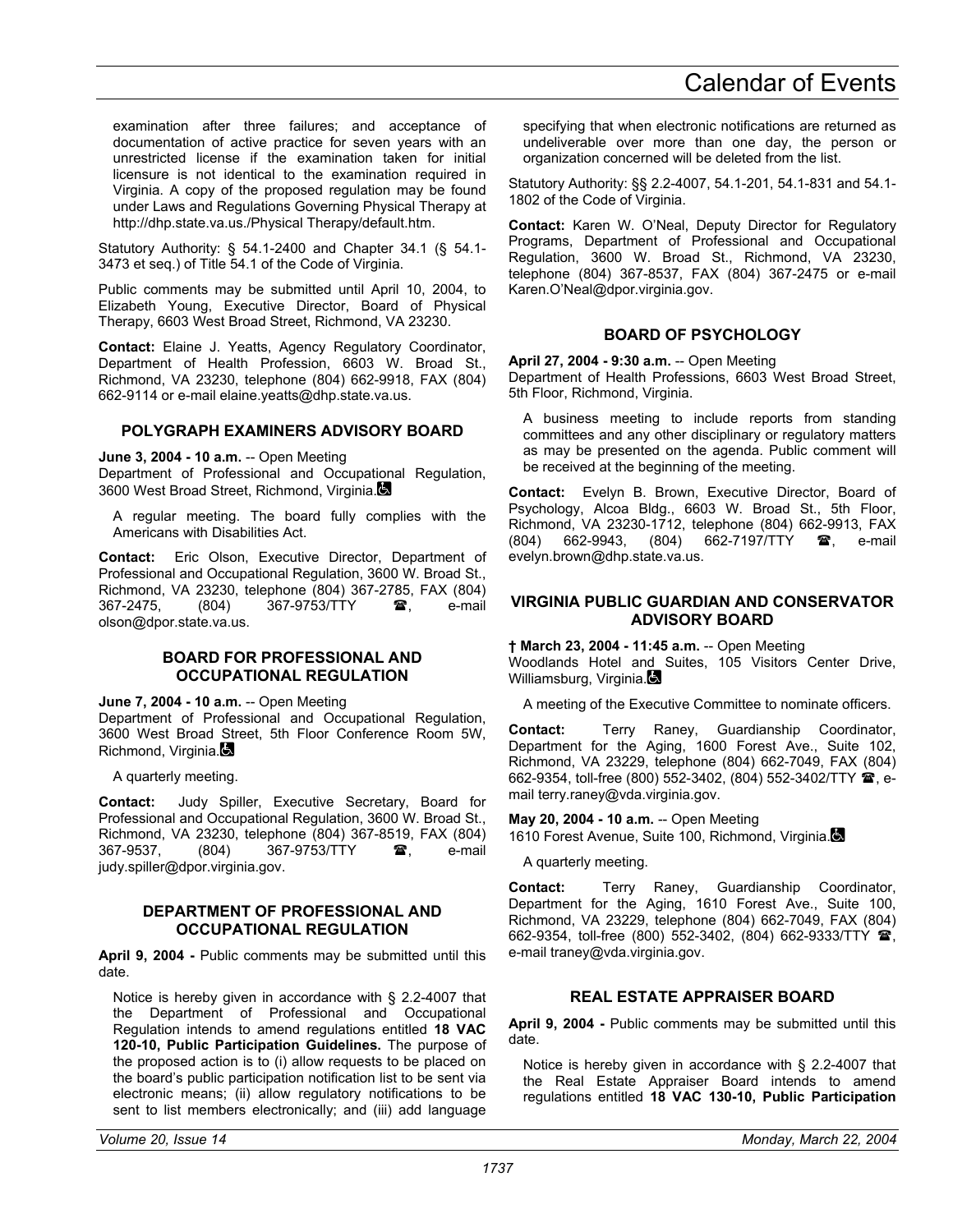examination after three failures; and acceptance of documentation of active practice for seven years with an unrestricted license if the examination taken for initial licensure is not identical to the examination required in Virginia. A copy of the proposed regulation may be found under Laws and Regulations Governing Physical Therapy at http://dhp.state.va.us./Physical Therapy/default.htm.

Statutory Authority: § 54.1-2400 and Chapter 34.1 (§ 54.1- 3473 et seq.) of Title 54.1 of the Code of Virginia.

Public comments may be submitted until April 10, 2004, to Elizabeth Young, Executive Director, Board of Physical Therapy, 6603 West Broad Street, Richmond, VA 23230.

**Contact:** Elaine J. Yeatts, Agency Regulatory Coordinator, Department of Health Profession, 6603 W. Broad St., Richmond, VA 23230, telephone (804) 662-9918, FAX (804) 662-9114 or e-mail elaine.yeatts@dhp.state.va.us.

## **POLYGRAPH EXAMINERS ADVISORY BOARD**

**June 3, 2004 - 10 a.m.** -- Open Meeting Department of Professional and Occupational Regulation, 3600 West Broad Street, Richmond, Virginia.

A regular meeting. The board fully complies with the Americans with Disabilities Act.

**Contact:** Eric Olson, Executive Director, Department of Professional and Occupational Regulation, 3600 W. Broad St., Richmond, VA 23230, telephone (804) 367-2785, FAX (804) 367-9753/TTY  $\bullet$ , e-mail olson@dpor.state.va.us.

#### **BOARD FOR PROFESSIONAL AND OCCUPATIONAL REGULATION**

**June 7, 2004 - 10 a.m.** -- Open Meeting

Department of Professional and Occupational Regulation, 3600 West Broad Street, 5th Floor Conference Room 5W, Richmond, Virginia.

A quarterly meeting.

**Contact:** Judy Spiller, Executive Secretary, Board for Professional and Occupational Regulation, 3600 W. Broad St., Richmond, VA 23230, telephone (804) 367-8519, FAX (804) 367-9537. (804) 367-9753/TTY **a**. e-mail judy.spiller@dpor.virginia.gov.

### **DEPARTMENT OF PROFESSIONAL AND OCCUPATIONAL REGULATION**

**April 9, 2004 -** Public comments may be submitted until this date.

Notice is hereby given in accordance with § 2.2-4007 that the Department of Professional and Occupational Regulation intends to amend regulations entitled **18 VAC 120-10, Public Participation Guidelines.** The purpose of the proposed action is to (i) allow requests to be placed on the board's public participation notification list to be sent via electronic means; (ii) allow regulatory notifications to be sent to list members electronically; and (iii) add language

specifying that when electronic notifications are returned as undeliverable over more than one day, the person or organization concerned will be deleted from the list.

Statutory Authority: §§ 2.2-4007, 54.1-201, 54.1-831 and 54.1- 1802 of the Code of Virginia.

**Contact:** Karen W. O'Neal, Deputy Director for Regulatory Programs, Department of Professional and Occupational Regulation, 3600 W. Broad St., Richmond, VA 23230, telephone (804) 367-8537, FAX (804) 367-2475 or e-mail Karen.O'Neal@dpor.virginia.gov.

## **BOARD OF PSYCHOLOGY**

**April 27, 2004 - 9:30 a.m.** -- Open Meeting Department of Health Professions, 6603 West Broad Street, 5th Floor, Richmond, Virginia.

A business meeting to include reports from standing committees and any other disciplinary or regulatory matters as may be presented on the agenda. Public comment will be received at the beginning of the meeting.

**Contact:** Evelyn B. Brown, Executive Director, Board of Psychology, Alcoa Bldg., 6603 W. Broad St., 5th Floor, Richmond, VA 23230-1712, telephone (804) 662-9913, FAX<br>(804) 662-9943, (804) 662-7197/TTY **as**, e-mail (804) 662-9943, (804) 662-7197/TTY  $\circledR$ , e-mail evelyn.brown@dhp.state.va.us.

## **VIRGINIA PUBLIC GUARDIAN AND CONSERVATOR ADVISORY BOARD**

**† March 23, 2004 - 11:45 a.m.** -- Open Meeting Woodlands Hotel and Suites, 105 Visitors Center Drive, Williamsburg, Virginia.

A meeting of the Executive Committee to nominate officers.

**Contact:** Terry Raney, Guardianship Coordinator, Department for the Aging, 1600 Forest Ave., Suite 102, Richmond, VA 23229, telephone (804) 662-7049, FAX (804) 662-9354, toll-free (800) 552-3402, (804) 552-3402/TTY  $\hat{B}$ , email terry.raney@vda.virginia.gov.

**May 20, 2004 - 10 a.m.** -- Open Meeting

1610 Forest Avenue, Suite 100, Richmond, Virginia.

A quarterly meeting.

**Contact:** Terry Raney, Guardianship Coordinator, Department for the Aging, 1610 Forest Ave., Suite 100, Richmond, VA 23229, telephone (804) 662-7049, FAX (804) 662-9354, toll-free (800) 552-3402, (804) 662-9333/TTY **@** e-mail traney@vda.virginia.gov.

## **REAL ESTATE APPRAISER BOARD**

**April 9, 2004 -** Public comments may be submitted until this date.

Notice is hereby given in accordance with § 2.2-4007 that the Real Estate Appraiser Board intends to amend regulations entitled **18 VAC 130-10, Public Participation**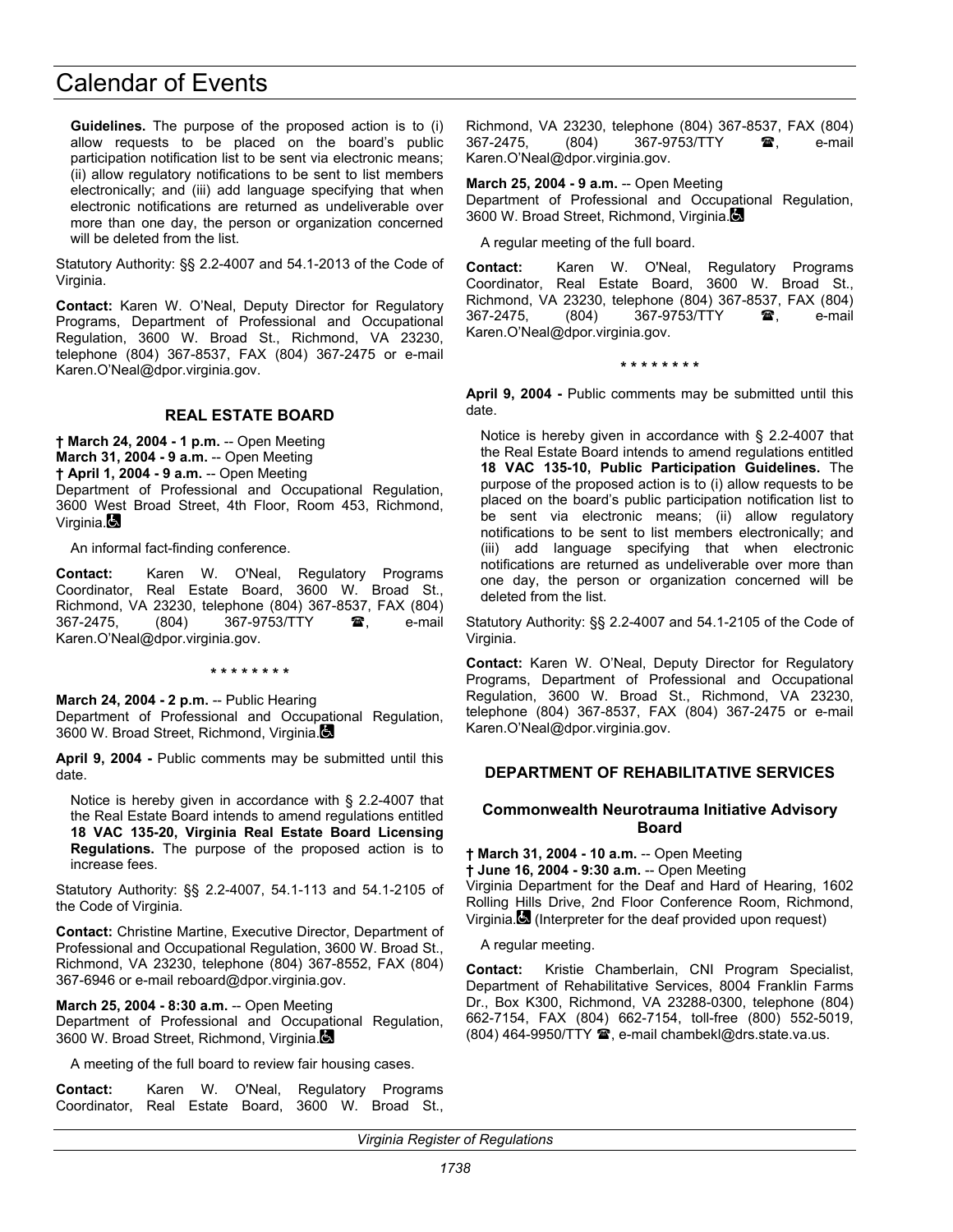**Guidelines.** The purpose of the proposed action is to (i) allow requests to be placed on the board's public participation notification list to be sent via electronic means; (ii) allow regulatory notifications to be sent to list members electronically; and (iii) add language specifying that when electronic notifications are returned as undeliverable over more than one day, the person or organization concerned will be deleted from the list.

Statutory Authority: §§ 2.2-4007 and 54.1-2013 of the Code of Virginia.

**Contact:** Karen W. O'Neal, Deputy Director for Regulatory Programs, Department of Professional and Occupational Regulation, 3600 W. Broad St., Richmond, VA 23230, telephone (804) 367-8537, FAX (804) 367-2475 or e-mail Karen.O'Neal@dpor.virginia.gov.

## **REAL ESTATE BOARD**

**† March 24, 2004 - 1 p.m.** -- Open Meeting **March 31, 2004 - 9 a.m.** -- Open Meeting **† April 1, 2004 - 9 a.m.** -- Open Meeting Department of Professional and Occupational Regulation, 3600 West Broad Street, 4th Floor, Room 453, Richmond, Virginia.

An informal fact-finding conference.

**Contact:** Karen W. O'Neal, Regulatory Programs Coordinator, Real Estate Board, 3600 W. Broad St., Richmond, VA 23230, telephone (804) 367-8537, FAX (804) 367-2475, (804) 367-9753/TTY **雷**, e-mail Karen.O'Neal@dpor.virginia.gov.

**\* \* \* \* \* \* \* \*** 

**March 24, 2004 - 2 p.m.** -- Public Hearing Department of Professional and Occupational Regulation, 3600 W. Broad Street, Richmond, Virginia.

**April 9, 2004 -** Public comments may be submitted until this date.

Notice is hereby given in accordance with § 2.2-4007 that the Real Estate Board intends to amend regulations entitled **18 VAC 135-20, Virginia Real Estate Board Licensing Regulations.** The purpose of the proposed action is to increase fees.

Statutory Authority: §§ 2.2-4007, 54.1-113 and 54.1-2105 of the Code of Virginia.

**Contact:** Christine Martine, Executive Director, Department of Professional and Occupational Regulation, 3600 W. Broad St., Richmond, VA 23230, telephone (804) 367-8552, FAX (804) 367-6946 or e-mail reboard@dpor.virginia.gov.

**March 25, 2004 - 8:30 a.m.** -- Open Meeting Department of Professional and Occupational Regulation, 3600 W. Broad Street, Richmond, Virginia.

A meeting of the full board to review fair housing cases.

**Contact:** Karen W. O'Neal, Regulatory Programs Coordinator, Real Estate Board, 3600 W. Broad St.,

Richmond, VA 23230, telephone (804) 367-8537, FAX (804) 367-2475, (804) 367-9753/TTY **雪**, e-mail Karen.O'Neal@dpor.virginia.gov.

**March 25, 2004 - 9 a.m.** -- Open Meeting

Department of Professional and Occupational Regulation, 3600 W. Broad Street, Richmond, Virginia.

A regular meeting of the full board.

**Contact:** Karen W. O'Neal, Regulatory Programs Coordinator, Real Estate Board, 3600 W. Broad St., Richmond, VA 23230, telephone (804) 367-8537, FAX (804) 367-2475, (804) 367-9753/TTY **雷**, e-mail Karen.O'Neal@dpor.virginia.gov.

**\* \* \* \* \* \* \* \*** 

**April 9, 2004 -** Public comments may be submitted until this date.

Notice is hereby given in accordance with § 2.2-4007 that the Real Estate Board intends to amend regulations entitled **18 VAC 135-10, Public Participation Guidelines.** The purpose of the proposed action is to (i) allow requests to be placed on the board's public participation notification list to be sent via electronic means; (ii) allow regulatory notifications to be sent to list members electronically; and (iii) add language specifying that when electronic notifications are returned as undeliverable over more than one day, the person or organization concerned will be deleted from the list.

Statutory Authority: §§ 2.2-4007 and 54.1-2105 of the Code of Virginia.

**Contact:** Karen W. O'Neal, Deputy Director for Regulatory Programs, Department of Professional and Occupational Regulation, 3600 W. Broad St., Richmond, VA 23230, telephone (804) 367-8537, FAX (804) 367-2475 or e-mail Karen.O'Neal@dpor.virginia.gov.

## **DEPARTMENT OF REHABILITATIVE SERVICES**

### **Commonwealth Neurotrauma Initiative Advisory Board**

**† March 31, 2004 - 10 a.m.** -- Open Meeting **† June 16, 2004 - 9:30 a.m.** -- Open Meeting Virginia Department for the Deaf and Hard of Hearing, 1602 Rolling Hills Drive, 2nd Floor Conference Room, Richmond, Virginia. (Interpreter for the deaf provided upon request)

A regular meeting.

**Contact:** Kristie Chamberlain, CNI Program Specialist, Department of Rehabilitative Services, 8004 Franklin Farms Dr., Box K300, Richmond, VA 23288-0300, telephone (804) 662-7154, FAX (804) 662-7154, toll-free (800) 552-5019, (804) 464-9950/TTY <sup>2</sup>, e-mail chambekl@drs.state.va.us.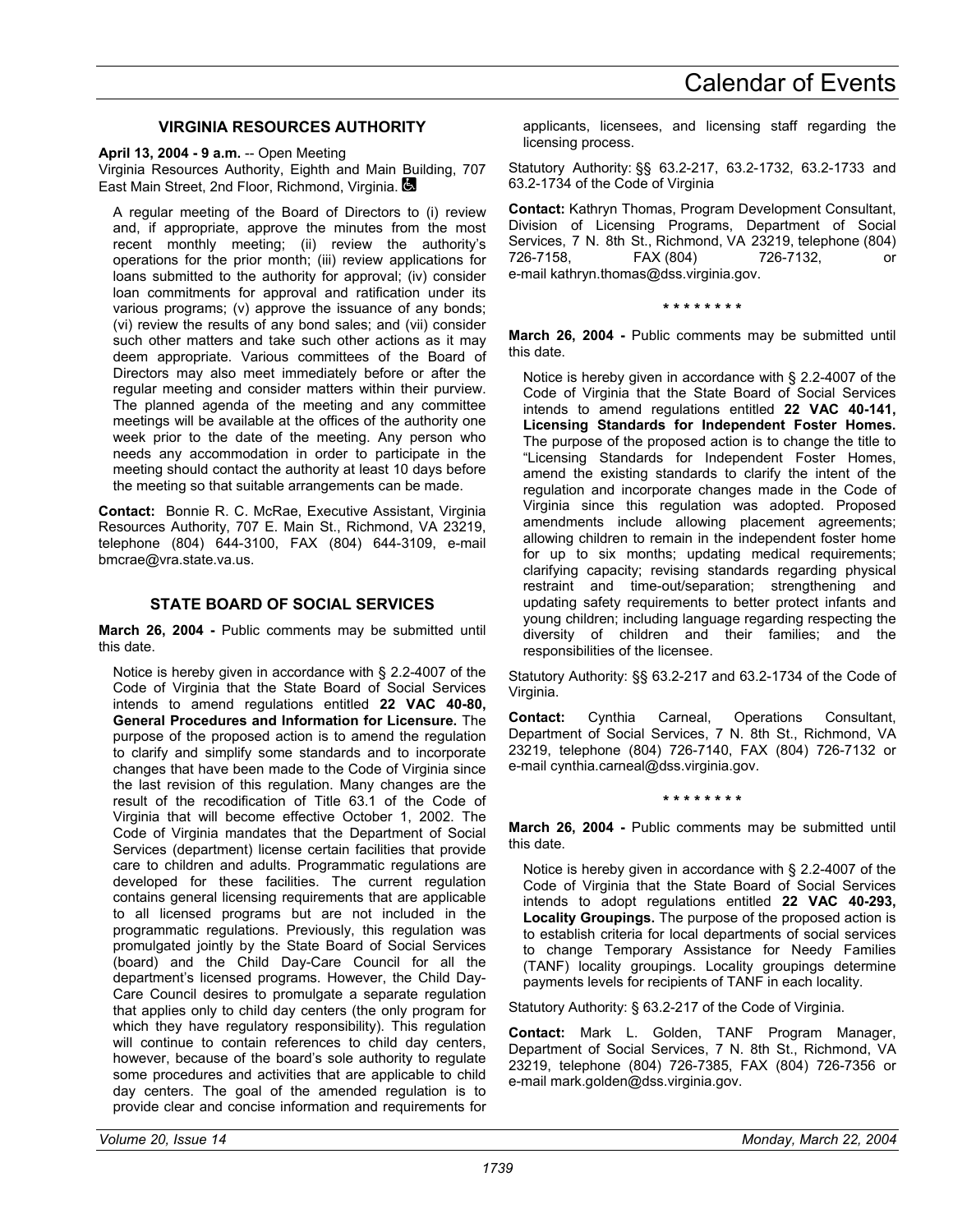## **VIRGINIA RESOURCES AUTHORITY**

**April 13, 2004 - 9 a.m.** -- Open Meeting

Virginia Resources Authority, Eighth and Main Building, 707 East Main Street, 2nd Floor, Richmond, Virginia.

A regular meeting of the Board of Directors to (i) review and, if appropriate, approve the minutes from the most recent monthly meeting; (ii) review the authority's operations for the prior month; (iii) review applications for loans submitted to the authority for approval; (iv) consider loan commitments for approval and ratification under its various programs; (v) approve the issuance of any bonds; (vi) review the results of any bond sales; and (vii) consider such other matters and take such other actions as it may deem appropriate. Various committees of the Board of Directors may also meet immediately before or after the regular meeting and consider matters within their purview. The planned agenda of the meeting and any committee meetings will be available at the offices of the authority one week prior to the date of the meeting. Any person who needs any accommodation in order to participate in the meeting should contact the authority at least 10 days before the meeting so that suitable arrangements can be made.

**Contact:** Bonnie R. C. McRae, Executive Assistant, Virginia Resources Authority, 707 E. Main St., Richmond, VA 23219, telephone (804) 644-3100, FAX (804) 644-3109, e-mail bmcrae@vra.state.va.us.

### **STATE BOARD OF SOCIAL SERVICES**

**March 26, 2004 -** Public comments may be submitted until this date.

Notice is hereby given in accordance with § 2.2-4007 of the Code of Virginia that the State Board of Social Services intends to amend regulations entitled **22 VAC 40-80, General Procedures and Information for Licensure.** The purpose of the proposed action is to amend the regulation to clarify and simplify some standards and to incorporate changes that have been made to the Code of Virginia since the last revision of this regulation. Many changes are the result of the recodification of Title 63.1 of the Code of Virginia that will become effective October 1, 2002. The Code of Virginia mandates that the Department of Social Services (department) license certain facilities that provide care to children and adults. Programmatic regulations are developed for these facilities. The current regulation contains general licensing requirements that are applicable to all licensed programs but are not included in the programmatic regulations. Previously, this regulation was promulgated jointly by the State Board of Social Services (board) and the Child Day-Care Council for all the department's licensed programs. However, the Child Day-Care Council desires to promulgate a separate regulation that applies only to child day centers (the only program for which they have regulatory responsibility). This regulation will continue to contain references to child day centers, however, because of the board's sole authority to regulate some procedures and activities that are applicable to child day centers. The goal of the amended regulation is to provide clear and concise information and requirements for

applicants, licensees, and licensing staff regarding the licensing process.

Statutory Authority: §§ 63.2-217, 63.2-1732, 63.2-1733 and 63.2-1734 of the Code of Virginia

**Contact:** Kathryn Thomas, Program Development Consultant, Division of Licensing Programs, Department of Social Services, 7 N. 8th St., Richmond, VA 23219, telephone (804) 726-7158, FAX (804) 726-7132, or e-mail kathryn.thomas@dss.virginia.gov.

#### **\* \* \* \* \* \* \* \***

**March 26, 2004 -** Public comments may be submitted until this date.

Notice is hereby given in accordance with § 2.2-4007 of the Code of Virginia that the State Board of Social Services intends to amend regulations entitled **22 VAC 40-141, Licensing Standards for Independent Foster Homes.** The purpose of the proposed action is to change the title to "Licensing Standards for Independent Foster Homes, amend the existing standards to clarify the intent of the regulation and incorporate changes made in the Code of Virginia since this regulation was adopted. Proposed amendments include allowing placement agreements; allowing children to remain in the independent foster home for up to six months; updating medical requirements; clarifying capacity; revising standards regarding physical restraint and time-out/separation; strengthening and updating safety requirements to better protect infants and young children; including language regarding respecting the diversity of children and their families; and the responsibilities of the licensee.

Statutory Authority: §§ 63.2-217 and 63.2-1734 of the Code of Virginia.

**Contact:** Cynthia Carneal, Operations Consultant, Department of Social Services, 7 N. 8th St., Richmond, VA 23219, telephone (804) 726-7140, FAX (804) 726-7132 or e-mail cynthia.carneal@dss.virginia.gov.

**\* \* \* \* \* \* \* \*** 

**March 26, 2004 -** Public comments may be submitted until this date.

Notice is hereby given in accordance with § 2.2-4007 of the Code of Virginia that the State Board of Social Services intends to adopt regulations entitled **22 VAC 40-293, Locality Groupings.** The purpose of the proposed action is to establish criteria for local departments of social services to change Temporary Assistance for Needy Families (TANF) locality groupings. Locality groupings determine payments levels for recipients of TANF in each locality.

Statutory Authority: § 63.2-217 of the Code of Virginia.

**Contact:** Mark L. Golden, TANF Program Manager, Department of Social Services, 7 N. 8th St., Richmond, VA 23219, telephone (804) 726-7385, FAX (804) 726-7356 or e-mail mark.golden@dss.virginia.gov.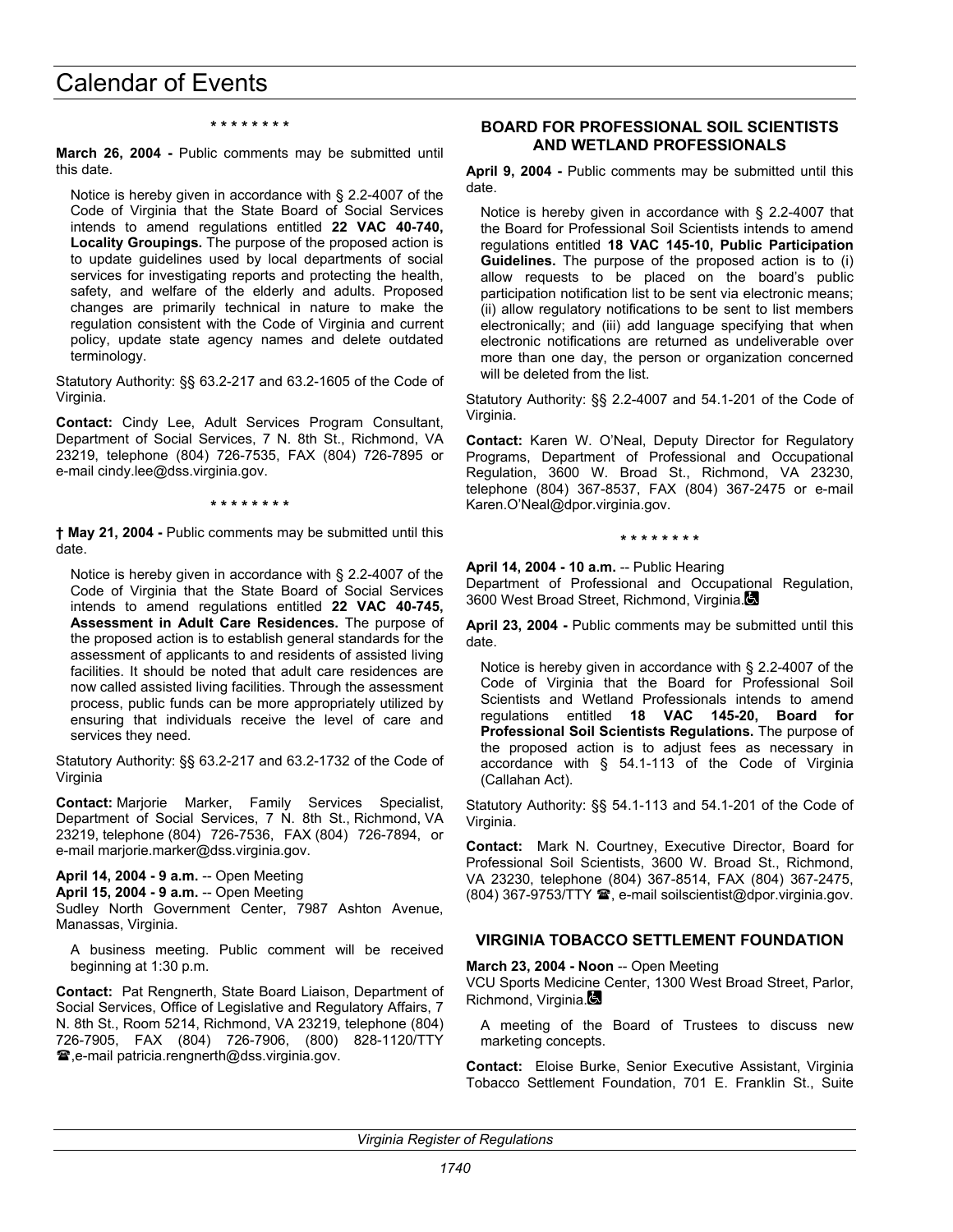#### **\* \* \* \* \* \* \* \***

**March 26, 2004 -** Public comments may be submitted until this date.

Notice is hereby given in accordance with § 2.2-4007 of the Code of Virginia that the State Board of Social Services intends to amend regulations entitled **22 VAC 40-740, Locality Groupings.** The purpose of the proposed action is to update guidelines used by local departments of social services for investigating reports and protecting the health, safety, and welfare of the elderly and adults. Proposed changes are primarily technical in nature to make the regulation consistent with the Code of Virginia and current policy, update state agency names and delete outdated terminology.

Statutory Authority: §§ 63.2-217 and 63.2-1605 of the Code of Virginia.

**Contact:** Cindy Lee, Adult Services Program Consultant, Department of Social Services, 7 N. 8th St., Richmond, VA 23219, telephone (804) 726-7535, FAX (804) 726-7895 or e-mail cindy.lee@dss.virginia.gov.

#### **\* \* \* \* \* \* \* \***

**† May 21, 2004 -** Public comments may be submitted until this date.

Notice is hereby given in accordance with § 2.2-4007 of the Code of Virginia that the State Board of Social Services intends to amend regulations entitled **22 VAC 40-745, Assessment in Adult Care Residences.** The purpose of the proposed action is to establish general standards for the assessment of applicants to and residents of assisted living facilities. It should be noted that adult care residences are now called assisted living facilities. Through the assessment process, public funds can be more appropriately utilized by ensuring that individuals receive the level of care and services they need.

Statutory Authority: §§ 63.2-217 and 63.2-1732 of the Code of Virginia

**Contact:** Marjorie Marker, Family Services Specialist, Department of Social Services, 7 N. 8th St., Richmond, VA 23219, telephone (804) 726-7536, FAX (804) 726-7894, or e-mail marjorie.marker@dss.virginia.gov.

**April 14, 2004 - 9 a.m.** -- Open Meeting

**April 15, 2004 - 9 a.m.** -- Open Meeting

Sudley North Government Center, 7987 Ashton Avenue, Manassas, Virginia.

A business meeting. Public comment will be received beginning at 1:30 p.m.

**Contact:** Pat Rengnerth, State Board Liaison, Department of Social Services, Office of Legislative and Regulatory Affairs, 7 N. 8th St., Room 5214, Richmond, VA 23219, telephone (804) 726-7905, FAX (804) 726-7906, (800) 828-1120/TTY **■,e-mail patricia.rengnerth@dss.virginia.gov.** 

#### **BOARD FOR PROFESSIONAL SOIL SCIENTISTS AND WETLAND PROFESSIONALS**

**April 9, 2004 -** Public comments may be submitted until this date.

Notice is hereby given in accordance with § 2.2-4007 that the Board for Professional Soil Scientists intends to amend regulations entitled **18 VAC 145-10, Public Participation Guidelines.** The purpose of the proposed action is to (i) allow requests to be placed on the board's public participation notification list to be sent via electronic means; (ii) allow regulatory notifications to be sent to list members electronically; and (iii) add language specifying that when electronic notifications are returned as undeliverable over more than one day, the person or organization concerned will be deleted from the list.

Statutory Authority: §§ 2.2-4007 and 54.1-201 of the Code of Virginia.

**Contact:** Karen W. O'Neal, Deputy Director for Regulatory Programs, Department of Professional and Occupational Regulation, 3600 W. Broad St., Richmond, VA 23230, telephone (804) 367-8537, FAX (804) 367-2475 or e-mail Karen.O'Neal@dpor.virginia.gov.

#### **\* \* \* \* \* \* \* \***

**April 14, 2004 - 10 a.m.** -- Public Hearing

Department of Professional and Occupational Regulation, 3600 West Broad Street, Richmond, Virginia.

**April 23, 2004 -** Public comments may be submitted until this date.

Notice is hereby given in accordance with § 2.2-4007 of the Code of Virginia that the Board for Professional Soil Scientists and Wetland Professionals intends to amend regulations entitled **18 VAC 145-20, Board for Professional Soil Scientists Regulations.** The purpose of the proposed action is to adjust fees as necessary in accordance with § 54.1-113 of the Code of Virginia (Callahan Act).

Statutory Authority: §§ 54.1-113 and 54.1-201 of the Code of Virginia.

**Contact:** Mark N. Courtney, Executive Director, Board for Professional Soil Scientists, 3600 W. Broad St., Richmond, VA 23230, telephone (804) 367-8514, FAX (804) 367-2475, (804) 367-9753/TTY , e-mail soilscientist@dpor.virginia.gov.

## **VIRGINIA TOBACCO SETTLEMENT FOUNDATION**

**March 23, 2004 - Noon** -- Open Meeting

VCU Sports Medicine Center, 1300 West Broad Street, Parlor, Richmond, Virginia.

A meeting of the Board of Trustees to discuss new marketing concepts.

**Contact:** Eloise Burke, Senior Executive Assistant, Virginia Tobacco Settlement Foundation, 701 E. Franklin St., Suite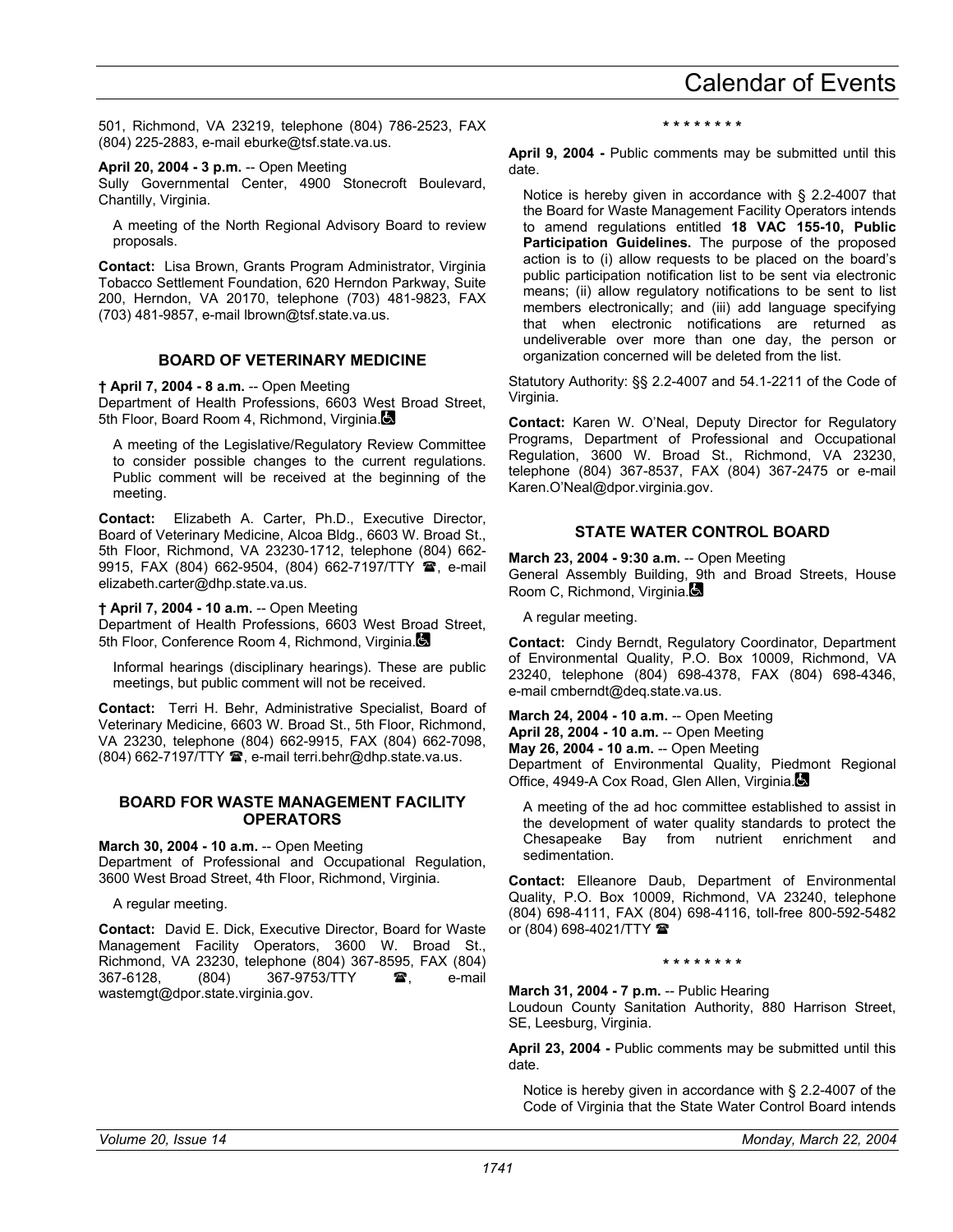501, Richmond, VA 23219, telephone (804) 786-2523, FAX (804) 225-2883, e-mail eburke@tsf.state.va.us.

#### **April 20, 2004 - 3 p.m.** -- Open Meeting

Sully Governmental Center, 4900 Stonecroft Boulevard, Chantilly, Virginia.

A meeting of the North Regional Advisory Board to review proposals.

**Contact:** Lisa Brown, Grants Program Administrator, Virginia Tobacco Settlement Foundation, 620 Herndon Parkway, Suite 200, Herndon, VA 20170, telephone (703) 481-9823, FAX (703) 481-9857, e-mail lbrown@tsf.state.va.us.

## **BOARD OF VETERINARY MEDICINE**

**† April 7, 2004 - 8 a.m.** -- Open Meeting

Department of Health Professions, 6603 West Broad Street, 5th Floor, Board Room 4, Richmond, Virginia.

A meeting of the Legislative/Regulatory Review Committee to consider possible changes to the current regulations. Public comment will be received at the beginning of the meeting.

**Contact:** Elizabeth A. Carter, Ph.D., Executive Director, Board of Veterinary Medicine, Alcoa Bldg., 6603 W. Broad St., 5th Floor, Richmond, VA 23230-1712, telephone (804) 662- 9915, FAX (804) 662-9504, (804) 662-7197/TTY **雪**, e-mail elizabeth.carter@dhp.state.va.us.

**† April 7, 2004 - 10 a.m.** -- Open Meeting

Department of Health Professions, 6603 West Broad Street, 5th Floor, Conference Room 4, Richmond, Virginia.

Informal hearings (disciplinary hearings). These are public meetings, but public comment will not be received.

**Contact:** Terri H. Behr, Administrative Specialist, Board of Veterinary Medicine, 6603 W. Broad St., 5th Floor, Richmond, VA 23230, telephone (804) 662-9915, FAX (804) 662-7098, (804) 662-7197/TTY <sup>2</sup>, e-mail terri.behr@dhp.state.va.us.

### **BOARD FOR WASTE MANAGEMENT FACILITY OPERATORS**

**March 30, 2004 - 10 a.m.** -- Open Meeting

Department of Professional and Occupational Regulation, 3600 West Broad Street, 4th Floor, Richmond, Virginia.

A regular meeting.

**Contact:** David E. Dick, Executive Director, Board for Waste Management Facility Operators, 3600 W. Broad St., Richmond, VA 23230, telephone (804) 367-8595, FAX (804) 367-6128, (804) 367-9753/TTY **雷**, e-mail wastemgt@dpor.state.virginia.gov.

**\* \* \* \* \* \* \* \*** 

**April 9, 2004 -** Public comments may be submitted until this date.

Notice is hereby given in accordance with § 2.2-4007 that the Board for Waste Management Facility Operators intends to amend regulations entitled **18 VAC 155-10, Public Participation Guidelines.** The purpose of the proposed action is to (i) allow requests to be placed on the board's public participation notification list to be sent via electronic means; (ii) allow regulatory notifications to be sent to list members electronically; and (iii) add language specifying that when electronic notifications are returned as undeliverable over more than one day, the person or organization concerned will be deleted from the list.

Statutory Authority: §§ 2.2-4007 and 54.1-2211 of the Code of Virginia.

**Contact:** Karen W. O'Neal, Deputy Director for Regulatory Programs, Department of Professional and Occupational Regulation, 3600 W. Broad St., Richmond, VA 23230, telephone (804) 367-8537, FAX (804) 367-2475 or e-mail Karen.O'Neal@dpor.virginia.gov.

## **STATE WATER CONTROL BOARD**

**March 23, 2004 - 9:30 a.m.** -- Open Meeting

General Assembly Building, 9th and Broad Streets, House Room C, Richmond, Virginia.

A regular meeting.

**Contact:** Cindy Berndt, Regulatory Coordinator, Department of Environmental Quality, P.O. Box 10009, Richmond, VA 23240, telephone (804) 698-4378, FAX (804) 698-4346, e-mail cmberndt@deq.state.va.us.

**March 24, 2004 - 10 a.m.** -- Open Meeting **April 28, 2004 - 10 a.m.** -- Open Meeting **May 26, 2004 - 10 a.m.** -- Open Meeting Department of Environmental Quality, Piedmont Regional Office, 4949-A Cox Road, Glen Allen, Virginia.

A meeting of the ad hoc committee established to assist in the development of water quality standards to protect the Chesapeake Bay from nutrient enrichment and sedimentation.

**Contact:** Elleanore Daub, Department of Environmental Quality, P.O. Box 10009, Richmond, VA 23240, telephone (804) 698-4111, FAX (804) 698-4116, toll-free 800-592-5482 or (804) 698-4021/TTY  $\blacksquare$ 

#### **\* \* \* \* \* \* \* \***

**March 31, 2004 - 7 p.m.** -- Public Hearing

Loudoun County Sanitation Authority, 880 Harrison Street, SE, Leesburg, Virginia.

**April 23, 2004 -** Public comments may be submitted until this date.

Notice is hereby given in accordance with § 2.2-4007 of the Code of Virginia that the State Water Control Board intends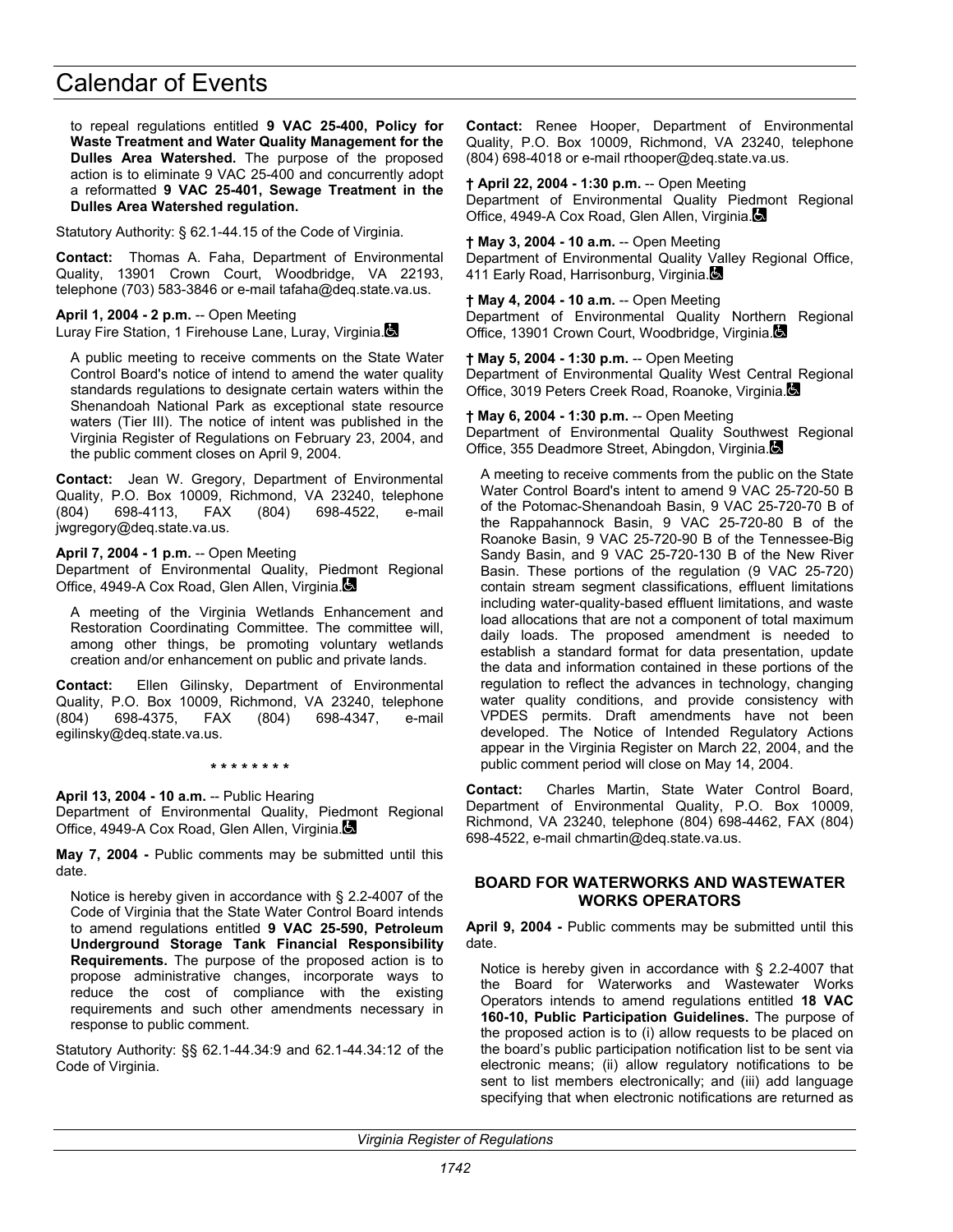to repeal regulations entitled **9 VAC 25-400, Policy for Waste Treatment and Water Quality Management for the Dulles Area Watershed.** The purpose of the proposed action is to eliminate 9 VAC 25-400 and concurrently adopt a reformatted **9 VAC 25-401, Sewage Treatment in the Dulles Area Watershed regulation.**

Statutory Authority: § 62.1-44.15 of the Code of Virginia.

**Contact:** Thomas A. Faha, Department of Environmental Quality, 13901 Crown Court, Woodbridge, VA 22193, telephone (703) 583-3846 or e-mail tafaha@deq.state.va.us.

**April 1, 2004 - 2 p.m.** -- Open Meeting Luray Fire Station, 1 Firehouse Lane, Luray, Virginia.

A public meeting to receive comments on the State Water Control Board's notice of intend to amend the water quality standards regulations to designate certain waters within the Shenandoah National Park as exceptional state resource waters (Tier III). The notice of intent was published in the Virginia Register of Regulations on February 23, 2004, and the public comment closes on April 9, 2004.

**Contact:** Jean W. Gregory, Department of Environmental Quality, P.O. Box 10009, Richmond, VA 23240, telephone (804) 698-4113, FAX (804) 698-4522, e-mail jwgregory@deq.state.va.us.

**April 7, 2004 - 1 p.m.** -- Open Meeting

Department of Environmental Quality, Piedmont Regional Office, 4949-A Cox Road, Glen Allen, Virginia.

A meeting of the Virginia Wetlands Enhancement and Restoration Coordinating Committee. The committee will, among other things, be promoting voluntary wetlands creation and/or enhancement on public and private lands.

**Contact:** Ellen Gilinsky, Department of Environmental Quality, P.O. Box 10009, Richmond, VA 23240, telephone (804) 698-4375, FAX (804) 698-4347, e-mail egilinsky@deq.state.va.us.

**\* \* \* \* \* \* \* \*** 

**April 13, 2004 - 10 a.m.** -- Public Hearing Department of Environmental Quality, Piedmont Regional Office, 4949-A Cox Road, Glen Allen, Virginia.

**May 7, 2004 -** Public comments may be submitted until this date.

Notice is hereby given in accordance with § 2.2-4007 of the Code of Virginia that the State Water Control Board intends to amend regulations entitled **9 VAC 25-590, Petroleum Underground Storage Tank Financial Responsibility Requirements.** The purpose of the proposed action is to propose administrative changes, incorporate ways to reduce the cost of compliance with the existing requirements and such other amendments necessary in response to public comment.

Statutory Authority: §§ 62.1-44.34:9 and 62.1-44.34:12 of the Code of Virginia.

**Contact:** Renee Hooper, Department of Environmental Quality, P.O. Box 10009, Richmond, VA 23240, telephone (804) 698-4018 or e-mail rthooper@deq.state.va.us.

**† April 22, 2004 - 1:30 p.m.** -- Open Meeting Department of Environmental Quality Piedmont Regional Office, 4949-A Cox Road, Glen Allen, Virginia.

**† May 3, 2004 - 10 a.m.** -- Open Meeting Department of Environmental Quality Valley Regional Office, 411 Early Road, Harrisonburg, Virginia.

**† May 4, 2004 - 10 a.m.** -- Open Meeting Department of Environmental Quality Northern Regional Office, 13901 Crown Court, Woodbridge, Virginia.

**† May 5, 2004 - 1:30 p.m.** -- Open Meeting Department of Environmental Quality West Central Regional Office, 3019 Peters Creek Road, Roanoke, Virginia.

**† May 6, 2004 - 1:30 p.m.** -- Open Meeting Department of Environmental Quality Southwest Regional Office, 355 Deadmore Street, Abingdon, Virginia.

A meeting to receive comments from the public on the State Water Control Board's intent to amend 9 VAC 25-720-50 B of the Potomac-Shenandoah Basin, 9 VAC 25-720-70 B of the Rappahannock Basin, 9 VAC 25-720-80 B of the Roanoke Basin, 9 VAC 25-720-90 B of the Tennessee-Big Sandy Basin, and 9 VAC 25-720-130 B of the New River Basin. These portions of the regulation (9 VAC 25-720) contain stream segment classifications, effluent limitations including water-quality-based effluent limitations, and waste load allocations that are not a component of total maximum daily loads. The proposed amendment is needed to establish a standard format for data presentation, update the data and information contained in these portions of the regulation to reflect the advances in technology, changing water quality conditions, and provide consistency with VPDES permits. Draft amendments have not been developed. The Notice of Intended Regulatory Actions appear in the Virginia Register on March 22, 2004, and the public comment period will close on May 14, 2004.

**Contact:** Charles Martin, State Water Control Board, Department of Environmental Quality, P.O. Box 10009, Richmond, VA 23240, telephone (804) 698-4462, FAX (804) 698-4522, e-mail chmartin@deq.state.va.us.

### **BOARD FOR WATERWORKS AND WASTEWATER WORKS OPERATORS**

**April 9, 2004 -** Public comments may be submitted until this date.

Notice is hereby given in accordance with § 2.2-4007 that the Board for Waterworks and Wastewater Works Operators intends to amend regulations entitled **18 VAC 160-10, Public Participation Guidelines.** The purpose of the proposed action is to (i) allow requests to be placed on the board's public participation notification list to be sent via electronic means; (ii) allow regulatory notifications to be sent to list members electronically; and (iii) add language specifying that when electronic notifications are returned as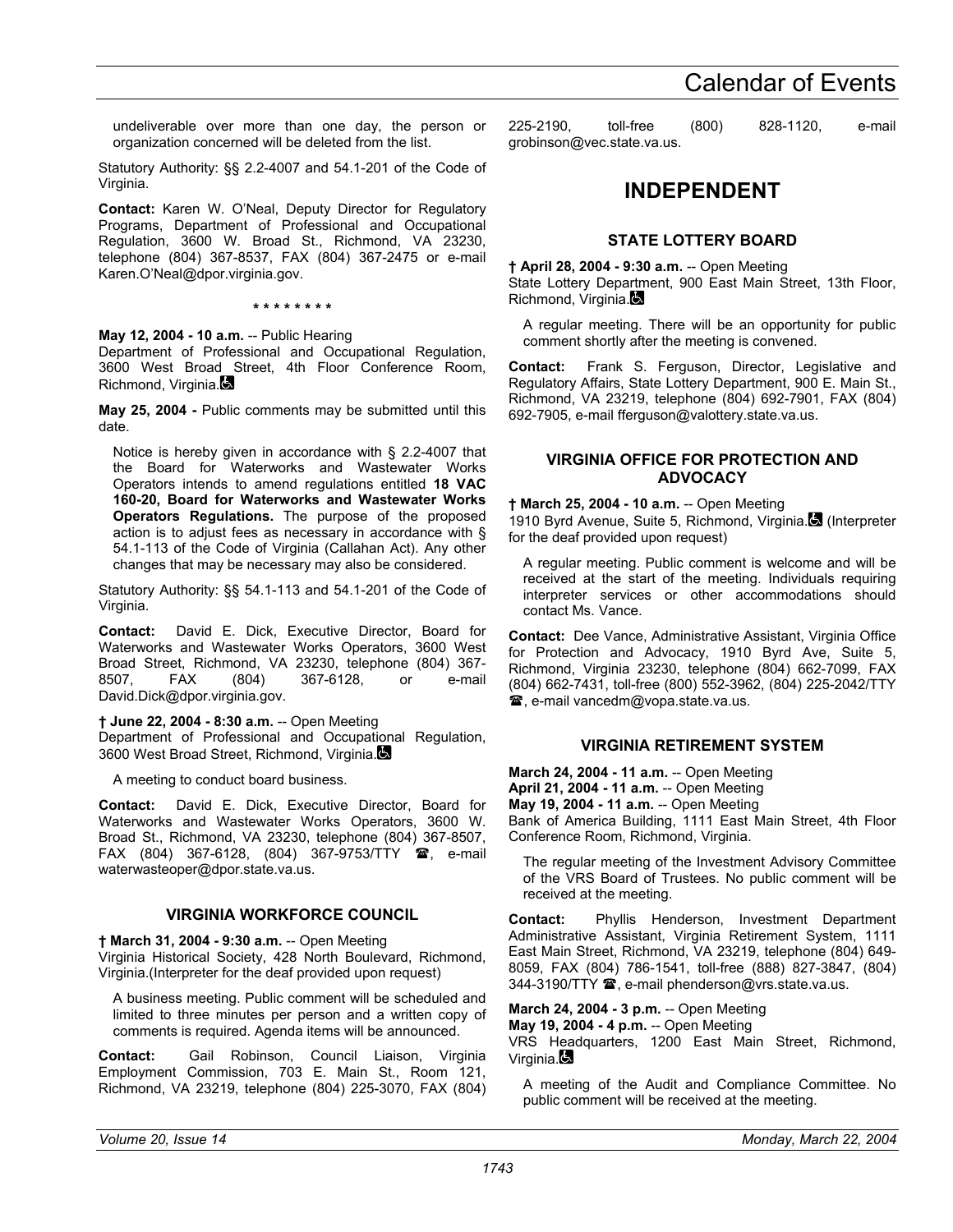undeliverable over more than one day, the person or organization concerned will be deleted from the list.

Statutory Authority: §§ 2.2-4007 and 54.1-201 of the Code of Virginia.

**Contact:** Karen W. O'Neal, Deputy Director for Regulatory Programs, Department of Professional and Occupational Regulation, 3600 W. Broad St., Richmond, VA 23230, telephone (804) 367-8537, FAX (804) 367-2475 or e-mail Karen.O'Neal@dpor.virginia.gov.

## **\* \* \* \* \* \* \* \***

## **May 12, 2004 - 10 a.m.** -- Public Hearing

Department of Professional and Occupational Regulation, 3600 West Broad Street, 4th Floor Conference Room, Richmond, Virginia.

**May 25, 2004 -** Public comments may be submitted until this date.

Notice is hereby given in accordance with § 2.2-4007 that the Board for Waterworks and Wastewater Works Operators intends to amend regulations entitled **18 VAC 160-20, Board for Waterworks and Wastewater Works Operators Regulations.** The purpose of the proposed action is to adjust fees as necessary in accordance with § 54.1-113 of the Code of Virginia (Callahan Act). Any other changes that may be necessary may also be considered.

Statutory Authority: §§ 54.1-113 and 54.1-201 of the Code of Virginia.

**Contact:** David E. Dick, Executive Director, Board for Waterworks and Wastewater Works Operators, 3600 West Broad Street, Richmond, VA 23230, telephone (804) 367-<br>8507, FAX (804) 367-6128. or e-mail 8507, FAX (804) 367-6128, or e-mail David.Dick@dpor.virginia.gov.

## **† June 22, 2004 - 8:30 a.m.** -- Open Meeting

Department of Professional and Occupational Regulation, 3600 West Broad Street, Richmond, Virginia.

A meeting to conduct board business.

**Contact:** David E. Dick, Executive Director, Board for Waterworks and Wastewater Works Operators, 3600 W. Broad St., Richmond, VA 23230, telephone (804) 367-8507, FAX (804) 367-6128, (804) 367-9753/TTY  $\circledR$ , e-mail waterwasteoper@dpor.state.va.us.

## **VIRGINIA WORKFORCE COUNCIL**

**† March 31, 2004 - 9:30 a.m.** -- Open Meeting

Virginia Historical Society, 428 North Boulevard, Richmond, Virginia.(Interpreter for the deaf provided upon request)

A business meeting. Public comment will be scheduled and limited to three minutes per person and a written copy of comments is required. Agenda items will be announced.

**Contact:** Gail Robinson, Council Liaison, Virginia Employment Commission, 703 E. Main St., Room 121, Richmond, VA 23219, telephone (804) 225-3070, FAX (804)

225-2190, toll-free (800) 828-1120, e-mail grobinson@vec.state.va.us.

## **INDEPENDENT**

## **STATE LOTTERY BOARD**

**† April 28, 2004 - 9:30 a.m.** -- Open Meeting

State Lottery Department, 900 East Main Street, 13th Floor, Richmond, Virginia.

A regular meeting. There will be an opportunity for public comment shortly after the meeting is convened.

**Contact:** Frank S. Ferguson, Director, Legislative and Regulatory Affairs, State Lottery Department, 900 E. Main St., Richmond, VA 23219, telephone (804) 692-7901, FAX (804) 692-7905, e-mail fferguson@valottery.state.va.us.

## **VIRGINIA OFFICE FOR PROTECTION AND ADVOCACY**

## **† March 25, 2004 - 10 a.m.** -- Open Meeting

1910 Byrd Avenue, Suite 5, Richmond, Virginia. (Interpreter for the deaf provided upon request)

A regular meeting. Public comment is welcome and will be received at the start of the meeting. Individuals requiring interpreter services or other accommodations should contact Ms. Vance.

**Contact:** Dee Vance, Administrative Assistant, Virginia Office for Protection and Advocacy, 1910 Byrd Ave, Suite 5, Richmond, Virginia 23230, telephone (804) 662-7099, FAX (804) 662-7431, toll-free (800) 552-3962, (804) 225-2042/TTY , e-mail vancedm@vopa.state.va.us.

## **VIRGINIA RETIREMENT SYSTEM**

**March 24, 2004 - 11 a.m.** -- Open Meeting **April 21, 2004 - 11 a.m.** -- Open Meeting **May 19, 2004 - 11 a.m.** -- Open Meeting Bank of America Building, 1111 East Main Street, 4th Floor Conference Room, Richmond, Virginia.

The regular meeting of the Investment Advisory Committee of the VRS Board of Trustees. No public comment will be received at the meeting.

**Contact:** Phyllis Henderson, Investment Department Administrative Assistant, Virginia Retirement System, 1111 East Main Street, Richmond, VA 23219, telephone (804) 649- 8059, FAX (804) 786-1541, toll-free (888) 827-3847, (804) 344-3190/TTY <sup>2</sup>, e-mail phenderson@vrs.state.va.us.

## **March 24, 2004 - 3 p.m. -- Open Meeting**

**May 19, 2004 - 4 p.m. -- Open Meeting** 

VRS Headquarters, 1200 East Main Street, Richmond, Virginia. $\blacksquare$ 

A meeting of the Audit and Compliance Committee. No public comment will be received at the meeting.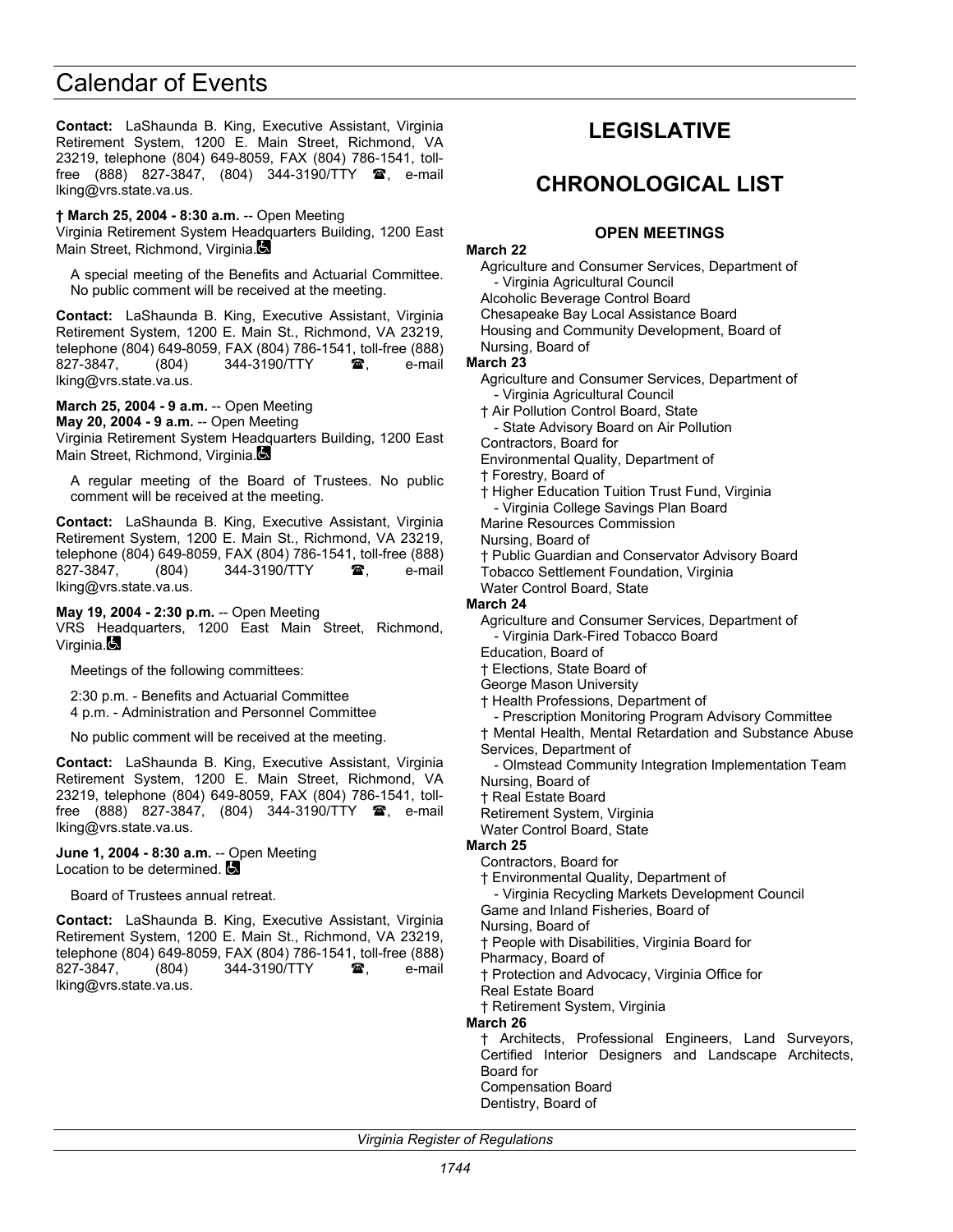**Contact:** LaShaunda B. King, Executive Assistant, Virginia Retirement System, 1200 E. Main Street, Richmond, VA 23219, telephone (804) 649-8059, FAX (804) 786-1541, tollfree (888) 827-3847, (804) 344-3190/TTY  $\mathbf{\mathfrak{B}}$ , e-mail lking@vrs.state.va.us.

**† March 25, 2004 - 8:30 a.m.** -- Open Meeting Virginia Retirement System Headquarters Building, 1200 East Main Street, Richmond, Virginia.

A special meeting of the Benefits and Actuarial Committee. No public comment will be received at the meeting.

**Contact:** LaShaunda B. King, Executive Assistant, Virginia Retirement System, 1200 E. Main St., Richmond, VA 23219, telephone (804) 649-8059, FAX (804) 786-1541, toll-free (888) 827-3847, (804) 344-3190/TTY  $\circledR$ , e-mail lking@vrs.state.va.us.

**March 25, 2004 - 9 a.m.** -- Open Meeting **May 20, 2004 - 9 a.m.** -- Open Meeting Virginia Retirement System Headquarters Building, 1200 East Main Street, Richmond, Virginia.

A regular meeting of the Board of Trustees. No public comment will be received at the meeting.

**Contact:** LaShaunda B. King, Executive Assistant, Virginia Retirement System, 1200 E. Main St., Richmond, VA 23219, telephone (804) 649-8059, FAX (804) 786-1541, toll-free (888) 827-3847, (804) 344-3190/TTY  $\circledR$ , e-mail lking@vrs.state.va.us.

**May 19, 2004 - 2:30 p.m.** -- Open Meeting VRS Headquarters, 1200 East Main Street, Richmond, Virginia.

Meetings of the following committees:

2:30 p.m. - Benefits and Actuarial Committee 4 p.m. - Administration and Personnel Committee

No public comment will be received at the meeting.

**Contact:** LaShaunda B. King, Executive Assistant, Virginia Retirement System, 1200 E. Main Street, Richmond, VA 23219, telephone (804) 649-8059, FAX (804) 786-1541, tollfree (888) 827-3847, (804) 344-3190/TTY  $\blacksquare$ , e-mail lking@vrs.state.va.us.

#### **June 1, 2004 - 8:30 a.m.** -- Open Meeting Location to be determined.

Board of Trustees annual retreat.

**Contact:** LaShaunda B. King, Executive Assistant, Virginia Retirement System, 1200 E. Main St., Richmond, VA 23219, telephone (804) 649-8059, FAX (804) 786-1541, toll-free (888) 827-3847, (804) 344-3190/TTY **雷**, e-mail lking@vrs.state.va.us.

## **LEGISLATIVE**

## **CHRONOLOGICAL LIST**

## **OPEN MEETINGS**

#### **March 22**

Agriculture and Consumer Services, Department of - Virginia Agricultural Council

Alcoholic Beverage Control Board

Chesapeake Bay Local Assistance Board

Housing and Community Development, Board of

Nursing, Board of **March 23** 

Agriculture and Consumer Services, Department of - Virginia Agricultural Council

† Air Pollution Control Board, State

- State Advisory Board on Air Pollution

Contractors, Board for

Environmental Quality, Department of

† Forestry, Board of

† Higher Education Tuition Trust Fund, Virginia

- Virginia College Savings Plan Board

Marine Resources Commission

Nursing, Board of

† Public Guardian and Conservator Advisory Board Tobacco Settlement Foundation, Virginia

Water Control Board, State

## **March 24**

Agriculture and Consumer Services, Department of - Virginia Dark-Fired Tobacco Board

Education, Board of

† Elections, State Board of George Mason University

† Health Professions, Department of

- Prescription Monitoring Program Advisory Committee

† Mental Health, Mental Retardation and Substance Abuse Services, Department of

- Olmstead Community Integration Implementation Team Nursing, Board of

† Real Estate Board

Retirement System, Virginia

Water Control Board, State

## **March 25**

Contractors, Board for

† Environmental Quality, Department of

- Virginia Recycling Markets Development Council

Game and Inland Fisheries, Board of

Nursing, Board of

† People with Disabilities, Virginia Board for

Pharmacy, Board of

† Protection and Advocacy, Virginia Office for

Real Estate Board † Retirement System, Virginia

**March 26** 

† Architects, Professional Engineers, Land Surveyors, Certified Interior Designers and Landscape Architects, Board for Compensation Board

Dentistry, Board of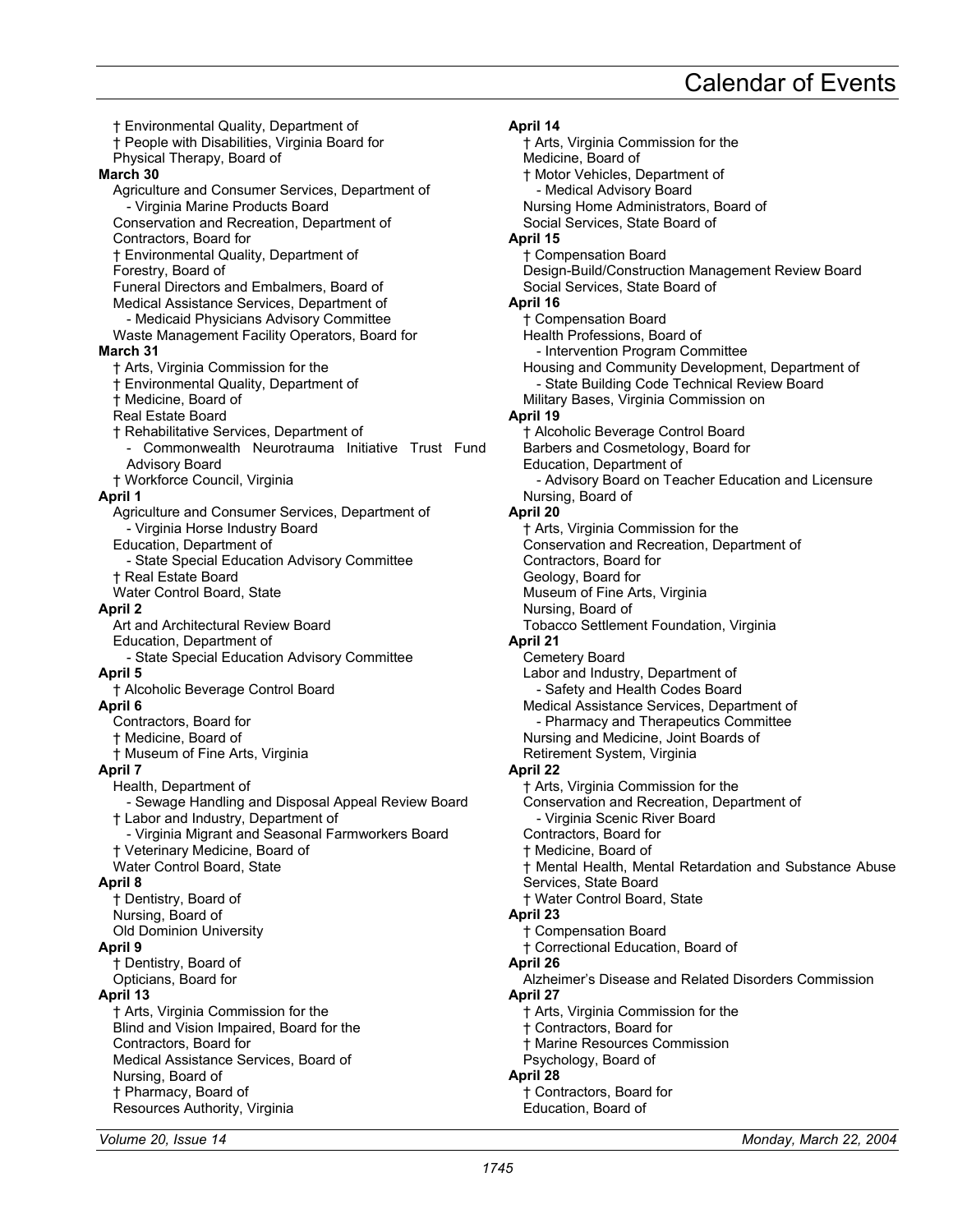† Environmental Quality, Department of † People with Disabilities, Virginia Board for Physical Therapy, Board of **March 30**  Agriculture and Consumer Services, Department of - Virginia Marine Products Board Conservation and Recreation, Department of Contractors, Board for † Environmental Quality, Department of Forestry, Board of Funeral Directors and Embalmers, Board of Medical Assistance Services, Department of - Medicaid Physicians Advisory Committee Waste Management Facility Operators, Board for **March 31**  † Arts, Virginia Commission for the † Environmental Quality, Department of † Medicine, Board of Real Estate Board † Rehabilitative Services, Department of - Commonwealth Neurotrauma Initiative Trust Fund Advisory Board † Workforce Council, Virginia **April 1**  Agriculture and Consumer Services, Department of - Virginia Horse Industry Board Education, Department of - State Special Education Advisory Committee † Real Estate Board Water Control Board, State **April 2**  Art and Architectural Review Board Education, Department of - State Special Education Advisory Committee **April 5**  † Alcoholic Beverage Control Board **April 6**  Contractors, Board for † Medicine, Board of † Museum of Fine Arts, Virginia **April 7**  Health, Department of - Sewage Handling and Disposal Appeal Review Board † Labor and Industry, Department of - Virginia Migrant and Seasonal Farmworkers Board † Veterinary Medicine, Board of Water Control Board, State **April 8**  † Dentistry, Board of Nursing, Board of Old Dominion University **April 9**  † Dentistry, Board of Opticians, Board for **April 13**  † Arts, Virginia Commission for the Blind and Vision Impaired, Board for the Contractors, Board for Medical Assistance Services, Board of Nursing, Board of † Pharmacy, Board of Resources Authority, Virginia

**April 14**  † Arts, Virginia Commission for the Medicine, Board of † Motor Vehicles, Department of Medical Advisory Board Nursing Home Administrators, Board of Social Services, State Board of **April 15**  † Compensation Board Design-Build/Construction Management Review Board Social Services, State Board of **April 16**  † Compensation Board Health Professions, Board of - Intervention Program Committee Housing and Community Development, Department of - State Building Code Technical Review Board Military Bases, Virginia Commission on **April 19**  † Alcoholic Beverage Control Board Barbers and Cosmetology, Board for Education, Department of - Advisory Board on Teacher Education and Licensure Nursing, Board of **April 20**  † Arts, Virginia Commission for the Conservation and Recreation, Department of Contractors, Board for Geology, Board for Museum of Fine Arts, Virginia Nursing, Board of Tobacco Settlement Foundation, Virginia **April 21**  Cemetery Board Labor and Industry, Department of - Safety and Health Codes Board Medical Assistance Services, Department of - Pharmacy and Therapeutics Committee Nursing and Medicine, Joint Boards of Retirement System, Virginia **April 22**  † Arts, Virginia Commission for the Conservation and Recreation, Department of - Virginia Scenic River Board Contractors, Board for † Medicine, Board of † Mental Health, Mental Retardation and Substance Abuse Services, State Board † Water Control Board, State **April 23**  † Compensation Board † Correctional Education, Board of **April 26**  Alzheimer's Disease and Related Disorders Commission **April 27**  † Arts, Virginia Commission for the † Contractors, Board for † Marine Resources Commission Psychology, Board of **April 28**  † Contractors, Board for

Education, Board of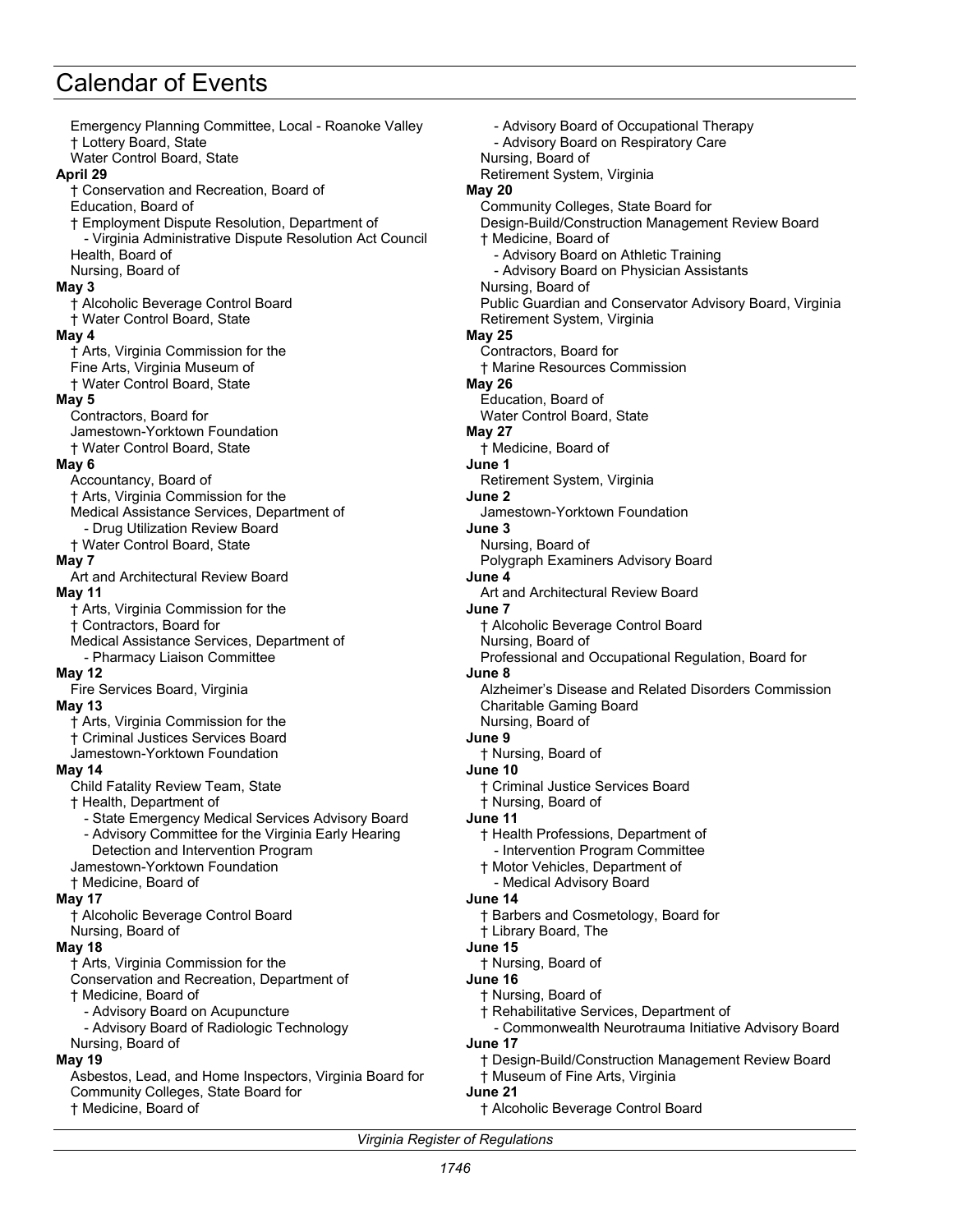Emergency Planning Committee, Local - Roanoke Valley † Lottery Board, State Water Control Board, State **April 29**  † Conservation and Recreation, Board of Education, Board of † Employment Dispute Resolution, Department of - Virginia Administrative Dispute Resolution Act Council Health, Board of Nursing, Board of **May 3**  † Alcoholic Beverage Control Board † Water Control Board, State **May 4**  † Arts, Virginia Commission for the Fine Arts, Virginia Museum of † Water Control Board, State **May 5**  Contractors, Board for Jamestown-Yorktown Foundation † Water Control Board, State **May 6**  Accountancy, Board of † Arts, Virginia Commission for the Medical Assistance Services, Department of Drug Utilization Review Board † Water Control Board, State **May 7**  Art and Architectural Review Board **May 11**  † Arts, Virginia Commission for the † Contractors, Board for Medical Assistance Services, Department of - Pharmacy Liaison Committee **May 12**  Fire Services Board, Virginia **May 13**  † Arts, Virginia Commission for the † Criminal Justices Services Board Jamestown-Yorktown Foundation **May 14**  Child Fatality Review Team, State † Health, Department of - State Emergency Medical Services Advisory Board - Advisory Committee for the Virginia Early Hearing Detection and Intervention Program Jamestown-Yorktown Foundation † Medicine, Board of **May 17**  † Alcoholic Beverage Control Board Nursing, Board of **May 18**  † Arts, Virginia Commission for the Conservation and Recreation, Department of † Medicine, Board of - Advisory Board on Acupuncture - Advisory Board of Radiologic Technology Nursing, Board of **May 19**  Asbestos, Lead, and Home Inspectors, Virginia Board for Community Colleges, State Board for † Medicine, Board of

- Advisory Board of Occupational Therapy - Advisory Board on Respiratory Care Nursing, Board of Retirement System, Virginia **May 20**  Community Colleges, State Board for Design-Build/Construction Management Review Board † Medicine, Board of - Advisory Board on Athletic Training - Advisory Board on Physician Assistants Nursing, Board of Public Guardian and Conservator Advisory Board, Virginia Retirement System, Virginia **May 25**  Contractors, Board for † Marine Resources Commission **May 26**  Education, Board of Water Control Board, State **May 27**  † Medicine, Board of **June 1**  Retirement System, Virginia **June 2**  Jamestown-Yorktown Foundation **June 3**  Nursing, Board of Polygraph Examiners Advisory Board **June 4**  Art and Architectural Review Board **June 7**  † Alcoholic Beverage Control Board Nursing, Board of Professional and Occupational Regulation, Board for **June 8**  Alzheimer's Disease and Related Disorders Commission Charitable Gaming Board Nursing, Board of **June 9**  † Nursing, Board of **June 10**  † Criminal Justice Services Board † Nursing, Board of **June 11**  † Health Professions, Department of - Intervention Program Committee † Motor Vehicles, Department of - Medical Advisory Board **June 14**  † Barbers and Cosmetology, Board for † Library Board, The **June 15**  † Nursing, Board of **June 16**  † Nursing, Board of † Rehabilitative Services, Department of - Commonwealth Neurotrauma Initiative Advisory Board **June 17**  † Design-Build/Construction Management Review Board † Museum of Fine Arts, Virginia

#### **June 21**

† Alcoholic Beverage Control Board